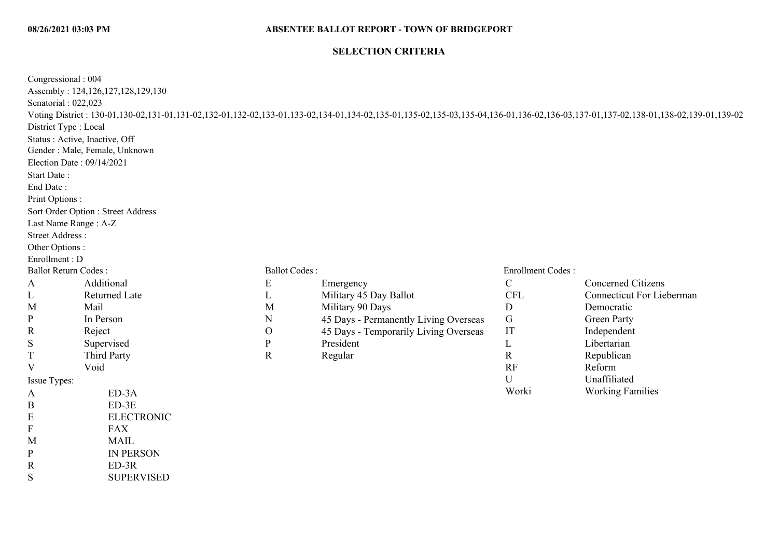#### **SELECTION CRITERIA**

| Congressional: 004<br>Senatorial: 022,023<br>District Type : Local<br>Start Date:<br>End Date:<br>Print Options:<br>Last Name Range: A-Z<br>Street Address:<br>Other Options: | Assembly: 124,126,127,128,129,130<br>Status: Active, Inactive, Off<br>Gender : Male, Female, Unknown<br>Election Date: 09/14/2021<br>Sort Order Option : Street Address |                      | Voting District: 130-01,130-02,131-01,131-02,132-01,132-02,133-01,133-02,134-01,134-02,135-01,135-02,135-03,135-04,136-01,136-02,136-03,137-01,137-02,138-01,138-02,139-01,139-02 |                          |                                  |
|-------------------------------------------------------------------------------------------------------------------------------------------------------------------------------|-------------------------------------------------------------------------------------------------------------------------------------------------------------------------|----------------------|-----------------------------------------------------------------------------------------------------------------------------------------------------------------------------------|--------------------------|----------------------------------|
| Enrollment: D                                                                                                                                                                 |                                                                                                                                                                         |                      |                                                                                                                                                                                   |                          |                                  |
| <b>Ballot Return Codes:</b>                                                                                                                                                   |                                                                                                                                                                         | <b>Ballot Codes:</b> |                                                                                                                                                                                   | <b>Enrollment Codes:</b> |                                  |
| A                                                                                                                                                                             | Additional                                                                                                                                                              | ${\bf E}$            | Emergency                                                                                                                                                                         | $\mathcal{C}$            | <b>Concerned Citizens</b>        |
| L                                                                                                                                                                             | <b>Returned Late</b>                                                                                                                                                    | L                    | Military 45 Day Ballot                                                                                                                                                            | <b>CFL</b>               | <b>Connecticut For Lieberman</b> |
| M                                                                                                                                                                             | Mail                                                                                                                                                                    | M                    | Military 90 Days                                                                                                                                                                  | D                        | Democratic                       |
| $\mathbf{P}$                                                                                                                                                                  | In Person                                                                                                                                                               | N                    | 45 Days - Permanently Living Overseas                                                                                                                                             | $\mathsf G$              | <b>Green Party</b>               |
| R                                                                                                                                                                             | Reject                                                                                                                                                                  | $\mathcal{O}$        | 45 Days - Temporarily Living Overseas                                                                                                                                             | IT                       | Independent                      |
| S                                                                                                                                                                             | Supervised                                                                                                                                                              | ${\bf P}$            | President                                                                                                                                                                         | L                        | Libertarian                      |
| T                                                                                                                                                                             | Third Party                                                                                                                                                             | $\mathbf R$          | Regular                                                                                                                                                                           | $\mathbf R$              | Republican                       |
| V                                                                                                                                                                             | Void                                                                                                                                                                    |                      |                                                                                                                                                                                   | RF                       | Reform                           |
| Issue Types:                                                                                                                                                                  |                                                                                                                                                                         |                      |                                                                                                                                                                                   | U                        | Unaffiliated                     |
| A                                                                                                                                                                             | $ED-3A$                                                                                                                                                                 |                      |                                                                                                                                                                                   | Worki                    | <b>Working Families</b>          |
| B                                                                                                                                                                             | $ED-3E$                                                                                                                                                                 |                      |                                                                                                                                                                                   |                          |                                  |
| E                                                                                                                                                                             | <b>ELECTRONIC</b>                                                                                                                                                       |                      |                                                                                                                                                                                   |                          |                                  |
| F                                                                                                                                                                             | <b>FAX</b>                                                                                                                                                              |                      |                                                                                                                                                                                   |                          |                                  |
| M                                                                                                                                                                             | <b>MAIL</b>                                                                                                                                                             |                      |                                                                                                                                                                                   |                          |                                  |
| P                                                                                                                                                                             | <b>IN PERSON</b>                                                                                                                                                        |                      |                                                                                                                                                                                   |                          |                                  |
| R                                                                                                                                                                             | $ED-3R$                                                                                                                                                                 |                      |                                                                                                                                                                                   |                          |                                  |
| S                                                                                                                                                                             | <b>SUPERVISED</b>                                                                                                                                                       |                      |                                                                                                                                                                                   |                          |                                  |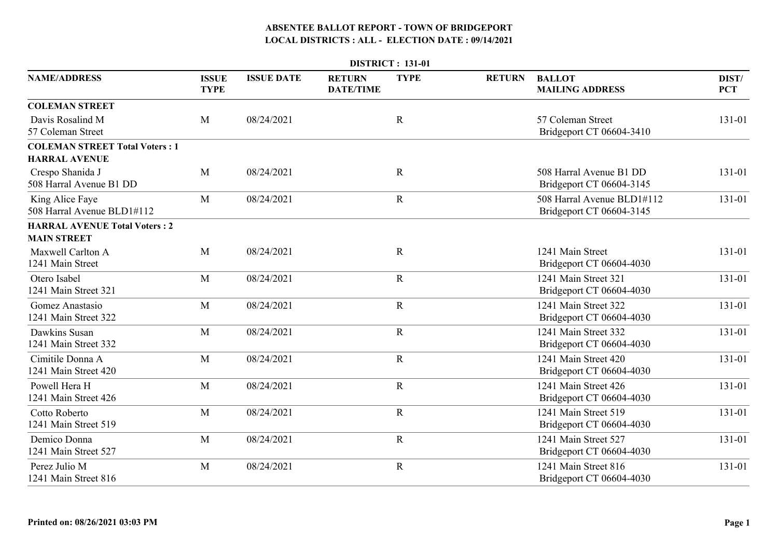|                                                               | <b>DISTRICT: 131-01</b>     |                   |                                   |             |               |                                                        |                     |  |  |  |
|---------------------------------------------------------------|-----------------------------|-------------------|-----------------------------------|-------------|---------------|--------------------------------------------------------|---------------------|--|--|--|
| <b>NAME/ADDRESS</b>                                           | <b>ISSUE</b><br><b>TYPE</b> | <b>ISSUE DATE</b> | <b>RETURN</b><br><b>DATE/TIME</b> | <b>TYPE</b> | <b>RETURN</b> | <b>BALLOT</b><br><b>MAILING ADDRESS</b>                | DIST/<br><b>PCT</b> |  |  |  |
| <b>COLEMAN STREET</b>                                         |                             |                   |                                   |             |               |                                                        |                     |  |  |  |
| Davis Rosalind M<br>57 Coleman Street                         | M                           | 08/24/2021        |                                   | $\mathbf R$ |               | 57 Coleman Street<br>Bridgeport CT 06604-3410          | 131-01              |  |  |  |
| <b>COLEMAN STREET Total Voters: 1</b><br><b>HARRAL AVENUE</b> |                             |                   |                                   |             |               |                                                        |                     |  |  |  |
| Crespo Shanida J<br>508 Harral Avenue B1 DD                   | M                           | 08/24/2021        |                                   | $\mathbf R$ |               | 508 Harral Avenue B1 DD<br>Bridgeport CT 06604-3145    | 131-01              |  |  |  |
| King Alice Faye<br>508 Harral Avenue BLD1#112                 | M                           | 08/24/2021        |                                   | $\mathbf R$ |               | 508 Harral Avenue BLD1#112<br>Bridgeport CT 06604-3145 | 131-01              |  |  |  |
| <b>HARRAL AVENUE Total Voters: 2</b><br><b>MAIN STREET</b>    |                             |                   |                                   |             |               |                                                        |                     |  |  |  |
| Maxwell Carlton A<br>1241 Main Street                         | M                           | 08/24/2021        |                                   | $\mathbf R$ |               | 1241 Main Street<br>Bridgeport CT 06604-4030           | 131-01              |  |  |  |
| Otero Isabel<br>1241 Main Street 321                          | M                           | 08/24/2021        |                                   | $\mathbf R$ |               | 1241 Main Street 321<br>Bridgeport CT 06604-4030       | 131-01              |  |  |  |
| Gomez Anastasio<br>1241 Main Street 322                       | M                           | 08/24/2021        |                                   | $\mathbf R$ |               | 1241 Main Street 322<br>Bridgeport CT 06604-4030       | 131-01              |  |  |  |
| Dawkins Susan<br>1241 Main Street 332                         | M                           | 08/24/2021        |                                   | $\mathbf R$ |               | 1241 Main Street 332<br>Bridgeport CT 06604-4030       | 131-01              |  |  |  |
| Cimitile Donna A<br>1241 Main Street 420                      | M                           | 08/24/2021        |                                   | $\mathbf R$ |               | 1241 Main Street 420<br>Bridgeport CT 06604-4030       | 131-01              |  |  |  |
| Powell Hera H<br>1241 Main Street 426                         | M                           | 08/24/2021        |                                   | $\mathbf R$ |               | 1241 Main Street 426<br>Bridgeport CT 06604-4030       | 131-01              |  |  |  |
| Cotto Roberto<br>1241 Main Street 519                         | M                           | 08/24/2021        |                                   | $\mathbf R$ |               | 1241 Main Street 519<br>Bridgeport CT 06604-4030       | 131-01              |  |  |  |
| Demico Donna<br>1241 Main Street 527                          | M                           | 08/24/2021        |                                   | $\mathbf R$ |               | 1241 Main Street 527<br>Bridgeport CT 06604-4030       | 131-01              |  |  |  |
| Perez Julio M<br>1241 Main Street 816                         | M                           | 08/24/2021        |                                   | $\mathbf R$ |               | 1241 Main Street 816<br>Bridgeport CT 06604-4030       | 131-01              |  |  |  |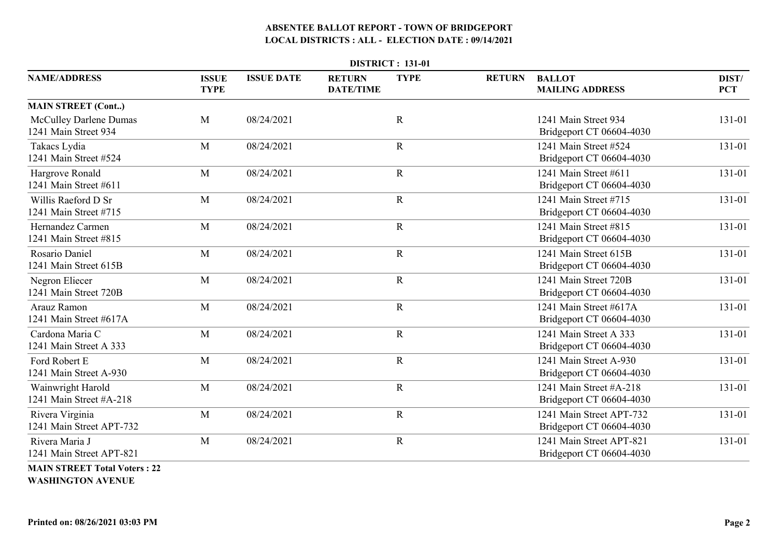|                                                       | <b>DISTRICT: 131-01</b>     |                   |                                   |             |               |                                                      |                     |  |  |  |  |
|-------------------------------------------------------|-----------------------------|-------------------|-----------------------------------|-------------|---------------|------------------------------------------------------|---------------------|--|--|--|--|
| <b>NAME/ADDRESS</b>                                   | <b>ISSUE</b><br><b>TYPE</b> | <b>ISSUE DATE</b> | <b>RETURN</b><br><b>DATE/TIME</b> | <b>TYPE</b> | <b>RETURN</b> | <b>BALLOT</b><br><b>MAILING ADDRESS</b>              | DIST/<br><b>PCT</b> |  |  |  |  |
| <b>MAIN STREET (Cont)</b>                             |                             |                   |                                   |             |               |                                                      |                     |  |  |  |  |
| <b>McCulley Darlene Dumas</b><br>1241 Main Street 934 | M                           | 08/24/2021        |                                   | $\mathbf R$ |               | 1241 Main Street 934<br>Bridgeport CT 06604-4030     | 131-01              |  |  |  |  |
| Takacs Lydia<br>1241 Main Street #524                 | M                           | 08/24/2021        |                                   | $\mathbf R$ |               | 1241 Main Street #524<br>Bridgeport CT 06604-4030    | 131-01              |  |  |  |  |
| Hargrove Ronald<br>1241 Main Street #611              | M                           | 08/24/2021        |                                   | $\mathbf R$ |               | 1241 Main Street #611<br>Bridgeport CT 06604-4030    | 131-01              |  |  |  |  |
| Willis Raeford D Sr<br>1241 Main Street #715          | M                           | 08/24/2021        |                                   | $\mathbf R$ |               | 1241 Main Street #715<br>Bridgeport CT 06604-4030    | 131-01              |  |  |  |  |
| Hernandez Carmen<br>1241 Main Street #815             | M                           | 08/24/2021        |                                   | $\mathbf R$ |               | 1241 Main Street #815<br>Bridgeport CT 06604-4030    | 131-01              |  |  |  |  |
| Rosario Daniel<br>1241 Main Street 615B               | M                           | 08/24/2021        |                                   | $\mathbf R$ |               | 1241 Main Street 615B<br>Bridgeport CT 06604-4030    | 131-01              |  |  |  |  |
| Negron Eliecer<br>1241 Main Street 720B               | M                           | 08/24/2021        |                                   | $\mathbf R$ |               | 1241 Main Street 720B<br>Bridgeport CT 06604-4030    | 131-01              |  |  |  |  |
| Arauz Ramon<br>1241 Main Street #617A                 | M                           | 08/24/2021        |                                   | $\mathbf R$ |               | 1241 Main Street #617A<br>Bridgeport CT 06604-4030   | 131-01              |  |  |  |  |
| Cardona Maria C<br>1241 Main Street A 333             | M                           | 08/24/2021        |                                   | $\mathbf R$ |               | 1241 Main Street A 333<br>Bridgeport CT 06604-4030   | 131-01              |  |  |  |  |
| Ford Robert E<br>1241 Main Street A-930               | M                           | 08/24/2021        |                                   | $\mathbf R$ |               | 1241 Main Street A-930<br>Bridgeport CT 06604-4030   | 131-01              |  |  |  |  |
| Wainwright Harold<br>1241 Main Street #A-218          | M                           | 08/24/2021        |                                   | $\mathbf R$ |               | 1241 Main Street #A-218<br>Bridgeport CT 06604-4030  | 131-01              |  |  |  |  |
| Rivera Virginia<br>1241 Main Street APT-732           | M                           | 08/24/2021        |                                   | $\mathbf R$ |               | 1241 Main Street APT-732<br>Bridgeport CT 06604-4030 | 131-01              |  |  |  |  |
| Rivera Maria J<br>1241 Main Street APT-821            | M                           | 08/24/2021        |                                   | ${\bf R}$   |               | 1241 Main Street APT-821<br>Bridgeport CT 06604-4030 | 131-01              |  |  |  |  |
| <b>MAIN STREET Total Voters: 22</b>                   |                             |                   |                                   |             |               |                                                      |                     |  |  |  |  |

**WASHINGTON AVENUE**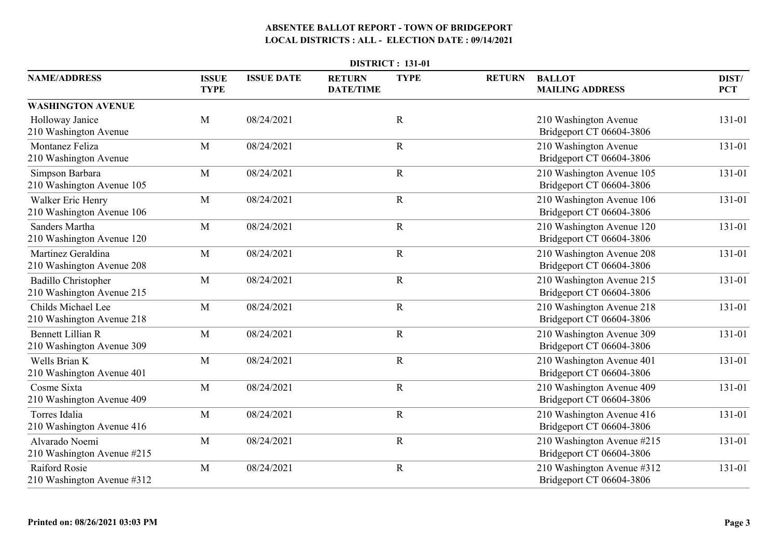|                                                         | <b>DISTRICT: 131-01</b>     |                   |                                   |              |               |                                                        |                     |  |  |  |
|---------------------------------------------------------|-----------------------------|-------------------|-----------------------------------|--------------|---------------|--------------------------------------------------------|---------------------|--|--|--|
| <b>NAME/ADDRESS</b>                                     | <b>ISSUE</b><br><b>TYPE</b> | <b>ISSUE DATE</b> | <b>RETURN</b><br><b>DATE/TIME</b> | <b>TYPE</b>  | <b>RETURN</b> | <b>BALLOT</b><br><b>MAILING ADDRESS</b>                | DIST/<br><b>PCT</b> |  |  |  |
| <b>WASHINGTON AVENUE</b>                                |                             |                   |                                   |              |               |                                                        |                     |  |  |  |
| Holloway Janice<br>210 Washington Avenue                | M                           | 08/24/2021        |                                   | $\mathbb{R}$ |               | 210 Washington Avenue<br>Bridgeport CT 06604-3806      | 131-01              |  |  |  |
| Montanez Feliza<br>210 Washington Avenue                | M                           | 08/24/2021        |                                   | $\mathbf R$  |               | 210 Washington Avenue<br>Bridgeport CT 06604-3806      | 131-01              |  |  |  |
| Simpson Barbara<br>210 Washington Avenue 105            | M                           | 08/24/2021        |                                   | $\mathbf R$  |               | 210 Washington Avenue 105<br>Bridgeport CT 06604-3806  | 131-01              |  |  |  |
| Walker Eric Henry<br>210 Washington Avenue 106          | M                           | 08/24/2021        |                                   | $\mathbf R$  |               | 210 Washington Avenue 106<br>Bridgeport CT 06604-3806  | 131-01              |  |  |  |
| <b>Sanders Martha</b><br>210 Washington Avenue 120      | M                           | 08/24/2021        |                                   | $\mathbf R$  |               | 210 Washington Avenue 120<br>Bridgeport CT 06604-3806  | 131-01              |  |  |  |
| Martinez Geraldina<br>210 Washington Avenue 208         | M                           | 08/24/2021        |                                   | $\mathbf R$  |               | 210 Washington Avenue 208<br>Bridgeport CT 06604-3806  | 131-01              |  |  |  |
| <b>Badillo Christopher</b><br>210 Washington Avenue 215 | M                           | 08/24/2021        |                                   | $\mathbf R$  |               | 210 Washington Avenue 215<br>Bridgeport CT 06604-3806  | 131-01              |  |  |  |
| Childs Michael Lee<br>210 Washington Avenue 218         | M                           | 08/24/2021        |                                   | $\mathbf R$  |               | 210 Washington Avenue 218<br>Bridgeport CT 06604-3806  | 131-01              |  |  |  |
| <b>Bennett Lillian R</b><br>210 Washington Avenue 309   | M                           | 08/24/2021        |                                   | $\mathbf R$  |               | 210 Washington Avenue 309<br>Bridgeport CT 06604-3806  | 131-01              |  |  |  |
| Wells Brian K<br>210 Washington Avenue 401              | M                           | 08/24/2021        |                                   | $\mathbf R$  |               | 210 Washington Avenue 401<br>Bridgeport CT 06604-3806  | 131-01              |  |  |  |
| Cosme Sixta<br>210 Washington Avenue 409                | M                           | 08/24/2021        |                                   | $\mathbf R$  |               | 210 Washington Avenue 409<br>Bridgeport CT 06604-3806  | 131-01              |  |  |  |
| Torres Idalia<br>210 Washington Avenue 416              | M                           | 08/24/2021        |                                   | $\mathbf R$  |               | 210 Washington Avenue 416<br>Bridgeport CT 06604-3806  | 131-01              |  |  |  |
| Alvarado Noemi<br>210 Washington Avenue #215            | M                           | 08/24/2021        |                                   | $\mathbf R$  |               | 210 Washington Avenue #215<br>Bridgeport CT 06604-3806 | 131-01              |  |  |  |
| <b>Raiford Rosie</b><br>210 Washington Avenue #312      | M                           | 08/24/2021        |                                   | $\mathbf R$  |               | 210 Washington Avenue #312<br>Bridgeport CT 06604-3806 | 131-01              |  |  |  |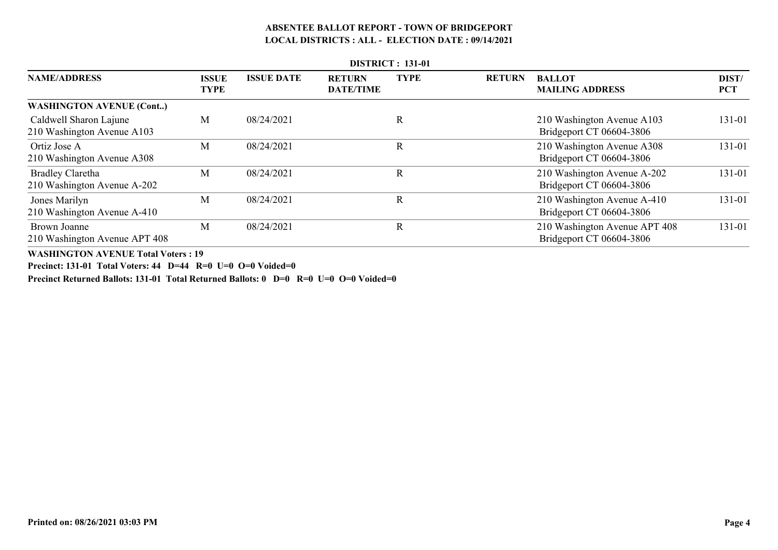|                                                        |                             |                   |                                   | <b>DISTRICT: 131-01</b> |               |                                                           |                     |
|--------------------------------------------------------|-----------------------------|-------------------|-----------------------------------|-------------------------|---------------|-----------------------------------------------------------|---------------------|
| <b>NAME/ADDRESS</b>                                    | <b>ISSUE</b><br><b>TYPE</b> | <b>ISSUE DATE</b> | <b>RETURN</b><br><b>DATE/TIME</b> | <b>TYPE</b>             | <b>RETURN</b> | <b>BALLOT</b><br><b>MAILING ADDRESS</b>                   | DIST/<br><b>PCT</b> |
| <b>WASHINGTON AVENUE (Cont)</b>                        |                             |                   |                                   |                         |               |                                                           |                     |
| Caldwell Sharon Lajune<br>210 Washington Avenue A103   | M                           | 08/24/2021        |                                   | R                       |               | 210 Washington Avenue A103<br>Bridgeport CT 06604-3806    | 131-01              |
| Ortiz Jose A<br>210 Washington Avenue A308             | M                           | 08/24/2021        |                                   | R                       |               | 210 Washington Avenue A308<br>Bridgeport CT 06604-3806    | 131-01              |
| <b>Bradley Claretha</b><br>210 Washington Avenue A-202 | M                           | 08/24/2021        |                                   | R                       |               | 210 Washington Avenue A-202<br>Bridgeport CT 06604-3806   | 131-01              |
| Jones Marilyn<br>210 Washington Avenue A-410           | M                           | 08/24/2021        |                                   | R                       |               | 210 Washington Avenue A-410<br>Bridgeport CT 06604-3806   | 131-01              |
| Brown Joanne<br>210 Washington Avenue APT 408          | M                           | 08/24/2021        |                                   | R                       |               | 210 Washington Avenue APT 408<br>Bridgeport CT 06604-3806 | 131-01              |

**WASHINGTON AVENUE Total Voters : 19**

**Precinct: 131-01 Total Voters: 44 D=44 R=0 U=0 O=0 Voided=0**

**Precinct Returned Ballots: 131-01 Total Returned Ballots: 0 D=0 R=0 U=0 O=0 Voided=0**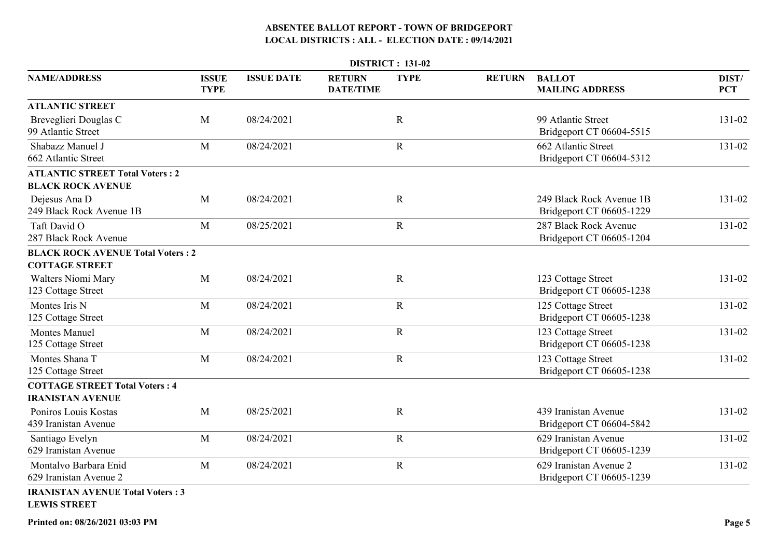|                                                                    |                             |                   |                                   | DISTRICT: 131-02 |               |                                                      |                     |
|--------------------------------------------------------------------|-----------------------------|-------------------|-----------------------------------|------------------|---------------|------------------------------------------------------|---------------------|
| <b>NAME/ADDRESS</b>                                                | <b>ISSUE</b><br><b>TYPE</b> | <b>ISSUE DATE</b> | <b>RETURN</b><br><b>DATE/TIME</b> | <b>TYPE</b>      | <b>RETURN</b> | <b>BALLOT</b><br><b>MAILING ADDRESS</b>              | DIST/<br><b>PCT</b> |
| <b>ATLANTIC STREET</b>                                             |                             |                   |                                   |                  |               |                                                      |                     |
| Breveglieri Douglas C<br>99 Atlantic Street                        | M                           | 08/24/2021        |                                   | $\mathbf R$      |               | 99 Atlantic Street<br>Bridgeport CT 06604-5515       | 131-02              |
| Shabazz Manuel J<br>662 Atlantic Street                            | M                           | 08/24/2021        |                                   | $\mathbf R$      |               | 662 Atlantic Street<br>Bridgeport CT 06604-5312      | 131-02              |
| <b>ATLANTIC STREET Total Voters: 2</b><br><b>BLACK ROCK AVENUE</b> |                             |                   |                                   |                  |               |                                                      |                     |
| Dejesus Ana D<br>249 Black Rock Avenue 1B                          | M                           | 08/24/2021        |                                   | $\mathbf R$      |               | 249 Black Rock Avenue 1B<br>Bridgeport CT 06605-1229 | 131-02              |
| Taft David O<br>287 Black Rock Avenue                              | M                           | 08/25/2021        |                                   | $\mathbf R$      |               | 287 Black Rock Avenue<br>Bridgeport CT 06605-1204    | 131-02              |
| <b>BLACK ROCK AVENUE Total Voters: 2</b><br><b>COTTAGE STREET</b>  |                             |                   |                                   |                  |               |                                                      |                     |
| <b>Walters Niomi Mary</b><br>123 Cottage Street                    | M                           | 08/24/2021        |                                   | $\mathbf R$      |               | 123 Cottage Street<br>Bridgeport CT 06605-1238       | 131-02              |
| Montes Iris N<br>125 Cottage Street                                | M                           | 08/24/2021        |                                   | $\mathbf R$      |               | 125 Cottage Street<br>Bridgeport CT 06605-1238       | 131-02              |
| <b>Montes Manuel</b><br>125 Cottage Street                         | M                           | 08/24/2021        |                                   | $\mathbf R$      |               | 123 Cottage Street<br>Bridgeport CT 06605-1238       | 131-02              |
| Montes Shana T<br>125 Cottage Street                               | M                           | 08/24/2021        |                                   | ${\bf R}$        |               | 123 Cottage Street<br>Bridgeport CT 06605-1238       | 131-02              |
| <b>COTTAGE STREET Total Voters: 4</b><br><b>IRANISTAN AVENUE</b>   |                             |                   |                                   |                  |               |                                                      |                     |
| Poniros Louis Kostas<br>439 Iranistan Avenue                       | M                           | 08/25/2021        |                                   | $\mathbf R$      |               | 439 Iranistan Avenue<br>Bridgeport CT 06604-5842     | 131-02              |
| Santiago Evelyn<br>629 Iranistan Avenue                            | M                           | 08/24/2021        |                                   | $\mathbf R$      |               | 629 Iranistan Avenue<br>Bridgeport CT 06605-1239     | 131-02              |
| Montalvo Barbara Enid<br>629 Iranistan Avenue 2                    | M                           | 08/24/2021        |                                   | $\mathbf R$      |               | 629 Iranistan Avenue 2<br>Bridgeport CT 06605-1239   | 131-02              |
| <b>IRANISTAN AVENUE Total Voters: 3</b><br><b>LEWIS STREET</b>     |                             |                   |                                   |                  |               |                                                      |                     |

**Printed on: 08/26/2021 03:03 PM**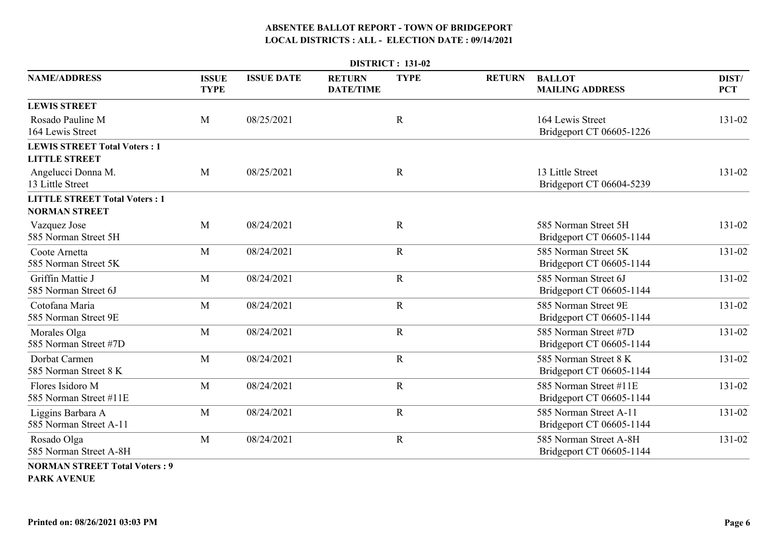|                                             | <b>DISTRICT: 131-02</b>     |                   |                                   |             |               |                                                    |                     |  |  |  |  |
|---------------------------------------------|-----------------------------|-------------------|-----------------------------------|-------------|---------------|----------------------------------------------------|---------------------|--|--|--|--|
| <b>NAME/ADDRESS</b>                         | <b>ISSUE</b><br><b>TYPE</b> | <b>ISSUE DATE</b> | <b>RETURN</b><br><b>DATE/TIME</b> | <b>TYPE</b> | <b>RETURN</b> | <b>BALLOT</b><br><b>MAILING ADDRESS</b>            | DIST/<br><b>PCT</b> |  |  |  |  |
| <b>LEWIS STREET</b>                         |                             |                   |                                   |             |               |                                                    |                     |  |  |  |  |
| Rosado Pauline M<br>164 Lewis Street        | M                           | 08/25/2021        |                                   | $\mathbf R$ |               | 164 Lewis Street<br>Bridgeport CT 06605-1226       | 131-02              |  |  |  |  |
| <b>LEWIS STREET Total Voters: 1</b>         |                             |                   |                                   |             |               |                                                    |                     |  |  |  |  |
| <b>LITTLE STREET</b>                        |                             |                   |                                   |             |               |                                                    |                     |  |  |  |  |
| Angelucci Donna M.<br>13 Little Street      | M                           | 08/25/2021        |                                   | $\mathbf R$ |               | 13 Little Street<br>Bridgeport CT 06604-5239       | 131-02              |  |  |  |  |
| <b>LITTLE STREET Total Voters: 1</b>        |                             |                   |                                   |             |               |                                                    |                     |  |  |  |  |
| <b>NORMAN STREET</b>                        |                             |                   |                                   |             |               |                                                    |                     |  |  |  |  |
| Vazquez Jose<br>585 Norman Street 5H        | M                           | 08/24/2021        |                                   | $\mathbf R$ |               | 585 Norman Street 5H<br>Bridgeport CT 06605-1144   | 131-02              |  |  |  |  |
| Coote Arnetta<br>585 Norman Street 5K       | M                           | 08/24/2021        |                                   | $\mathbf R$ |               | 585 Norman Street 5K<br>Bridgeport CT 06605-1144   | 131-02              |  |  |  |  |
| Griffin Mattie J<br>585 Norman Street 6J    | M                           | 08/24/2021        |                                   | $\mathbf R$ |               | 585 Norman Street 6J<br>Bridgeport CT 06605-1144   | 131-02              |  |  |  |  |
| Cotofana Maria<br>585 Norman Street 9E      | M                           | 08/24/2021        |                                   | $\mathbf R$ |               | 585 Norman Street 9E<br>Bridgeport CT 06605-1144   | 131-02              |  |  |  |  |
| Morales Olga<br>585 Norman Street #7D       | M                           | 08/24/2021        |                                   | $\mathbf R$ |               | 585 Norman Street #7D<br>Bridgeport CT 06605-1144  | 131-02              |  |  |  |  |
| Dorbat Carmen<br>585 Norman Street 8 K      | M                           | 08/24/2021        |                                   | $\mathbf R$ |               | 585 Norman Street 8 K<br>Bridgeport CT 06605-1144  | 131-02              |  |  |  |  |
| Flores Isidoro M<br>585 Norman Street #11E  | M                           | 08/24/2021        |                                   | $\mathbf R$ |               | 585 Norman Street #11E<br>Bridgeport CT 06605-1144 | 131-02              |  |  |  |  |
| Liggins Barbara A<br>585 Norman Street A-11 | M                           | 08/24/2021        |                                   | $\mathbf R$ |               | 585 Norman Street A-11<br>Bridgeport CT 06605-1144 | 131-02              |  |  |  |  |
| Rosado Olga<br>585 Norman Street A-8H       | M                           | 08/24/2021        |                                   | $\mathbf R$ |               | 585 Norman Street A-8H<br>Bridgeport CT 06605-1144 | 131-02              |  |  |  |  |
| <b>NORMAN STREET Total Voters: 9</b>        |                             |                   |                                   |             |               |                                                    |                     |  |  |  |  |

**PARK AVENUE**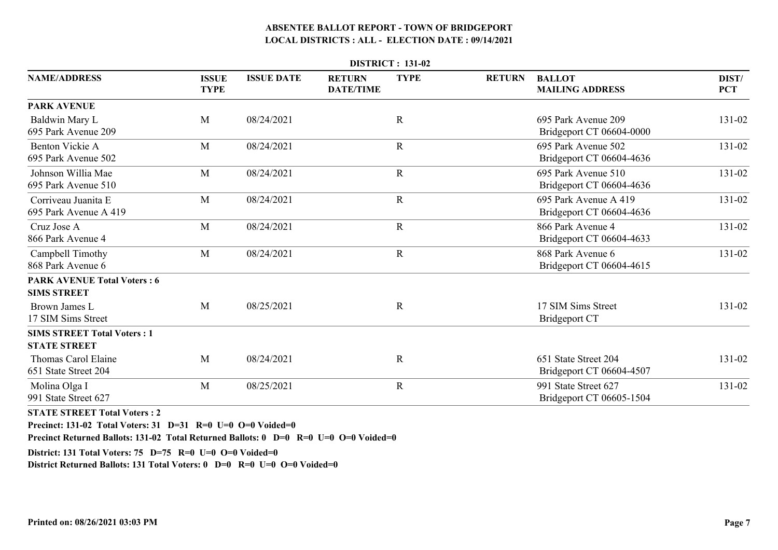|                                                           | <b>DISTRICT: 131-02</b><br><b>ISSUE DATE</b><br><b>TYPE</b><br><b>ISSUE</b><br><b>RETURN</b><br><b>BALLOT</b><br>DIST/<br><b>RETURN</b><br><b>TYPE</b><br><b>MAILING ADDRESS</b><br><b>PCT</b><br><b>DATE/TIME</b><br>${\bf R}$<br>M<br>695 Park Avenue 209<br>131-02<br>08/24/2021 |            |  |              |  |                                                   |        |  |  |  |  |
|-----------------------------------------------------------|-------------------------------------------------------------------------------------------------------------------------------------------------------------------------------------------------------------------------------------------------------------------------------------|------------|--|--------------|--|---------------------------------------------------|--------|--|--|--|--|
| <b>NAME/ADDRESS</b>                                       |                                                                                                                                                                                                                                                                                     |            |  |              |  |                                                   |        |  |  |  |  |
| <b>PARK AVENUE</b>                                        |                                                                                                                                                                                                                                                                                     |            |  |              |  |                                                   |        |  |  |  |  |
| Baldwin Mary L<br>695 Park Avenue 209                     |                                                                                                                                                                                                                                                                                     |            |  |              |  | Bridgeport CT 06604-0000                          |        |  |  |  |  |
| Benton Vickie A<br>695 Park Avenue 502                    | M                                                                                                                                                                                                                                                                                   | 08/24/2021 |  | $\mathbf R$  |  | 695 Park Avenue 502<br>Bridgeport CT 06604-4636   | 131-02 |  |  |  |  |
| Johnson Willia Mae<br>695 Park Avenue 510                 | M                                                                                                                                                                                                                                                                                   | 08/24/2021 |  | ${\bf R}$    |  | 695 Park Avenue 510<br>Bridgeport CT 06604-4636   | 131-02 |  |  |  |  |
| Corriveau Juanita E<br>695 Park Avenue A 419              | M                                                                                                                                                                                                                                                                                   | 08/24/2021 |  | $\mathbf R$  |  | 695 Park Avenue A 419<br>Bridgeport CT 06604-4636 | 131-02 |  |  |  |  |
| Cruz Jose A<br>866 Park Avenue 4                          | M                                                                                                                                                                                                                                                                                   | 08/24/2021 |  | $\mathbf R$  |  | 866 Park Avenue 4<br>Bridgeport CT 06604-4633     | 131-02 |  |  |  |  |
| Campbell Timothy<br>868 Park Avenue 6                     | M                                                                                                                                                                                                                                                                                   | 08/24/2021 |  | $\mathbf R$  |  | 868 Park Avenue 6<br>Bridgeport CT 06604-4615     | 131-02 |  |  |  |  |
| <b>PARK AVENUE Total Voters: 6</b><br><b>SIMS STREET</b>  |                                                                                                                                                                                                                                                                                     |            |  |              |  |                                                   |        |  |  |  |  |
| Brown James L<br>17 SIM Sims Street                       | M                                                                                                                                                                                                                                                                                   | 08/25/2021 |  | $\mathbf R$  |  | 17 SIM Sims Street<br><b>Bridgeport CT</b>        | 131-02 |  |  |  |  |
| <b>SIMS STREET Total Voters: 1</b><br><b>STATE STREET</b> |                                                                                                                                                                                                                                                                                     |            |  |              |  |                                                   |        |  |  |  |  |
| Thomas Carol Elaine<br>651 State Street 204               | M                                                                                                                                                                                                                                                                                   | 08/24/2021 |  | $\mathbb{R}$ |  | 651 State Street 204<br>Bridgeport CT 06604-4507  | 131-02 |  |  |  |  |
| Molina Olga I<br>991 State Street 627                     | M                                                                                                                                                                                                                                                                                   | 08/25/2021 |  | $\mathbf R$  |  | 991 State Street 627<br>Bridgeport CT 06605-1504  | 131-02 |  |  |  |  |

**STATE STREET Total Voters : 2**

**Precinct: 131-02 Total Voters: 31 D=31 R=0 U=0 O=0 Voided=0**

**Precinct Returned Ballots: 131-02 Total Returned Ballots: 0 D=0 R=0 U=0 O=0 Voided=0**

**District: 131 Total Voters: 75 D=75 R=0 U=0 O=0 Voided=0**

**District Returned Ballots: 131 Total Voters: 0 D=0 R=0 U=0 O=0 Voided=0**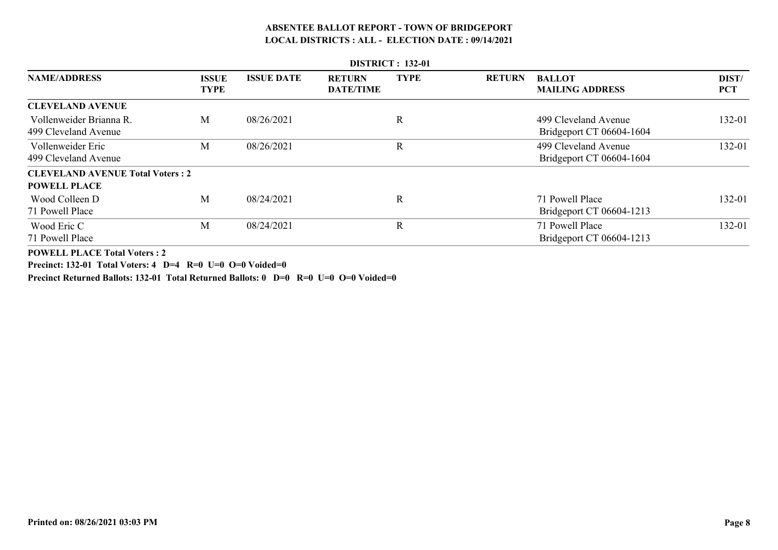|                                                                |                             |                   |                                   | <b>DISTRICT</b> : 132-01 |               |                                                  |                     |
|----------------------------------------------------------------|-----------------------------|-------------------|-----------------------------------|--------------------------|---------------|--------------------------------------------------|---------------------|
| <b>NAME/ADDRESS</b>                                            | <b>ISSUE</b><br><b>TYPE</b> | <b>ISSUE DATE</b> | <b>RETURN</b><br><b>DATE/TIME</b> | <b>TYPE</b>              | <b>RETURN</b> | <b>BALLOT</b><br><b>MAILING ADDRESS</b>          | DIST/<br><b>PCT</b> |
| <b>CLEVELAND AVENUE</b>                                        |                             |                   |                                   |                          |               |                                                  |                     |
| Vollenweider Brianna R.<br>499 Cleveland Avenue                | M                           | 08/26/2021        |                                   | R                        |               | 499 Cleveland Avenue<br>Bridgeport CT 06604-1604 | 132-01              |
| Vollenweider Eric<br>499 Cleveland Avenue                      | M                           | 08/26/2021        |                                   | $\mathbf R$              |               | 499 Cleveland Avenue<br>Bridgeport CT 06604-1604 | 132-01              |
| <b>CLEVELAND AVENUE Total Voters: 2</b><br><b>POWELL PLACE</b> |                             |                   |                                   |                          |               |                                                  |                     |
| Wood Colleen D<br>71 Powell Place                              | M                           | 08/24/2021        |                                   | R                        |               | 71 Powell Place<br>Bridgeport CT 06604-1213      | 132-01              |
| Wood Eric C<br>71 Powell Place                                 | M                           | 08/24/2021        |                                   | $\mathbf R$              |               | 71 Powell Place<br>Bridgeport CT 06604-1213      | 132-01              |

**POWELL PLACE Total Voters : 2**

**Precinct: 132-01 Total Voters: 4 D=4 R=0 U=0 O=0 Voided=0**

**Precinct Returned Ballots: 132-01 Total Returned Ballots: 0 D=0 R=0 U=0 O=0 Voided=0**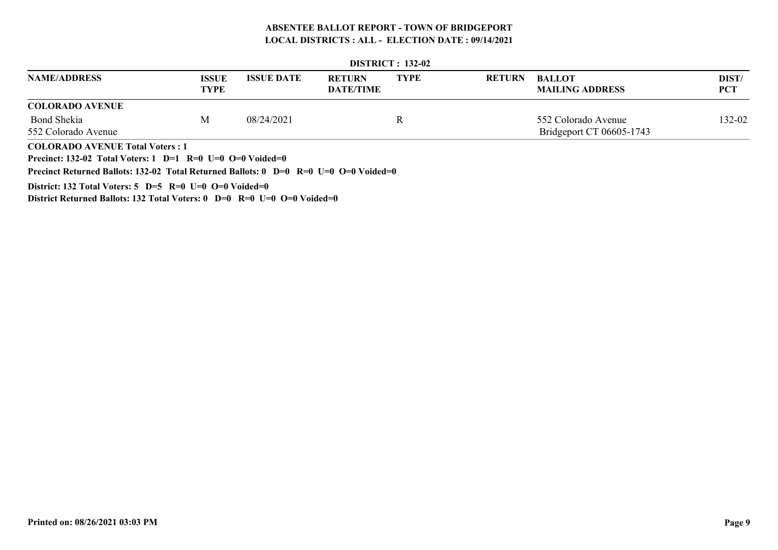|                                                                                                                 | <b>DISTRICT</b> : 132-02 |                   |                                   |             |               |                                         |                     |  |  |  |  |  |
|-----------------------------------------------------------------------------------------------------------------|--------------------------|-------------------|-----------------------------------|-------------|---------------|-----------------------------------------|---------------------|--|--|--|--|--|
| <b>NAME/ADDRESS</b>                                                                                             | <b>ISSUE</b><br>TYPE     | <b>ISSUE DATE</b> | <b>RETURN</b><br><b>DATE/TIME</b> | <b>TYPE</b> | <b>RETURN</b> | <b>BALLOT</b><br><b>MAILING ADDRESS</b> | DIST/<br><b>PCT</b> |  |  |  |  |  |
| <b>COLORADO AVENUE</b>                                                                                          |                          |                   |                                   |             |               |                                         |                     |  |  |  |  |  |
| <b>Bond Shekia</b>                                                                                              | M                        | 08/24/2021        |                                   | R           |               | 552 Colorado Avenue                     | 132-02              |  |  |  |  |  |
| 552 Colorado Avenue                                                                                             |                          |                   |                                   |             |               | Bridgeport CT 06605-1743                |                     |  |  |  |  |  |
| <b>COLORADO AVENUE Total Voters: 1</b>                                                                          |                          |                   |                                   |             |               |                                         |                     |  |  |  |  |  |
| Precinct: 132-02 Total Voters: 1 D=1 R=0 U=0 O=0 Voided=0                                                       |                          |                   |                                   |             |               |                                         |                     |  |  |  |  |  |
| Precinct Returned Ballots: 132-02 Total Returned Ballots: $0\quad D=0\quad R=0\quad U=0\quad O=0\quad Voided=0$ |                          |                   |                                   |             |               |                                         |                     |  |  |  |  |  |

**District: 132 Total Voters: 5 D=5 R=0 U=0 O=0 Voided=0**

**District Returned Ballots: 132 Total Voters: 0 D=0 R=0 U=0 O=0 Voided=0**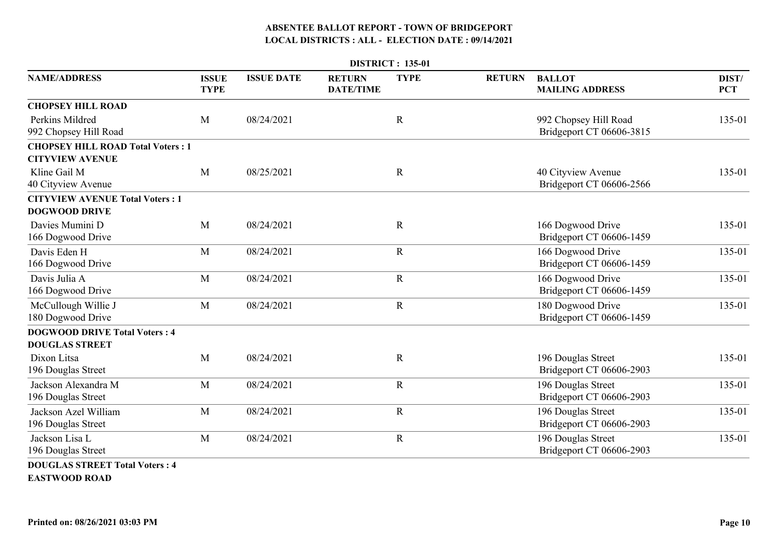|                                                                    |                             |                   |                                   | <b>DISTRICT: 135-01</b> |               |                                                   |                     |
|--------------------------------------------------------------------|-----------------------------|-------------------|-----------------------------------|-------------------------|---------------|---------------------------------------------------|---------------------|
| <b>NAME/ADDRESS</b>                                                | <b>ISSUE</b><br><b>TYPE</b> | <b>ISSUE DATE</b> | <b>RETURN</b><br><b>DATE/TIME</b> | <b>TYPE</b>             | <b>RETURN</b> | <b>BALLOT</b><br><b>MAILING ADDRESS</b>           | DIST/<br><b>PCT</b> |
| <b>CHOPSEY HILL ROAD</b>                                           |                             |                   |                                   |                         |               |                                                   |                     |
| Perkins Mildred<br>992 Chopsey Hill Road                           | M                           | 08/24/2021        |                                   | $\mathbf R$             |               | 992 Chopsey Hill Road<br>Bridgeport CT 06606-3815 | 135-01              |
| <b>CHOPSEY HILL ROAD Total Voters: 1</b><br><b>CITYVIEW AVENUE</b> |                             |                   |                                   |                         |               |                                                   |                     |
| Kline Gail M<br>40 Cityview Avenue                                 | M                           | 08/25/2021        |                                   | $\mathbf R$             |               | 40 Cityview Avenue<br>Bridgeport CT 06606-2566    | 135-01              |
| <b>CITYVIEW AVENUE Total Voters: 1</b><br><b>DOGWOOD DRIVE</b>     |                             |                   |                                   |                         |               |                                                   |                     |
| Davies Mumini D<br>166 Dogwood Drive                               | M                           | 08/24/2021        |                                   | $\mathbf R$             |               | 166 Dogwood Drive<br>Bridgeport CT 06606-1459     | 135-01              |
| Davis Eden H<br>166 Dogwood Drive                                  | M                           | 08/24/2021        |                                   | $\mathbf R$             |               | 166 Dogwood Drive<br>Bridgeport CT 06606-1459     | 135-01              |
| Davis Julia A<br>166 Dogwood Drive                                 | M                           | 08/24/2021        |                                   | $\mathbf R$             |               | 166 Dogwood Drive<br>Bridgeport CT 06606-1459     | 135-01              |
| McCullough Willie J<br>180 Dogwood Drive                           | M                           | 08/24/2021        |                                   | $\mathbf R$             |               | 180 Dogwood Drive<br>Bridgeport CT 06606-1459     | 135-01              |
| <b>DOGWOOD DRIVE Total Voters: 4</b><br><b>DOUGLAS STREET</b>      |                             |                   |                                   |                         |               |                                                   |                     |
| Dixon Litsa<br>196 Douglas Street                                  | M                           | 08/24/2021        |                                   | $\mathbf R$             |               | 196 Douglas Street<br>Bridgeport CT 06606-2903    | 135-01              |
| Jackson Alexandra M<br>196 Douglas Street                          | M                           | 08/24/2021        |                                   | $\mathbf R$             |               | 196 Douglas Street<br>Bridgeport CT 06606-2903    | 135-01              |
| Jackson Azel William<br>196 Douglas Street                         | M                           | 08/24/2021        |                                   | $\mathbf R$             |               | 196 Douglas Street<br>Bridgeport CT 06606-2903    | 135-01              |
| Jackson Lisa L<br>196 Douglas Street                               | M                           | 08/24/2021        |                                   | $\mathbf R$             |               | 196 Douglas Street<br>Bridgeport CT 06606-2903    | 135-01              |
| <b>DOUGLAS STREET Total Voters: 4</b>                              |                             |                   |                                   |                         |               |                                                   |                     |

**EASTWOOD ROAD**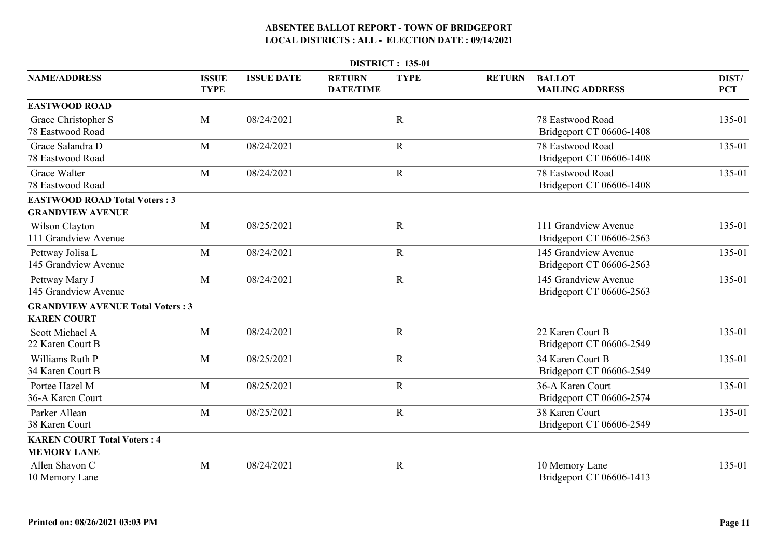|                                                                 | <b>DISTRICT: 135-01</b>     |                   |                                   |             |               |                                                  |                     |  |  |  |
|-----------------------------------------------------------------|-----------------------------|-------------------|-----------------------------------|-------------|---------------|--------------------------------------------------|---------------------|--|--|--|
| <b>NAME/ADDRESS</b>                                             | <b>ISSUE</b><br><b>TYPE</b> | <b>ISSUE DATE</b> | <b>RETURN</b><br><b>DATE/TIME</b> | <b>TYPE</b> | <b>RETURN</b> | <b>BALLOT</b><br><b>MAILING ADDRESS</b>          | DIST/<br><b>PCT</b> |  |  |  |
| <b>EASTWOOD ROAD</b>                                            |                             |                   |                                   |             |               |                                                  |                     |  |  |  |
| Grace Christopher S<br>78 Eastwood Road                         | M                           | 08/24/2021        |                                   | $\mathbf R$ |               | 78 Eastwood Road<br>Bridgeport CT 06606-1408     | 135-01              |  |  |  |
| Grace Salandra D<br>78 Eastwood Road                            | M                           | 08/24/2021        |                                   | $\mathbf R$ |               | 78 Eastwood Road<br>Bridgeport CT 06606-1408     | 135-01              |  |  |  |
| Grace Walter<br>78 Eastwood Road                                | M                           | 08/24/2021        |                                   | ${\bf R}$   |               | 78 Eastwood Road<br>Bridgeport CT 06606-1408     | 135-01              |  |  |  |
| <b>EASTWOOD ROAD Total Voters: 3</b><br><b>GRANDVIEW AVENUE</b> |                             |                   |                                   |             |               |                                                  |                     |  |  |  |
| Wilson Clayton<br>111 Grandview Avenue                          | M                           | 08/25/2021        |                                   | $\mathbf R$ |               | 111 Grandview Avenue<br>Bridgeport CT 06606-2563 | 135-01              |  |  |  |
| Pettway Jolisa L<br>145 Grandview Avenue                        | M                           | 08/24/2021        |                                   | $\mathbf R$ |               | 145 Grandview Avenue<br>Bridgeport CT 06606-2563 | 135-01              |  |  |  |
| Pettway Mary J<br>145 Grandview Avenue                          | M                           | 08/24/2021        |                                   | ${\bf R}$   |               | 145 Grandview Avenue<br>Bridgeport CT 06606-2563 | 135-01              |  |  |  |
| <b>GRANDVIEW AVENUE Total Voters: 3</b><br><b>KAREN COURT</b>   |                             |                   |                                   |             |               |                                                  |                     |  |  |  |
| Scott Michael A<br>22 Karen Court B                             | M                           | 08/24/2021        |                                   | $\mathbf R$ |               | 22 Karen Court B<br>Bridgeport CT 06606-2549     | 135-01              |  |  |  |
| Williams Ruth P<br>34 Karen Court B                             | M                           | 08/25/2021        |                                   | $\mathbf R$ |               | 34 Karen Court B<br>Bridgeport CT 06606-2549     | 135-01              |  |  |  |
| Portee Hazel M<br>36-A Karen Court                              | M                           | 08/25/2021        |                                   | $\mathbf R$ |               | 36-A Karen Court<br>Bridgeport CT 06606-2574     | 135-01              |  |  |  |
| Parker Allean<br>38 Karen Court                                 | M                           | 08/25/2021        |                                   | $\mathbf R$ |               | 38 Karen Court<br>Bridgeport CT 06606-2549       | 135-01              |  |  |  |
| <b>KAREN COURT Total Voters: 4</b><br><b>MEMORY LANE</b>        |                             |                   |                                   |             |               |                                                  |                     |  |  |  |
| Allen Shavon C<br>10 Memory Lane                                | M                           | 08/24/2021        |                                   | R           |               | 10 Memory Lane<br>Bridgeport CT 06606-1413       | 135-01              |  |  |  |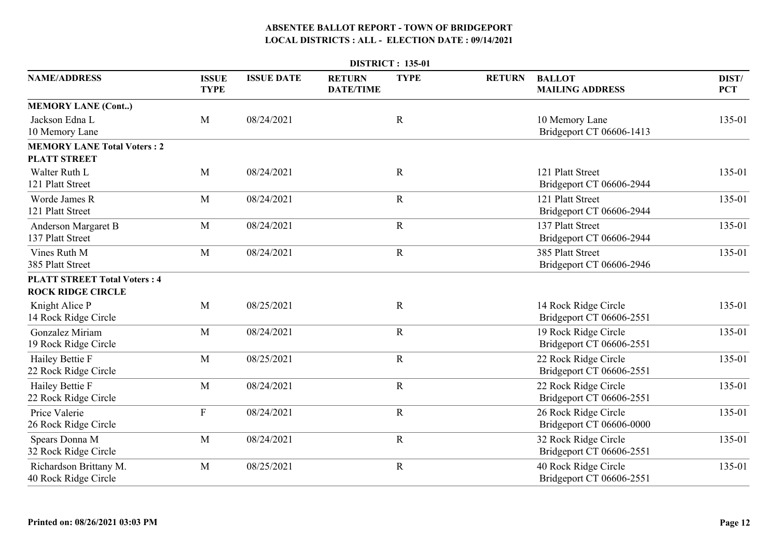|                                                                 | <b>DISTRICT: 135-01</b>     |                   |                                   |             |               |                                                  |                     |  |  |  |  |
|-----------------------------------------------------------------|-----------------------------|-------------------|-----------------------------------|-------------|---------------|--------------------------------------------------|---------------------|--|--|--|--|
| <b>NAME/ADDRESS</b>                                             | <b>ISSUE</b><br><b>TYPE</b> | <b>ISSUE DATE</b> | <b>RETURN</b><br><b>DATE/TIME</b> | <b>TYPE</b> | <b>RETURN</b> | <b>BALLOT</b><br><b>MAILING ADDRESS</b>          | DIST/<br><b>PCT</b> |  |  |  |  |
| <b>MEMORY LANE (Cont)</b>                                       |                             |                   |                                   |             |               |                                                  |                     |  |  |  |  |
| Jackson Edna L<br>10 Memory Lane                                | M                           | 08/24/2021        |                                   | $\mathbf R$ |               | 10 Memory Lane<br>Bridgeport CT 06606-1413       | 135-01              |  |  |  |  |
| <b>MEMORY LANE Total Voters: 2</b><br><b>PLATT STREET</b>       |                             |                   |                                   |             |               |                                                  |                     |  |  |  |  |
| Walter Ruth L<br>121 Platt Street                               | M                           | 08/24/2021        |                                   | $\mathbf R$ |               | 121 Platt Street<br>Bridgeport CT 06606-2944     | 135-01              |  |  |  |  |
| Worde James R<br>121 Platt Street                               | M                           | 08/24/2021        |                                   | $\mathbf R$ |               | 121 Platt Street<br>Bridgeport CT 06606-2944     | 135-01              |  |  |  |  |
| Anderson Margaret B<br>137 Platt Street                         | M                           | 08/24/2021        |                                   | $\mathbf R$ |               | 137 Platt Street<br>Bridgeport CT 06606-2944     | 135-01              |  |  |  |  |
| Vines Ruth M<br>385 Platt Street                                | M                           | 08/24/2021        |                                   | ${\bf R}$   |               | 385 Platt Street<br>Bridgeport CT 06606-2946     | 135-01              |  |  |  |  |
| <b>PLATT STREET Total Voters: 4</b><br><b>ROCK RIDGE CIRCLE</b> |                             |                   |                                   |             |               |                                                  |                     |  |  |  |  |
| Knight Alice P<br>14 Rock Ridge Circle                          | M                           | 08/25/2021        |                                   | $\mathbf R$ |               | 14 Rock Ridge Circle<br>Bridgeport CT 06606-2551 | 135-01              |  |  |  |  |
| Gonzalez Miriam<br>19 Rock Ridge Circle                         | M                           | 08/24/2021        |                                   | $\mathbf R$ |               | 19 Rock Ridge Circle<br>Bridgeport CT 06606-2551 | 135-01              |  |  |  |  |
| Hailey Bettie F<br>22 Rock Ridge Circle                         | M                           | 08/25/2021        |                                   | $\mathbf R$ |               | 22 Rock Ridge Circle<br>Bridgeport CT 06606-2551 | 135-01              |  |  |  |  |
| Hailey Bettie F<br>22 Rock Ridge Circle                         | M                           | 08/24/2021        |                                   | $\mathbf R$ |               | 22 Rock Ridge Circle<br>Bridgeport CT 06606-2551 | 135-01              |  |  |  |  |
| Price Valerie<br>26 Rock Ridge Circle                           | $\mathbf F$                 | 08/24/2021        |                                   | ${\bf R}$   |               | 26 Rock Ridge Circle<br>Bridgeport CT 06606-0000 | 135-01              |  |  |  |  |
| Spears Donna M<br>32 Rock Ridge Circle                          | M                           | 08/24/2021        |                                   | $\mathbf R$ |               | 32 Rock Ridge Circle<br>Bridgeport CT 06606-2551 | 135-01              |  |  |  |  |
| Richardson Brittany M.<br>40 Rock Ridge Circle                  | M                           | 08/25/2021        |                                   | $\mathbf R$ |               | 40 Rock Ridge Circle<br>Bridgeport CT 06606-2551 | 135-01              |  |  |  |  |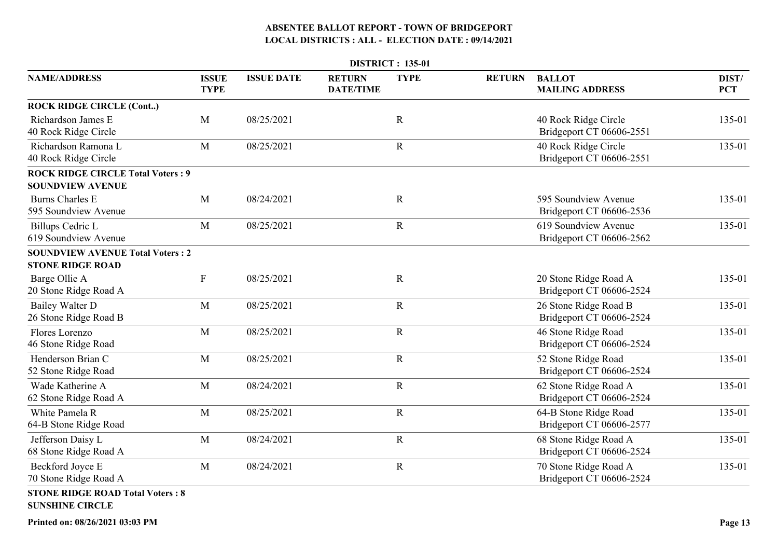|                                                                   |                             |                   |                                   | <b>DISTRICT: 135-01</b> |               |                                                   |                     |
|-------------------------------------------------------------------|-----------------------------|-------------------|-----------------------------------|-------------------------|---------------|---------------------------------------------------|---------------------|
| <b>NAME/ADDRESS</b>                                               | <b>ISSUE</b><br><b>TYPE</b> | <b>ISSUE DATE</b> | <b>RETURN</b><br><b>DATE/TIME</b> | <b>TYPE</b>             | <b>RETURN</b> | <b>BALLOT</b><br><b>MAILING ADDRESS</b>           | DIST/<br><b>PCT</b> |
| <b>ROCK RIDGE CIRCLE (Cont)</b>                                   |                             |                   |                                   |                         |               |                                                   |                     |
| Richardson James E<br>40 Rock Ridge Circle                        | M                           | 08/25/2021        |                                   | $\mathbf R$             |               | 40 Rock Ridge Circle<br>Bridgeport CT 06606-2551  | 135-01              |
| Richardson Ramona L<br>40 Rock Ridge Circle                       | $\mathbf{M}$                | 08/25/2021        |                                   | $\mathbf R$             |               | 40 Rock Ridge Circle<br>Bridgeport CT 06606-2551  | 135-01              |
| <b>ROCK RIDGE CIRCLE Total Voters: 9</b>                          |                             |                   |                                   |                         |               |                                                   |                     |
| <b>SOUNDVIEW AVENUE</b>                                           |                             |                   |                                   |                         |               |                                                   |                     |
| <b>Burns Charles E</b><br>595 Soundview Avenue                    | M                           | 08/24/2021        |                                   | $\mathbf R$             |               | 595 Soundview Avenue<br>Bridgeport CT 06606-2536  | 135-01              |
| Billups Cedric L<br>619 Soundview Avenue                          | M                           | 08/25/2021        |                                   | $\mathbf R$             |               | 619 Soundview Avenue<br>Bridgeport CT 06606-2562  | 135-01              |
| <b>SOUNDVIEW AVENUE Total Voters: 2</b>                           |                             |                   |                                   |                         |               |                                                   |                     |
| <b>STONE RIDGE ROAD</b>                                           |                             |                   |                                   |                         |               |                                                   |                     |
| Barge Ollie A<br>20 Stone Ridge Road A                            | $\boldsymbol{\mathrm{F}}$   | 08/25/2021        |                                   | $\mathbf R$             |               | 20 Stone Ridge Road A<br>Bridgeport CT 06606-2524 | 135-01              |
| <b>Bailey Walter D</b><br>26 Stone Ridge Road B                   | M                           | 08/25/2021        |                                   | $\mathbf R$             |               | 26 Stone Ridge Road B<br>Bridgeport CT 06606-2524 | 135-01              |
| Flores Lorenzo<br>46 Stone Ridge Road                             | M                           | 08/25/2021        |                                   | $\mathbf R$             |               | 46 Stone Ridge Road<br>Bridgeport CT 06606-2524   | 135-01              |
| Henderson Brian C<br>52 Stone Ridge Road                          | M                           | 08/25/2021        |                                   | $\mathbf R$             |               | 52 Stone Ridge Road<br>Bridgeport CT 06606-2524   | 135-01              |
| Wade Katherine A<br>62 Stone Ridge Road A                         | M                           | 08/24/2021        |                                   | $\mathbf R$             |               | 62 Stone Ridge Road A<br>Bridgeport CT 06606-2524 | 135-01              |
| White Pamela R<br>64-B Stone Ridge Road                           | M                           | 08/25/2021        |                                   | $\mathbf R$             |               | 64-B Stone Ridge Road<br>Bridgeport CT 06606-2577 | 135-01              |
| Jefferson Daisy L<br>68 Stone Ridge Road A                        | M                           | 08/24/2021        |                                   | $\mathbf R$             |               | 68 Stone Ridge Road A<br>Bridgeport CT 06606-2524 | 135-01              |
| Beckford Joyce E<br>70 Stone Ridge Road A                         | M                           | 08/24/2021        |                                   | $\mathbf R$             |               | 70 Stone Ridge Road A<br>Bridgeport CT 06606-2524 | 135-01              |
| <b>STONE RIDGE ROAD Total Voters: 8</b><br><b>SUNSHINE CIRCLE</b> |                             |                   |                                   |                         |               |                                                   |                     |

**Printed on: 08/26/2021 03:03 PM**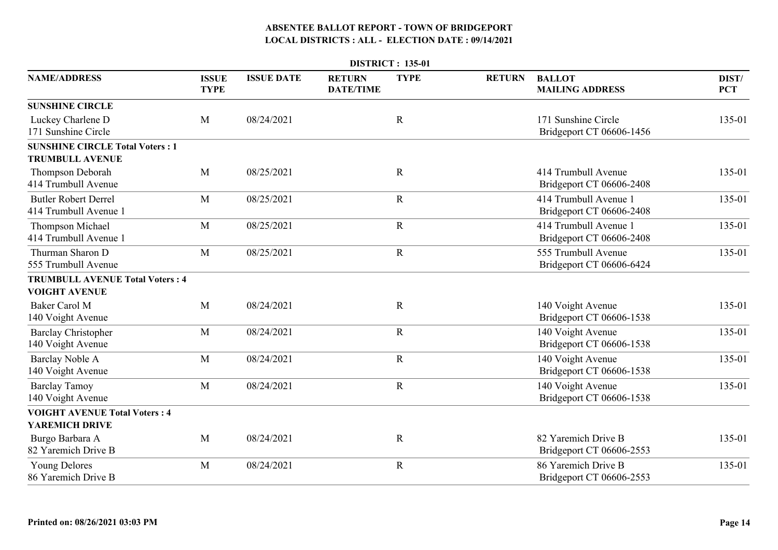|                                                                  |                             |                   |                                   | <b>DISTRICT: 135-01</b> |               |                                                   |                     |
|------------------------------------------------------------------|-----------------------------|-------------------|-----------------------------------|-------------------------|---------------|---------------------------------------------------|---------------------|
| <b>NAME/ADDRESS</b>                                              | <b>ISSUE</b><br><b>TYPE</b> | <b>ISSUE DATE</b> | <b>RETURN</b><br><b>DATE/TIME</b> | <b>TYPE</b>             | <b>RETURN</b> | <b>BALLOT</b><br><b>MAILING ADDRESS</b>           | DIST/<br><b>PCT</b> |
| <b>SUNSHINE CIRCLE</b>                                           |                             |                   |                                   |                         |               |                                                   |                     |
| Luckey Charlene D<br>171 Sunshine Circle                         | M                           | 08/24/2021        |                                   | $\mathbf R$             |               | 171 Sunshine Circle<br>Bridgeport CT 06606-1456   | 135-01              |
| <b>SUNSHINE CIRCLE Total Voters: 1</b><br><b>TRUMBULL AVENUE</b> |                             |                   |                                   |                         |               |                                                   |                     |
| Thompson Deborah<br>414 Trumbull Avenue                          | M                           | 08/25/2021        |                                   | $\mathbf R$             |               | 414 Trumbull Avenue<br>Bridgeport CT 06606-2408   | 135-01              |
| <b>Butler Robert Derrel</b><br>414 Trumbull Avenue 1             | M                           | 08/25/2021        |                                   | $\mathbf R$             |               | 414 Trumbull Avenue 1<br>Bridgeport CT 06606-2408 | 135-01              |
| Thompson Michael<br>414 Trumbull Avenue 1                        | M                           | 08/25/2021        |                                   | $\mathbf R$             |               | 414 Trumbull Avenue 1<br>Bridgeport CT 06606-2408 | 135-01              |
| Thurman Sharon D<br>555 Trumbull Avenue                          | M                           | 08/25/2021        |                                   | ${\bf R}$               |               | 555 Trumbull Avenue<br>Bridgeport CT 06606-6424   | 135-01              |
| <b>TRUMBULL AVENUE Total Voters: 4</b><br><b>VOIGHT AVENUE</b>   |                             |                   |                                   |                         |               |                                                   |                     |
| <b>Baker Carol M</b><br>140 Voight Avenue                        | M                           | 08/24/2021        |                                   | $\mathbf R$             |               | 140 Voight Avenue<br>Bridgeport CT 06606-1538     | 135-01              |
| <b>Barclay Christopher</b><br>140 Voight Avenue                  | M                           | 08/24/2021        |                                   | $\mathbf R$             |               | 140 Voight Avenue<br>Bridgeport CT 06606-1538     | 135-01              |
| <b>Barclay Noble A</b><br>140 Voight Avenue                      | M                           | 08/24/2021        |                                   | $\mathbf R$             |               | 140 Voight Avenue<br>Bridgeport CT 06606-1538     | 135-01              |
| <b>Barclay Tamoy</b><br>140 Voight Avenue                        | M                           | 08/24/2021        |                                   | $\mathbf R$             |               | 140 Voight Avenue<br>Bridgeport CT 06606-1538     | 135-01              |
| <b>VOIGHT AVENUE Total Voters: 4</b>                             |                             |                   |                                   |                         |               |                                                   |                     |
| <b>YAREMICH DRIVE</b>                                            |                             |                   |                                   |                         |               |                                                   |                     |
| Burgo Barbara A<br>82 Yaremich Drive B                           | M                           | 08/24/2021        |                                   | $\mathbf R$             |               | 82 Yaremich Drive B<br>Bridgeport CT 06606-2553   | 135-01              |
| <b>Young Delores</b><br>86 Yaremich Drive B                      | M                           | 08/24/2021        |                                   | $\mathbf R$             |               | 86 Yaremich Drive B<br>Bridgeport CT 06606-2553   | 135-01              |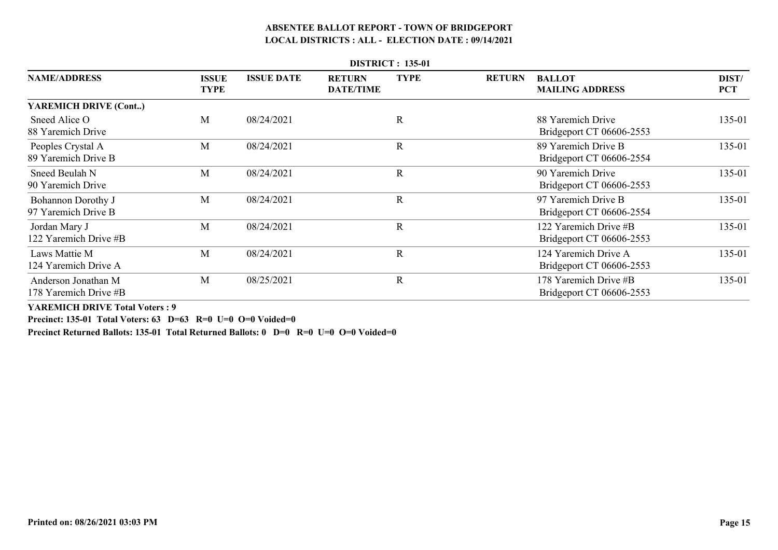| <b>DISTRICT: 135-01</b>                          |                             |                   |                                   |             |               |                                                   |                     |  |  |  |  |
|--------------------------------------------------|-----------------------------|-------------------|-----------------------------------|-------------|---------------|---------------------------------------------------|---------------------|--|--|--|--|
| <b>NAME/ADDRESS</b>                              | <b>ISSUE</b><br><b>TYPE</b> | <b>ISSUE DATE</b> | <b>RETURN</b><br><b>DATE/TIME</b> | <b>TYPE</b> | <b>RETURN</b> | <b>BALLOT</b><br><b>MAILING ADDRESS</b>           | DIST/<br><b>PCT</b> |  |  |  |  |
| <b>YAREMICH DRIVE (Cont)</b>                     |                             |                   |                                   |             |               |                                                   |                     |  |  |  |  |
| Sneed Alice O<br>88 Yaremich Drive               | M                           | 08/24/2021        |                                   | R           |               | 88 Yaremich Drive<br>Bridgeport CT 06606-2553     | 135-01              |  |  |  |  |
| Peoples Crystal A<br>89 Yaremich Drive B         | M                           | 08/24/2021        |                                   | $\mathbf R$ |               | 89 Yaremich Drive B<br>Bridgeport CT 06606-2554   | 135-01              |  |  |  |  |
| Sneed Beulah N<br>90 Yaremich Drive              | M                           | 08/24/2021        |                                   | $\mathbf R$ |               | 90 Yaremich Drive<br>Bridgeport CT 06606-2553     | 135-01              |  |  |  |  |
| <b>Bohannon Dorothy J</b><br>97 Yaremich Drive B | M                           | 08/24/2021        |                                   | $\mathbf R$ |               | 97 Yaremich Drive B<br>Bridgeport CT 06606-2554   | 135-01              |  |  |  |  |
| Jordan Mary J<br>122 Yaremich Drive #B           | M                           | 08/24/2021        |                                   | $\mathbf R$ |               | 122 Yaremich Drive #B<br>Bridgeport CT 06606-2553 | 135-01              |  |  |  |  |
| Laws Mattie M<br>124 Yaremich Drive A            | M                           | 08/24/2021        |                                   | $\mathbf R$ |               | 124 Yaremich Drive A<br>Bridgeport CT 06606-2553  | 135-01              |  |  |  |  |
| Anderson Jonathan M<br>178 Yaremich Drive #B     | M                           | 08/25/2021        |                                   | $\mathbf R$ |               | 178 Yaremich Drive #B<br>Bridgeport CT 06606-2553 | 135-01              |  |  |  |  |

**YAREMICH DRIVE Total Voters : 9**

**Precinct: 135-01 Total Voters: 63 D=63 R=0 U=0 O=0 Voided=0**

**Precinct Returned Ballots: 135-01 Total Returned Ballots: 0 D=0 R=0 U=0 O=0 Voided=0**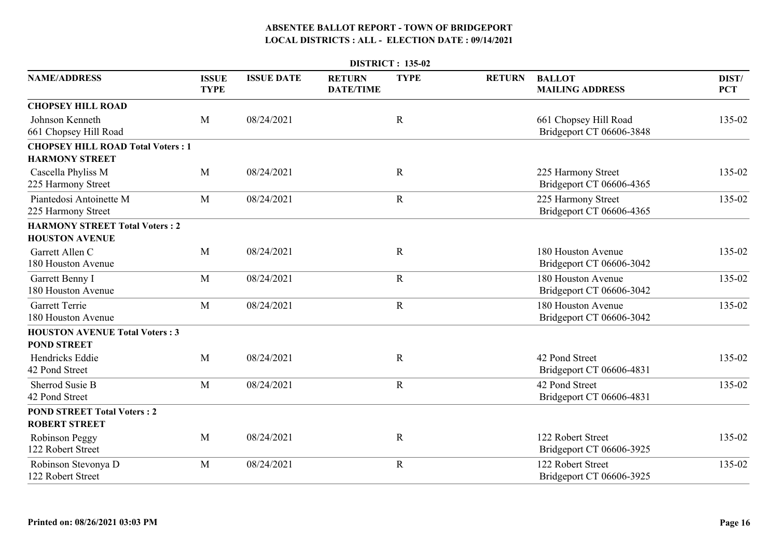|                                                                   |                             |                   |                                   | <b>DISTRICT: 135-02</b> |               |                                                   |                     |
|-------------------------------------------------------------------|-----------------------------|-------------------|-----------------------------------|-------------------------|---------------|---------------------------------------------------|---------------------|
| <b>NAME/ADDRESS</b>                                               | <b>ISSUE</b><br><b>TYPE</b> | <b>ISSUE DATE</b> | <b>RETURN</b><br><b>DATE/TIME</b> | <b>TYPE</b>             | <b>RETURN</b> | <b>BALLOT</b><br><b>MAILING ADDRESS</b>           | DIST/<br><b>PCT</b> |
| <b>CHOPSEY HILL ROAD</b>                                          |                             |                   |                                   |                         |               |                                                   |                     |
| Johnson Kenneth<br>661 Chopsey Hill Road                          | M                           | 08/24/2021        |                                   | $\mathbf R$             |               | 661 Chopsey Hill Road<br>Bridgeport CT 06606-3848 | 135-02              |
| <b>CHOPSEY HILL ROAD Total Voters: 1</b><br><b>HARMONY STREET</b> |                             |                   |                                   |                         |               |                                                   |                     |
| Cascella Phyliss M<br>225 Harmony Street                          | M                           | 08/24/2021        |                                   | $\mathbf R$             |               | 225 Harmony Street<br>Bridgeport CT 06606-4365    | 135-02              |
| Piantedosi Antoinette M<br>225 Harmony Street                     | M                           | 08/24/2021        |                                   | $\mathbf R$             |               | 225 Harmony Street<br>Bridgeport CT 06606-4365    | 135-02              |
| <b>HARMONY STREET Total Voters: 2</b><br><b>HOUSTON AVENUE</b>    |                             |                   |                                   |                         |               |                                                   |                     |
| Garrett Allen C<br>180 Houston Avenue                             | M                           | 08/24/2021        |                                   | $\mathbf R$             |               | 180 Houston Avenue<br>Bridgeport CT 06606-3042    | 135-02              |
| Garrett Benny I<br>180 Houston Avenue                             | M                           | 08/24/2021        |                                   | $\mathbf R$             |               | 180 Houston Avenue<br>Bridgeport CT 06606-3042    | 135-02              |
| <b>Garrett Terrie</b><br>180 Houston Avenue                       | M                           | 08/24/2021        |                                   | $\mathbf R$             |               | 180 Houston Avenue<br>Bridgeport CT 06606-3042    | 135-02              |
| <b>HOUSTON AVENUE Total Voters: 3</b><br><b>POND STREET</b>       |                             |                   |                                   |                         |               |                                                   |                     |
| Hendricks Eddie<br>42 Pond Street                                 | M                           | 08/24/2021        |                                   | $\mathbf R$             |               | 42 Pond Street<br>Bridgeport CT 06606-4831        | 135-02              |
| Sherrod Susie B<br>42 Pond Street                                 | M                           | 08/24/2021        |                                   | $\mathbf R$             |               | 42 Pond Street<br>Bridgeport CT 06606-4831        | 135-02              |
| <b>POND STREET Total Voters: 2</b><br><b>ROBERT STREET</b>        |                             |                   |                                   |                         |               |                                                   |                     |
| Robinson Peggy<br>122 Robert Street                               | M                           | 08/24/2021        |                                   | $\mathbf R$             |               | 122 Robert Street<br>Bridgeport CT 06606-3925     | 135-02              |
| Robinson Stevonya D<br>122 Robert Street                          | M                           | 08/24/2021        |                                   | $\mathbf R$             |               | 122 Robert Street<br>Bridgeport CT 06606-3925     | 135-02              |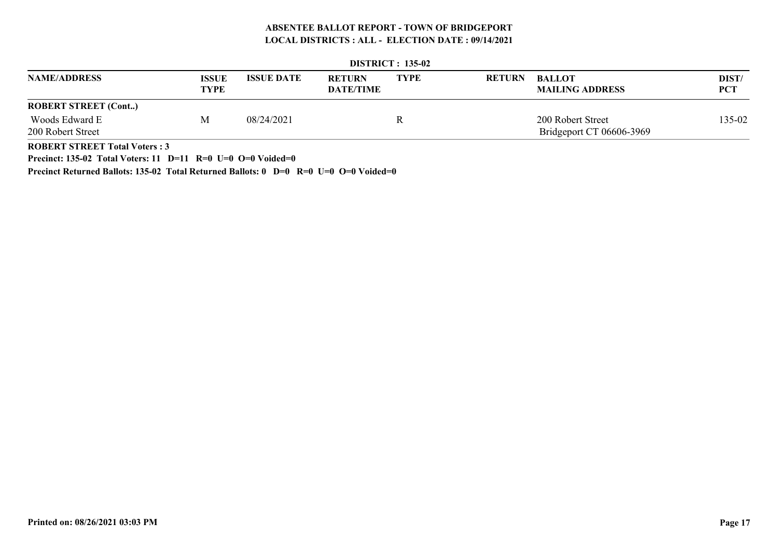|                             | <b>DISTRICT: 133-04</b>     |                   |                                   |             |               |                                         |                     |  |  |  |  |  |
|-----------------------------|-----------------------------|-------------------|-----------------------------------|-------------|---------------|-----------------------------------------|---------------------|--|--|--|--|--|
| <b>NAME/ADDRESS</b>         | <b>ISSUE</b><br><b>TYPE</b> | <b>ISSUE DATE</b> | <b>RETURN</b><br><b>DATE/TIME</b> | <b>TYPE</b> | <b>RETURN</b> | <b>BALLOT</b><br><b>MAILING ADDRESS</b> | DIST/<br><b>PCT</b> |  |  |  |  |  |
| <b>ROBERT STREET (Cont)</b> |                             |                   |                                   |             |               |                                         |                     |  |  |  |  |  |
| Woods Edward E              | М                           | 08/24/2021        |                                   | ĸ           |               | 200 Robert Street                       | 135-02              |  |  |  |  |  |
| 200 Robert Street           |                             |                   |                                   |             |               | Bridgeport CT 06606-3969                |                     |  |  |  |  |  |
|                             |                             |                   |                                   |             |               |                                         |                     |  |  |  |  |  |

| <b>DISTRICT</b> : 135-02 |  |
|--------------------------|--|
|                          |  |

**ROBERT STREET Total Voters : 3**

**Precinct: 135-02 Total Voters: 11 D=11 R=0 U=0 O=0 Voided=0**

**Precinct Returned Ballots: 135-02 Total Returned Ballots: 0 D=0 R=0 U=0 O=0 Voided=0**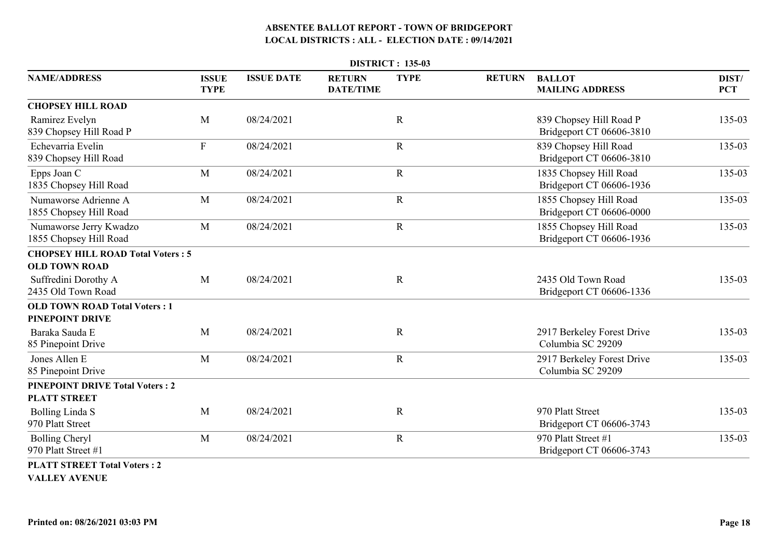|                                                             | <b>DISTRICT: 135-03</b>     |                   |                                   |             |               |                                                     |                     |  |  |  |  |
|-------------------------------------------------------------|-----------------------------|-------------------|-----------------------------------|-------------|---------------|-----------------------------------------------------|---------------------|--|--|--|--|
| <b>NAME/ADDRESS</b>                                         | <b>ISSUE</b><br><b>TYPE</b> | <b>ISSUE DATE</b> | <b>RETURN</b><br><b>DATE/TIME</b> | <b>TYPE</b> | <b>RETURN</b> | <b>BALLOT</b><br><b>MAILING ADDRESS</b>             | DIST/<br><b>PCT</b> |  |  |  |  |
| <b>CHOPSEY HILL ROAD</b>                                    |                             |                   |                                   |             |               |                                                     |                     |  |  |  |  |
| Ramirez Evelyn<br>839 Chopsey Hill Road P                   | M                           | 08/24/2021        |                                   | $\mathbf R$ |               | 839 Chopsey Hill Road P<br>Bridgeport CT 06606-3810 | 135-03              |  |  |  |  |
| Echevarria Evelin<br>839 Chopsey Hill Road                  | $\mathbf F$                 | 08/24/2021        |                                   | $\mathbf R$ |               | 839 Chopsey Hill Road<br>Bridgeport CT 06606-3810   | 135-03              |  |  |  |  |
| Epps Joan C<br>1835 Chopsey Hill Road                       | M                           | 08/24/2021        |                                   | $\mathbf R$ |               | 1835 Chopsey Hill Road<br>Bridgeport CT 06606-1936  | 135-03              |  |  |  |  |
| Numaworse Adrienne A<br>1855 Chopsey Hill Road              | M                           | 08/24/2021        |                                   | $\mathbf R$ |               | 1855 Chopsey Hill Road<br>Bridgeport CT 06606-0000  | 135-03              |  |  |  |  |
| Numaworse Jerry Kwadzo<br>1855 Chopsey Hill Road            | M                           | 08/24/2021        |                                   | $\mathbf R$ |               | 1855 Chopsey Hill Road<br>Bridgeport CT 06606-1936  | 135-03              |  |  |  |  |
| <b>CHOPSEY HILL ROAD Total Voters: 5</b>                    |                             |                   |                                   |             |               |                                                     |                     |  |  |  |  |
| <b>OLD TOWN ROAD</b>                                        |                             |                   |                                   |             |               |                                                     |                     |  |  |  |  |
| Suffredini Dorothy A<br>2435 Old Town Road                  | M                           | 08/24/2021        |                                   | $\mathbf R$ |               | 2435 Old Town Road<br>Bridgeport CT 06606-1336      | 135-03              |  |  |  |  |
| <b>OLD TOWN ROAD Total Voters: 1</b>                        |                             |                   |                                   |             |               |                                                     |                     |  |  |  |  |
| PINEPOINT DRIVE<br>Baraka Sauda E<br>85 Pinepoint Drive     | M                           | 08/24/2021        |                                   | $\mathbf R$ |               | 2917 Berkeley Forest Drive<br>Columbia SC 29209     | 135-03              |  |  |  |  |
| Jones Allen E<br>85 Pinepoint Drive                         | M                           | 08/24/2021        |                                   | $\mathbf R$ |               | 2917 Berkeley Forest Drive<br>Columbia SC 29209     | 135-03              |  |  |  |  |
| <b>PINEPOINT DRIVE Total Voters: 2</b>                      |                             |                   |                                   |             |               |                                                     |                     |  |  |  |  |
| <b>PLATT STREET</b>                                         |                             |                   |                                   |             |               |                                                     |                     |  |  |  |  |
| <b>Bolling Linda S</b><br>970 Platt Street                  | M                           | 08/24/2021        |                                   | $\mathbf R$ |               | 970 Platt Street<br>Bridgeport CT 06606-3743        | 135-03              |  |  |  |  |
| <b>Bolling Cheryl</b><br>970 Platt Street #1                | M                           | 08/24/2021        |                                   | $\mathbf R$ |               | 970 Platt Street #1<br>Bridgeport CT 06606-3743     | 135-03              |  |  |  |  |
| <b>PLATT STREET Total Voters: 2</b><br><b>VALLEY AVENUE</b> |                             |                   |                                   |             |               |                                                     |                     |  |  |  |  |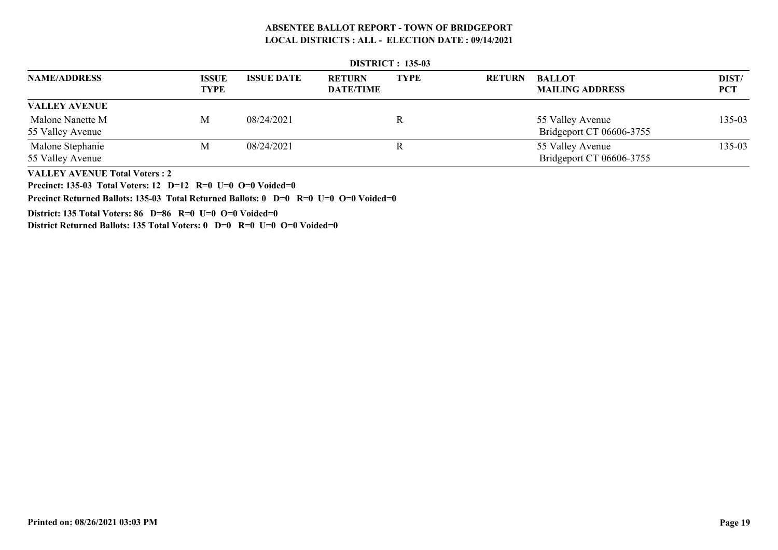|                      | <b>DISTRICT: 135-03</b>     |                   |                                   |             |               |                                         |                     |  |  |  |  |  |
|----------------------|-----------------------------|-------------------|-----------------------------------|-------------|---------------|-----------------------------------------|---------------------|--|--|--|--|--|
| <b>NAME/ADDRESS</b>  | <b>ISSUE</b><br><b>TYPE</b> | <b>ISSUE DATE</b> | <b>RETURN</b><br><b>DATE/TIME</b> | <b>TYPE</b> | <b>RETURN</b> | <b>BALLOT</b><br><b>MAILING ADDRESS</b> | DIST/<br><b>PCT</b> |  |  |  |  |  |
| <b>VALLEY AVENUE</b> |                             |                   |                                   |             |               |                                         |                     |  |  |  |  |  |
| Malone Nanette M     | M                           | 08/24/2021        |                                   |             |               | 55 Valley Avenue                        | 135-03              |  |  |  |  |  |
| 55 Valley Avenue     |                             |                   |                                   |             |               | Bridgeport CT 06606-3755                |                     |  |  |  |  |  |
| Malone Stephanie     | M                           | 08/24/2021        |                                   |             |               | 55 Valley Avenue                        | 135-03              |  |  |  |  |  |
| 55 Valley Avenue     |                             |                   |                                   |             |               | Bridgeport CT 06606-3755                |                     |  |  |  |  |  |

 **DISTRICT : 135-03**

**VALLEY AVENUE Total Voters : 2**

**Precinct: 135-03 Total Voters: 12 D=12 R=0 U=0 O=0 Voided=0**

**Precinct Returned Ballots: 135-03 Total Returned Ballots: 0 D=0 R=0 U=0 O=0 Voided=0**

**District: 135 Total Voters: 86 D=86 R=0 U=0 O=0 Voided=0**

**District Returned Ballots: 135 Total Voters: 0 D=0 R=0 U=0 O=0 Voided=0**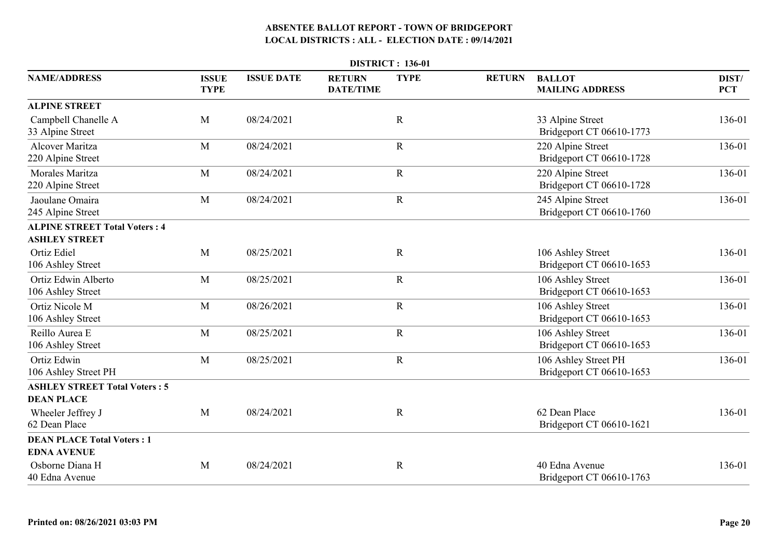|                                                              |                             |                   |                                   | <b>DISTRICT: 136-01</b> |               |                                                  |                     |
|--------------------------------------------------------------|-----------------------------|-------------------|-----------------------------------|-------------------------|---------------|--------------------------------------------------|---------------------|
| <b>NAME/ADDRESS</b>                                          | <b>ISSUE</b><br><b>TYPE</b> | <b>ISSUE DATE</b> | <b>RETURN</b><br><b>DATE/TIME</b> | <b>TYPE</b>             | <b>RETURN</b> | <b>BALLOT</b><br><b>MAILING ADDRESS</b>          | DIST/<br><b>PCT</b> |
| <b>ALPINE STREET</b>                                         |                             |                   |                                   |                         |               |                                                  |                     |
| Campbell Chanelle A<br>33 Alpine Street                      | M                           | 08/24/2021        |                                   | $\mathbf R$             |               | 33 Alpine Street<br>Bridgeport CT 06610-1773     | 136-01              |
| <b>Alcover Maritza</b><br>220 Alpine Street                  | M                           | 08/24/2021        |                                   | $\mathbf R$             |               | 220 Alpine Street<br>Bridgeport CT 06610-1728    | 136-01              |
| <b>Morales Maritza</b><br>220 Alpine Street                  | M                           | 08/24/2021        |                                   | ${\bf R}$               |               | 220 Alpine Street<br>Bridgeport CT 06610-1728    | 136-01              |
| Jaoulane Omaira<br>245 Alpine Street                         | M                           | 08/24/2021        |                                   | $\mathbf R$             |               | 245 Alpine Street<br>Bridgeport CT 06610-1760    | 136-01              |
| <b>ALPINE STREET Total Voters: 4</b><br><b>ASHLEY STREET</b> |                             |                   |                                   |                         |               |                                                  |                     |
| <b>Ortiz Ediel</b><br>106 Ashley Street                      | M                           | 08/25/2021        |                                   | $\mathbf R$             |               | 106 Ashley Street<br>Bridgeport CT 06610-1653    | 136-01              |
| Ortiz Edwin Alberto<br>106 Ashley Street                     | M                           | 08/25/2021        |                                   | $\mathbf R$             |               | 106 Ashley Street<br>Bridgeport CT 06610-1653    | 136-01              |
| Ortiz Nicole M<br>106 Ashley Street                          | M                           | 08/26/2021        |                                   | $\mathbf R$             |               | 106 Ashley Street<br>Bridgeport CT 06610-1653    | 136-01              |
| Reillo Aurea E<br>106 Ashley Street                          | M                           | 08/25/2021        |                                   | $\mathbf R$             |               | 106 Ashley Street<br>Bridgeport CT 06610-1653    | 136-01              |
| Ortiz Edwin<br>106 Ashley Street PH                          | M                           | 08/25/2021        |                                   | $\mathbf R$             |               | 106 Ashley Street PH<br>Bridgeport CT 06610-1653 | 136-01              |
| <b>ASHLEY STREET Total Voters: 5</b><br><b>DEAN PLACE</b>    |                             |                   |                                   |                         |               |                                                  |                     |
| Wheeler Jeffrey J<br>62 Dean Place                           | M                           | 08/24/2021        |                                   | $\mathbf R$             |               | 62 Dean Place<br>Bridgeport CT 06610-1621        | 136-01              |
| <b>DEAN PLACE Total Voters: 1</b><br><b>EDNA AVENUE</b>      |                             |                   |                                   |                         |               |                                                  |                     |
| Osborne Diana H<br>40 Edna Avenue                            | M                           | 08/24/2021        |                                   | $\mathbf R$             |               | 40 Edna Avenue<br>Bridgeport CT 06610-1763       | 136-01              |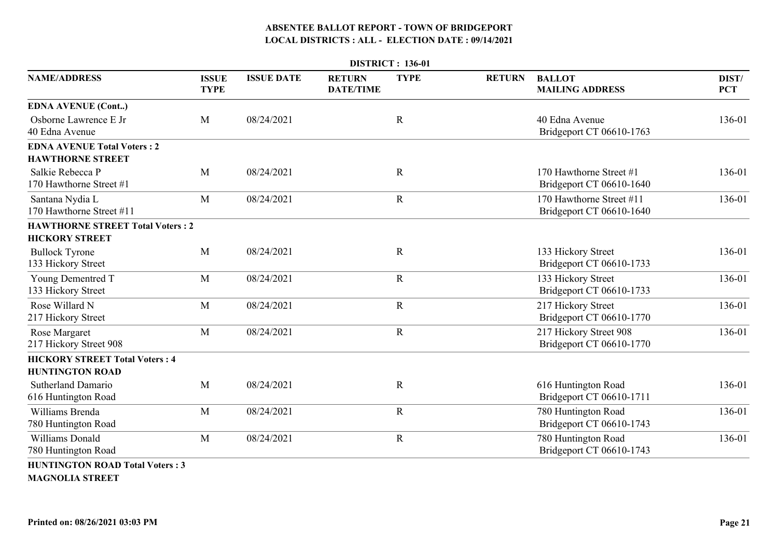|                                                                  |                             |                   |                                   | <b>DISTRICT: 136-01</b> |               |                                                      |                     |
|------------------------------------------------------------------|-----------------------------|-------------------|-----------------------------------|-------------------------|---------------|------------------------------------------------------|---------------------|
| <b>NAME/ADDRESS</b>                                              | <b>ISSUE</b><br><b>TYPE</b> | <b>ISSUE DATE</b> | <b>RETURN</b><br><b>DATE/TIME</b> | <b>TYPE</b>             | <b>RETURN</b> | <b>BALLOT</b><br><b>MAILING ADDRESS</b>              | DIST/<br><b>PCT</b> |
| <b>EDNA AVENUE (Cont)</b>                                        |                             |                   |                                   |                         |               |                                                      |                     |
| Osborne Lawrence E Jr<br>40 Edna Avenue                          | M                           | 08/24/2021        |                                   | $\mathbf R$             |               | 40 Edna Avenue<br>Bridgeport CT 06610-1763           | 136-01              |
| <b>EDNA AVENUE Total Voters: 2</b><br><b>HAWTHORNE STREET</b>    |                             |                   |                                   |                         |               |                                                      |                     |
| Salkie Rebecca P<br>170 Hawthorne Street #1                      | M                           | 08/24/2021        |                                   | $\mathbf R$             |               | 170 Hawthorne Street #1<br>Bridgeport CT 06610-1640  | 136-01              |
| Santana Nydia L<br>170 Hawthorne Street #11                      | M                           | 08/24/2021        |                                   | $\mathbf R$             |               | 170 Hawthorne Street #11<br>Bridgeport CT 06610-1640 | 136-01              |
| <b>HAWTHORNE STREET Total Voters: 2</b>                          |                             |                   |                                   |                         |               |                                                      |                     |
| <b>HICKORY STREET</b>                                            |                             |                   |                                   |                         |               |                                                      |                     |
| <b>Bullock Tyrone</b><br>133 Hickory Street                      | M                           | 08/24/2021        |                                   | $\mathbf R$             |               | 133 Hickory Street<br>Bridgeport CT 06610-1733       | 136-01              |
| <b>Young Dementred T</b><br>133 Hickory Street                   | M                           | 08/24/2021        |                                   | $\mathbf R$             |               | 133 Hickory Street<br>Bridgeport CT 06610-1733       | 136-01              |
| Rose Willard N<br>217 Hickory Street                             | M                           | 08/24/2021        |                                   | $\mathbf R$             |               | 217 Hickory Street<br>Bridgeport CT 06610-1770       | 136-01              |
| Rose Margaret<br>217 Hickory Street 908                          | M                           | 08/24/2021        |                                   | $\mathbf R$             |               | 217 Hickory Street 908<br>Bridgeport CT 06610-1770   | 136-01              |
| <b>HICKORY STREET Total Voters: 4</b><br><b>HUNTINGTON ROAD</b>  |                             |                   |                                   |                         |               |                                                      |                     |
| <b>Sutherland Damario</b><br>616 Huntington Road                 | M                           | 08/24/2021        |                                   | $\mathbf R$             |               | 616 Huntington Road<br>Bridgeport CT 06610-1711      | 136-01              |
| Williams Brenda<br>780 Huntington Road                           | M                           | 08/24/2021        |                                   | $\mathbf R$             |               | 780 Huntington Road<br>Bridgeport CT 06610-1743      | 136-01              |
| <b>Williams Donald</b><br>780 Huntington Road                    | M                           | 08/24/2021        |                                   | $\mathbf R$             |               | 780 Huntington Road<br>Bridgeport CT 06610-1743      | 136-01              |
| <b>HUNTINGTON ROAD Total Voters: 3</b><br><b>MAGNOLIA STREET</b> |                             |                   |                                   |                         |               |                                                      |                     |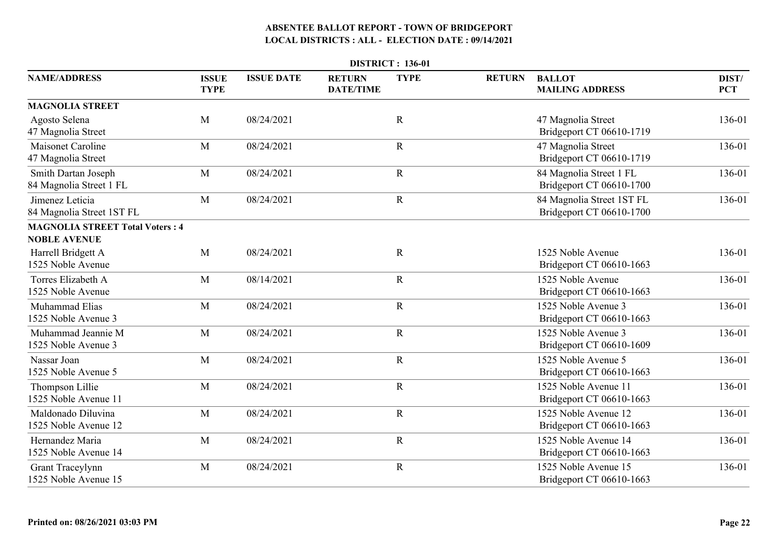|                                                               |                             |                   |                                   | <b>DISTRICT: 136-01</b> |               |                                                       |                     |
|---------------------------------------------------------------|-----------------------------|-------------------|-----------------------------------|-------------------------|---------------|-------------------------------------------------------|---------------------|
| <b>NAME/ADDRESS</b>                                           | <b>ISSUE</b><br><b>TYPE</b> | <b>ISSUE DATE</b> | <b>RETURN</b><br><b>DATE/TIME</b> | <b>TYPE</b>             | <b>RETURN</b> | <b>BALLOT</b><br><b>MAILING ADDRESS</b>               | DIST/<br><b>PCT</b> |
| <b>MAGNOLIA STREET</b>                                        |                             |                   |                                   |                         |               |                                                       |                     |
| Agosto Selena<br>47 Magnolia Street                           | M                           | 08/24/2021        |                                   | $\mathbf R$             |               | 47 Magnolia Street<br>Bridgeport CT 06610-1719        | 136-01              |
| Maisonet Caroline<br>47 Magnolia Street                       | M                           | 08/24/2021        |                                   | $\mathbf R$             |               | 47 Magnolia Street<br>Bridgeport CT 06610-1719        | 136-01              |
| Smith Dartan Joseph<br>84 Magnolia Street 1 FL                | M                           | 08/24/2021        |                                   | $\mathbf R$             |               | 84 Magnolia Street 1 FL<br>Bridgeport CT 06610-1700   | 136-01              |
| Jimenez Leticia<br>84 Magnolia Street 1ST FL                  | M                           | 08/24/2021        |                                   | $\mathbf R$             |               | 84 Magnolia Street 1ST FL<br>Bridgeport CT 06610-1700 | 136-01              |
| <b>MAGNOLIA STREET Total Voters: 4</b><br><b>NOBLE AVENUE</b> |                             |                   |                                   |                         |               |                                                       |                     |
| Harrell Bridgett A<br>1525 Noble Avenue                       | M                           | 08/24/2021        |                                   | $\mathbf R$             |               | 1525 Noble Avenue<br>Bridgeport CT 06610-1663         | 136-01              |
| Torres Elizabeth A<br>1525 Noble Avenue                       | M                           | 08/14/2021        |                                   | $\mathbf R$             |               | 1525 Noble Avenue<br>Bridgeport CT 06610-1663         | 136-01              |
| Muhammad Elias<br>1525 Noble Avenue 3                         | M                           | 08/24/2021        |                                   | $\mathbf R$             |               | 1525 Noble Avenue 3<br>Bridgeport CT 06610-1663       | 136-01              |
| Muhammad Jeannie M<br>1525 Noble Avenue 3                     | M                           | 08/24/2021        |                                   | $\mathbf R$             |               | 1525 Noble Avenue 3<br>Bridgeport CT 06610-1609       | 136-01              |
| Nassar Joan<br>1525 Noble Avenue 5                            | M                           | 08/24/2021        |                                   | $\mathbf R$             |               | 1525 Noble Avenue 5<br>Bridgeport CT 06610-1663       | 136-01              |
| Thompson Lillie<br>1525 Noble Avenue 11                       | M                           | 08/24/2021        |                                   | $\mathbf R$             |               | 1525 Noble Avenue 11<br>Bridgeport CT 06610-1663      | 136-01              |
| Maldonado Diluvina<br>1525 Noble Avenue 12                    | M                           | 08/24/2021        |                                   | $\mathbf R$             |               | 1525 Noble Avenue 12<br>Bridgeport CT 06610-1663      | 136-01              |
| Hernandez Maria<br>1525 Noble Avenue 14                       | M                           | 08/24/2021        |                                   | $\mathbf R$             |               | 1525 Noble Avenue 14<br>Bridgeport CT 06610-1663      | 136-01              |
| Grant Traceylynn<br>1525 Noble Avenue 15                      | M                           | 08/24/2021        |                                   | $\mathbf R$             |               | 1525 Noble Avenue 15<br>Bridgeport CT 06610-1663      | 136-01              |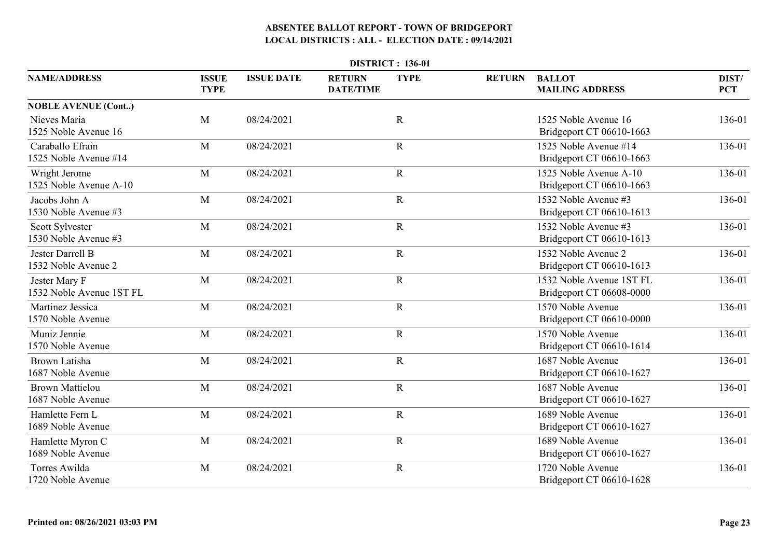| <b>DISTRICT: 136-01</b>                     |                             |                   |                                   |             |               |                                                      |                     |  |  |  |
|---------------------------------------------|-----------------------------|-------------------|-----------------------------------|-------------|---------------|------------------------------------------------------|---------------------|--|--|--|
| <b>NAME/ADDRESS</b>                         | <b>ISSUE</b><br><b>TYPE</b> | <b>ISSUE DATE</b> | <b>RETURN</b><br><b>DATE/TIME</b> | <b>TYPE</b> | <b>RETURN</b> | <b>BALLOT</b><br><b>MAILING ADDRESS</b>              | DIST/<br><b>PCT</b> |  |  |  |
| <b>NOBLE AVENUE (Cont)</b>                  |                             |                   |                                   |             |               |                                                      |                     |  |  |  |
| Nieves Maria<br>1525 Noble Avenue 16        | M                           | 08/24/2021        |                                   | $\mathbf R$ |               | 1525 Noble Avenue 16<br>Bridgeport CT 06610-1663     | 136-01              |  |  |  |
| Caraballo Efrain<br>1525 Noble Avenue #14   | M                           | 08/24/2021        |                                   | $\mathbf R$ |               | 1525 Noble Avenue #14<br>Bridgeport CT 06610-1663    | 136-01              |  |  |  |
| Wright Jerome<br>1525 Noble Avenue A-10     | M                           | 08/24/2021        |                                   | $\mathbf R$ |               | 1525 Noble Avenue A-10<br>Bridgeport CT 06610-1663   | 136-01              |  |  |  |
| Jacobs John A<br>1530 Noble Avenue #3       | M                           | 08/24/2021        |                                   | $\mathbf R$ |               | 1532 Noble Avenue #3<br>Bridgeport CT 06610-1613     | 136-01              |  |  |  |
| Scott Sylvester<br>1530 Noble Avenue #3     | M                           | 08/24/2021        |                                   | $\mathbf R$ |               | 1532 Noble Avenue #3<br>Bridgeport CT 06610-1613     | 136-01              |  |  |  |
| Jester Darrell B<br>1532 Noble Avenue 2     | M                           | 08/24/2021        |                                   | $\mathbf R$ |               | 1532 Noble Avenue 2<br>Bridgeport CT 06610-1613      | 136-01              |  |  |  |
| Jester Mary F<br>1532 Noble Avenue 1ST FL   | M                           | 08/24/2021        |                                   | $\mathbf R$ |               | 1532 Noble Avenue 1ST FL<br>Bridgeport CT 06608-0000 | 136-01              |  |  |  |
| Martinez Jessica<br>1570 Noble Avenue       | M                           | 08/24/2021        |                                   | $\mathbf R$ |               | 1570 Noble Avenue<br>Bridgeport CT 06610-0000        | 136-01              |  |  |  |
| Muniz Jennie<br>1570 Noble Avenue           | M                           | 08/24/2021        |                                   | $\mathbf R$ |               | 1570 Noble Avenue<br>Bridgeport CT 06610-1614        | 136-01              |  |  |  |
| Brown Latisha<br>1687 Noble Avenue          | M                           | 08/24/2021        |                                   | $\mathbf R$ |               | 1687 Noble Avenue<br>Bridgeport CT 06610-1627        | 136-01              |  |  |  |
| <b>Brown Mattielou</b><br>1687 Noble Avenue | M                           | 08/24/2021        |                                   | $\mathbf R$ |               | 1687 Noble Avenue<br>Bridgeport CT 06610-1627        | 136-01              |  |  |  |
| Hamlette Fern L<br>1689 Noble Avenue        | M                           | 08/24/2021        |                                   | $\mathbf R$ |               | 1689 Noble Avenue<br>Bridgeport CT 06610-1627        | 136-01              |  |  |  |
| Hamlette Myron C<br>1689 Noble Avenue       | M                           | 08/24/2021        |                                   | $\mathbf R$ |               | 1689 Noble Avenue<br>Bridgeport CT 06610-1627        | 136-01              |  |  |  |
| Torres Awilda<br>1720 Noble Avenue          | M                           | 08/24/2021        |                                   | $\mathbf R$ |               | 1720 Noble Avenue<br>Bridgeport CT 06610-1628        | 136-01              |  |  |  |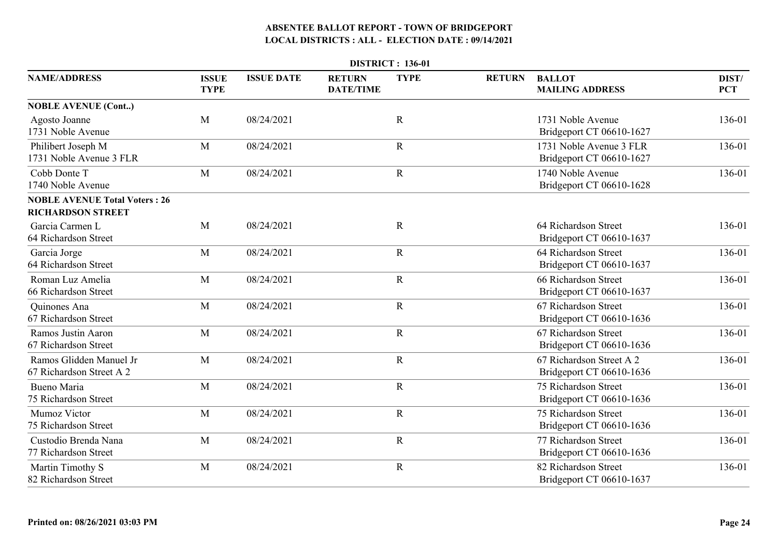|                                                                  |                             |                   |                                   | <b>DISTRICT: 136-01</b> |               |                                                      |                     |
|------------------------------------------------------------------|-----------------------------|-------------------|-----------------------------------|-------------------------|---------------|------------------------------------------------------|---------------------|
| <b>NAME/ADDRESS</b>                                              | <b>ISSUE</b><br><b>TYPE</b> | <b>ISSUE DATE</b> | <b>RETURN</b><br><b>DATE/TIME</b> | <b>TYPE</b>             | <b>RETURN</b> | <b>BALLOT</b><br><b>MAILING ADDRESS</b>              | DIST/<br><b>PCT</b> |
| <b>NOBLE AVENUE (Cont)</b>                                       |                             |                   |                                   |                         |               |                                                      |                     |
| Agosto Joanne<br>1731 Noble Avenue                               | M                           | 08/24/2021        |                                   | $\mathbf R$             |               | 1731 Noble Avenue<br>Bridgeport CT 06610-1627        | 136-01              |
| Philibert Joseph M<br>1731 Noble Avenue 3 FLR                    | M                           | 08/24/2021        |                                   | $\mathbf R$             |               | 1731 Noble Avenue 3 FLR<br>Bridgeport CT 06610-1627  | 136-01              |
| Cobb Donte T<br>1740 Noble Avenue                                | M                           | 08/24/2021        |                                   | $\mathbf R$             |               | 1740 Noble Avenue<br>Bridgeport CT 06610-1628        | 136-01              |
| <b>NOBLE AVENUE Total Voters: 26</b><br><b>RICHARDSON STREET</b> |                             |                   |                                   |                         |               |                                                      |                     |
| Garcia Carmen L<br>64 Richardson Street                          | M                           | 08/24/2021        |                                   | $\mathbf R$             |               | 64 Richardson Street<br>Bridgeport CT 06610-1637     | 136-01              |
| Garcia Jorge<br>64 Richardson Street                             | M                           | 08/24/2021        |                                   | $\mathbf R$             |               | 64 Richardson Street<br>Bridgeport CT 06610-1637     | 136-01              |
| Roman Luz Amelia<br>66 Richardson Street                         | M                           | 08/24/2021        |                                   | $\mathbf R$             |               | 66 Richardson Street<br>Bridgeport CT 06610-1637     | 136-01              |
| Quinones Ana<br>67 Richardson Street                             | M                           | 08/24/2021        |                                   | $\mathbf R$             |               | 67 Richardson Street<br>Bridgeport CT 06610-1636     | 136-01              |
| Ramos Justin Aaron<br>67 Richardson Street                       | M                           | 08/24/2021        |                                   | $\mathbf R$             |               | 67 Richardson Street<br>Bridgeport CT 06610-1636     | 136-01              |
| Ramos Glidden Manuel Jr<br>67 Richardson Street A 2              | M                           | 08/24/2021        |                                   | $\mathbf R$             |               | 67 Richardson Street A 2<br>Bridgeport CT 06610-1636 | 136-01              |
| Bueno Maria<br>75 Richardson Street                              | M                           | 08/24/2021        |                                   | $\mathbf R$             |               | 75 Richardson Street<br>Bridgeport CT 06610-1636     | 136-01              |
| Mumoz Victor<br>75 Richardson Street                             | M                           | 08/24/2021        |                                   | $\mathbf R$             |               | 75 Richardson Street<br>Bridgeport CT 06610-1636     | 136-01              |
| Custodio Brenda Nana<br>77 Richardson Street                     | M                           | 08/24/2021        |                                   | $\mathbf R$             |               | 77 Richardson Street<br>Bridgeport CT 06610-1636     | 136-01              |
| Martin Timothy S<br>82 Richardson Street                         | M                           | 08/24/2021        |                                   | $\mathbf R$             |               | 82 Richardson Street<br>Bridgeport CT 06610-1637     | 136-01              |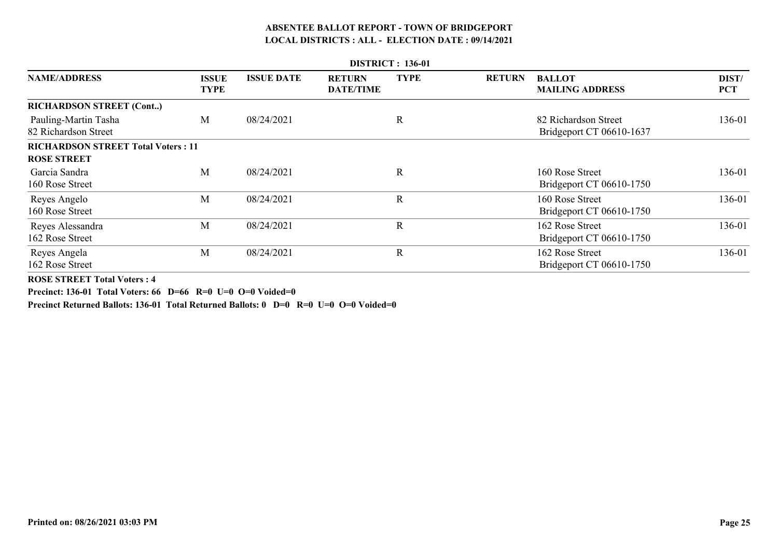|                                              | <b>DISTRICT: 136-01</b> |                   |                                   |              |               |                                                  |                     |  |  |  |  |
|----------------------------------------------|-------------------------|-------------------|-----------------------------------|--------------|---------------|--------------------------------------------------|---------------------|--|--|--|--|
| <b>NAME/ADDRESS</b>                          | <b>ISSUE</b><br>TYPE    | <b>ISSUE DATE</b> | <b>RETURN</b><br><b>DATE/TIME</b> | <b>TYPE</b>  | <b>RETURN</b> | <b>BALLOT</b><br><b>MAILING ADDRESS</b>          | DIST/<br><b>PCT</b> |  |  |  |  |
| <b>RICHARDSON STREET (Cont)</b>              |                         |                   |                                   |              |               |                                                  |                     |  |  |  |  |
| Pauling-Martin Tasha<br>82 Richardson Street | M                       | 08/24/2021        |                                   | $\mathbf R$  |               | 82 Richardson Street<br>Bridgeport CT 06610-1637 | 136-01              |  |  |  |  |
| <b>RICHARDSON STREET Total Voters: 11</b>    |                         |                   |                                   |              |               |                                                  |                     |  |  |  |  |
| <b>ROSE STREET</b>                           |                         |                   |                                   |              |               |                                                  |                     |  |  |  |  |
| Garcia Sandra<br>160 Rose Street             | M                       | 08/24/2021        |                                   | $\mathbb{R}$ |               | 160 Rose Street<br>Bridgeport CT 06610-1750      | 136-01              |  |  |  |  |
| Reyes Angelo<br>160 Rose Street              | M                       | 08/24/2021        |                                   | $\mathbf R$  |               | 160 Rose Street<br>Bridgeport CT 06610-1750      | 136-01              |  |  |  |  |
| Reyes Alessandra<br>162 Rose Street          | M                       | 08/24/2021        |                                   | $\mathbb{R}$ |               | 162 Rose Street<br>Bridgeport CT 06610-1750      | 136-01              |  |  |  |  |
| Reyes Angela<br>162 Rose Street              | M                       | 08/24/2021        |                                   | $\mathbf R$  |               | 162 Rose Street<br>Bridgeport CT 06610-1750      | 136-01              |  |  |  |  |

**ROSE STREET Total Voters : 4**

**Precinct: 136-01 Total Voters: 66 D=66 R=0 U=0 O=0 Voided=0**

**Precinct Returned Ballots: 136-01 Total Returned Ballots: 0 D=0 R=0 U=0 O=0 Voided=0**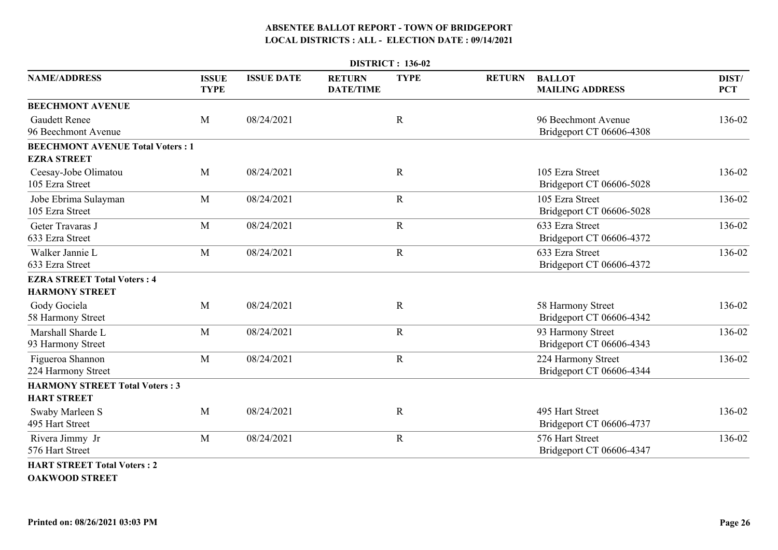|                                                               | <b>DISTRICT: 136-02</b>     |                   |                                   |             |               |                                                 |                     |  |  |  |
|---------------------------------------------------------------|-----------------------------|-------------------|-----------------------------------|-------------|---------------|-------------------------------------------------|---------------------|--|--|--|
| <b>NAME/ADDRESS</b>                                           | <b>ISSUE</b><br><b>TYPE</b> | <b>ISSUE DATE</b> | <b>RETURN</b><br><b>DATE/TIME</b> | <b>TYPE</b> | <b>RETURN</b> | <b>BALLOT</b><br><b>MAILING ADDRESS</b>         | DIST/<br><b>PCT</b> |  |  |  |
| <b>BEECHMONT AVENUE</b>                                       |                             |                   |                                   |             |               |                                                 |                     |  |  |  |
| <b>Gaudett Renee</b><br>96 Beechmont Avenue                   | M                           | 08/24/2021        |                                   | $\mathbf R$ |               | 96 Beechmont Avenue<br>Bridgeport CT 06606-4308 | 136-02              |  |  |  |
| <b>BEECHMONT AVENUE Total Voters: 1</b><br><b>EZRA STREET</b> |                             |                   |                                   |             |               |                                                 |                     |  |  |  |
| Ceesay-Jobe Olimatou<br>105 Ezra Street                       | M                           | 08/24/2021        |                                   | $\mathbf R$ |               | 105 Ezra Street<br>Bridgeport CT 06606-5028     | 136-02              |  |  |  |
| Jobe Ebrima Sulayman<br>105 Ezra Street                       | M                           | 08/24/2021        |                                   | $\mathbf R$ |               | 105 Ezra Street<br>Bridgeport CT 06606-5028     | 136-02              |  |  |  |
| Geter Travaras J<br>633 Ezra Street                           | M                           | 08/24/2021        |                                   | $\mathbf R$ |               | 633 Ezra Street<br>Bridgeport CT 06606-4372     | 136-02              |  |  |  |
| Walker Jannie L<br>633 Ezra Street                            | M                           | 08/24/2021        |                                   | $\mathbf R$ |               | 633 Ezra Street<br>Bridgeport CT 06606-4372     | 136-02              |  |  |  |
| <b>EZRA STREET Total Voters: 4</b>                            |                             |                   |                                   |             |               |                                                 |                     |  |  |  |
| <b>HARMONY STREET</b>                                         |                             |                   |                                   |             |               |                                                 |                     |  |  |  |
| Gody Gociela<br>58 Harmony Street                             | M                           | 08/24/2021        |                                   | $\mathbf R$ |               | 58 Harmony Street<br>Bridgeport CT 06606-4342   | 136-02              |  |  |  |
| Marshall Sharde L<br>93 Harmony Street                        | M                           | 08/24/2021        |                                   | $\mathbf R$ |               | 93 Harmony Street<br>Bridgeport CT 06606-4343   | 136-02              |  |  |  |
| Figueroa Shannon<br>224 Harmony Street                        | M                           | 08/24/2021        |                                   | $\mathbf R$ |               | 224 Harmony Street<br>Bridgeport CT 06606-4344  | 136-02              |  |  |  |
| <b>HARMONY STREET Total Voters: 3</b><br><b>HART STREET</b>   |                             |                   |                                   |             |               |                                                 |                     |  |  |  |
| Swaby Marleen S<br>495 Hart Street                            | M                           | 08/24/2021        |                                   | $\mathbf R$ |               | 495 Hart Street<br>Bridgeport CT 06606-4737     | 136-02              |  |  |  |
| Rivera Jimmy Jr<br>576 Hart Street                            | M                           | 08/24/2021        |                                   | $\mathbf R$ |               | 576 Hart Street<br>Bridgeport CT 06606-4347     | 136-02              |  |  |  |
| <b>HART STREET Total Voters: 2</b>                            |                             |                   |                                   |             |               |                                                 |                     |  |  |  |

**OAKWOOD STREET**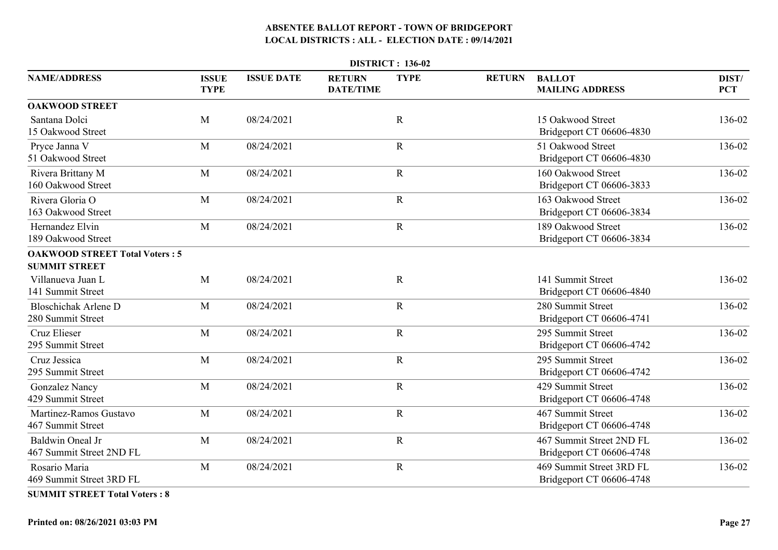|                                                               | <b>DISTRICT: 136-02</b>     |                   |                                   |             |               |                                                      |                     |  |  |  |  |
|---------------------------------------------------------------|-----------------------------|-------------------|-----------------------------------|-------------|---------------|------------------------------------------------------|---------------------|--|--|--|--|
| <b>NAME/ADDRESS</b>                                           | <b>ISSUE</b><br><b>TYPE</b> | <b>ISSUE DATE</b> | <b>RETURN</b><br><b>DATE/TIME</b> | <b>TYPE</b> | <b>RETURN</b> | <b>BALLOT</b><br><b>MAILING ADDRESS</b>              | DIST/<br><b>PCT</b> |  |  |  |  |
| <b>OAKWOOD STREET</b>                                         |                             |                   |                                   |             |               |                                                      |                     |  |  |  |  |
| Santana Dolci<br>15 Oakwood Street                            | M                           | 08/24/2021        |                                   | $\mathbf R$ |               | 15 Oakwood Street<br>Bridgeport CT 06606-4830        | 136-02              |  |  |  |  |
| Pryce Janna V<br>51 Oakwood Street                            | M                           | 08/24/2021        |                                   | $\mathbf R$ |               | 51 Oakwood Street<br>Bridgeport CT 06606-4830        | 136-02              |  |  |  |  |
| Rivera Brittany M<br>160 Oakwood Street                       | M                           | 08/24/2021        |                                   | $\mathbf R$ |               | 160 Oakwood Street<br>Bridgeport CT 06606-3833       | 136-02              |  |  |  |  |
| Rivera Gloria O<br>163 Oakwood Street                         | M                           | 08/24/2021        |                                   | $\mathbf R$ |               | 163 Oakwood Street<br>Bridgeport CT 06606-3834       | 136-02              |  |  |  |  |
| Hernandez Elvin<br>189 Oakwood Street                         | M                           | 08/24/2021        |                                   | ${\bf R}$   |               | 189 Oakwood Street<br>Bridgeport CT 06606-3834       | 136-02              |  |  |  |  |
| <b>OAKWOOD STREET Total Voters: 5</b><br><b>SUMMIT STREET</b> |                             |                   |                                   |             |               |                                                      |                     |  |  |  |  |
| Villanueva Juan L<br>141 Summit Street                        | M                           | 08/24/2021        |                                   | $\mathbf R$ |               | 141 Summit Street<br>Bridgeport CT 06606-4840        | 136-02              |  |  |  |  |
| <b>Bloschichak Arlene D</b><br>280 Summit Street              | M                           | 08/24/2021        |                                   | $\mathbf R$ |               | 280 Summit Street<br>Bridgeport CT 06606-4741        | 136-02              |  |  |  |  |
| Cruz Elieser<br>295 Summit Street                             | M                           | 08/24/2021        |                                   | ${\bf R}$   |               | 295 Summit Street<br>Bridgeport CT 06606-4742        | 136-02              |  |  |  |  |
| Cruz Jessica<br>295 Summit Street                             | M                           | 08/24/2021        |                                   | $\mathbf R$ |               | 295 Summit Street<br>Bridgeport CT 06606-4742        | 136-02              |  |  |  |  |
| <b>Gonzalez Nancy</b><br>429 Summit Street                    | M                           | 08/24/2021        |                                   | ${\bf R}$   |               | 429 Summit Street<br>Bridgeport CT 06606-4748        | 136-02              |  |  |  |  |
| Martinez-Ramos Gustavo<br>467 Summit Street                   | M                           | 08/24/2021        |                                   | $\mathbf R$ |               | 467 Summit Street<br>Bridgeport CT 06606-4748        | 136-02              |  |  |  |  |
| <b>Baldwin Oneal Jr</b><br>467 Summit Street 2ND FL           | M                           | 08/24/2021        |                                   | ${\bf R}$   |               | 467 Summit Street 2ND FL<br>Bridgeport CT 06606-4748 | 136-02              |  |  |  |  |
| Rosario Maria<br>469 Summit Street 3RD FL                     | M                           | 08/24/2021        |                                   | ${\bf R}$   |               | 469 Summit Street 3RD FL<br>Bridgeport CT 06606-4748 | 136-02              |  |  |  |  |
|                                                               |                             |                   |                                   |             |               |                                                      |                     |  |  |  |  |

**SUMMIT STREET Total Voters : 8**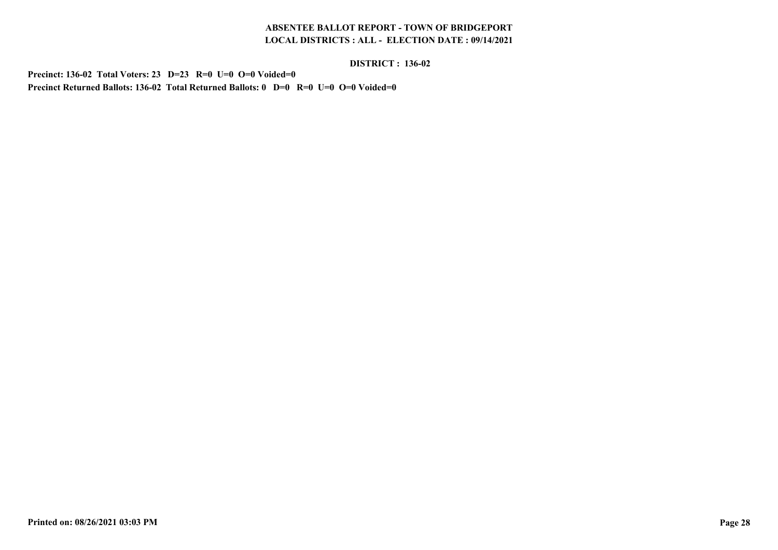#### **DISTRICT : 136-02**

**Precinct: 136-02 Total Voters: 23 D=23 R=0 U=0 O=0 Voided=0Precinct Returned Ballots: 136-02 Total Returned Ballots: 0 D=0 R=0 U=0 O=0 Voided=0**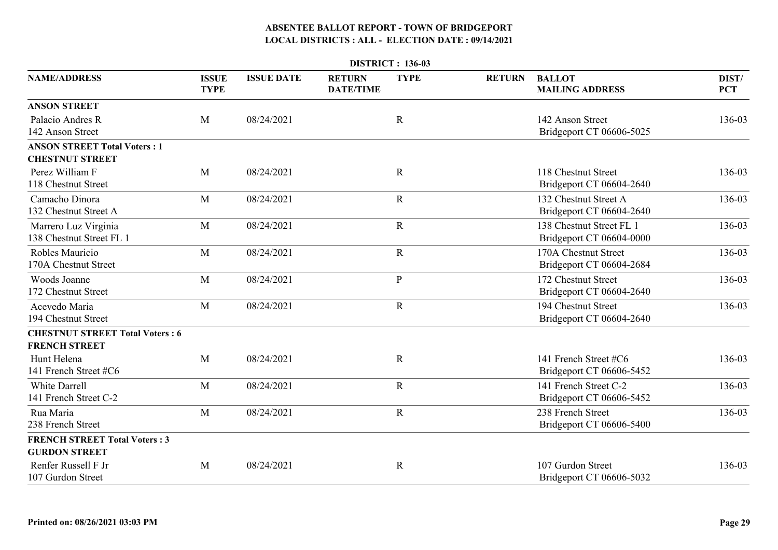| <b>DISTRICT: 136-03</b>                                        |                             |                   |                                   |              |               |                                                      |                     |  |  |  |
|----------------------------------------------------------------|-----------------------------|-------------------|-----------------------------------|--------------|---------------|------------------------------------------------------|---------------------|--|--|--|
| <b>NAME/ADDRESS</b>                                            | <b>ISSUE</b><br><b>TYPE</b> | <b>ISSUE DATE</b> | <b>RETURN</b><br><b>DATE/TIME</b> | <b>TYPE</b>  | <b>RETURN</b> | <b>BALLOT</b><br><b>MAILING ADDRESS</b>              | DIST/<br><b>PCT</b> |  |  |  |
| <b>ANSON STREET</b>                                            |                             |                   |                                   |              |               |                                                      |                     |  |  |  |
| Palacio Andres R<br>142 Anson Street                           | M                           | 08/24/2021        |                                   | $\mathbf R$  |               | 142 Anson Street<br>Bridgeport CT 06606-5025         | 136-03              |  |  |  |
| <b>ANSON STREET Total Voters: 1</b><br><b>CHESTNUT STREET</b>  |                             |                   |                                   |              |               |                                                      |                     |  |  |  |
| Perez William F<br>118 Chestnut Street                         | M                           | 08/24/2021        |                                   | $\mathbf R$  |               | 118 Chestnut Street<br>Bridgeport CT 06604-2640      | 136-03              |  |  |  |
| Camacho Dinora<br>132 Chestnut Street A                        | M                           | 08/24/2021        |                                   | $\mathbf R$  |               | 132 Chestnut Street A<br>Bridgeport CT 06604-2640    | 136-03              |  |  |  |
| Marrero Luz Virginia<br>138 Chestnut Street FL 1               | M                           | 08/24/2021        |                                   | ${\bf R}$    |               | 138 Chestnut Street FL 1<br>Bridgeport CT 06604-0000 | 136-03              |  |  |  |
| Robles Mauricio<br>170A Chestnut Street                        | M                           | 08/24/2021        |                                   | $\mathbf R$  |               | 170A Chestnut Street<br>Bridgeport CT 06604-2684     | 136-03              |  |  |  |
| Woods Joanne<br>172 Chestnut Street                            | M                           | 08/24/2021        |                                   | $\mathbf{P}$ |               | 172 Chestnut Street<br>Bridgeport CT 06604-2640      | 136-03              |  |  |  |
| Acevedo Maria<br>194 Chestnut Street                           | M                           | 08/24/2021        |                                   | $\mathbf R$  |               | 194 Chestnut Street<br>Bridgeport CT 06604-2640      | 136-03              |  |  |  |
| <b>CHESTNUT STREET Total Voters: 6</b><br><b>FRENCH STREET</b> |                             |                   |                                   |              |               |                                                      |                     |  |  |  |
| Hunt Helena<br>141 French Street #C6                           | M                           | 08/24/2021        |                                   | $\mathbf R$  |               | 141 French Street #C6<br>Bridgeport CT 06606-5452    | 136-03              |  |  |  |
| <b>White Darrell</b><br>141 French Street C-2                  | M                           | 08/24/2021        |                                   | $\mathbf R$  |               | 141 French Street C-2<br>Bridgeport CT 06606-5452    | 136-03              |  |  |  |
| Rua Maria<br>238 French Street                                 | M                           | 08/24/2021        |                                   | $\mathbf R$  |               | 238 French Street<br>Bridgeport CT 06606-5400        | 136-03              |  |  |  |
| <b>FRENCH STREET Total Voters: 3</b><br><b>GURDON STREET</b>   |                             |                   |                                   |              |               |                                                      |                     |  |  |  |
| Renfer Russell F Jr<br>107 Gurdon Street                       | M                           | 08/24/2021        |                                   | $\mathbb{R}$ |               | 107 Gurdon Street<br>Bridgeport CT 06606-5032        | 136-03              |  |  |  |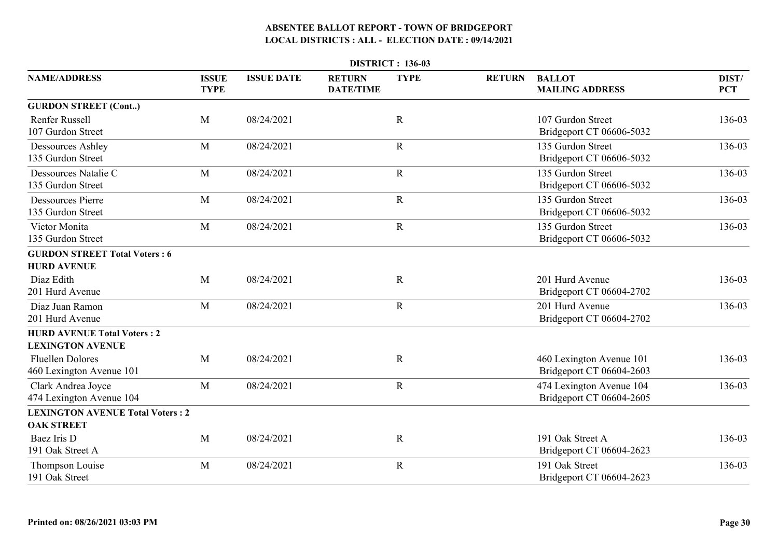|                                                               |                             |                   |                                   | <b>DISTRICT: 136-03</b> |               |                                                      |                     |
|---------------------------------------------------------------|-----------------------------|-------------------|-----------------------------------|-------------------------|---------------|------------------------------------------------------|---------------------|
| <b>NAME/ADDRESS</b>                                           | <b>ISSUE</b><br><b>TYPE</b> | <b>ISSUE DATE</b> | <b>RETURN</b><br><b>DATE/TIME</b> | <b>TYPE</b>             | <b>RETURN</b> | <b>BALLOT</b><br><b>MAILING ADDRESS</b>              | DIST/<br><b>PCT</b> |
| <b>GURDON STREET (Cont)</b>                                   |                             |                   |                                   |                         |               |                                                      |                     |
| <b>Renfer Russell</b><br>107 Gurdon Street                    | M                           | 08/24/2021        |                                   | $\mathbf R$             |               | 107 Gurdon Street<br>Bridgeport CT 06606-5032        | 136-03              |
| <b>Dessources Ashley</b><br>135 Gurdon Street                 | M                           | 08/24/2021        |                                   | $\mathbf R$             |               | 135 Gurdon Street<br>Bridgeport CT 06606-5032        | 136-03              |
| Dessources Natalie C<br>135 Gurdon Street                     | M                           | 08/24/2021        |                                   | ${\bf R}$               |               | 135 Gurdon Street<br>Bridgeport CT 06606-5032        | 136-03              |
| <b>Dessources Pierre</b><br>135 Gurdon Street                 | M                           | 08/24/2021        |                                   | ${\bf R}$               |               | 135 Gurdon Street<br>Bridgeport CT 06606-5032        | 136-03              |
| Victor Monita<br>135 Gurdon Street                            | M                           | 08/24/2021        |                                   | $\mathbf R$             |               | 135 Gurdon Street<br>Bridgeport CT 06606-5032        | 136-03              |
| <b>GURDON STREET Total Voters: 6</b>                          |                             |                   |                                   |                         |               |                                                      |                     |
| <b>HURD AVENUE</b>                                            |                             |                   |                                   |                         |               |                                                      |                     |
| Diaz Edith<br>201 Hurd Avenue                                 | M                           | 08/24/2021        |                                   | $\mathbf R$             |               | 201 Hurd Avenue<br>Bridgeport CT 06604-2702          | 136-03              |
| Diaz Juan Ramon<br>201 Hurd Avenue                            | M                           | 08/24/2021        |                                   | $\mathbf R$             |               | 201 Hurd Avenue<br>Bridgeport CT 06604-2702          | 136-03              |
| <b>HURD AVENUE Total Voters: 2</b><br><b>LEXINGTON AVENUE</b> |                             |                   |                                   |                         |               |                                                      |                     |
| <b>Fluellen Dolores</b><br>460 Lexington Avenue 101           | M                           | 08/24/2021        |                                   | $\mathbf R$             |               | 460 Lexington Avenue 101<br>Bridgeport CT 06604-2603 | 136-03              |
| Clark Andrea Joyce<br>474 Lexington Avenue 104                | M                           | 08/24/2021        |                                   | $\mathbf R$             |               | 474 Lexington Avenue 104<br>Bridgeport CT 06604-2605 | 136-03              |
| <b>LEXINGTON AVENUE Total Voters: 2</b>                       |                             |                   |                                   |                         |               |                                                      |                     |
| <b>OAK STREET</b>                                             |                             |                   |                                   |                         |               |                                                      |                     |
| Baez Iris D<br>191 Oak Street A                               | M                           | 08/24/2021        |                                   | $\mathbf R$             |               | 191 Oak Street A<br>Bridgeport CT 06604-2623         | 136-03              |
| Thompson Louise<br>191 Oak Street                             | M                           | 08/24/2021        |                                   | $\mathbf R$             |               | 191 Oak Street<br>Bridgeport CT 06604-2623           | 136-03              |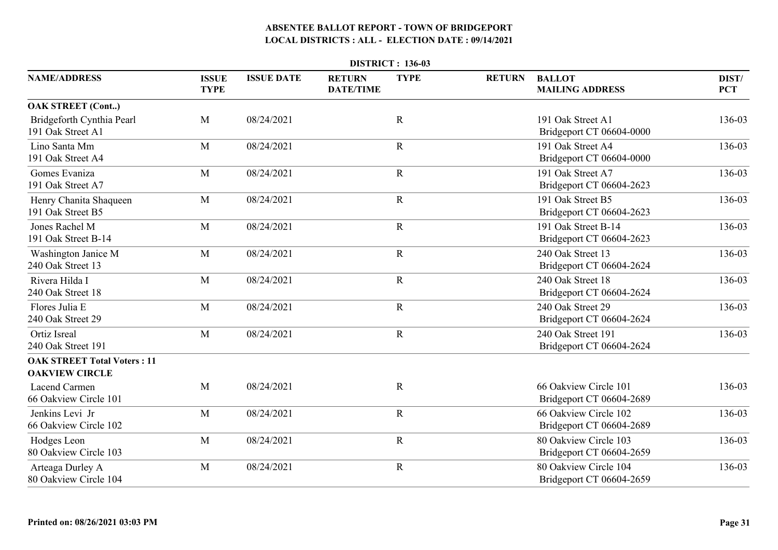| <b>DISTRICT: 136-03</b>                                     |                             |                   |                                   |             |               |                                                   |                     |  |  |  |
|-------------------------------------------------------------|-----------------------------|-------------------|-----------------------------------|-------------|---------------|---------------------------------------------------|---------------------|--|--|--|
| <b>NAME/ADDRESS</b>                                         | <b>ISSUE</b><br><b>TYPE</b> | <b>ISSUE DATE</b> | <b>RETURN</b><br><b>DATE/TIME</b> | <b>TYPE</b> | <b>RETURN</b> | <b>BALLOT</b><br><b>MAILING ADDRESS</b>           | DIST/<br><b>PCT</b> |  |  |  |
| <b>OAK STREET (Cont)</b>                                    |                             |                   |                                   |             |               |                                                   |                     |  |  |  |
| Bridgeforth Cynthia Pearl<br>191 Oak Street A1              | M                           | 08/24/2021        |                                   | $\mathbf R$ |               | 191 Oak Street A1<br>Bridgeport CT 06604-0000     | 136-03              |  |  |  |
| Lino Santa Mm<br>191 Oak Street A4                          | M                           | 08/24/2021        |                                   | $\mathbf R$ |               | 191 Oak Street A4<br>Bridgeport CT 06604-0000     | 136-03              |  |  |  |
| Gomes Evaniza<br>191 Oak Street A7                          | M                           | 08/24/2021        |                                   | ${\bf R}$   |               | 191 Oak Street A7<br>Bridgeport CT 06604-2623     | 136-03              |  |  |  |
| Henry Chanita Shaqueen<br>191 Oak Street B5                 | M                           | 08/24/2021        |                                   | $\mathbf R$ |               | 191 Oak Street B5<br>Bridgeport CT 06604-2623     | 136-03              |  |  |  |
| Jones Rachel M<br>191 Oak Street B-14                       | M                           | 08/24/2021        |                                   | $\mathbf R$ |               | 191 Oak Street B-14<br>Bridgeport CT 06604-2623   | 136-03              |  |  |  |
| Washington Janice M<br>240 Oak Street 13                    | M                           | 08/24/2021        |                                   | $\mathbf R$ |               | 240 Oak Street 13<br>Bridgeport CT 06604-2624     | 136-03              |  |  |  |
| Rivera Hilda I<br>240 Oak Street 18                         | M                           | 08/24/2021        |                                   | $\mathbf R$ |               | 240 Oak Street 18<br>Bridgeport CT 06604-2624     | 136-03              |  |  |  |
| Flores Julia E<br>240 Oak Street 29                         | M                           | 08/24/2021        |                                   | ${\bf R}$   |               | 240 Oak Street 29<br>Bridgeport CT 06604-2624     | 136-03              |  |  |  |
| <b>Ortiz Isreal</b><br>240 Oak Street 191                   | $\mathbf{M}$                | 08/24/2021        |                                   | ${\bf R}$   |               | 240 Oak Street 191<br>Bridgeport CT 06604-2624    | 136-03              |  |  |  |
| <b>OAK STREET Total Voters: 11</b><br><b>OAKVIEW CIRCLE</b> |                             |                   |                                   |             |               |                                                   |                     |  |  |  |
| Lacend Carmen<br>66 Oakview Circle 101                      | M                           | 08/24/2021        |                                   | $\mathbf R$ |               | 66 Oakview Circle 101<br>Bridgeport CT 06604-2689 | 136-03              |  |  |  |
| Jenkins Levi Jr<br>66 Oakview Circle 102                    | M                           | 08/24/2021        |                                   | $\mathbf R$ |               | 66 Oakview Circle 102<br>Bridgeport CT 06604-2689 | 136-03              |  |  |  |
| Hodges Leon<br>80 Oakview Circle 103                        | M                           | 08/24/2021        |                                   | $\mathbf R$ |               | 80 Oakview Circle 103<br>Bridgeport CT 06604-2659 | 136-03              |  |  |  |
| Arteaga Durley A<br>80 Oakview Circle 104                   | M                           | 08/24/2021        |                                   | $\mathbf R$ |               | 80 Oakview Circle 104<br>Bridgeport CT 06604-2659 | 136-03              |  |  |  |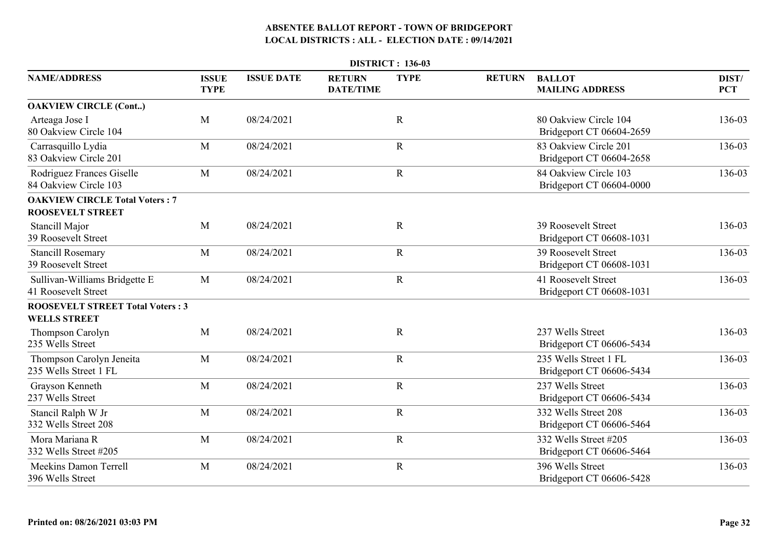|                                                                  |                             |                   |                                   | <b>DISTRICT: 136-03</b> |               |                                                        |                     |
|------------------------------------------------------------------|-----------------------------|-------------------|-----------------------------------|-------------------------|---------------|--------------------------------------------------------|---------------------|
| <b>NAME/ADDRESS</b>                                              | <b>ISSUE</b><br><b>TYPE</b> | <b>ISSUE DATE</b> | <b>RETURN</b><br><b>DATE/TIME</b> | <b>TYPE</b>             | <b>RETURN</b> | <b>BALLOT</b><br><b>MAILING ADDRESS</b>                | DIST/<br><b>PCT</b> |
| <b>OAKVIEW CIRCLE (Cont)</b>                                     |                             |                   |                                   |                         |               |                                                        |                     |
| Arteaga Jose I<br>80 Oakview Circle 104                          | M                           | 08/24/2021        |                                   | $\mathbf R$             |               | 80 Oakview Circle 104<br>Bridgeport CT 06604-2659      | 136-03              |
| Carrasquillo Lydia<br>83 Oakview Circle 201                      | M                           | 08/24/2021        |                                   | $\mathbf R$             |               | 83 Oakview Circle 201<br>Bridgeport CT 06604-2658      | 136-03              |
| Rodriguez Frances Giselle<br>84 Oakview Circle 103               | M                           | 08/24/2021        |                                   | ${\bf R}$               |               | 84 Oakview Circle 103<br>Bridgeport CT 06604-0000      | 136-03              |
| <b>OAKVIEW CIRCLE Total Voters: 7</b><br><b>ROOSEVELT STREET</b> |                             |                   |                                   |                         |               |                                                        |                     |
| Stancill Major<br>39 Roosevelt Street                            | M                           | 08/24/2021        |                                   | $\mathbf R$             |               | <b>39 Roosevelt Street</b><br>Bridgeport CT 06608-1031 | 136-03              |
| <b>Stancill Rosemary</b><br><b>39 Roosevelt Street</b>           | M                           | 08/24/2021        |                                   | $\mathbf R$             |               | 39 Roosevelt Street<br>Bridgeport CT 06608-1031        | 136-03              |
| Sullivan-Williams Bridgette E<br>41 Roosevelt Street             | M                           | 08/24/2021        |                                   | ${\bf R}$               |               | 41 Roosevelt Street<br>Bridgeport CT 06608-1031        | 136-03              |
| <b>ROOSEVELT STREET Total Voters: 3</b><br><b>WELLS STREET</b>   |                             |                   |                                   |                         |               |                                                        |                     |
| <b>Thompson Carolyn</b><br>235 Wells Street                      | M                           | 08/24/2021        |                                   | $\mathbf R$             |               | 237 Wells Street<br>Bridgeport CT 06606-5434           | 136-03              |
| Thompson Carolyn Jeneita<br>235 Wells Street 1 FL                | M                           | 08/24/2021        |                                   | $\mathbf R$             |               | 235 Wells Street 1 FL<br>Bridgeport CT 06606-5434      | 136-03              |
| Grayson Kenneth<br>237 Wells Street                              | M                           | 08/24/2021        |                                   | $\mathbf R$             |               | 237 Wells Street<br>Bridgeport CT 06606-5434           | 136-03              |
| Stancil Ralph W Jr<br>332 Wells Street 208                       | M                           | 08/24/2021        |                                   | $\mathbf R$             |               | 332 Wells Street 208<br>Bridgeport CT 06606-5464       | 136-03              |
| Mora Mariana R<br>332 Wells Street #205                          | M                           | 08/24/2021        |                                   | $\mathbf R$             |               | 332 Wells Street #205<br>Bridgeport CT 06606-5464      | 136-03              |
| <b>Meekins Damon Terrell</b><br>396 Wells Street                 | M                           | 08/24/2021        |                                   | $\mathbf R$             |               | 396 Wells Street<br>Bridgeport CT 06606-5428           | 136-03              |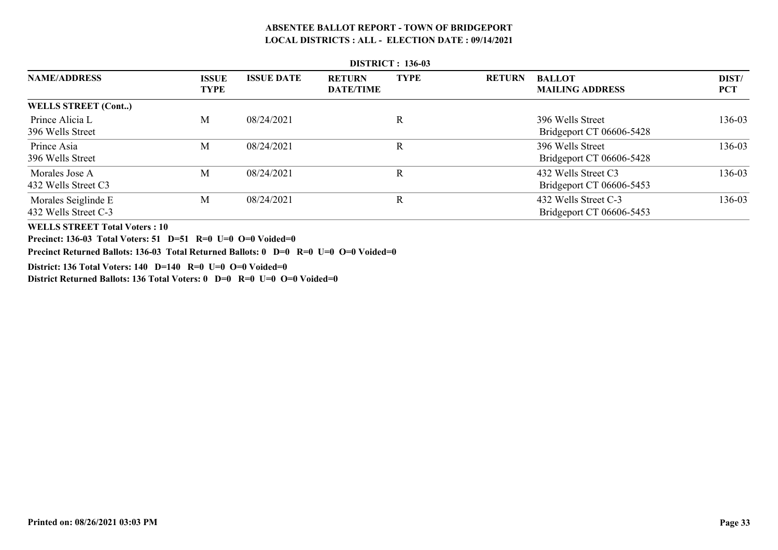|                            | <b>DISTRICT: 150-05</b>     |                   |                                   |             |               |                                         |                     |  |  |  |
|----------------------------|-----------------------------|-------------------|-----------------------------------|-------------|---------------|-----------------------------------------|---------------------|--|--|--|
| <b>NAME/ADDRESS</b>        | <b>ISSUE</b><br><b>TYPE</b> | <b>ISSUE DATE</b> | <b>RETURN</b><br><b>DATE/TIME</b> | <b>TYPE</b> | <b>RETURN</b> | <b>BALLOT</b><br><b>MAILING ADDRESS</b> | DIST/<br><b>PCT</b> |  |  |  |
| <b>WELLS STREET (Cont)</b> |                             |                   |                                   |             |               |                                         |                     |  |  |  |
| Prince Alicia L            | M                           | 08/24/2021        |                                   | R           |               | 396 Wells Street                        | 136-03              |  |  |  |
| 396 Wells Street           |                             |                   |                                   |             |               | Bridgeport CT 06606-5428                |                     |  |  |  |
| Prince Asia                | M                           | 08/24/2021        |                                   | R           |               | 396 Wells Street                        | 136-03              |  |  |  |
| 396 Wells Street           |                             |                   |                                   |             |               | Bridgeport CT 06606-5428                |                     |  |  |  |
| Morales Jose A             | M                           | 08/24/2021        |                                   | $\mathbf R$ |               | 432 Wells Street C3                     | 136-03              |  |  |  |
| 432 Wells Street C3        |                             |                   |                                   |             |               | Bridgeport CT 06606-5453                |                     |  |  |  |
| Morales Seiglinde E        | M                           | 08/24/2021        |                                   | R           |               | 432 Wells Street C-3                    | 136-03              |  |  |  |
| 432 Wells Street C-3       |                             |                   |                                   |             |               | Bridgeport CT 06606-5453                |                     |  |  |  |

#### **DISTRICT : 136-03**

**WELLS STREET Total Voters : 10**

**Precinct: 136-03 Total Voters: 51 D=51 R=0 U=0 O=0 Voided=0**

**Precinct Returned Ballots: 136-03 Total Returned Ballots: 0 D=0 R=0 U=0 O=0 Voided=0**

**District: 136 Total Voters: 140 D=140 R=0 U=0 O=0 Voided=0**

**District Returned Ballots: 136 Total Voters: 0 D=0 R=0 U=0 O=0 Voided=0**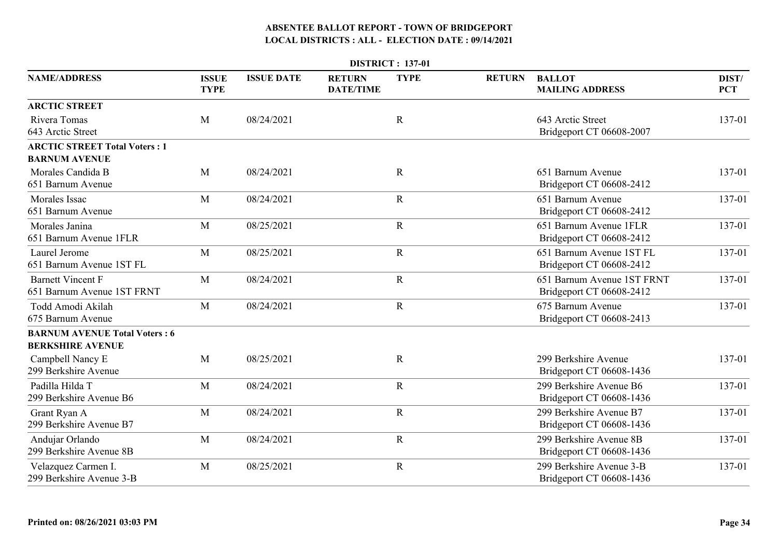| <b>DISTRICT: 137-01</b>                                         |                             |                   |                                   |             |               |                                                        |                     |  |  |  |
|-----------------------------------------------------------------|-----------------------------|-------------------|-----------------------------------|-------------|---------------|--------------------------------------------------------|---------------------|--|--|--|
| <b>NAME/ADDRESS</b>                                             | <b>ISSUE</b><br><b>TYPE</b> | <b>ISSUE DATE</b> | <b>RETURN</b><br><b>DATE/TIME</b> | <b>TYPE</b> | <b>RETURN</b> | <b>BALLOT</b><br><b>MAILING ADDRESS</b>                | DIST/<br><b>PCT</b> |  |  |  |
| <b>ARCTIC STREET</b>                                            |                             |                   |                                   |             |               |                                                        |                     |  |  |  |
| Rivera Tomas<br>643 Arctic Street                               | M                           | 08/24/2021        |                                   | $\mathbf R$ |               | 643 Arctic Street<br>Bridgeport CT 06608-2007          | 137-01              |  |  |  |
| <b>ARCTIC STREET Total Voters: 1</b><br><b>BARNUM AVENUE</b>    |                             |                   |                                   |             |               |                                                        |                     |  |  |  |
| Morales Candida B<br>651 Barnum Avenue                          | M                           | 08/24/2021        |                                   | $\mathbf R$ |               | 651 Barnum Avenue<br>Bridgeport CT 06608-2412          | 137-01              |  |  |  |
| <b>Morales</b> Issac<br>651 Barnum Avenue                       | M                           | 08/24/2021        |                                   | $\mathbf R$ |               | 651 Barnum Avenue<br>Bridgeport CT 06608-2412          | 137-01              |  |  |  |
| Morales Janina<br>651 Barnum Avenue 1FLR                        | M                           | 08/25/2021        |                                   | $\mathbf R$ |               | 651 Barnum Avenue 1FLR<br>Bridgeport CT 06608-2412     | 137-01              |  |  |  |
| Laurel Jerome<br>651 Barnum Avenue 1ST FL                       | M                           | 08/25/2021        |                                   | $\mathbf R$ |               | 651 Barnum Avenue 1ST FL<br>Bridgeport CT 06608-2412   | 137-01              |  |  |  |
| <b>Barnett Vincent F</b><br>651 Barnum Avenue 1ST FRNT          | M                           | 08/24/2021        |                                   | $\mathbf R$ |               | 651 Barnum Avenue 1ST FRNT<br>Bridgeport CT 06608-2412 | 137-01              |  |  |  |
| Todd Amodi Akilah<br>675 Barnum Avenue                          | M                           | 08/24/2021        |                                   | $\mathbf R$ |               | 675 Barnum Avenue<br>Bridgeport CT 06608-2413          | 137-01              |  |  |  |
| <b>BARNUM AVENUE Total Voters: 6</b><br><b>BERKSHIRE AVENUE</b> |                             |                   |                                   |             |               |                                                        |                     |  |  |  |
| Campbell Nancy E<br>299 Berkshire Avenue                        | M                           | 08/25/2021        |                                   | $\mathbf R$ |               | 299 Berkshire Avenue<br>Bridgeport CT 06608-1436       | 137-01              |  |  |  |
| Padilla Hilda T<br>299 Berkshire Avenue B6                      | M                           | 08/24/2021        |                                   | $\mathbf R$ |               | 299 Berkshire Avenue B6<br>Bridgeport CT 06608-1436    | 137-01              |  |  |  |
| Grant Ryan A<br>299 Berkshire Avenue B7                         | M                           | 08/24/2021        |                                   | $\mathbf R$ |               | 299 Berkshire Avenue B7<br>Bridgeport CT 06608-1436    | 137-01              |  |  |  |
| Andujar Orlando<br>299 Berkshire Avenue 8B                      | M                           | 08/24/2021        |                                   | $\mathbf R$ |               | 299 Berkshire Avenue 8B<br>Bridgeport CT 06608-1436    | 137-01              |  |  |  |
| Velazquez Carmen I.<br>299 Berkshire Avenue 3-B                 | M                           | 08/25/2021        |                                   | $\mathbf R$ |               | 299 Berkshire Avenue 3-B<br>Bridgeport CT 06608-1436   | 137-01              |  |  |  |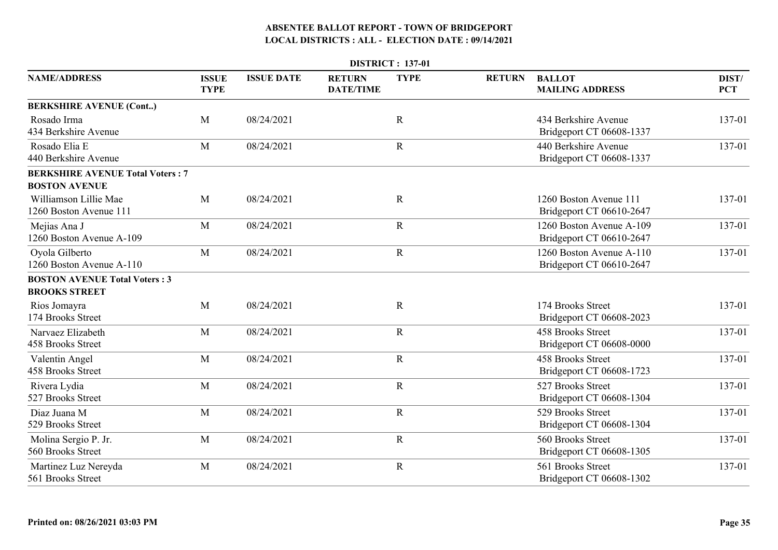|                                                                 |                             |                   |                                   | <b>DISTRICT: 137-01</b> |               |                                                      |                     |
|-----------------------------------------------------------------|-----------------------------|-------------------|-----------------------------------|-------------------------|---------------|------------------------------------------------------|---------------------|
| <b>NAME/ADDRESS</b>                                             | <b>ISSUE</b><br><b>TYPE</b> | <b>ISSUE DATE</b> | <b>RETURN</b><br><b>DATE/TIME</b> | <b>TYPE</b>             | <b>RETURN</b> | <b>BALLOT</b><br><b>MAILING ADDRESS</b>              | DIST/<br><b>PCT</b> |
| <b>BERKSHIRE AVENUE (Cont)</b>                                  |                             |                   |                                   |                         |               |                                                      |                     |
| Rosado Irma<br>434 Berkshire Avenue                             | M                           | 08/24/2021        |                                   | $\mathbf R$             |               | 434 Berkshire Avenue<br>Bridgeport CT 06608-1337     | 137-01              |
| Rosado Elia E<br>440 Berkshire Avenue                           | M                           | 08/24/2021        |                                   | $\mathbf R$             |               | 440 Berkshire Avenue<br>Bridgeport CT 06608-1337     | 137-01              |
| <b>BERKSHIRE AVENUE Total Voters: 7</b><br><b>BOSTON AVENUE</b> |                             |                   |                                   |                         |               |                                                      |                     |
| Williamson Lillie Mae<br>1260 Boston Avenue 111                 | M                           | 08/24/2021        |                                   | $\mathbf R$             |               | 1260 Boston Avenue 111<br>Bridgeport CT 06610-2647   | 137-01              |
| Mejias Ana J<br>1260 Boston Avenue A-109                        | M                           | 08/24/2021        |                                   | $\mathbf R$             |               | 1260 Boston Avenue A-109<br>Bridgeport CT 06610-2647 | 137-01              |
| Oyola Gilberto<br>1260 Boston Avenue A-110                      | M                           | 08/24/2021        |                                   | $\mathbf R$             |               | 1260 Boston Avenue A-110<br>Bridgeport CT 06610-2647 | 137-01              |
| <b>BOSTON AVENUE Total Voters: 3</b>                            |                             |                   |                                   |                         |               |                                                      |                     |
| <b>BROOKS STREET</b>                                            |                             |                   |                                   |                         |               |                                                      |                     |
| Rios Jomayra<br>174 Brooks Street                               | M                           | 08/24/2021        |                                   | $\mathbf R$             |               | 174 Brooks Street<br>Bridgeport CT 06608-2023        | 137-01              |
| Narvaez Elizabeth<br>458 Brooks Street                          | M                           | 08/24/2021        |                                   | $\mathbf R$             |               | 458 Brooks Street<br>Bridgeport CT 06608-0000        | 137-01              |
| Valentin Angel<br>458 Brooks Street                             | M                           | 08/24/2021        |                                   | $\mathbf R$             |               | 458 Brooks Street<br>Bridgeport CT 06608-1723        | 137-01              |
| Rivera Lydia<br>527 Brooks Street                               | M                           | 08/24/2021        |                                   | $\mathbf R$             |               | 527 Brooks Street<br>Bridgeport CT 06608-1304        | 137-01              |
| Diaz Juana M<br>529 Brooks Street                               | M                           | 08/24/2021        |                                   | $\mathbf R$             |               | 529 Brooks Street<br>Bridgeport CT 06608-1304        | 137-01              |
| Molina Sergio P. Jr.<br>560 Brooks Street                       | M                           | 08/24/2021        |                                   | $\mathbf R$             |               | 560 Brooks Street<br>Bridgeport CT 06608-1305        | 137-01              |
| Martinez Luz Nereyda<br>561 Brooks Street                       | M                           | 08/24/2021        |                                   | $\mathbf R$             |               | 561 Brooks Street<br>Bridgeport CT 06608-1302        | 137-01              |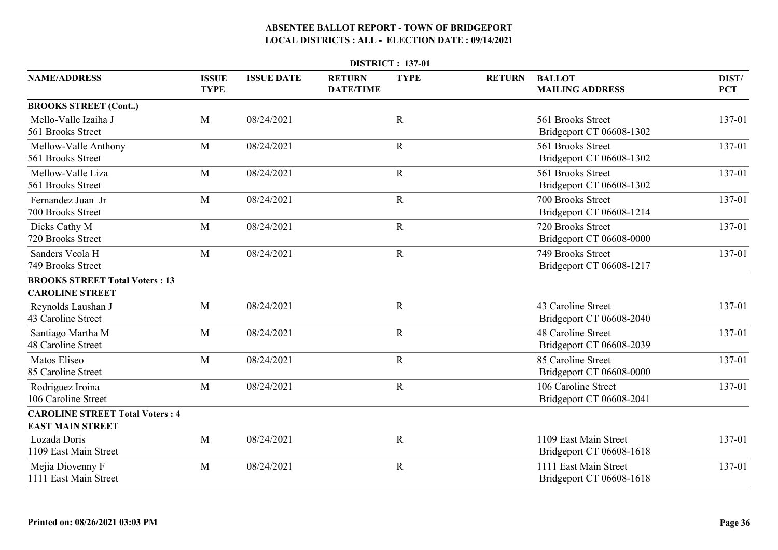| <b>DISTRICT: 137-01</b>                                         |                             |                   |                                   |             |               |                                                   |                     |  |  |  |
|-----------------------------------------------------------------|-----------------------------|-------------------|-----------------------------------|-------------|---------------|---------------------------------------------------|---------------------|--|--|--|
| <b>NAME/ADDRESS</b>                                             | <b>ISSUE</b><br><b>TYPE</b> | <b>ISSUE DATE</b> | <b>RETURN</b><br><b>DATE/TIME</b> | <b>TYPE</b> | <b>RETURN</b> | <b>BALLOT</b><br><b>MAILING ADDRESS</b>           | DIST/<br><b>PCT</b> |  |  |  |
| <b>BROOKS STREET (Cont)</b>                                     |                             |                   |                                   |             |               |                                                   |                     |  |  |  |
| Mello-Valle Izaiha J<br>561 Brooks Street                       | M                           | 08/24/2021        |                                   | $\mathbf R$ |               | 561 Brooks Street<br>Bridgeport CT 06608-1302     | 137-01              |  |  |  |
| Mellow-Valle Anthony<br>561 Brooks Street                       | M                           | 08/24/2021        |                                   | $\mathbf R$ |               | 561 Brooks Street<br>Bridgeport CT 06608-1302     | 137-01              |  |  |  |
| Mellow-Valle Liza<br>561 Brooks Street                          | M                           | 08/24/2021        |                                   | $\mathbf R$ |               | 561 Brooks Street<br>Bridgeport CT 06608-1302     | 137-01              |  |  |  |
| Fernandez Juan Jr<br>700 Brooks Street                          | M                           | 08/24/2021        |                                   | $\mathbf R$ |               | 700 Brooks Street<br>Bridgeport CT 06608-1214     | 137-01              |  |  |  |
| Dicks Cathy M<br>720 Brooks Street                              | M                           | 08/24/2021        |                                   | $\mathbf R$ |               | 720 Brooks Street<br>Bridgeport CT 06608-0000     | 137-01              |  |  |  |
| Sanders Veola H<br>749 Brooks Street                            | M                           | 08/24/2021        |                                   | $\mathbf R$ |               | 749 Brooks Street<br>Bridgeport CT 06608-1217     | 137-01              |  |  |  |
| <b>BROOKS STREET Total Voters: 13</b><br><b>CAROLINE STREET</b> |                             |                   |                                   |             |               |                                                   |                     |  |  |  |
| Reynolds Laushan J<br>43 Caroline Street                        | M                           | 08/24/2021        |                                   | $\mathbf R$ |               | 43 Caroline Street<br>Bridgeport CT 06608-2040    | 137-01              |  |  |  |
| Santiago Martha M<br>48 Caroline Street                         | M                           | 08/24/2021        |                                   | $\mathbf R$ |               | 48 Caroline Street<br>Bridgeport CT 06608-2039    | 137-01              |  |  |  |
| Matos Eliseo<br>85 Caroline Street                              | M                           | 08/24/2021        |                                   | $\mathbf R$ |               | 85 Caroline Street<br>Bridgeport CT 06608-0000    | 137-01              |  |  |  |
| Rodriguez Iroina<br>106 Caroline Street                         | M                           | 08/24/2021        |                                   | $\mathbf R$ |               | 106 Caroline Street<br>Bridgeport CT 06608-2041   | 137-01              |  |  |  |
| <b>CAROLINE STREET Total Voters: 4</b>                          |                             |                   |                                   |             |               |                                                   |                     |  |  |  |
| <b>EAST MAIN STREET</b>                                         |                             |                   |                                   |             |               |                                                   |                     |  |  |  |
| Lozada Doris<br>1109 East Main Street                           | M                           | 08/24/2021        |                                   | $\mathbf R$ |               | 1109 East Main Street<br>Bridgeport CT 06608-1618 | 137-01              |  |  |  |
| Mejia Diovenny F<br>1111 East Main Street                       | M                           | 08/24/2021        |                                   | $\mathbf R$ |               | 1111 East Main Street<br>Bridgeport CT 06608-1618 | 137-01              |  |  |  |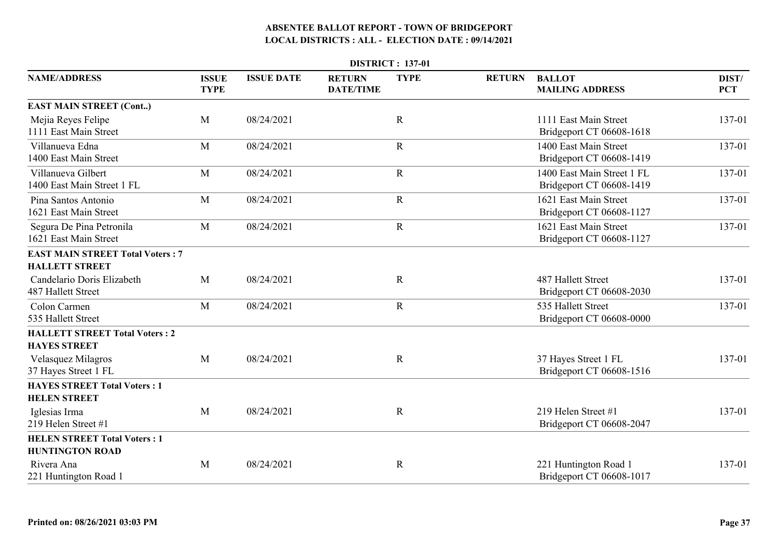| <b>DISTRICT: 137-01</b>                                       |                             |                   |                                   |             |               |                                                        |                     |  |  |  |
|---------------------------------------------------------------|-----------------------------|-------------------|-----------------------------------|-------------|---------------|--------------------------------------------------------|---------------------|--|--|--|
| <b>NAME/ADDRESS</b>                                           | <b>ISSUE</b><br><b>TYPE</b> | <b>ISSUE DATE</b> | <b>RETURN</b><br><b>DATE/TIME</b> | <b>TYPE</b> | <b>RETURN</b> | <b>BALLOT</b><br><b>MAILING ADDRESS</b>                | DIST/<br><b>PCT</b> |  |  |  |
| <b>EAST MAIN STREET (Cont)</b>                                |                             |                   |                                   |             |               |                                                        |                     |  |  |  |
| Mejia Reyes Felipe<br>1111 East Main Street                   | M                           | 08/24/2021        |                                   | $\mathbf R$ |               | 1111 East Main Street<br>Bridgeport CT 06608-1618      | 137-01              |  |  |  |
| Villanueva Edna<br>1400 East Main Street                      | M                           | 08/24/2021        |                                   | $\mathbf R$ |               | 1400 East Main Street<br>Bridgeport CT 06608-1419      | 137-01              |  |  |  |
| Villanueva Gilbert<br>1400 East Main Street 1 FL              | M                           | 08/24/2021        |                                   | $\mathbf R$ |               | 1400 East Main Street 1 FL<br>Bridgeport CT 06608-1419 | 137-01              |  |  |  |
| Pina Santos Antonio<br>1621 East Main Street                  | M                           | 08/24/2021        |                                   | $\mathbf R$ |               | 1621 East Main Street<br>Bridgeport CT 06608-1127      | 137-01              |  |  |  |
| Segura De Pina Petronila<br>1621 East Main Street             | M                           | 08/24/2021        |                                   | $\mathbf R$ |               | 1621 East Main Street<br>Bridgeport CT 06608-1127      | 137-01              |  |  |  |
| <b>EAST MAIN STREET Total Voters: 7</b>                       |                             |                   |                                   |             |               |                                                        |                     |  |  |  |
| <b>HALLETT STREET</b>                                         |                             |                   |                                   |             |               |                                                        |                     |  |  |  |
| Candelario Doris Elizabeth<br>487 Hallett Street              | M                           | 08/24/2021        |                                   | $\mathbf R$ |               | 487 Hallett Street<br>Bridgeport CT 06608-2030         | 137-01              |  |  |  |
| Colon Carmen<br>535 Hallett Street                            | M                           | 08/24/2021        |                                   | $\mathbf R$ |               | 535 Hallett Street<br>Bridgeport CT 06608-0000         | 137-01              |  |  |  |
| <b>HALLETT STREET Total Voters: 2</b><br><b>HAYES STREET</b>  |                             |                   |                                   |             |               |                                                        |                     |  |  |  |
| Velasquez Milagros<br>37 Hayes Street 1 FL                    | M                           | 08/24/2021        |                                   | $\mathbf R$ |               | 37 Hayes Street 1 FL<br>Bridgeport CT 06608-1516       | 137-01              |  |  |  |
| <b>HAYES STREET Total Voters: 1</b><br><b>HELEN STREET</b>    |                             |                   |                                   |             |               |                                                        |                     |  |  |  |
| Iglesias Irma<br>219 Helen Street #1                          | M                           | 08/24/2021        |                                   | ${\bf R}$   |               | 219 Helen Street #1<br>Bridgeport CT 06608-2047        | 137-01              |  |  |  |
| <b>HELEN STREET Total Voters: 1</b><br><b>HUNTINGTON ROAD</b> |                             |                   |                                   |             |               |                                                        |                     |  |  |  |
| Rivera Ana<br>221 Huntington Road 1                           | M                           | 08/24/2021        |                                   | $\mathbf R$ |               | 221 Huntington Road 1<br>Bridgeport CT 06608-1017      | 137-01              |  |  |  |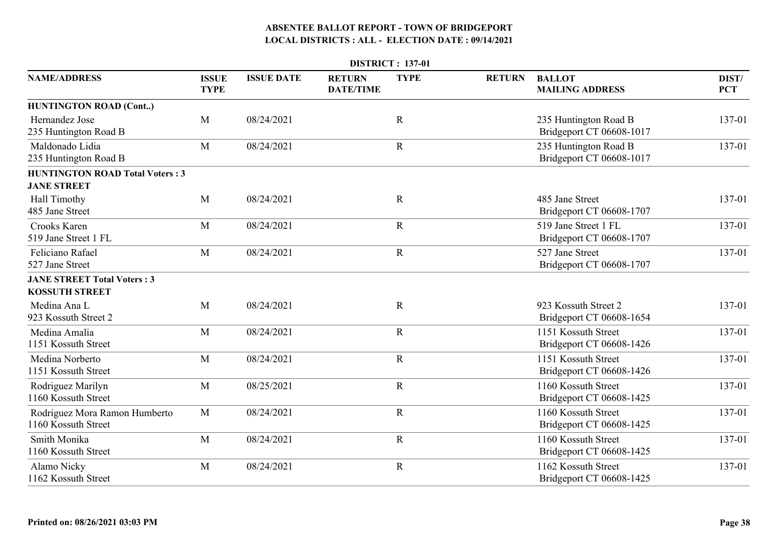|                                                              | <b>DISTRICT: 137-01</b>     |                   |                                   |             |               |                                                   |                     |  |  |  |
|--------------------------------------------------------------|-----------------------------|-------------------|-----------------------------------|-------------|---------------|---------------------------------------------------|---------------------|--|--|--|
| <b>NAME/ADDRESS</b>                                          | <b>ISSUE</b><br><b>TYPE</b> | <b>ISSUE DATE</b> | <b>RETURN</b><br><b>DATE/TIME</b> | <b>TYPE</b> | <b>RETURN</b> | <b>BALLOT</b><br><b>MAILING ADDRESS</b>           | DIST/<br><b>PCT</b> |  |  |  |
| <b>HUNTINGTON ROAD (Cont)</b>                                |                             |                   |                                   |             |               |                                                   |                     |  |  |  |
| Hernandez Jose<br>235 Huntington Road B                      | M                           | 08/24/2021        |                                   | $\mathbf R$ |               | 235 Huntington Road B<br>Bridgeport CT 06608-1017 | 137-01              |  |  |  |
| Maldonado Lidia<br>235 Huntington Road B                     | M                           | 08/24/2021        |                                   | $\mathbf R$ |               | 235 Huntington Road B<br>Bridgeport CT 06608-1017 | 137-01              |  |  |  |
| <b>HUNTINGTON ROAD Total Voters: 3</b><br><b>JANE STREET</b> |                             |                   |                                   |             |               |                                                   |                     |  |  |  |
| Hall Timothy<br>485 Jane Street                              | M                           | 08/24/2021        |                                   | $\mathbf R$ |               | 485 Jane Street<br>Bridgeport CT 06608-1707       | 137-01              |  |  |  |
| Crooks Karen<br>519 Jane Street 1 FL                         | M                           | 08/24/2021        |                                   | $\mathbf R$ |               | 519 Jane Street 1 FL<br>Bridgeport CT 06608-1707  | 137-01              |  |  |  |
| Feliciano Rafael<br>527 Jane Street                          | M                           | 08/24/2021        |                                   | $\mathbf R$ |               | 527 Jane Street<br>Bridgeport CT 06608-1707       | 137-01              |  |  |  |
| <b>JANE STREET Total Voters: 3</b><br><b>KOSSUTH STREET</b>  |                             |                   |                                   |             |               |                                                   |                     |  |  |  |
| Medina Ana L<br>923 Kossuth Street 2                         | M                           | 08/24/2021        |                                   | $\mathbf R$ |               | 923 Kossuth Street 2<br>Bridgeport CT 06608-1654  | 137-01              |  |  |  |
| Medina Amalia<br>1151 Kossuth Street                         | M                           | 08/24/2021        |                                   | $\mathbf R$ |               | 1151 Kossuth Street<br>Bridgeport CT 06608-1426   | 137-01              |  |  |  |
| Medina Norberto<br>1151 Kossuth Street                       | M                           | 08/24/2021        |                                   | $\mathbf R$ |               | 1151 Kossuth Street<br>Bridgeport CT 06608-1426   | 137-01              |  |  |  |
| Rodriguez Marilyn<br>1160 Kossuth Street                     | M                           | 08/25/2021        |                                   | $\mathbf R$ |               | 1160 Kossuth Street<br>Bridgeport CT 06608-1425   | 137-01              |  |  |  |
| Rodriguez Mora Ramon Humberto<br>1160 Kossuth Street         | $\mathbf{M}$                | 08/24/2021        |                                   | $\mathbf R$ |               | 1160 Kossuth Street<br>Bridgeport CT 06608-1425   | 137-01              |  |  |  |
| Smith Monika<br>1160 Kossuth Street                          | M                           | 08/24/2021        |                                   | $\mathbf R$ |               | 1160 Kossuth Street<br>Bridgeport CT 06608-1425   | 137-01              |  |  |  |
| Alamo Nicky<br>1162 Kossuth Street                           | M                           | 08/24/2021        |                                   | $\mathbf R$ |               | 1162 Kossuth Street<br>Bridgeport CT 06608-1425   | 137-01              |  |  |  |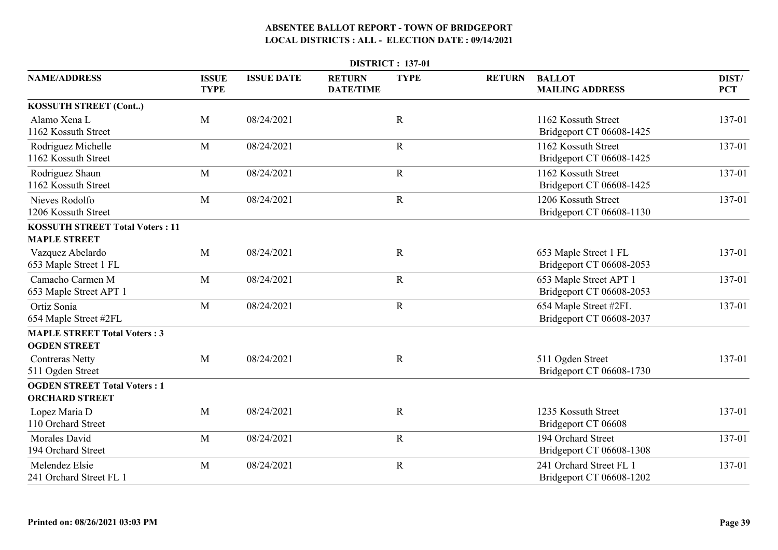| <b>DISTRICT: 137-01</b>                                      |                             |                   |                                   |             |               |                                                     |                     |  |  |  |
|--------------------------------------------------------------|-----------------------------|-------------------|-----------------------------------|-------------|---------------|-----------------------------------------------------|---------------------|--|--|--|
| <b>NAME/ADDRESS</b>                                          | <b>ISSUE</b><br><b>TYPE</b> | <b>ISSUE DATE</b> | <b>RETURN</b><br><b>DATE/TIME</b> | <b>TYPE</b> | <b>RETURN</b> | <b>BALLOT</b><br><b>MAILING ADDRESS</b>             | DIST/<br><b>PCT</b> |  |  |  |
| <b>KOSSUTH STREET (Cont)</b>                                 |                             |                   |                                   |             |               |                                                     |                     |  |  |  |
| Alamo Xena L<br>1162 Kossuth Street                          | M                           | 08/24/2021        |                                   | $\mathbf R$ |               | 1162 Kossuth Street<br>Bridgeport CT 06608-1425     | 137-01              |  |  |  |
| Rodriguez Michelle<br>1162 Kossuth Street                    | M                           | 08/24/2021        |                                   | $\mathbf R$ |               | 1162 Kossuth Street<br>Bridgeport CT 06608-1425     | 137-01              |  |  |  |
| Rodriguez Shaun<br>1162 Kossuth Street                       | M                           | 08/24/2021        |                                   | ${\bf R}$   |               | 1162 Kossuth Street<br>Bridgeport CT 06608-1425     | 137-01              |  |  |  |
| Nieves Rodolfo<br>1206 Kossuth Street                        | M                           | 08/24/2021        |                                   | $\mathbf R$ |               | 1206 Kossuth Street<br>Bridgeport CT 06608-1130     | 137-01              |  |  |  |
| <b>KOSSUTH STREET Total Voters: 11</b>                       |                             |                   |                                   |             |               |                                                     |                     |  |  |  |
| <b>MAPLE STREET</b>                                          |                             |                   |                                   |             |               |                                                     |                     |  |  |  |
| Vazquez Abelardo<br>653 Maple Street 1 FL                    | M                           | 08/24/2021        |                                   | $\mathbf R$ |               | 653 Maple Street 1 FL<br>Bridgeport CT 06608-2053   | 137-01              |  |  |  |
| Camacho Carmen M<br>653 Maple Street APT 1                   | M                           | 08/24/2021        |                                   | $\mathbf R$ |               | 653 Maple Street APT 1<br>Bridgeport CT 06608-2053  | 137-01              |  |  |  |
| Ortiz Sonia<br>654 Maple Street #2FL                         | M                           | 08/24/2021        |                                   | $\mathbf R$ |               | 654 Maple Street #2FL<br>Bridgeport CT 06608-2037   | 137-01              |  |  |  |
| <b>MAPLE STREET Total Voters: 3</b><br><b>OGDEN STREET</b>   |                             |                   |                                   |             |               |                                                     |                     |  |  |  |
| <b>Contreras Netty</b><br>511 Ogden Street                   | M                           | 08/24/2021        |                                   | $\mathbf R$ |               | 511 Ogden Street<br>Bridgeport CT 06608-1730        | 137-01              |  |  |  |
| <b>OGDEN STREET Total Voters: 1</b><br><b>ORCHARD STREET</b> |                             |                   |                                   |             |               |                                                     |                     |  |  |  |
| Lopez Maria D<br>110 Orchard Street                          | M                           | 08/24/2021        |                                   | $\mathbf R$ |               | 1235 Kossuth Street<br>Bridgeport CT 06608          | 137-01              |  |  |  |
| <b>Morales David</b><br>194 Orchard Street                   | M                           | 08/24/2021        |                                   | $\mathbf R$ |               | 194 Orchard Street<br>Bridgeport CT 06608-1308      | 137-01              |  |  |  |
| Melendez Elsie<br>241 Orchard Street FL 1                    | M                           | 08/24/2021        |                                   | $\mathbf R$ |               | 241 Orchard Street FL 1<br>Bridgeport CT 06608-1202 | 137-01              |  |  |  |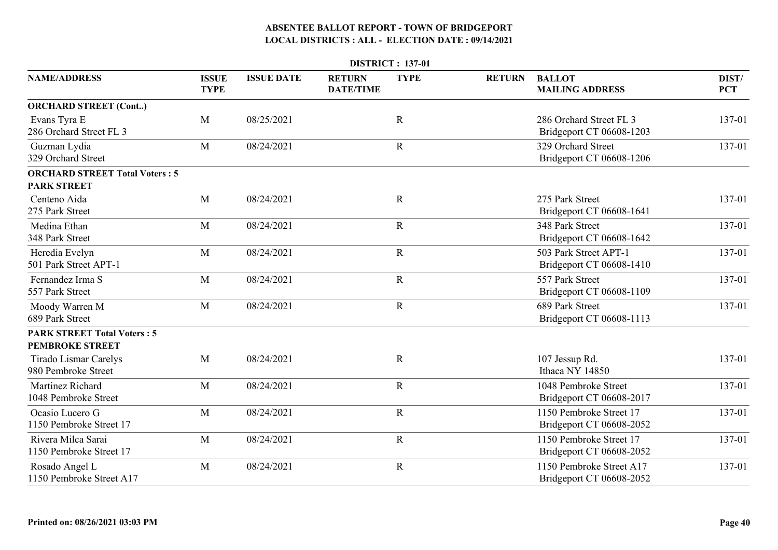|                                                              |                             |                   |                                   | <b>DISTRICT: 137-01</b> |               |                                                      |                     |
|--------------------------------------------------------------|-----------------------------|-------------------|-----------------------------------|-------------------------|---------------|------------------------------------------------------|---------------------|
| <b>NAME/ADDRESS</b>                                          | <b>ISSUE</b><br><b>TYPE</b> | <b>ISSUE DATE</b> | <b>RETURN</b><br><b>DATE/TIME</b> | <b>TYPE</b>             | <b>RETURN</b> | <b>BALLOT</b><br><b>MAILING ADDRESS</b>              | DIST/<br><b>PCT</b> |
| <b>ORCHARD STREET (Cont)</b>                                 |                             |                   |                                   |                         |               |                                                      |                     |
| Evans Tyra E<br>286 Orchard Street FL 3                      | M                           | 08/25/2021        |                                   | $\mathbf R$             |               | 286 Orchard Street FL 3<br>Bridgeport CT 06608-1203  | 137-01              |
| Guzman Lydia<br>329 Orchard Street                           | M                           | 08/24/2021        |                                   | $\mathbf R$             |               | 329 Orchard Street<br>Bridgeport CT 06608-1206       | 137-01              |
| <b>ORCHARD STREET Total Voters: 5</b><br><b>PARK STREET</b>  |                             |                   |                                   |                         |               |                                                      |                     |
| Centeno Aida<br>275 Park Street                              | M                           | 08/24/2021        |                                   | $\mathbf R$             |               | 275 Park Street<br>Bridgeport CT 06608-1641          | 137-01              |
| Medina Ethan<br>348 Park Street                              | M                           | 08/24/2021        |                                   | $\mathbf R$             |               | 348 Park Street<br>Bridgeport CT 06608-1642          | 137-01              |
| Heredia Evelyn<br>501 Park Street APT-1                      | M                           | 08/24/2021        |                                   | ${\bf R}$               |               | 503 Park Street APT-1<br>Bridgeport CT 06608-1410    | 137-01              |
| Fernandez Irma S<br>557 Park Street                          | M                           | 08/24/2021        |                                   | $\mathbf R$             |               | 557 Park Street<br>Bridgeport CT 06608-1109          | 137-01              |
| Moody Warren M<br>689 Park Street                            | M                           | 08/24/2021        |                                   | ${\bf R}$               |               | 689 Park Street<br>Bridgeport CT 06608-1113          | 137-01              |
| <b>PARK STREET Total Voters: 5</b><br><b>PEMBROKE STREET</b> |                             |                   |                                   |                         |               |                                                      |                     |
| <b>Tirado Lismar Carelys</b><br>980 Pembroke Street          | M                           | 08/24/2021        |                                   | $\mathbf R$             |               | 107 Jessup Rd.<br>Ithaca NY 14850                    | 137-01              |
| Martinez Richard<br>1048 Pembroke Street                     | M                           | 08/24/2021        |                                   | $\mathbf R$             |               | 1048 Pembroke Street<br>Bridgeport CT 06608-2017     | 137-01              |
| Ocasio Lucero G<br>1150 Pembroke Street 17                   | M                           | 08/24/2021        |                                   | $\mathbf R$             |               | 1150 Pembroke Street 17<br>Bridgeport CT 06608-2052  | 137-01              |
| Rivera Milca Sarai<br>1150 Pembroke Street 17                | M                           | 08/24/2021        |                                   | $\mathbf R$             |               | 1150 Pembroke Street 17<br>Bridgeport CT 06608-2052  | 137-01              |
| Rosado Angel L<br>1150 Pembroke Street A17                   | M                           | 08/24/2021        |                                   | $\mathbf R$             |               | 1150 Pembroke Street A17<br>Bridgeport CT 06608-2052 | 137-01              |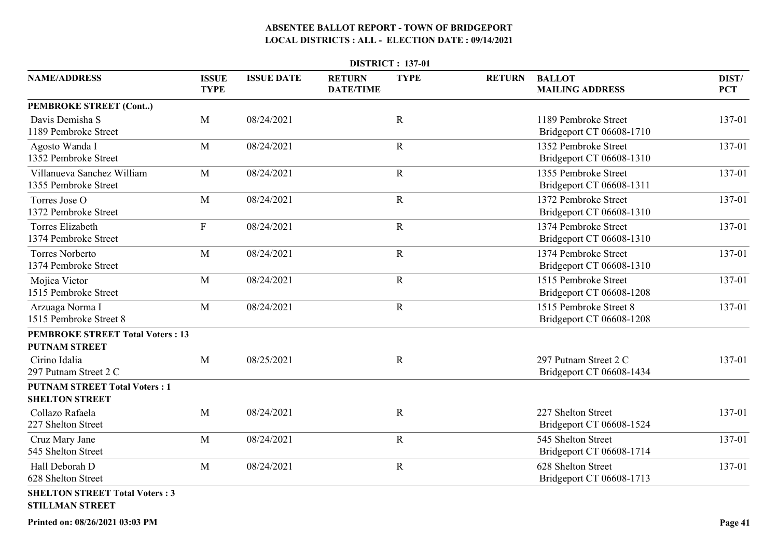|                                                                 |                             |                   |                                   | <b>DISTRICT: 137-01</b> |               |                                                    |                     |
|-----------------------------------------------------------------|-----------------------------|-------------------|-----------------------------------|-------------------------|---------------|----------------------------------------------------|---------------------|
| <b>NAME/ADDRESS</b>                                             | <b>ISSUE</b><br><b>TYPE</b> | <b>ISSUE DATE</b> | <b>RETURN</b><br><b>DATE/TIME</b> | <b>TYPE</b>             | <b>RETURN</b> | <b>BALLOT</b><br><b>MAILING ADDRESS</b>            | DIST/<br><b>PCT</b> |
| PEMBROKE STREET (Cont)                                          |                             |                   |                                   |                         |               |                                                    |                     |
| Davis Demisha S<br>1189 Pembroke Street                         | M                           | 08/24/2021        |                                   | $\mathbf R$             |               | 1189 Pembroke Street<br>Bridgeport CT 06608-1710   | 137-01              |
| Agosto Wanda I<br>1352 Pembroke Street                          | $\mathbf{M}$                | 08/24/2021        |                                   | $\mathbf R$             |               | 1352 Pembroke Street<br>Bridgeport CT 06608-1310   | 137-01              |
| Villanueva Sanchez William<br>1355 Pembroke Street              | M                           | 08/24/2021        |                                   | $\mathbf R$             |               | 1355 Pembroke Street<br>Bridgeport CT 06608-1311   | 137-01              |
| Torres Jose O<br>1372 Pembroke Street                           | M                           | 08/24/2021        |                                   | $\mathbf R$             |               | 1372 Pembroke Street<br>Bridgeport CT 06608-1310   | 137-01              |
| <b>Torres Elizabeth</b><br>1374 Pembroke Street                 | $\boldsymbol{\mathrm{F}}$   | 08/24/2021        |                                   | $\mathbf R$             |               | 1374 Pembroke Street<br>Bridgeport CT 06608-1310   | 137-01              |
| <b>Torres Norberto</b><br>1374 Pembroke Street                  | $\mathbf{M}$                | 08/24/2021        |                                   | $\mathbf R$             |               | 1374 Pembroke Street<br>Bridgeport CT 06608-1310   | 137-01              |
| Mojica Victor<br>1515 Pembroke Street                           | M                           | 08/24/2021        |                                   | $\mathbf R$             |               | 1515 Pembroke Street<br>Bridgeport CT 06608-1208   | 137-01              |
| Arzuaga Norma I<br>1515 Pembroke Street 8                       | M                           | 08/24/2021        |                                   | ${\bf R}$               |               | 1515 Pembroke Street 8<br>Bridgeport CT 06608-1208 | 137-01              |
| <b>PEMBROKE STREET Total Voters: 13</b>                         |                             |                   |                                   |                         |               |                                                    |                     |
| <b>PUTNAM STREET</b>                                            |                             |                   |                                   |                         |               |                                                    |                     |
| Cirino Idalia<br>297 Putnam Street 2 C                          | M                           | 08/25/2021        |                                   | $\mathbf R$             |               | 297 Putnam Street 2 C<br>Bridgeport CT 06608-1434  | 137-01              |
| <b>PUTNAM STREET Total Voters: 1</b>                            |                             |                   |                                   |                         |               |                                                    |                     |
| <b>SHELTON STREET</b>                                           |                             |                   |                                   |                         |               |                                                    |                     |
| Collazo Rafaela<br>227 Shelton Street                           | $\mathbf{M}$                | 08/24/2021        |                                   | $\mathbf R$             |               | 227 Shelton Street<br>Bridgeport CT 06608-1524     | 137-01              |
| Cruz Mary Jane<br>545 Shelton Street                            | M                           | 08/24/2021        |                                   | $\mathbf R$             |               | 545 Shelton Street<br>Bridgeport CT 06608-1714     | 137-01              |
| Hall Deborah D<br>628 Shelton Street                            | $\mathbf{M}$                | 08/24/2021        |                                   | $\mathbf R$             |               | 628 Shelton Street<br>Bridgeport CT 06608-1713     | 137-01              |
| <b>SHELTON STREET Total Voters: 3</b><br><b>STILLMAN STREET</b> |                             |                   |                                   |                         |               |                                                    |                     |

**Printed on: 08/26/2021 03:03 PM**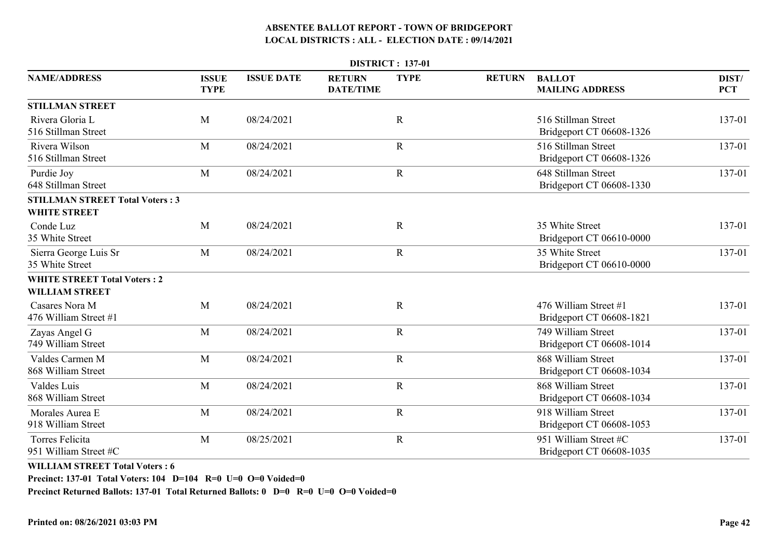| <b>DISTRICT: 137-01</b>                                       |                             |                   |                                   |             |               |                                                   |                     |  |  |  |
|---------------------------------------------------------------|-----------------------------|-------------------|-----------------------------------|-------------|---------------|---------------------------------------------------|---------------------|--|--|--|
| <b>NAME/ADDRESS</b>                                           | <b>ISSUE</b><br><b>TYPE</b> | <b>ISSUE DATE</b> | <b>RETURN</b><br><b>DATE/TIME</b> | <b>TYPE</b> | <b>RETURN</b> | <b>BALLOT</b><br><b>MAILING ADDRESS</b>           | DIST/<br><b>PCT</b> |  |  |  |
| <b>STILLMAN STREET</b>                                        |                             |                   |                                   |             |               |                                                   |                     |  |  |  |
| Rivera Gloria L<br>516 Stillman Street                        | M                           | 08/24/2021        |                                   | $\mathbf R$ |               | 516 Stillman Street<br>Bridgeport CT 06608-1326   | 137-01              |  |  |  |
| Rivera Wilson<br>516 Stillman Street                          | M                           | 08/24/2021        |                                   | $\mathbf R$ |               | 516 Stillman Street<br>Bridgeport CT 06608-1326   | 137-01              |  |  |  |
| Purdie Joy<br>648 Stillman Street                             | M                           | 08/24/2021        |                                   | $\mathbf R$ |               | 648 Stillman Street<br>Bridgeport CT 06608-1330   | 137-01              |  |  |  |
| <b>STILLMAN STREET Total Voters: 3</b><br><b>WHITE STREET</b> |                             |                   |                                   |             |               |                                                   |                     |  |  |  |
| Conde Luz<br>35 White Street                                  | M                           | 08/24/2021        |                                   | $\mathbf R$ |               | 35 White Street<br>Bridgeport CT 06610-0000       | 137-01              |  |  |  |
| Sierra George Luis Sr<br>35 White Street                      | M                           | 08/24/2021        |                                   | $\mathbf R$ |               | 35 White Street<br>Bridgeport CT 06610-0000       | 137-01              |  |  |  |
| <b>WHITE STREET Total Voters: 2</b><br><b>WILLIAM STREET</b>  |                             |                   |                                   |             |               |                                                   |                     |  |  |  |
| Casares Nora M<br>476 William Street #1                       | M                           | 08/24/2021        |                                   | R           |               | 476 William Street #1<br>Bridgeport CT 06608-1821 | 137-01              |  |  |  |
| Zayas Angel G<br>749 William Street                           | M                           | 08/24/2021        |                                   | $\mathbf R$ |               | 749 William Street<br>Bridgeport CT 06608-1014    | 137-01              |  |  |  |
| Valdes Carmen M<br>868 William Street                         | M                           | 08/24/2021        |                                   | $\mathbf R$ |               | 868 William Street<br>Bridgeport CT 06608-1034    | 137-01              |  |  |  |
| Valdes Luis<br>868 William Street                             | M                           | 08/24/2021        |                                   | $\mathbf R$ |               | 868 William Street<br>Bridgeport CT 06608-1034    | 137-01              |  |  |  |
| Morales Aurea E<br>918 William Street                         | M                           | 08/24/2021        |                                   | $\mathbf R$ |               | 918 William Street<br>Bridgeport CT 06608-1053    | 137-01              |  |  |  |
| <b>Torres Felicita</b><br>951 William Street #C               | M                           | 08/25/2021        |                                   | $\mathbf R$ |               | 951 William Street #C<br>Bridgeport CT 06608-1035 | 137-01              |  |  |  |
|                                                               |                             |                   |                                   |             |               |                                                   |                     |  |  |  |

**WILLIAM STREET Total Voters : 6**

**Precinct: 137-01 Total Voters: 104 D=104 R=0 U=0 O=0 Voided=0**

**Precinct Returned Ballots: 137-01 Total Returned Ballots: 0 D=0 R=0 U=0 O=0 Voided=0**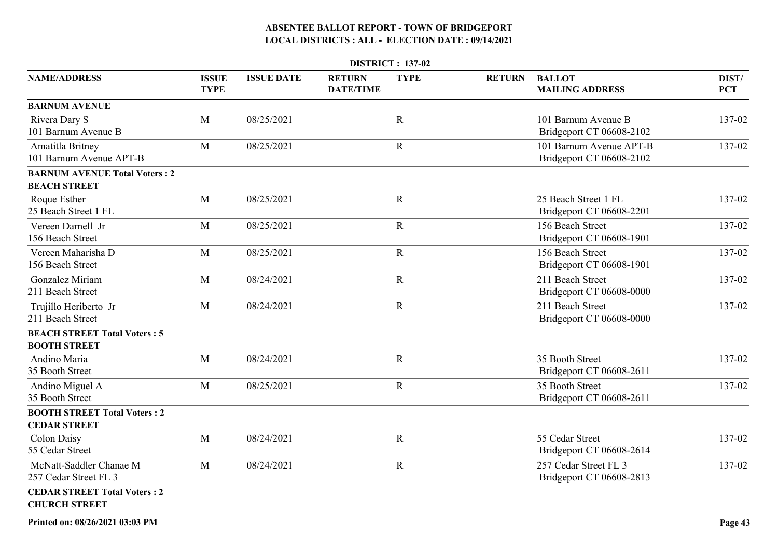|                                                             |                             |                   |                                   | <b>DISTRICT: 137-02</b> |               |                                                     |                     |
|-------------------------------------------------------------|-----------------------------|-------------------|-----------------------------------|-------------------------|---------------|-----------------------------------------------------|---------------------|
| <b>NAME/ADDRESS</b>                                         | <b>ISSUE</b><br><b>TYPE</b> | <b>ISSUE DATE</b> | <b>RETURN</b><br><b>DATE/TIME</b> | <b>TYPE</b>             | <b>RETURN</b> | <b>BALLOT</b><br><b>MAILING ADDRESS</b>             | DIST/<br><b>PCT</b> |
| <b>BARNUM AVENUE</b>                                        |                             |                   |                                   |                         |               |                                                     |                     |
| Rivera Dary S<br>101 Barnum Avenue B                        | M                           | 08/25/2021        |                                   | $\mathbf R$             |               | 101 Barnum Avenue B<br>Bridgeport CT 06608-2102     | 137-02              |
| Amatitla Britney<br>101 Barnum Avenue APT-B                 | M                           | 08/25/2021        |                                   | $\mathbf R$             |               | 101 Barnum Avenue APT-B<br>Bridgeport CT 06608-2102 | 137-02              |
| <b>BARNUM AVENUE Total Voters: 2</b>                        |                             |                   |                                   |                         |               |                                                     |                     |
| <b>BEACH STREET</b>                                         |                             |                   |                                   |                         |               |                                                     |                     |
| Roque Esther<br>25 Beach Street 1 FL                        | M                           | 08/25/2021        |                                   | $\mathbf R$             |               | 25 Beach Street 1 FL<br>Bridgeport CT 06608-2201    | 137-02              |
| Vereen Darnell Jr<br>156 Beach Street                       | M                           | 08/25/2021        |                                   | $\mathbf R$             |               | 156 Beach Street<br>Bridgeport CT 06608-1901        | 137-02              |
| Vereen Maharisha D<br>156 Beach Street                      | M                           | 08/25/2021        |                                   | $\mathbf R$             |               | 156 Beach Street<br>Bridgeport CT 06608-1901        | 137-02              |
| Gonzalez Miriam<br>211 Beach Street                         | M                           | 08/24/2021        |                                   | $\mathbf R$             |               | 211 Beach Street<br>Bridgeport CT 06608-0000        | 137-02              |
| Trujillo Heriberto Jr<br>211 Beach Street                   | M                           | 08/24/2021        |                                   | $\mathbf R$             |               | 211 Beach Street<br>Bridgeport CT 06608-0000        | 137-02              |
| <b>BEACH STREET Total Voters: 5</b>                         |                             |                   |                                   |                         |               |                                                     |                     |
| <b>BOOTH STREET</b>                                         |                             |                   |                                   |                         |               |                                                     |                     |
| Andino Maria<br>35 Booth Street                             | M                           | 08/24/2021        |                                   | $\mathbf R$             |               | 35 Booth Street<br>Bridgeport CT 06608-2611         | 137-02              |
| Andino Miguel A<br>35 Booth Street                          | M                           | 08/25/2021        |                                   | $\mathbf R$             |               | 35 Booth Street<br>Bridgeport CT 06608-2611         | 137-02              |
| <b>BOOTH STREET Total Voters: 2</b><br><b>CEDAR STREET</b>  |                             |                   |                                   |                         |               |                                                     |                     |
| Colon Daisy<br>55 Cedar Street                              | M                           | 08/24/2021        |                                   | $\mathbf R$             |               | 55 Cedar Street<br>Bridgeport CT 06608-2614         | 137-02              |
| McNatt-Saddler Chanae M<br>257 Cedar Street FL 3            | M                           | 08/24/2021        |                                   | $\mathbf R$             |               | 257 Cedar Street FL 3<br>Bridgeport CT 06608-2813   | 137-02              |
| <b>CEDAR STREET Total Voters: 2</b><br><b>CHURCH STREET</b> |                             |                   |                                   |                         |               |                                                     |                     |

**Printed on: 08/26/2021 03:03 PM**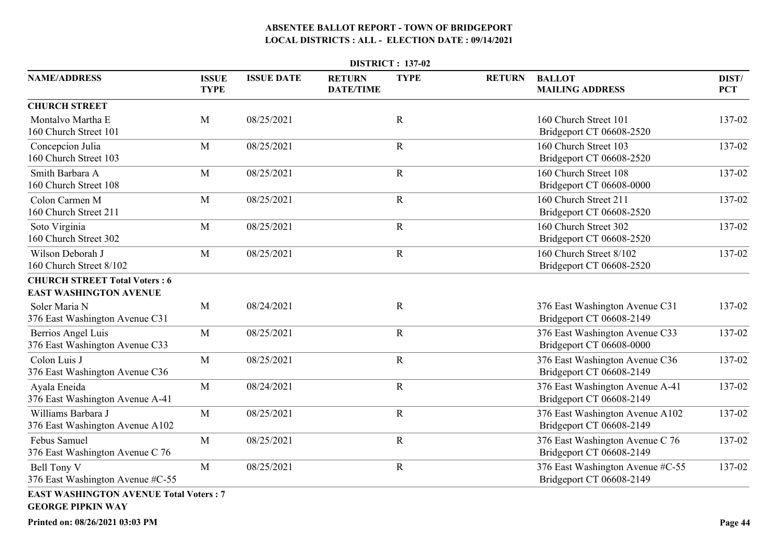| <b>DISTRICT: 137-02</b>                                                   |                             |                   |                                   |              |               |                                                              |                     |  |  |
|---------------------------------------------------------------------------|-----------------------------|-------------------|-----------------------------------|--------------|---------------|--------------------------------------------------------------|---------------------|--|--|
| <b>NAME/ADDRESS</b>                                                       | <b>ISSUE</b><br><b>TYPE</b> | <b>ISSUE DATE</b> | <b>RETURN</b><br><b>DATE/TIME</b> | <b>TYPE</b>  | <b>RETURN</b> | <b>BALLOT</b><br><b>MAILING ADDRESS</b>                      | DIST/<br><b>PCT</b> |  |  |
| <b>CHURCH STREET</b>                                                      |                             |                   |                                   |              |               |                                                              |                     |  |  |
| Montalvo Martha E<br>160 Church Street 101                                | M                           | 08/25/2021        |                                   | $\mathbf R$  |               | 160 Church Street 101<br>Bridgeport CT 06608-2520            | 137-02              |  |  |
| Concepcion Julia<br>160 Church Street 103                                 | M                           | 08/25/2021        |                                   | $\mathbf R$  |               | 160 Church Street 103<br>Bridgeport CT 06608-2520            | 137-02              |  |  |
| Smith Barbara A<br>160 Church Street 108                                  | M                           | 08/25/2021        |                                   | $\mathbf R$  |               | 160 Church Street 108<br>Bridgeport CT 06608-0000            | 137-02              |  |  |
| Colon Carmen M<br>160 Church Street 211                                   | M                           | 08/25/2021        |                                   | $\mathbf R$  |               | 160 Church Street 211<br>Bridgeport CT 06608-2520            | 137-02              |  |  |
| Soto Virginia<br>160 Church Street 302                                    | M                           | 08/25/2021        |                                   | $\mathbf R$  |               | 160 Church Street 302<br>Bridgeport CT 06608-2520            | 137-02              |  |  |
| Wilson Deborah J<br>160 Church Street 8/102                               | M                           | 08/25/2021        |                                   | $\mathbf R$  |               | 160 Church Street 8/102<br>Bridgeport CT 06608-2520          | 137-02              |  |  |
| <b>CHURCH STREET Total Voters: 6</b>                                      |                             |                   |                                   |              |               |                                                              |                     |  |  |
| <b>EAST WASHINGTON AVENUE</b>                                             |                             |                   |                                   |              |               |                                                              |                     |  |  |
| Soler Maria N<br>376 East Washington Avenue C31                           | M                           | 08/24/2021        |                                   | $\mathbf R$  |               | 376 East Washington Avenue C31<br>Bridgeport CT 06608-2149   | 137-02              |  |  |
| Berrios Angel Luis<br>376 East Washington Avenue C33                      | M                           | 08/25/2021        |                                   | $\mathbf R$  |               | 376 East Washington Avenue C33<br>Bridgeport CT 06608-0000   | 137-02              |  |  |
| Colon Luis J<br>376 East Washington Avenue C36                            | M                           | 08/25/2021        |                                   | $\mathbf R$  |               | 376 East Washington Avenue C36<br>Bridgeport CT 06608-2149   | 137-02              |  |  |
| Ayala Eneida<br>376 East Washington Avenue A-41                           | M                           | 08/24/2021        |                                   | $\mathbb{R}$ |               | 376 East Washington Avenue A-41<br>Bridgeport CT 06608-2149  | 137-02              |  |  |
| Williams Barbara J<br>376 East Washington Avenue A102                     | M                           | 08/25/2021        |                                   | $\mathbf R$  |               | 376 East Washington Avenue A102<br>Bridgeport CT 06608-2149  | 137-02              |  |  |
| Febus Samuel<br>376 East Washington Avenue C 76                           | M                           | 08/25/2021        |                                   | $\mathbf R$  |               | 376 East Washington Avenue C 76<br>Bridgeport CT 06608-2149  | 137-02              |  |  |
| Bell Tony V<br>376 East Washington Avenue #C-55                           | M                           | 08/25/2021        |                                   | $\mathbf R$  |               | 376 East Washington Avenue #C-55<br>Bridgeport CT 06608-2149 | 137-02              |  |  |
| <b>EAST WASHINGTON AVENUE Total Voters: 7</b><br><b>GEORGE PIPKIN WAY</b> |                             |                   |                                   |              |               |                                                              |                     |  |  |

**Printed on: 08/26/2021 03:03 PM**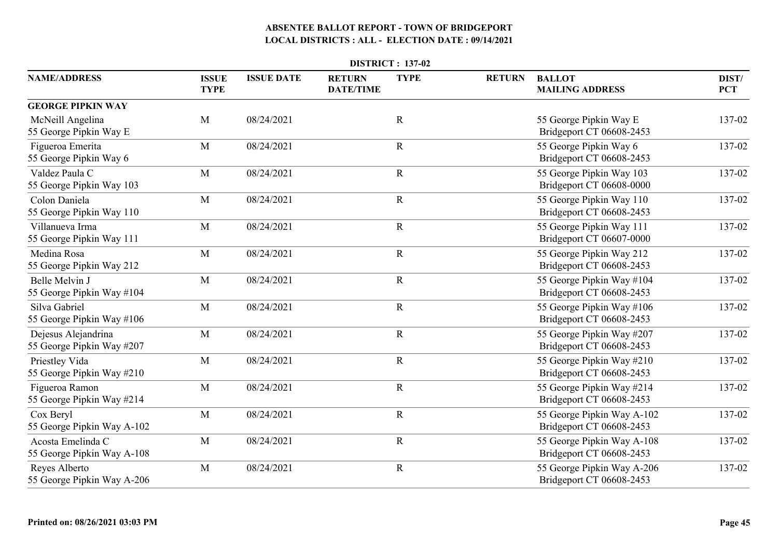| <b>DISTRICT: 137-02</b>                          |                             |                   |                                   |             |               |                                                        |                     |  |  |
|--------------------------------------------------|-----------------------------|-------------------|-----------------------------------|-------------|---------------|--------------------------------------------------------|---------------------|--|--|
| <b>NAME/ADDRESS</b>                              | <b>ISSUE</b><br><b>TYPE</b> | <b>ISSUE DATE</b> | <b>RETURN</b><br><b>DATE/TIME</b> | <b>TYPE</b> | <b>RETURN</b> | <b>BALLOT</b><br><b>MAILING ADDRESS</b>                | DIST/<br><b>PCT</b> |  |  |
| <b>GEORGE PIPKIN WAY</b>                         |                             |                   |                                   |             |               |                                                        |                     |  |  |
| McNeill Angelina<br>55 George Pipkin Way E       | $\mathbf M$                 | 08/24/2021        |                                   | $\mathbf R$ |               | 55 George Pipkin Way E<br>Bridgeport CT 06608-2453     | 137-02              |  |  |
| Figueroa Emerita<br>55 George Pipkin Way 6       | M                           | 08/24/2021        |                                   | $\mathbf R$ |               | 55 George Pipkin Way 6<br>Bridgeport CT 06608-2453     | 137-02              |  |  |
| Valdez Paula C<br>55 George Pipkin Way 103       | M                           | 08/24/2021        |                                   | $\mathbf R$ |               | 55 George Pipkin Way 103<br>Bridgeport CT 06608-0000   | 137-02              |  |  |
| Colon Daniela<br>55 George Pipkin Way 110        | M                           | 08/24/2021        |                                   | $\mathbf R$ |               | 55 George Pipkin Way 110<br>Bridgeport CT 06608-2453   | 137-02              |  |  |
| Villanueva Irma<br>55 George Pipkin Way 111      | M                           | 08/24/2021        |                                   | ${\bf R}$   |               | 55 George Pipkin Way 111<br>Bridgeport CT 06607-0000   | 137-02              |  |  |
| Medina Rosa<br>55 George Pipkin Way 212          | M                           | 08/24/2021        |                                   | $\mathbf R$ |               | 55 George Pipkin Way 212<br>Bridgeport CT 06608-2453   | 137-02              |  |  |
| Belle Melvin J<br>55 George Pipkin Way #104      | M                           | 08/24/2021        |                                   | $\mathbf R$ |               | 55 George Pipkin Way #104<br>Bridgeport CT 06608-2453  | 137-02              |  |  |
| Silva Gabriel<br>55 George Pipkin Way #106       | M                           | 08/24/2021        |                                   | $\mathbf R$ |               | 55 George Pipkin Way #106<br>Bridgeport CT 06608-2453  | 137-02              |  |  |
| Dejesus Alejandrina<br>55 George Pipkin Way #207 | M                           | 08/24/2021        |                                   | $\mathbf R$ |               | 55 George Pipkin Way #207<br>Bridgeport CT 06608-2453  | 137-02              |  |  |
| Priestley Vida<br>55 George Pipkin Way #210      | M                           | 08/24/2021        |                                   | $\mathbf R$ |               | 55 George Pipkin Way #210<br>Bridgeport CT 06608-2453  | 137-02              |  |  |
| Figueroa Ramon<br>55 George Pipkin Way #214      | M                           | 08/24/2021        |                                   | $\mathbf R$ |               | 55 George Pipkin Way #214<br>Bridgeport CT 06608-2453  | 137-02              |  |  |
| Cox Beryl<br>55 George Pipkin Way A-102          | M                           | 08/24/2021        |                                   | $\mathbf R$ |               | 55 George Pipkin Way A-102<br>Bridgeport CT 06608-2453 | 137-02              |  |  |
| Acosta Emelinda C<br>55 George Pipkin Way A-108  | M                           | 08/24/2021        |                                   | $\mathbf R$ |               | 55 George Pipkin Way A-108<br>Bridgeport CT 06608-2453 | 137-02              |  |  |
| Reyes Alberto<br>55 George Pipkin Way A-206      | M                           | 08/24/2021        |                                   | $\mathbf R$ |               | 55 George Pipkin Way A-206<br>Bridgeport CT 06608-2453 | 137-02              |  |  |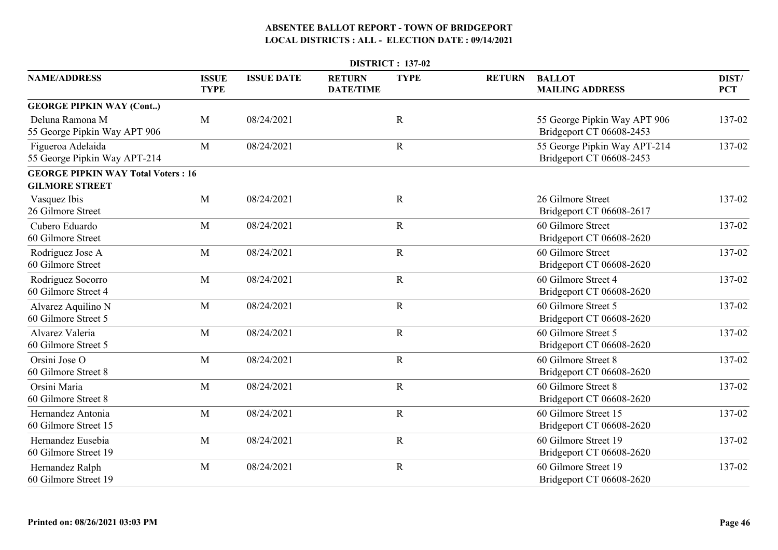|                                                   |                             |                   |                                   | <b>DISTRICT: 137-02</b> |               |                                                          |                     |
|---------------------------------------------------|-----------------------------|-------------------|-----------------------------------|-------------------------|---------------|----------------------------------------------------------|---------------------|
| <b>NAME/ADDRESS</b>                               | <b>ISSUE</b><br><b>TYPE</b> | <b>ISSUE DATE</b> | <b>RETURN</b><br><b>DATE/TIME</b> | <b>TYPE</b>             | <b>RETURN</b> | <b>BALLOT</b><br><b>MAILING ADDRESS</b>                  | DIST/<br><b>PCT</b> |
| <b>GEORGE PIPKIN WAY (Cont)</b>                   |                             |                   |                                   |                         |               |                                                          |                     |
| Deluna Ramona M<br>55 George Pipkin Way APT 906   | M                           | 08/24/2021        |                                   | $\mathbb{R}$            |               | 55 George Pipkin Way APT 906<br>Bridgeport CT 06608-2453 | 137-02              |
| Figueroa Adelaida<br>55 George Pipkin Way APT-214 | M                           | 08/24/2021        |                                   | $\mathbf R$             |               | 55 George Pipkin Way APT-214<br>Bridgeport CT 06608-2453 | 137-02              |
| <b>GEORGE PIPKIN WAY Total Voters: 16</b>         |                             |                   |                                   |                         |               |                                                          |                     |
| <b>GILMORE STREET</b>                             |                             |                   |                                   |                         |               |                                                          |                     |
| Vasquez Ibis<br>26 Gilmore Street                 | M                           | 08/24/2021        |                                   | $\mathbf R$             |               | 26 Gilmore Street<br>Bridgeport CT 06608-2617            | 137-02              |
| Cubero Eduardo<br>60 Gilmore Street               | M                           | 08/24/2021        |                                   | $\mathbf R$             |               | 60 Gilmore Street<br>Bridgeport CT 06608-2620            | 137-02              |
| Rodriguez Jose A<br>60 Gilmore Street             | M                           | 08/24/2021        |                                   | $\mathbf R$             |               | 60 Gilmore Street<br>Bridgeport CT 06608-2620            | 137-02              |
| Rodriguez Socorro<br>60 Gilmore Street 4          | M                           | 08/24/2021        |                                   | $\mathbf R$             |               | 60 Gilmore Street 4<br>Bridgeport CT 06608-2620          | 137-02              |
| Alvarez Aquilino N<br>60 Gilmore Street 5         | M                           | 08/24/2021        |                                   | $\mathbf R$             |               | 60 Gilmore Street 5<br>Bridgeport CT 06608-2620          | 137-02              |
| Alvarez Valeria<br>60 Gilmore Street 5            | M                           | 08/24/2021        |                                   | $\mathbf R$             |               | 60 Gilmore Street 5<br>Bridgeport CT 06608-2620          | 137-02              |
| Orsini Jose O<br>60 Gilmore Street 8              | M                           | 08/24/2021        |                                   | $\mathbf R$             |               | 60 Gilmore Street 8<br>Bridgeport CT 06608-2620          | 137-02              |
| Orsini Maria<br>60 Gilmore Street 8               | M                           | 08/24/2021        |                                   | $\mathbf R$             |               | 60 Gilmore Street 8<br>Bridgeport CT 06608-2620          | 137-02              |
| Hernandez Antonia<br>60 Gilmore Street 15         | M                           | 08/24/2021        |                                   | $\mathbf R$             |               | 60 Gilmore Street 15<br>Bridgeport CT 06608-2620         | 137-02              |
| Hernandez Eusebia<br>60 Gilmore Street 19         | M                           | 08/24/2021        |                                   | $\mathbf R$             |               | 60 Gilmore Street 19<br>Bridgeport CT 06608-2620         | 137-02              |
| Hernandez Ralph<br>60 Gilmore Street 19           | M                           | 08/24/2021        |                                   | $\mathbf R$             |               | 60 Gilmore Street 19<br>Bridgeport CT 06608-2620         | 137-02              |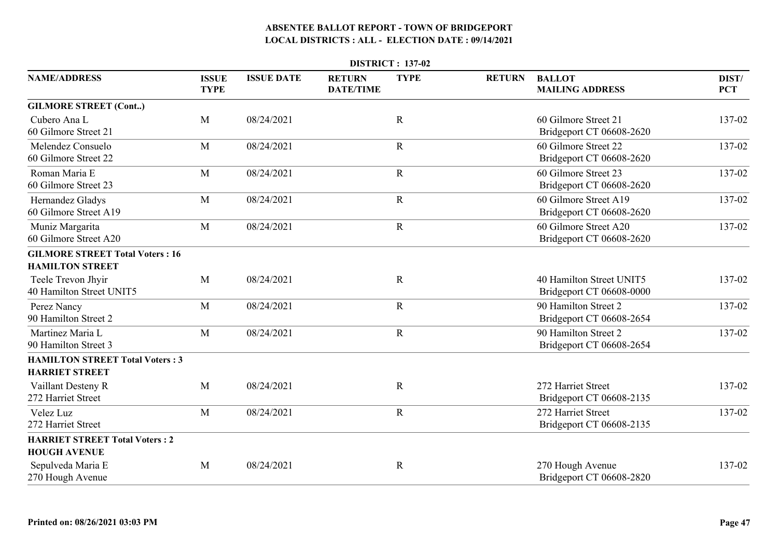| <b>DISTRICT: 137-02</b>                                      |                             |                   |                                   |             |               |                                                      |                     |  |  |  |
|--------------------------------------------------------------|-----------------------------|-------------------|-----------------------------------|-------------|---------------|------------------------------------------------------|---------------------|--|--|--|
| <b>NAME/ADDRESS</b>                                          | <b>ISSUE</b><br><b>TYPE</b> | <b>ISSUE DATE</b> | <b>RETURN</b><br><b>DATE/TIME</b> | <b>TYPE</b> | <b>RETURN</b> | <b>BALLOT</b><br><b>MAILING ADDRESS</b>              | DIST/<br><b>PCT</b> |  |  |  |
| <b>GILMORE STREET (Cont)</b>                                 |                             |                   |                                   |             |               |                                                      |                     |  |  |  |
| Cubero Ana L<br>60 Gilmore Street 21                         | M                           | 08/24/2021        |                                   | $\mathbf R$ |               | 60 Gilmore Street 21<br>Bridgeport CT 06608-2620     | 137-02              |  |  |  |
| Melendez Consuelo<br>60 Gilmore Street 22                    | M                           | 08/24/2021        |                                   | $\mathbf R$ |               | 60 Gilmore Street 22<br>Bridgeport CT 06608-2620     | 137-02              |  |  |  |
| Roman Maria E<br>60 Gilmore Street 23                        | M                           | 08/24/2021        |                                   | ${\bf R}$   |               | 60 Gilmore Street 23<br>Bridgeport CT 06608-2620     | 137-02              |  |  |  |
| Hernandez Gladys<br>60 Gilmore Street A19                    | M                           | 08/24/2021        |                                   | $\mathbf R$ |               | 60 Gilmore Street A19<br>Bridgeport CT 06608-2620    | 137-02              |  |  |  |
| Muniz Margarita<br>60 Gilmore Street A20                     | M                           | 08/24/2021        |                                   | $\mathbf R$ |               | 60 Gilmore Street A20<br>Bridgeport CT 06608-2620    | 137-02              |  |  |  |
| <b>GILMORE STREET Total Voters: 16</b>                       |                             |                   |                                   |             |               |                                                      |                     |  |  |  |
| <b>HAMILTON STREET</b>                                       |                             |                   |                                   |             |               |                                                      |                     |  |  |  |
| Teele Trevon Jhyir<br>40 Hamilton Street UNIT5               | M                           | 08/24/2021        |                                   | $\mathbf R$ |               | 40 Hamilton Street UNIT5<br>Bridgeport CT 06608-0000 | 137-02              |  |  |  |
| Perez Nancy<br>90 Hamilton Street 2                          | M                           | 08/24/2021        |                                   | $\mathbf R$ |               | 90 Hamilton Street 2<br>Bridgeport CT 06608-2654     | 137-02              |  |  |  |
| Martinez Maria L<br>90 Hamilton Street 3                     | M                           | 08/24/2021        |                                   | ${\bf R}$   |               | 90 Hamilton Street 2<br>Bridgeport CT 06608-2654     | 137-02              |  |  |  |
| <b>HAMILTON STREET Total Voters: 3</b>                       |                             |                   |                                   |             |               |                                                      |                     |  |  |  |
| <b>HARRIET STREET</b>                                        |                             |                   |                                   |             |               |                                                      |                     |  |  |  |
| Vaillant Desteny R<br>272 Harriet Street                     | M                           | 08/24/2021        |                                   | $\mathbf R$ |               | 272 Harriet Street<br>Bridgeport CT 06608-2135       | 137-02              |  |  |  |
| Velez Luz<br>272 Harriet Street                              | M                           | 08/24/2021        |                                   | $\mathbf R$ |               | 272 Harriet Street<br>Bridgeport CT 06608-2135       | 137-02              |  |  |  |
| <b>HARRIET STREET Total Voters: 2</b><br><b>HOUGH AVENUE</b> |                             |                   |                                   |             |               |                                                      |                     |  |  |  |
| Sepulveda Maria E<br>270 Hough Avenue                        | M                           | 08/24/2021        |                                   | $\mathbf R$ |               | 270 Hough Avenue<br>Bridgeport CT 06608-2820         | 137-02              |  |  |  |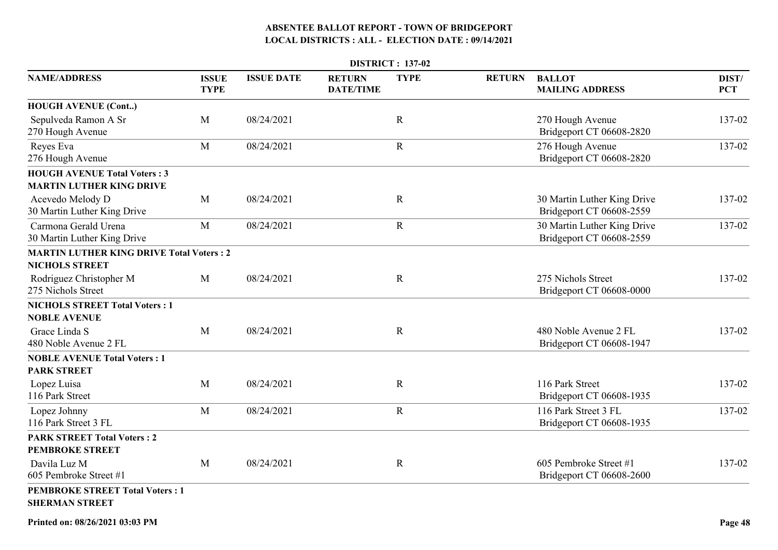|                                                                          | <b>DISTRICT: 137-02</b>     |                   |                                   |             |               |                                                         |                     |  |  |  |
|--------------------------------------------------------------------------|-----------------------------|-------------------|-----------------------------------|-------------|---------------|---------------------------------------------------------|---------------------|--|--|--|
| <b>NAME/ADDRESS</b>                                                      | <b>ISSUE</b><br><b>TYPE</b> | <b>ISSUE DATE</b> | <b>RETURN</b><br><b>DATE/TIME</b> | <b>TYPE</b> | <b>RETURN</b> | <b>BALLOT</b><br><b>MAILING ADDRESS</b>                 | DIST/<br><b>PCT</b> |  |  |  |
| <b>HOUGH AVENUE (Cont)</b>                                               |                             |                   |                                   |             |               |                                                         |                     |  |  |  |
| Sepulveda Ramon A Sr<br>270 Hough Avenue                                 | M                           | 08/24/2021        |                                   | $\mathbf R$ |               | 270 Hough Avenue<br>Bridgeport CT 06608-2820            | 137-02              |  |  |  |
| Reyes Eva<br>276 Hough Avenue                                            | M                           | 08/24/2021        |                                   | $\mathbf R$ |               | 276 Hough Avenue<br>Bridgeport CT 06608-2820            | 137-02              |  |  |  |
| <b>HOUGH AVENUE Total Voters: 3</b><br><b>MARTIN LUTHER KING DRIVE</b>   |                             |                   |                                   |             |               |                                                         |                     |  |  |  |
| Acevedo Melody D<br>30 Martin Luther King Drive                          | M                           | 08/24/2021        |                                   | $\mathbf R$ |               | 30 Martin Luther King Drive<br>Bridgeport CT 06608-2559 | 137-02              |  |  |  |
| Carmona Gerald Urena<br>30 Martin Luther King Drive                      | M                           | 08/24/2021        |                                   | $\mathbf R$ |               | 30 Martin Luther King Drive<br>Bridgeport CT 06608-2559 | 137-02              |  |  |  |
| <b>MARTIN LUTHER KING DRIVE Total Voters: 2</b><br><b>NICHOLS STREET</b> |                             |                   |                                   |             |               |                                                         |                     |  |  |  |
| Rodriguez Christopher M<br>275 Nichols Street                            | M                           | 08/24/2021        |                                   | $\mathbf R$ |               | 275 Nichols Street<br>Bridgeport CT 06608-0000          | 137-02              |  |  |  |
| <b>NICHOLS STREET Total Voters: 1</b><br><b>NOBLE AVENUE</b>             |                             |                   |                                   |             |               |                                                         |                     |  |  |  |
| Grace Linda S<br>480 Noble Avenue 2 FL                                   | M                           | 08/24/2021        |                                   | $\mathbf R$ |               | 480 Noble Avenue 2 FL<br>Bridgeport CT 06608-1947       | 137-02              |  |  |  |
| <b>NOBLE AVENUE Total Voters: 1</b><br><b>PARK STREET</b>                |                             |                   |                                   |             |               |                                                         |                     |  |  |  |
| Lopez Luisa<br>116 Park Street                                           | M                           | 08/24/2021        |                                   | $\mathbf R$ |               | 116 Park Street<br>Bridgeport CT 06608-1935             | 137-02              |  |  |  |
| Lopez Johnny<br>116 Park Street 3 FL                                     | M                           | 08/24/2021        |                                   | $\mathbf R$ |               | 116 Park Street 3 FL<br>Bridgeport CT 06608-1935        | 137-02              |  |  |  |
| <b>PARK STREET Total Voters: 2</b><br><b>PEMBROKE STREET</b>             |                             |                   |                                   |             |               |                                                         |                     |  |  |  |
| Davila Luz M<br>605 Pembroke Street #1                                   | M                           | 08/24/2021        |                                   | $\mathbf R$ |               | 605 Pembroke Street #1<br>Bridgeport CT 06608-2600      | 137-02              |  |  |  |
| <b>PEMBROKE STREET Total Voters: 1</b><br><b>SHERMAN STREET</b>          |                             |                   |                                   |             |               |                                                         |                     |  |  |  |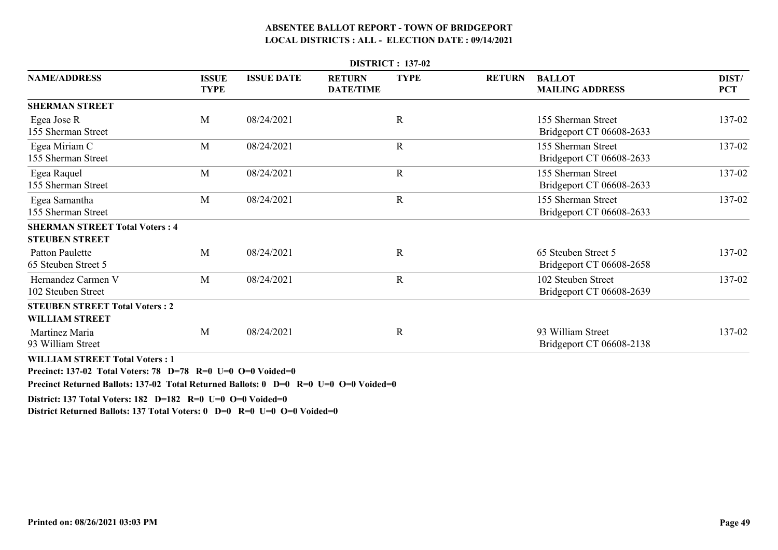| <b>DISTRICT: 137-02</b>                                        |                             |                   |                                   |             |               |                                                 |                     |  |  |  |
|----------------------------------------------------------------|-----------------------------|-------------------|-----------------------------------|-------------|---------------|-------------------------------------------------|---------------------|--|--|--|
| <b>NAME/ADDRESS</b>                                            | <b>ISSUE</b><br><b>TYPE</b> | <b>ISSUE DATE</b> | <b>RETURN</b><br><b>DATE/TIME</b> | <b>TYPE</b> | <b>RETURN</b> | <b>BALLOT</b><br><b>MAILING ADDRESS</b>         | DIST/<br><b>PCT</b> |  |  |  |
| <b>SHERMAN STREET</b>                                          |                             |                   |                                   |             |               |                                                 |                     |  |  |  |
| Egea Jose R<br>155 Sherman Street                              | M                           | 08/24/2021        |                                   | $\mathbf R$ |               | 155 Sherman Street<br>Bridgeport CT 06608-2633  | 137-02              |  |  |  |
| Egea Miriam C<br>155 Sherman Street                            | M                           | 08/24/2021        |                                   | $\mathbf R$ |               | 155 Sherman Street<br>Bridgeport CT 06608-2633  | 137-02              |  |  |  |
| Egea Raquel<br>155 Sherman Street                              | M                           | 08/24/2021        |                                   | $\mathbf R$ |               | 155 Sherman Street<br>Bridgeport CT 06608-2633  | 137-02              |  |  |  |
| Egea Samantha<br>155 Sherman Street                            | M                           | 08/24/2021        |                                   | $\mathbf R$ |               | 155 Sherman Street<br>Bridgeport CT 06608-2633  | 137-02              |  |  |  |
| <b>SHERMAN STREET Total Voters: 4</b><br><b>STEUBEN STREET</b> |                             |                   |                                   |             |               |                                                 |                     |  |  |  |
| <b>Patton Paulette</b><br>65 Steuben Street 5                  | M                           | 08/24/2021        |                                   | $\mathbf R$ |               | 65 Steuben Street 5<br>Bridgeport CT 06608-2658 | 137-02              |  |  |  |
| Hernandez Carmen V<br>102 Steuben Street                       | M                           | 08/24/2021        |                                   | $\mathbf R$ |               | 102 Steuben Street<br>Bridgeport CT 06608-2639  | 137-02              |  |  |  |
| <b>STEUBEN STREET Total Voters: 2</b><br><b>WILLIAM STREET</b> |                             |                   |                                   |             |               |                                                 |                     |  |  |  |
| Martinez Maria<br>93 William Street                            | M                           | 08/24/2021        |                                   | $\mathbf R$ |               | 93 William Street<br>Bridgeport CT 06608-2138   | 137-02              |  |  |  |

**WILLIAM STREET Total Voters : 1**

**Precinct: 137-02 Total Voters: 78 D=78 R=0 U=0 O=0 Voided=0**

**Precinct Returned Ballots: 137-02 Total Returned Ballots: 0 D=0 R=0 U=0 O=0 Voided=0**

**District: 137 Total Voters: 182 D=182 R=0 U=0 O=0 Voided=0**

**District Returned Ballots: 137 Total Voters: 0 D=0 R=0 U=0 O=0 Voided=0**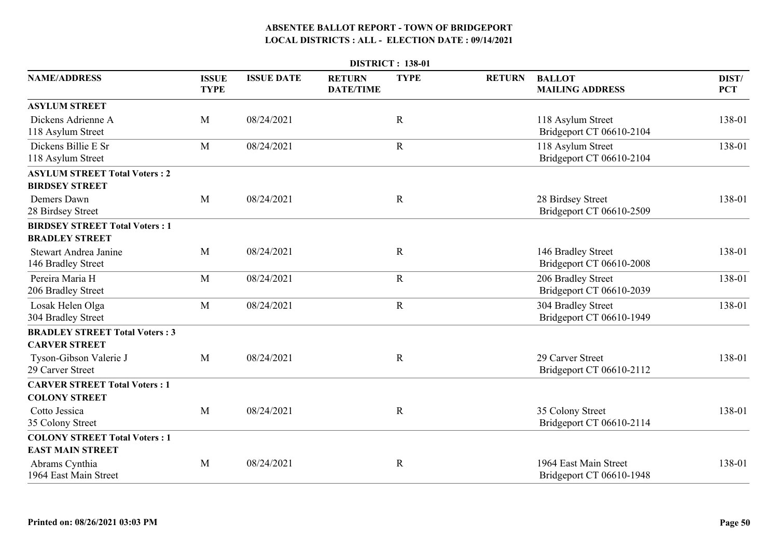| <b>DISTRICT: 138-01</b>                                         |                             |                   |                                   |             |               |                                                   |                     |  |  |
|-----------------------------------------------------------------|-----------------------------|-------------------|-----------------------------------|-------------|---------------|---------------------------------------------------|---------------------|--|--|
| <b>NAME/ADDRESS</b>                                             | <b>ISSUE</b><br><b>TYPE</b> | <b>ISSUE DATE</b> | <b>RETURN</b><br><b>DATE/TIME</b> | <b>TYPE</b> | <b>RETURN</b> | <b>BALLOT</b><br><b>MAILING ADDRESS</b>           | DIST/<br><b>PCT</b> |  |  |
| <b>ASYLUM STREET</b>                                            |                             |                   |                                   |             |               |                                                   |                     |  |  |
| Dickens Adrienne A<br>118 Asylum Street                         | M                           | 08/24/2021        |                                   | $\mathbf R$ |               | 118 Asylum Street<br>Bridgeport CT 06610-2104     | 138-01              |  |  |
| Dickens Billie E Sr<br>118 Asylum Street                        | M                           | 08/24/2021        |                                   | $\mathbf R$ |               | 118 Asylum Street<br>Bridgeport CT 06610-2104     | 138-01              |  |  |
| <b>ASYLUM STREET Total Voters: 2</b><br><b>BIRDSEY STREET</b>   |                             |                   |                                   |             |               |                                                   |                     |  |  |
| Demers Dawn<br>28 Birdsey Street                                | M                           | 08/24/2021        |                                   | $\mathbf R$ |               | 28 Birdsey Street<br>Bridgeport CT 06610-2509     | 138-01              |  |  |
| <b>BIRDSEY STREET Total Voters: 1</b><br><b>BRADLEY STREET</b>  |                             |                   |                                   |             |               |                                                   |                     |  |  |
| Stewart Andrea Janine<br>146 Bradley Street                     | M                           | 08/24/2021        |                                   | $\mathbf R$ |               | 146 Bradley Street<br>Bridgeport CT 06610-2008    | 138-01              |  |  |
| Pereira Maria H<br>206 Bradley Street                           | M                           | 08/24/2021        |                                   | $\mathbf R$ |               | 206 Bradley Street<br>Bridgeport CT 06610-2039    | 138-01              |  |  |
| Losak Helen Olga<br>304 Bradley Street                          | M                           | 08/24/2021        |                                   | $\mathbf R$ |               | 304 Bradley Street<br>Bridgeport CT 06610-1949    | 138-01              |  |  |
| <b>BRADLEY STREET Total Voters: 3</b><br><b>CARVER STREET</b>   |                             |                   |                                   |             |               |                                                   |                     |  |  |
| Tyson-Gibson Valerie J<br>29 Carver Street                      | M                           | 08/24/2021        |                                   | $\mathbf R$ |               | 29 Carver Street<br>Bridgeport CT 06610-2112      | 138-01              |  |  |
| <b>CARVER STREET Total Voters: 1</b><br><b>COLONY STREET</b>    |                             |                   |                                   |             |               |                                                   |                     |  |  |
| Cotto Jessica<br>35 Colony Street                               | M                           | 08/24/2021        |                                   | $\mathbf R$ |               | 35 Colony Street<br>Bridgeport CT 06610-2114      | 138-01              |  |  |
| <b>COLONY STREET Total Voters: 1</b><br><b>EAST MAIN STREET</b> |                             |                   |                                   |             |               |                                                   |                     |  |  |
| Abrams Cynthia<br>1964 East Main Street                         | M                           | 08/24/2021        |                                   | $\mathbf R$ |               | 1964 East Main Street<br>Bridgeport CT 06610-1948 | 138-01              |  |  |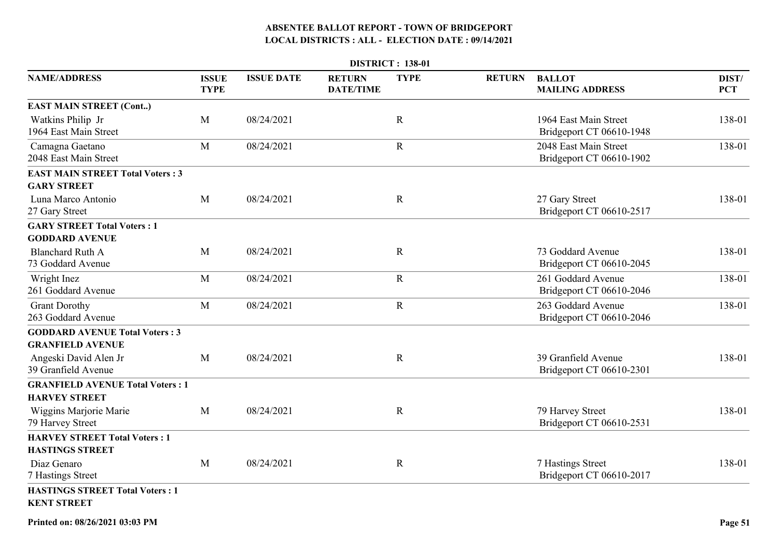|                                                                  | <b>DISTRICT: 138-01</b>     |                   |                                   |              |               |                                                   |                     |  |  |
|------------------------------------------------------------------|-----------------------------|-------------------|-----------------------------------|--------------|---------------|---------------------------------------------------|---------------------|--|--|
| <b>NAME/ADDRESS</b>                                              | <b>ISSUE</b><br><b>TYPE</b> | <b>ISSUE DATE</b> | <b>RETURN</b><br><b>DATE/TIME</b> | <b>TYPE</b>  | <b>RETURN</b> | <b>BALLOT</b><br><b>MAILING ADDRESS</b>           | DIST/<br><b>PCT</b> |  |  |
| <b>EAST MAIN STREET (Cont)</b>                                   |                             |                   |                                   |              |               |                                                   |                     |  |  |
| Watkins Philip Jr<br>1964 East Main Street                       | M                           | 08/24/2021        |                                   | $\mathbb{R}$ |               | 1964 East Main Street<br>Bridgeport CT 06610-1948 | 138-01              |  |  |
| Camagna Gaetano<br>2048 East Main Street                         | M                           | 08/24/2021        |                                   | $\mathbf R$  |               | 2048 East Main Street<br>Bridgeport CT 06610-1902 | 138-01              |  |  |
| <b>EAST MAIN STREET Total Voters: 3</b><br><b>GARY STREET</b>    |                             |                   |                                   |              |               |                                                   |                     |  |  |
| Luna Marco Antonio<br>27 Gary Street                             | M                           | 08/24/2021        |                                   | $\mathbf R$  |               | 27 Gary Street<br>Bridgeport CT 06610-2517        | 138-01              |  |  |
| <b>GARY STREET Total Voters: 1</b><br><b>GODDARD AVENUE</b>      |                             |                   |                                   |              |               |                                                   |                     |  |  |
| <b>Blanchard Ruth A</b><br>73 Goddard Avenue                     | M                           | 08/24/2021        |                                   | $\mathbf R$  |               | 73 Goddard Avenue<br>Bridgeport CT 06610-2045     | 138-01              |  |  |
| Wright Inez<br>261 Goddard Avenue                                | M                           | 08/24/2021        |                                   | $\mathbf R$  |               | 261 Goddard Avenue<br>Bridgeport CT 06610-2046    | 138-01              |  |  |
| <b>Grant Dorothy</b><br>263 Goddard Avenue                       | M                           | 08/24/2021        |                                   | $\mathbf R$  |               | 263 Goddard Avenue<br>Bridgeport CT 06610-2046    | 138-01              |  |  |
| <b>GODDARD AVENUE Total Voters: 3</b><br><b>GRANFIELD AVENUE</b> |                             |                   |                                   |              |               |                                                   |                     |  |  |
| Angeski David Alen Jr<br>39 Granfield Avenue                     | $\mathbf{M}$                | 08/24/2021        |                                   | $\mathbf R$  |               | 39 Granfield Avenue<br>Bridgeport CT 06610-2301   | 138-01              |  |  |
| <b>GRANFIELD AVENUE Total Voters: 1</b><br><b>HARVEY STREET</b>  |                             |                   |                                   |              |               |                                                   |                     |  |  |
| Wiggins Marjorie Marie<br>79 Harvey Street                       | M                           | 08/24/2021        |                                   | $\mathbb{R}$ |               | 79 Harvey Street<br>Bridgeport CT 06610-2531      | 138-01              |  |  |
| <b>HARVEY STREET Total Voters: 1</b><br><b>HASTINGS STREET</b>   |                             |                   |                                   |              |               |                                                   |                     |  |  |
| Diaz Genaro<br>7 Hastings Street                                 | M                           | 08/24/2021        |                                   | $\mathbf R$  |               | 7 Hastings Street<br>Bridgeport CT 06610-2017     | 138-01              |  |  |
| <b>HASTINGS STREET Total Voters: 1</b><br><b>KENT STREET</b>     |                             |                   |                                   |              |               |                                                   |                     |  |  |

**Printed on: 08/26/2021 03:03 PM**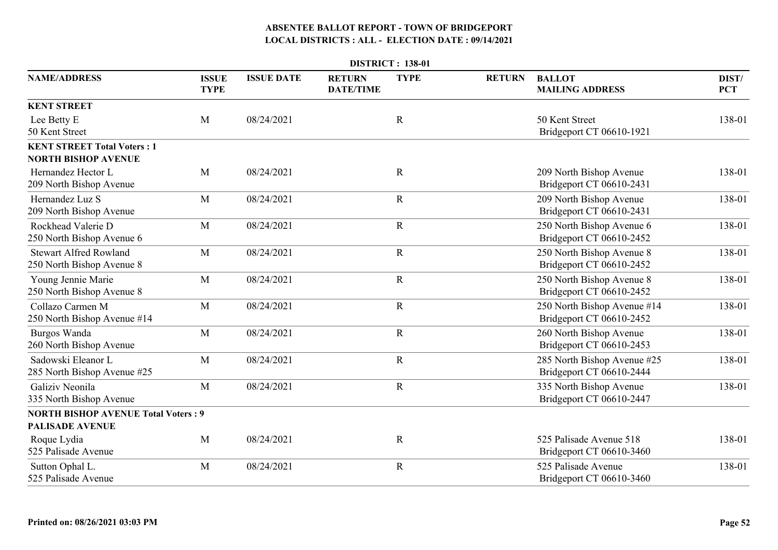| <b>DISTRICT: 138-01</b>                                          |                             |                   |                                   |             |               |                                                         |                     |  |  |
|------------------------------------------------------------------|-----------------------------|-------------------|-----------------------------------|-------------|---------------|---------------------------------------------------------|---------------------|--|--|
| <b>NAME/ADDRESS</b>                                              | <b>ISSUE</b><br><b>TYPE</b> | <b>ISSUE DATE</b> | <b>RETURN</b><br><b>DATE/TIME</b> | <b>TYPE</b> | <b>RETURN</b> | <b>BALLOT</b><br><b>MAILING ADDRESS</b>                 | DIST/<br><b>PCT</b> |  |  |
| <b>KENT STREET</b>                                               |                             |                   |                                   |             |               |                                                         |                     |  |  |
| Lee Betty E<br>50 Kent Street                                    | M                           | 08/24/2021        |                                   | $\mathbf R$ |               | 50 Kent Street<br>Bridgeport CT 06610-1921              | 138-01              |  |  |
| <b>KENT STREET Total Voters: 1</b><br><b>NORTH BISHOP AVENUE</b> |                             |                   |                                   |             |               |                                                         |                     |  |  |
| Hernandez Hector L<br>209 North Bishop Avenue                    | M                           | 08/24/2021        |                                   | $\mathbf R$ |               | 209 North Bishop Avenue<br>Bridgeport CT 06610-2431     | 138-01              |  |  |
| Hernandez Luz S<br>209 North Bishop Avenue                       | M                           | 08/24/2021        |                                   | $\mathbf R$ |               | 209 North Bishop Avenue<br>Bridgeport CT 06610-2431     | 138-01              |  |  |
| Rockhead Valerie D<br>250 North Bishop Avenue 6                  | M                           | 08/24/2021        |                                   | $\mathbf R$ |               | 250 North Bishop Avenue 6<br>Bridgeport CT 06610-2452   | 138-01              |  |  |
| <b>Stewart Alfred Rowland</b><br>250 North Bishop Avenue 8       | M                           | 08/24/2021        |                                   | $\mathbf R$ |               | 250 North Bishop Avenue 8<br>Bridgeport CT 06610-2452   | 138-01              |  |  |
| Young Jennie Marie<br>250 North Bishop Avenue 8                  | M                           | 08/24/2021        |                                   | $\mathbf R$ |               | 250 North Bishop Avenue 8<br>Bridgeport CT 06610-2452   | 138-01              |  |  |
| Collazo Carmen M<br>250 North Bishop Avenue #14                  | M                           | 08/24/2021        |                                   | $\mathbf R$ |               | 250 North Bishop Avenue #14<br>Bridgeport CT 06610-2452 | 138-01              |  |  |
| Burgos Wanda<br>260 North Bishop Avenue                          | M                           | 08/24/2021        |                                   | $\mathbf R$ |               | 260 North Bishop Avenue<br>Bridgeport CT 06610-2453     | 138-01              |  |  |
| Sadowski Eleanor L<br>285 North Bishop Avenue #25                | M                           | 08/24/2021        |                                   | $\mathbf R$ |               | 285 North Bishop Avenue #25<br>Bridgeport CT 06610-2444 | 138-01              |  |  |
| Galiziv Neonila<br>335 North Bishop Avenue                       | M                           | 08/24/2021        |                                   | $\mathbf R$ |               | 335 North Bishop Avenue<br>Bridgeport CT 06610-2447     | 138-01              |  |  |
| <b>NORTH BISHOP AVENUE Total Voters: 9</b>                       |                             |                   |                                   |             |               |                                                         |                     |  |  |
| <b>PALISADE AVENUE</b>                                           |                             |                   |                                   |             |               |                                                         |                     |  |  |
| Roque Lydia<br>525 Palisade Avenue                               | M                           | 08/24/2021        |                                   | $\mathbf R$ |               | 525 Palisade Avenue 518<br>Bridgeport CT 06610-3460     | 138-01              |  |  |
| Sutton Ophal L.<br>525 Palisade Avenue                           | M                           | 08/24/2021        |                                   | $\mathbf R$ |               | 525 Palisade Avenue<br>Bridgeport CT 06610-3460         | 138-01              |  |  |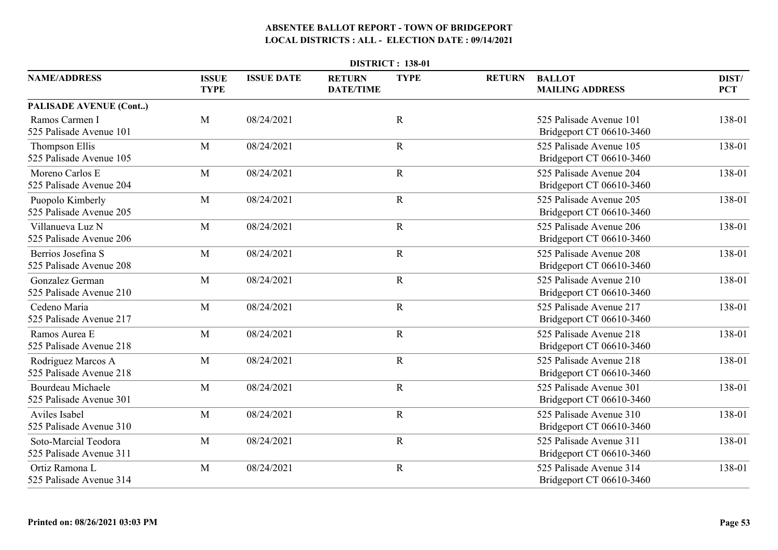| <b>DISTRICT: 138-01</b>                         |                             |                   |                                   |             |               |                                                     |                     |  |  |
|-------------------------------------------------|-----------------------------|-------------------|-----------------------------------|-------------|---------------|-----------------------------------------------------|---------------------|--|--|
| <b>NAME/ADDRESS</b>                             | <b>ISSUE</b><br><b>TYPE</b> | <b>ISSUE DATE</b> | <b>RETURN</b><br><b>DATE/TIME</b> | <b>TYPE</b> | <b>RETURN</b> | <b>BALLOT</b><br><b>MAILING ADDRESS</b>             | DIST/<br><b>PCT</b> |  |  |
| PALISADE AVENUE (Cont)                          |                             |                   |                                   |             |               |                                                     |                     |  |  |
| Ramos Carmen I<br>525 Palisade Avenue 101       | M                           | 08/24/2021        |                                   | $\mathbf R$ |               | 525 Palisade Avenue 101<br>Bridgeport CT 06610-3460 | 138-01              |  |  |
| Thompson Ellis<br>525 Palisade Avenue 105       | M                           | 08/24/2021        |                                   | $\mathbf R$ |               | 525 Palisade Avenue 105<br>Bridgeport CT 06610-3460 | 138-01              |  |  |
| Moreno Carlos E<br>525 Palisade Avenue 204      | M                           | 08/24/2021        |                                   | $\mathbf R$ |               | 525 Palisade Avenue 204<br>Bridgeport CT 06610-3460 | 138-01              |  |  |
| Puopolo Kimberly<br>525 Palisade Avenue 205     | M                           | 08/24/2021        |                                   | $\mathbf R$ |               | 525 Palisade Avenue 205<br>Bridgeport CT 06610-3460 | 138-01              |  |  |
| Villanueva Luz N<br>525 Palisade Avenue 206     | M                           | 08/24/2021        |                                   | $\mathbf R$ |               | 525 Palisade Avenue 206<br>Bridgeport CT 06610-3460 | 138-01              |  |  |
| Berrios Josefina S<br>525 Palisade Avenue 208   | M                           | 08/24/2021        |                                   | $\mathbf R$ |               | 525 Palisade Avenue 208<br>Bridgeport CT 06610-3460 | 138-01              |  |  |
| Gonzalez German<br>525 Palisade Avenue 210      | M                           | 08/24/2021        |                                   | $\mathbf R$ |               | 525 Palisade Avenue 210<br>Bridgeport CT 06610-3460 | 138-01              |  |  |
| Cedeno Maria<br>525 Palisade Avenue 217         | M                           | 08/24/2021        |                                   | $\mathbf R$ |               | 525 Palisade Avenue 217<br>Bridgeport CT 06610-3460 | 138-01              |  |  |
| Ramos Aurea E<br>525 Palisade Avenue 218        | M                           | 08/24/2021        |                                   | $\mathbf R$ |               | 525 Palisade Avenue 218<br>Bridgeport CT 06610-3460 | 138-01              |  |  |
| Rodriguez Marcos A<br>525 Palisade Avenue 218   | M                           | 08/24/2021        |                                   | $\mathbf R$ |               | 525 Palisade Avenue 218<br>Bridgeport CT 06610-3460 | 138-01              |  |  |
| Bourdeau Michaele<br>525 Palisade Avenue 301    | M                           | 08/24/2021        |                                   | $\mathbf R$ |               | 525 Palisade Avenue 301<br>Bridgeport CT 06610-3460 | 138-01              |  |  |
| Aviles Isabel<br>525 Palisade Avenue 310        | M                           | 08/24/2021        |                                   | $\mathbf R$ |               | 525 Palisade Avenue 310<br>Bridgeport CT 06610-3460 | 138-01              |  |  |
| Soto-Marcial Teodora<br>525 Palisade Avenue 311 | M                           | 08/24/2021        |                                   | $\mathbf R$ |               | 525 Palisade Avenue 311<br>Bridgeport CT 06610-3460 | 138-01              |  |  |
| Ortiz Ramona L<br>525 Palisade Avenue 314       | M                           | 08/24/2021        |                                   | $\mathbf R$ |               | 525 Palisade Avenue 314<br>Bridgeport CT 06610-3460 | 138-01              |  |  |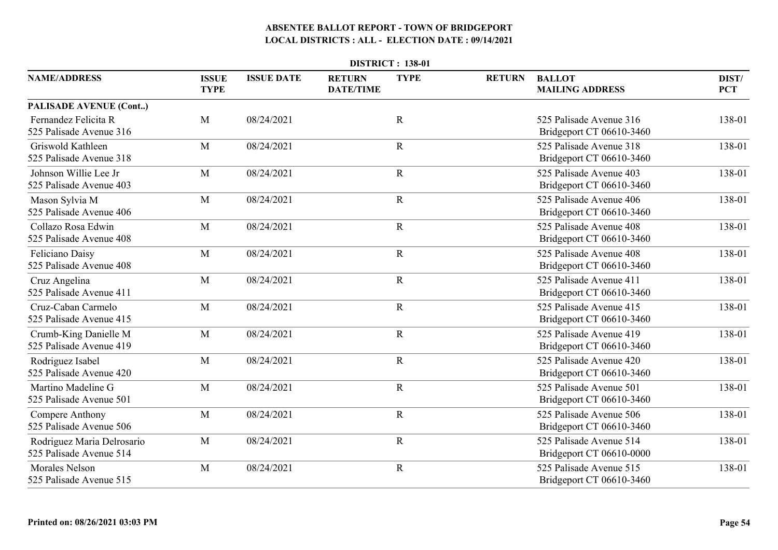| <b>DISTRICT: 138-01</b>                               |                             |                   |                                   |             |               |                                                     |                     |  |  |
|-------------------------------------------------------|-----------------------------|-------------------|-----------------------------------|-------------|---------------|-----------------------------------------------------|---------------------|--|--|
| <b>NAME/ADDRESS</b>                                   | <b>ISSUE</b><br><b>TYPE</b> | <b>ISSUE DATE</b> | <b>RETURN</b><br><b>DATE/TIME</b> | <b>TYPE</b> | <b>RETURN</b> | <b>BALLOT</b><br><b>MAILING ADDRESS</b>             | DIST/<br><b>PCT</b> |  |  |
| PALISADE AVENUE (Cont)                                |                             |                   |                                   |             |               |                                                     |                     |  |  |
| Fernandez Felicita R<br>525 Palisade Avenue 316       | M                           | 08/24/2021        |                                   | $\mathbf R$ |               | 525 Palisade Avenue 316<br>Bridgeport CT 06610-3460 | 138-01              |  |  |
| Griswold Kathleen<br>525 Palisade Avenue 318          | M                           | 08/24/2021        |                                   | $\mathbf R$ |               | 525 Palisade Avenue 318<br>Bridgeport CT 06610-3460 | 138-01              |  |  |
| Johnson Willie Lee Jr<br>525 Palisade Avenue 403      | M                           | 08/24/2021        |                                   | $\mathbf R$ |               | 525 Palisade Avenue 403<br>Bridgeport CT 06610-3460 | 138-01              |  |  |
| Mason Sylvia M<br>525 Palisade Avenue 406             | M                           | 08/24/2021        |                                   | $\mathbf R$ |               | 525 Palisade Avenue 406<br>Bridgeport CT 06610-3460 | 138-01              |  |  |
| Collazo Rosa Edwin<br>525 Palisade Avenue 408         | M                           | 08/24/2021        |                                   | $\mathbf R$ |               | 525 Palisade Avenue 408<br>Bridgeport CT 06610-3460 | 138-01              |  |  |
| Feliciano Daisy<br>525 Palisade Avenue 408            | M                           | 08/24/2021        |                                   | $\mathbf R$ |               | 525 Palisade Avenue 408<br>Bridgeport CT 06610-3460 | 138-01              |  |  |
| Cruz Angelina<br>525 Palisade Avenue 411              | M                           | 08/24/2021        |                                   | $\mathbf R$ |               | 525 Palisade Avenue 411<br>Bridgeport CT 06610-3460 | 138-01              |  |  |
| Cruz-Caban Carmelo<br>525 Palisade Avenue 415         | M                           | 08/24/2021        |                                   | ${\bf R}$   |               | 525 Palisade Avenue 415<br>Bridgeport CT 06610-3460 | 138-01              |  |  |
| Crumb-King Danielle M<br>525 Palisade Avenue 419      | M                           | 08/24/2021        |                                   | $\mathbf R$ |               | 525 Palisade Avenue 419<br>Bridgeport CT 06610-3460 | 138-01              |  |  |
| Rodriguez Isabel<br>525 Palisade Avenue 420           | M                           | 08/24/2021        |                                   | $\mathbf R$ |               | 525 Palisade Avenue 420<br>Bridgeport CT 06610-3460 | 138-01              |  |  |
| Martino Madeline G<br>525 Palisade Avenue 501         | M                           | 08/24/2021        |                                   | $\mathbf R$ |               | 525 Palisade Avenue 501<br>Bridgeport CT 06610-3460 | 138-01              |  |  |
| Compere Anthony<br>525 Palisade Avenue 506            | M                           | 08/24/2021        |                                   | $\mathbf R$ |               | 525 Palisade Avenue 506<br>Bridgeport CT 06610-3460 | 138-01              |  |  |
| Rodriguez Maria Delrosario<br>525 Palisade Avenue 514 | M                           | 08/24/2021        |                                   | $\mathbf R$ |               | 525 Palisade Avenue 514<br>Bridgeport CT 06610-0000 | 138-01              |  |  |
| <b>Morales Nelson</b><br>525 Palisade Avenue 515      | M                           | 08/24/2021        |                                   | $\mathbf R$ |               | 525 Palisade Avenue 515<br>Bridgeport CT 06610-3460 | 138-01              |  |  |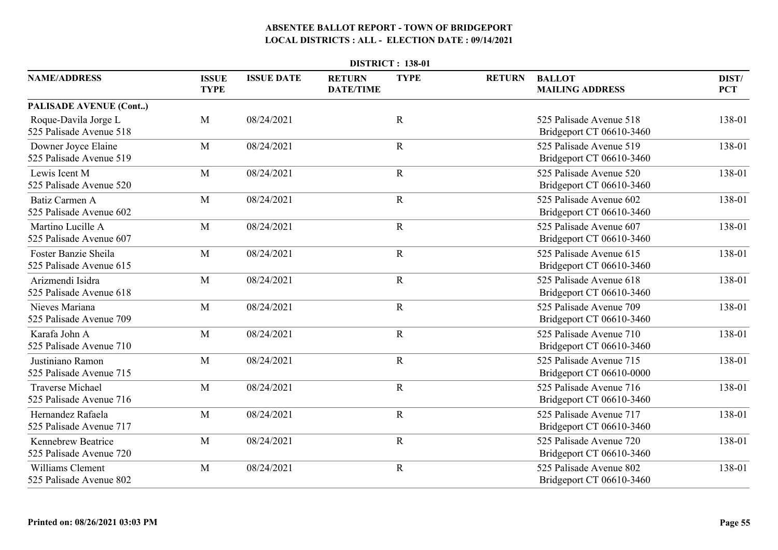| <b>DISTRICT: 138-01</b>                              |                             |                   |                                   |             |               |                                                     |                     |  |  |
|------------------------------------------------------|-----------------------------|-------------------|-----------------------------------|-------------|---------------|-----------------------------------------------------|---------------------|--|--|
| <b>NAME/ADDRESS</b>                                  | <b>ISSUE</b><br><b>TYPE</b> | <b>ISSUE DATE</b> | <b>RETURN</b><br><b>DATE/TIME</b> | <b>TYPE</b> | <b>RETURN</b> | <b>BALLOT</b><br><b>MAILING ADDRESS</b>             | DIST/<br><b>PCT</b> |  |  |
| <b>PALISADE AVENUE (Cont)</b>                        |                             |                   |                                   |             |               |                                                     |                     |  |  |
| Roque-Davila Jorge L<br>525 Palisade Avenue 518      | M                           | 08/24/2021        |                                   | $\mathbf R$ |               | 525 Palisade Avenue 518<br>Bridgeport CT 06610-3460 | 138-01              |  |  |
| Downer Joyce Elaine<br>525 Palisade Avenue 519       | M                           | 08/24/2021        |                                   | $\mathbf R$ |               | 525 Palisade Avenue 519<br>Bridgeport CT 06610-3460 | 138-01              |  |  |
| Lewis Icent M<br>525 Palisade Avenue 520             | M                           | 08/24/2021        |                                   | $\mathbf R$ |               | 525 Palisade Avenue 520<br>Bridgeport CT 06610-3460 | 138-01              |  |  |
| <b>Batiz Carmen A</b><br>525 Palisade Avenue 602     | $\mathbf{M}$                | 08/24/2021        |                                   | $\mathbf R$ |               | 525 Palisade Avenue 602<br>Bridgeport CT 06610-3460 | 138-01              |  |  |
| Martino Lucille A<br>525 Palisade Avenue 607         | M                           | 08/24/2021        |                                   | $\mathbf R$ |               | 525 Palisade Avenue 607<br>Bridgeport CT 06610-3460 | 138-01              |  |  |
| Foster Banzie Sheila<br>525 Palisade Avenue 615      | M                           | 08/24/2021        |                                   | $\mathbf R$ |               | 525 Palisade Avenue 615<br>Bridgeport CT 06610-3460 | 138-01              |  |  |
| Arizmendi Isidra<br>525 Palisade Avenue 618          | M                           | 08/24/2021        |                                   | $\mathbf R$ |               | 525 Palisade Avenue 618<br>Bridgeport CT 06610-3460 | 138-01              |  |  |
| Nieves Mariana<br>525 Palisade Avenue 709            | M                           | 08/24/2021        |                                   | ${\bf R}$   |               | 525 Palisade Avenue 709<br>Bridgeport CT 06610-3460 | 138-01              |  |  |
| Karafa John A<br>525 Palisade Avenue 710             | M                           | 08/24/2021        |                                   | $\mathbf R$ |               | 525 Palisade Avenue 710<br>Bridgeport CT 06610-3460 | 138-01              |  |  |
| Justiniano Ramon<br>525 Palisade Avenue 715          | M                           | 08/24/2021        |                                   | $\mathbf R$ |               | 525 Palisade Avenue 715<br>Bridgeport CT 06610-0000 | 138-01              |  |  |
| <b>Traverse Michael</b><br>525 Palisade Avenue 716   | M                           | 08/24/2021        |                                   | $\mathbf R$ |               | 525 Palisade Avenue 716<br>Bridgeport CT 06610-3460 | 138-01              |  |  |
| Hernandez Rafaela<br>525 Palisade Avenue 717         | M                           | 08/24/2021        |                                   | $\mathbf R$ |               | 525 Palisade Avenue 717<br>Bridgeport CT 06610-3460 | 138-01              |  |  |
| <b>Kennebrew Beatrice</b><br>525 Palisade Avenue 720 | M                           | 08/24/2021        |                                   | $\mathbf R$ |               | 525 Palisade Avenue 720<br>Bridgeport CT 06610-3460 | 138-01              |  |  |
| <b>Williams Clement</b><br>525 Palisade Avenue 802   | M                           | 08/24/2021        |                                   | $\mathbf R$ |               | 525 Palisade Avenue 802<br>Bridgeport CT 06610-3460 | 138-01              |  |  |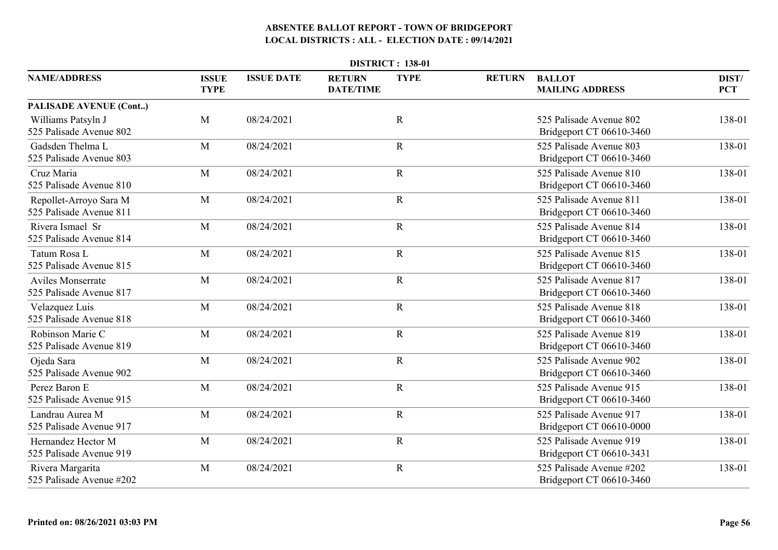| <b>DISTRICT: 138-01</b>                             |                             |                   |                                   |             |               |                                                      |                     |  |  |
|-----------------------------------------------------|-----------------------------|-------------------|-----------------------------------|-------------|---------------|------------------------------------------------------|---------------------|--|--|
| <b>NAME/ADDRESS</b>                                 | <b>ISSUE</b><br><b>TYPE</b> | <b>ISSUE DATE</b> | <b>RETURN</b><br><b>DATE/TIME</b> | <b>TYPE</b> | <b>RETURN</b> | <b>BALLOT</b><br><b>MAILING ADDRESS</b>              | DIST/<br><b>PCT</b> |  |  |
| <b>PALISADE AVENUE (Cont)</b>                       |                             |                   |                                   |             |               |                                                      |                     |  |  |
| Williams Patsyln J<br>525 Palisade Avenue 802       | M                           | 08/24/2021        |                                   | $\mathbf R$ |               | 525 Palisade Avenue 802<br>Bridgeport CT 06610-3460  | 138-01              |  |  |
| Gadsden Thelma L<br>525 Palisade Avenue 803         | M                           | 08/24/2021        |                                   | $\mathbf R$ |               | 525 Palisade Avenue 803<br>Bridgeport CT 06610-3460  | 138-01              |  |  |
| Cruz Maria<br>525 Palisade Avenue 810               | M                           | 08/24/2021        |                                   | $\mathbf R$ |               | 525 Palisade Avenue 810<br>Bridgeport CT 06610-3460  | 138-01              |  |  |
| Repollet-Arroyo Sara M<br>525 Palisade Avenue 811   | $\mathbf{M}$                | 08/24/2021        |                                   | $\mathbf R$ |               | 525 Palisade Avenue 811<br>Bridgeport CT 06610-3460  | 138-01              |  |  |
| Rivera Ismael Sr<br>525 Palisade Avenue 814         | M                           | 08/24/2021        |                                   | $\mathbf R$ |               | 525 Palisade Avenue 814<br>Bridgeport CT 06610-3460  | 138-01              |  |  |
| Tatum Rosa L<br>525 Palisade Avenue 815             | M                           | 08/24/2021        |                                   | $\mathbf R$ |               | 525 Palisade Avenue 815<br>Bridgeport CT 06610-3460  | 138-01              |  |  |
| <b>Aviles Monserrate</b><br>525 Palisade Avenue 817 | M                           | 08/24/2021        |                                   | $\mathbf R$ |               | 525 Palisade Avenue 817<br>Bridgeport CT 06610-3460  | 138-01              |  |  |
| Velazquez Luis<br>525 Palisade Avenue 818           | M                           | 08/24/2021        |                                   | ${\bf R}$   |               | 525 Palisade Avenue 818<br>Bridgeport CT 06610-3460  | 138-01              |  |  |
| Robinson Marie C<br>525 Palisade Avenue 819         | M                           | 08/24/2021        |                                   | $\mathbf R$ |               | 525 Palisade Avenue 819<br>Bridgeport CT 06610-3460  | 138-01              |  |  |
| Ojeda Sara<br>525 Palisade Avenue 902               | M                           | 08/24/2021        |                                   | $\mathbf R$ |               | 525 Palisade Avenue 902<br>Bridgeport CT 06610-3460  | 138-01              |  |  |
| Perez Baron E<br>525 Palisade Avenue 915            | M                           | 08/24/2021        |                                   | $\mathbf R$ |               | 525 Palisade Avenue 915<br>Bridgeport CT 06610-3460  | 138-01              |  |  |
| Landrau Aurea M<br>525 Palisade Avenue 917          | M                           | 08/24/2021        |                                   | $\mathbf R$ |               | 525 Palisade Avenue 917<br>Bridgeport CT 06610-0000  | 138-01              |  |  |
| Hernandez Hector M<br>525 Palisade Avenue 919       | M                           | 08/24/2021        |                                   | $\mathbf R$ |               | 525 Palisade Avenue 919<br>Bridgeport CT 06610-3431  | 138-01              |  |  |
| Rivera Margarita<br>525 Palisade Avenue #202        | M                           | 08/24/2021        |                                   | $\mathbf R$ |               | 525 Palisade Avenue #202<br>Bridgeport CT 06610-3460 | 138-01              |  |  |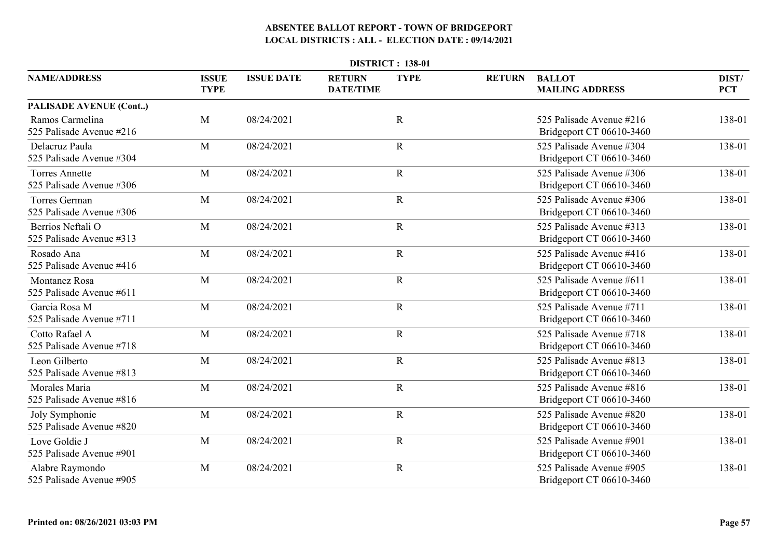| <b>DISTRICT: 138-01</b>                           |                             |                   |                                   |             |               |                                                      |                     |  |  |
|---------------------------------------------------|-----------------------------|-------------------|-----------------------------------|-------------|---------------|------------------------------------------------------|---------------------|--|--|
| <b>NAME/ADDRESS</b>                               | <b>ISSUE</b><br><b>TYPE</b> | <b>ISSUE DATE</b> | <b>RETURN</b><br><b>DATE/TIME</b> | <b>TYPE</b> | <b>RETURN</b> | <b>BALLOT</b><br><b>MAILING ADDRESS</b>              | DIST/<br><b>PCT</b> |  |  |
| <b>PALISADE AVENUE (Cont)</b>                     |                             |                   |                                   |             |               |                                                      |                     |  |  |
| Ramos Carmelina<br>525 Palisade Avenue #216       | M                           | 08/24/2021        |                                   | $\mathbf R$ |               | 525 Palisade Avenue #216<br>Bridgeport CT 06610-3460 | 138-01              |  |  |
| Delacruz Paula<br>525 Palisade Avenue #304        | M                           | 08/24/2021        |                                   | $\mathbf R$ |               | 525 Palisade Avenue #304<br>Bridgeport CT 06610-3460 | 138-01              |  |  |
| <b>Torres Annette</b><br>525 Palisade Avenue #306 | M                           | 08/24/2021        |                                   | $\mathbf R$ |               | 525 Palisade Avenue #306<br>Bridgeport CT 06610-3460 | 138-01              |  |  |
| Torres German<br>525 Palisade Avenue #306         | M                           | 08/24/2021        |                                   | $\mathbf R$ |               | 525 Palisade Avenue #306<br>Bridgeport CT 06610-3460 | 138-01              |  |  |
| Berrios Neftali O<br>525 Palisade Avenue #313     | M                           | 08/24/2021        |                                   | $\mathbf R$ |               | 525 Palisade Avenue #313<br>Bridgeport CT 06610-3460 | 138-01              |  |  |
| Rosado Ana<br>525 Palisade Avenue #416            | M                           | 08/24/2021        |                                   | $\mathbf R$ |               | 525 Palisade Avenue #416<br>Bridgeport CT 06610-3460 | 138-01              |  |  |
| <b>Montanez Rosa</b><br>525 Palisade Avenue #611  | M                           | 08/24/2021        |                                   | $\mathbf R$ |               | 525 Palisade Avenue #611<br>Bridgeport CT 06610-3460 | 138-01              |  |  |
| Garcia Rosa M<br>525 Palisade Avenue #711         | M                           | 08/24/2021        |                                   | ${\bf R}$   |               | 525 Palisade Avenue #711<br>Bridgeport CT 06610-3460 | 138-01              |  |  |
| Cotto Rafael A<br>525 Palisade Avenue #718        | M                           | 08/24/2021        |                                   | $\mathbf R$ |               | 525 Palisade Avenue #718<br>Bridgeport CT 06610-3460 | 138-01              |  |  |
| Leon Gilberto<br>525 Palisade Avenue #813         | M                           | 08/24/2021        |                                   | $\mathbf R$ |               | 525 Palisade Avenue #813<br>Bridgeport CT 06610-3460 | 138-01              |  |  |
| Morales Maria<br>525 Palisade Avenue #816         | M                           | 08/24/2021        |                                   | $\mathbf R$ |               | 525 Palisade Avenue #816<br>Bridgeport CT 06610-3460 | 138-01              |  |  |
| Joly Symphonie<br>525 Palisade Avenue #820        | M                           | 08/24/2021        |                                   | $\mathbf R$ |               | 525 Palisade Avenue #820<br>Bridgeport CT 06610-3460 | 138-01              |  |  |
| Love Goldie J<br>525 Palisade Avenue #901         | M                           | 08/24/2021        |                                   | $\mathbf R$ |               | 525 Palisade Avenue #901<br>Bridgeport CT 06610-3460 | 138-01              |  |  |
| Alabre Raymondo<br>525 Palisade Avenue #905       | M                           | 08/24/2021        |                                   | $\mathbf R$ |               | 525 Palisade Avenue #905<br>Bridgeport CT 06610-3460 | 138-01              |  |  |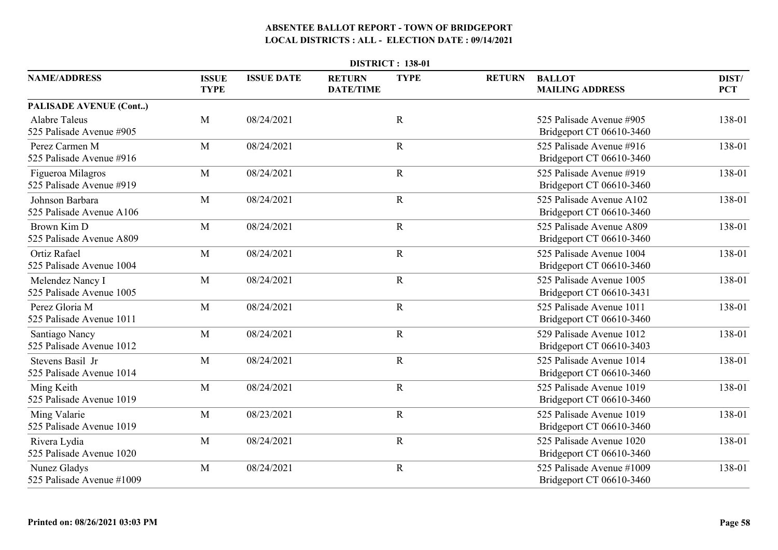| <b>DISTRICT: 138-01</b>                          |                             |                   |                                   |             |               |                                                       |                     |  |  |
|--------------------------------------------------|-----------------------------|-------------------|-----------------------------------|-------------|---------------|-------------------------------------------------------|---------------------|--|--|
| <b>NAME/ADDRESS</b>                              | <b>ISSUE</b><br><b>TYPE</b> | <b>ISSUE DATE</b> | <b>RETURN</b><br><b>DATE/TIME</b> | <b>TYPE</b> | <b>RETURN</b> | <b>BALLOT</b><br><b>MAILING ADDRESS</b>               | DIST/<br><b>PCT</b> |  |  |
| PALISADE AVENUE (Cont)                           |                             |                   |                                   |             |               |                                                       |                     |  |  |
| <b>Alabre Taleus</b><br>525 Palisade Avenue #905 | M                           | 08/24/2021        |                                   | $\mathbf R$ |               | 525 Palisade Avenue #905<br>Bridgeport CT 06610-3460  | 138-01              |  |  |
| Perez Carmen M<br>525 Palisade Avenue #916       | M                           | 08/24/2021        |                                   | $\mathbf R$ |               | 525 Palisade Avenue #916<br>Bridgeport CT 06610-3460  | 138-01              |  |  |
| Figueroa Milagros<br>525 Palisade Avenue #919    | M                           | 08/24/2021        |                                   | $\mathbf R$ |               | 525 Palisade Avenue #919<br>Bridgeport CT 06610-3460  | 138-01              |  |  |
| Johnson Barbara<br>525 Palisade Avenue A106      | M                           | 08/24/2021        |                                   | $\mathbf R$ |               | 525 Palisade Avenue A102<br>Bridgeport CT 06610-3460  | 138-01              |  |  |
| Brown Kim D<br>525 Palisade Avenue A809          | M                           | 08/24/2021        |                                   | $\mathbf R$ |               | 525 Palisade Avenue A809<br>Bridgeport CT 06610-3460  | 138-01              |  |  |
| <b>Ortiz Rafael</b><br>525 Palisade Avenue 1004  | M                           | 08/24/2021        |                                   | $\mathbf R$ |               | 525 Palisade Avenue 1004<br>Bridgeport CT 06610-3460  | 138-01              |  |  |
| Melendez Nancy I<br>525 Palisade Avenue 1005     | M                           | 08/24/2021        |                                   | $\mathbf R$ |               | 525 Palisade Avenue 1005<br>Bridgeport CT 06610-3431  | 138-01              |  |  |
| Perez Gloria M<br>525 Palisade Avenue 1011       | M                           | 08/24/2021        |                                   | ${\bf R}$   |               | 525 Palisade Avenue 1011<br>Bridgeport CT 06610-3460  | 138-01              |  |  |
| Santiago Nancy<br>525 Palisade Avenue 1012       | M                           | 08/24/2021        |                                   | $\mathbf R$ |               | 529 Palisade Avenue 1012<br>Bridgeport CT 06610-3403  | 138-01              |  |  |
| Stevens Basil Jr<br>525 Palisade Avenue 1014     | M                           | 08/24/2021        |                                   | $\mathbf R$ |               | 525 Palisade Avenue 1014<br>Bridgeport CT 06610-3460  | 138-01              |  |  |
| Ming Keith<br>525 Palisade Avenue 1019           | M                           | 08/24/2021        |                                   | $\mathbf R$ |               | 525 Palisade Avenue 1019<br>Bridgeport CT 06610-3460  | 138-01              |  |  |
| Ming Valarie<br>525 Palisade Avenue 1019         | M                           | 08/23/2021        |                                   | $\mathbf R$ |               | 525 Palisade Avenue 1019<br>Bridgeport CT 06610-3460  | 138-01              |  |  |
| Rivera Lydia<br>525 Palisade Avenue 1020         | M                           | 08/24/2021        |                                   | $\mathbf R$ |               | 525 Palisade Avenue 1020<br>Bridgeport CT 06610-3460  | 138-01              |  |  |
| Nunez Gladys<br>525 Palisade Avenue #1009        | M                           | 08/24/2021        |                                   | $\mathbf R$ |               | 525 Palisade Avenue #1009<br>Bridgeport CT 06610-3460 | 138-01              |  |  |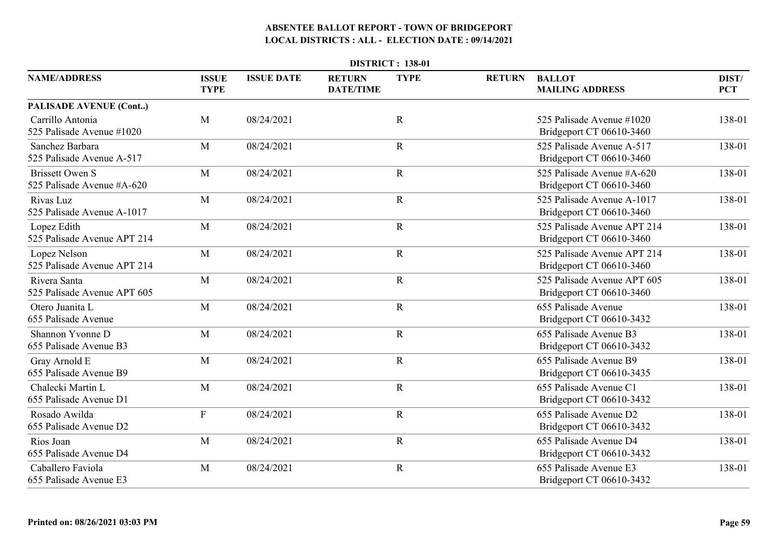|                                                      | <b>DISTRICT: 138-01</b>     |                   |                                   |             |               |                                                         |                     |  |  |  |  |
|------------------------------------------------------|-----------------------------|-------------------|-----------------------------------|-------------|---------------|---------------------------------------------------------|---------------------|--|--|--|--|
| <b>NAME/ADDRESS</b>                                  | <b>ISSUE</b><br><b>TYPE</b> | <b>ISSUE DATE</b> | <b>RETURN</b><br><b>DATE/TIME</b> | <b>TYPE</b> | <b>RETURN</b> | <b>BALLOT</b><br><b>MAILING ADDRESS</b>                 | DIST/<br><b>PCT</b> |  |  |  |  |
| <b>PALISADE AVENUE (Cont)</b>                        |                             |                   |                                   |             |               |                                                         |                     |  |  |  |  |
| Carrillo Antonia<br>525 Palisade Avenue #1020        | M                           | 08/24/2021        |                                   | $\mathbf R$ |               | 525 Palisade Avenue #1020<br>Bridgeport CT 06610-3460   | 138-01              |  |  |  |  |
| Sanchez Barbara<br>525 Palisade Avenue A-517         | M                           | 08/24/2021        |                                   | $\mathbf R$ |               | 525 Palisade Avenue A-517<br>Bridgeport CT 06610-3460   | 138-01              |  |  |  |  |
| <b>Brissett Owen S</b><br>525 Palisade Avenue #A-620 | M                           | 08/24/2021        |                                   | $\mathbf R$ |               | 525 Palisade Avenue #A-620<br>Bridgeport CT 06610-3460  | 138-01              |  |  |  |  |
| Rivas Luz<br>525 Palisade Avenue A-1017              | M                           | 08/24/2021        |                                   | $\mathbf R$ |               | 525 Palisade Avenue A-1017<br>Bridgeport CT 06610-3460  | 138-01              |  |  |  |  |
| Lopez Edith<br>525 Palisade Avenue APT 214           | M                           | 08/24/2021        |                                   | $\mathbf R$ |               | 525 Palisade Avenue APT 214<br>Bridgeport CT 06610-3460 | 138-01              |  |  |  |  |
| Lopez Nelson<br>525 Palisade Avenue APT 214          | M                           | 08/24/2021        |                                   | $\mathbf R$ |               | 525 Palisade Avenue APT 214<br>Bridgeport CT 06610-3460 | 138-01              |  |  |  |  |
| Rivera Santa<br>525 Palisade Avenue APT 605          | M                           | 08/24/2021        |                                   | $\mathbf R$ |               | 525 Palisade Avenue APT 605<br>Bridgeport CT 06610-3460 | 138-01              |  |  |  |  |
| Otero Juanita L<br>655 Palisade Avenue               | M                           | 08/24/2021        |                                   | ${\bf R}$   |               | 655 Palisade Avenue<br>Bridgeport CT 06610-3432         | 138-01              |  |  |  |  |
| Shannon Yvonne D<br>655 Palisade Avenue B3           | M                           | 08/24/2021        |                                   | $\mathbf R$ |               | 655 Palisade Avenue B3<br>Bridgeport CT 06610-3432      | 138-01              |  |  |  |  |
| Gray Arnold E<br>655 Palisade Avenue B9              | M                           | 08/24/2021        |                                   | $\mathbf R$ |               | 655 Palisade Avenue B9<br>Bridgeport CT 06610-3435      | 138-01              |  |  |  |  |
| Chalecki Martin L<br>655 Palisade Avenue D1          | M                           | 08/24/2021        |                                   | $\mathbf R$ |               | 655 Palisade Avenue C1<br>Bridgeport CT 06610-3432      | 138-01              |  |  |  |  |
| Rosado Awilda<br>655 Palisade Avenue D2              | $\mathbf{F}$                | 08/24/2021        |                                   | $\mathbf R$ |               | 655 Palisade Avenue D2<br>Bridgeport CT 06610-3432      | 138-01              |  |  |  |  |
| Rios Joan<br>655 Palisade Avenue D4                  | M                           | 08/24/2021        |                                   | $\mathbf R$ |               | 655 Palisade Avenue D4<br>Bridgeport CT 06610-3432      | 138-01              |  |  |  |  |
| Caballero Faviola<br>655 Palisade Avenue E3          | M                           | 08/24/2021        |                                   | $\mathbf R$ |               | 655 Palisade Avenue E3<br>Bridgeport CT 06610-3432      | 138-01              |  |  |  |  |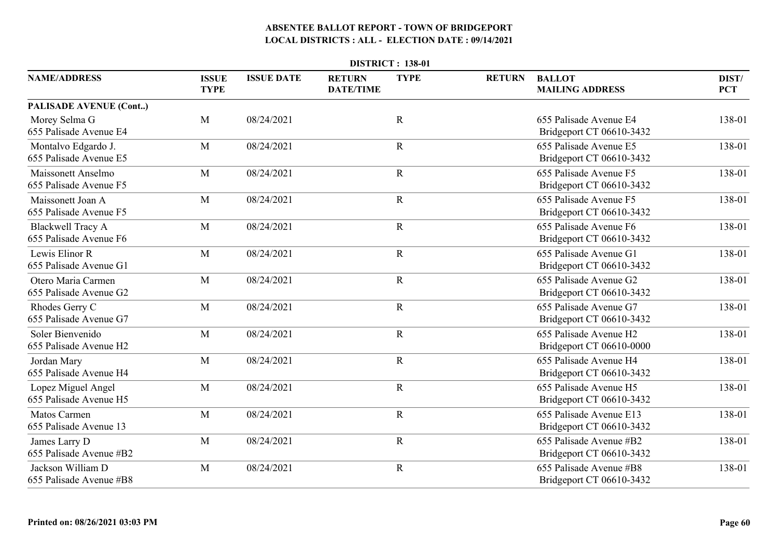|                                                     | <b>DISTRICT: 138-01</b>     |                   |                                   |             |               |                                                     |                     |  |  |  |  |
|-----------------------------------------------------|-----------------------------|-------------------|-----------------------------------|-------------|---------------|-----------------------------------------------------|---------------------|--|--|--|--|
| <b>NAME/ADDRESS</b>                                 | <b>ISSUE</b><br><b>TYPE</b> | <b>ISSUE DATE</b> | <b>RETURN</b><br><b>DATE/TIME</b> | <b>TYPE</b> | <b>RETURN</b> | <b>BALLOT</b><br><b>MAILING ADDRESS</b>             | DIST/<br><b>PCT</b> |  |  |  |  |
| PALISADE AVENUE (Cont)                              |                             |                   |                                   |             |               |                                                     |                     |  |  |  |  |
| Morey Selma G<br>655 Palisade Avenue E4             | M                           | 08/24/2021        |                                   | $\mathbf R$ |               | 655 Palisade Avenue E4<br>Bridgeport CT 06610-3432  | 138-01              |  |  |  |  |
| Montalvo Edgardo J.<br>655 Palisade Avenue E5       | M                           | 08/24/2021        |                                   | $\mathbf R$ |               | 655 Palisade Avenue E5<br>Bridgeport CT 06610-3432  | 138-01              |  |  |  |  |
| <b>Maissonett Anselmo</b><br>655 Palisade Avenue F5 | M                           | 08/24/2021        |                                   | $\mathbf R$ |               | 655 Palisade Avenue F5<br>Bridgeport CT 06610-3432  | 138-01              |  |  |  |  |
| Maissonett Joan A<br>655 Palisade Avenue F5         | M                           | 08/24/2021        |                                   | $\mathbf R$ |               | 655 Palisade Avenue F5<br>Bridgeport CT 06610-3432  | 138-01              |  |  |  |  |
| <b>Blackwell Tracy A</b><br>655 Palisade Avenue F6  | M                           | 08/24/2021        |                                   | $\mathbf R$ |               | 655 Palisade Avenue F6<br>Bridgeport CT 06610-3432  | 138-01              |  |  |  |  |
| Lewis Elinor R<br>655 Palisade Avenue G1            | M                           | 08/24/2021        |                                   | $\mathbf R$ |               | 655 Palisade Avenue G1<br>Bridgeport CT 06610-3432  | 138-01              |  |  |  |  |
| Otero Maria Carmen<br>655 Palisade Avenue G2        | M                           | 08/24/2021        |                                   | $\mathbf R$ |               | 655 Palisade Avenue G2<br>Bridgeport CT 06610-3432  | 138-01              |  |  |  |  |
| Rhodes Gerry C<br>655 Palisade Avenue G7            | M                           | 08/24/2021        |                                   | ${\bf R}$   |               | 655 Palisade Avenue G7<br>Bridgeport CT 06610-3432  | 138-01              |  |  |  |  |
| Soler Bienvenido<br>655 Palisade Avenue H2          | M                           | 08/24/2021        |                                   | $\mathbf R$ |               | 655 Palisade Avenue H2<br>Bridgeport CT 06610-0000  | 138-01              |  |  |  |  |
| Jordan Mary<br>655 Palisade Avenue H4               | M                           | 08/24/2021        |                                   | $\mathbf R$ |               | 655 Palisade Avenue H4<br>Bridgeport CT 06610-3432  | 138-01              |  |  |  |  |
| Lopez Miguel Angel<br>655 Palisade Avenue H5        | M                           | 08/24/2021        |                                   | $\mathbf R$ |               | 655 Palisade Avenue H5<br>Bridgeport CT 06610-3432  | 138-01              |  |  |  |  |
| <b>Matos Carmen</b><br>655 Palisade Avenue 13       | M                           | 08/24/2021        |                                   | $\mathbf R$ |               | 655 Palisade Avenue E13<br>Bridgeport CT 06610-3432 | 138-01              |  |  |  |  |
| James Larry D<br>655 Palisade Avenue #B2            | M                           | 08/24/2021        |                                   | $\mathbf R$ |               | 655 Palisade Avenue #B2<br>Bridgeport CT 06610-3432 | 138-01              |  |  |  |  |
| Jackson William D<br>655 Palisade Avenue #B8        | M                           | 08/24/2021        |                                   | $\mathbf R$ |               | 655 Palisade Avenue #B8<br>Bridgeport CT 06610-3432 | 138-01              |  |  |  |  |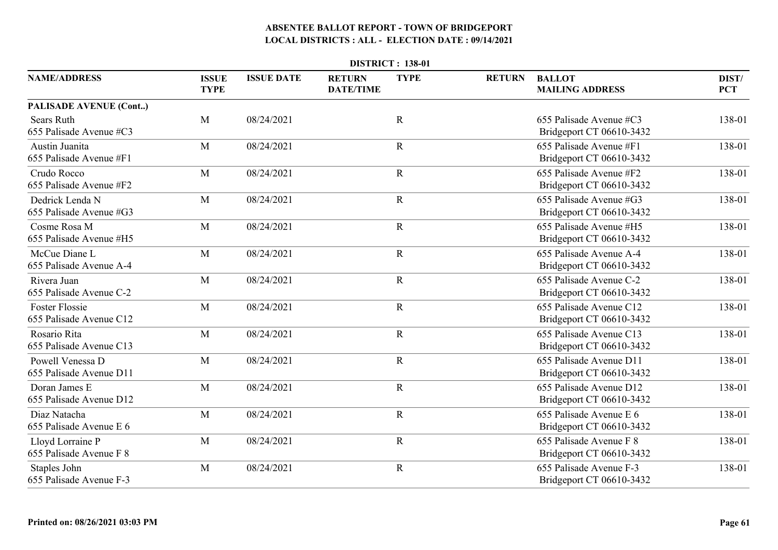|                                                  | <b>DISTRICT: 138-01</b>     |                   |                                   |             |               |                                                     |                     |  |  |  |  |
|--------------------------------------------------|-----------------------------|-------------------|-----------------------------------|-------------|---------------|-----------------------------------------------------|---------------------|--|--|--|--|
| <b>NAME/ADDRESS</b>                              | <b>ISSUE</b><br><b>TYPE</b> | <b>ISSUE DATE</b> | <b>RETURN</b><br><b>DATE/TIME</b> | <b>TYPE</b> | <b>RETURN</b> | <b>BALLOT</b><br><b>MAILING ADDRESS</b>             | DIST/<br><b>PCT</b> |  |  |  |  |
| PALISADE AVENUE (Cont)                           |                             |                   |                                   |             |               |                                                     |                     |  |  |  |  |
| <b>Sears Ruth</b><br>655 Palisade Avenue #C3     | M                           | 08/24/2021        |                                   | $\mathbf R$ |               | 655 Palisade Avenue #C3<br>Bridgeport CT 06610-3432 | 138-01              |  |  |  |  |
| Austin Juanita<br>655 Palisade Avenue #F1        | M                           | 08/24/2021        |                                   | $\mathbf R$ |               | 655 Palisade Avenue #F1<br>Bridgeport CT 06610-3432 | 138-01              |  |  |  |  |
| Crudo Rocco<br>655 Palisade Avenue #F2           | M                           | 08/24/2021        |                                   | $\mathbf R$ |               | 655 Palisade Avenue #F2<br>Bridgeport CT 06610-3432 | 138-01              |  |  |  |  |
| Dedrick Lenda N<br>655 Palisade Avenue #G3       | M                           | 08/24/2021        |                                   | $\mathbf R$ |               | 655 Palisade Avenue #G3<br>Bridgeport CT 06610-3432 | 138-01              |  |  |  |  |
| Cosme Rosa M<br>655 Palisade Avenue #H5          | M                           | 08/24/2021        |                                   | $\mathbf R$ |               | 655 Palisade Avenue #H5<br>Bridgeport CT 06610-3432 | 138-01              |  |  |  |  |
| McCue Diane L<br>655 Palisade Avenue A-4         | M                           | 08/24/2021        |                                   | $\mathbf R$ |               | 655 Palisade Avenue A-4<br>Bridgeport CT 06610-3432 | 138-01              |  |  |  |  |
| Rivera Juan<br>655 Palisade Avenue C-2           | M                           | 08/24/2021        |                                   | $\mathbf R$ |               | 655 Palisade Avenue C-2<br>Bridgeport CT 06610-3432 | 138-01              |  |  |  |  |
| <b>Foster Flossie</b><br>655 Palisade Avenue C12 | M                           | 08/24/2021        |                                   | ${\bf R}$   |               | 655 Palisade Avenue C12<br>Bridgeport CT 06610-3432 | 138-01              |  |  |  |  |
| Rosario Rita<br>655 Palisade Avenue C13          | M                           | 08/24/2021        |                                   | ${\bf R}$   |               | 655 Palisade Avenue C13<br>Bridgeport CT 06610-3432 | 138-01              |  |  |  |  |
| Powell Venessa D<br>655 Palisade Avenue D11      | M                           | 08/24/2021        |                                   | $\mathbf R$ |               | 655 Palisade Avenue D11<br>Bridgeport CT 06610-3432 | 138-01              |  |  |  |  |
| Doran James E<br>655 Palisade Avenue D12         | M                           | 08/24/2021        |                                   | $\mathbf R$ |               | 655 Palisade Avenue D12<br>Bridgeport CT 06610-3432 | 138-01              |  |  |  |  |
| Diaz Natacha<br>655 Palisade Avenue E 6          | M                           | 08/24/2021        |                                   | $\mathbf R$ |               | 655 Palisade Avenue E 6<br>Bridgeport CT 06610-3432 | 138-01              |  |  |  |  |
| Lloyd Lorraine P<br>655 Palisade Avenue F 8      | M                           | 08/24/2021        |                                   | $\mathbf R$ |               | 655 Palisade Avenue F 8<br>Bridgeport CT 06610-3432 | 138-01              |  |  |  |  |
| Staples John<br>655 Palisade Avenue F-3          | M                           | 08/24/2021        |                                   | $\mathbf R$ |               | 655 Palisade Avenue F-3<br>Bridgeport CT 06610-3432 | 138-01              |  |  |  |  |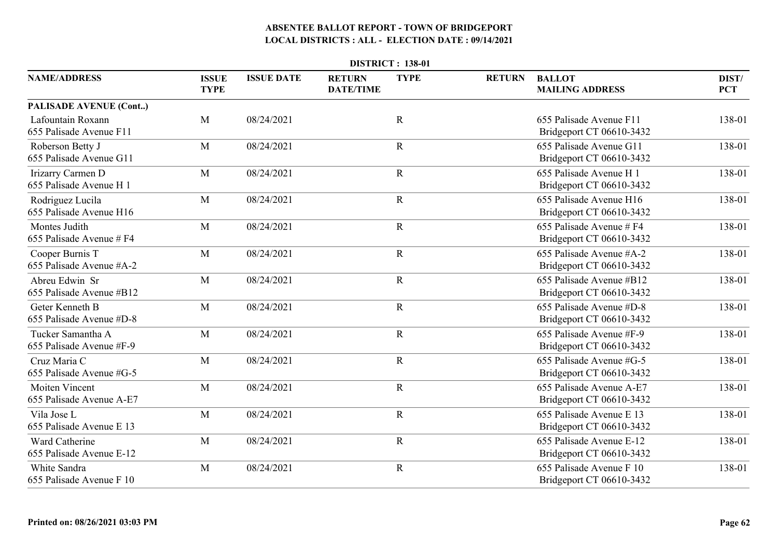| <b>DISTRICT: 138-01</b>                           |                             |                   |                                   |             |               |                                                      |                     |  |  |  |
|---------------------------------------------------|-----------------------------|-------------------|-----------------------------------|-------------|---------------|------------------------------------------------------|---------------------|--|--|--|
| <b>NAME/ADDRESS</b>                               | <b>ISSUE</b><br><b>TYPE</b> | <b>ISSUE DATE</b> | <b>RETURN</b><br><b>DATE/TIME</b> | <b>TYPE</b> | <b>RETURN</b> | <b>BALLOT</b><br><b>MAILING ADDRESS</b>              | DIST/<br><b>PCT</b> |  |  |  |
| <b>PALISADE AVENUE (Cont)</b>                     |                             |                   |                                   |             |               |                                                      |                     |  |  |  |
| Lafountain Roxann<br>655 Palisade Avenue F11      | M                           | 08/24/2021        |                                   | $\mathbf R$ |               | 655 Palisade Avenue F11<br>Bridgeport CT 06610-3432  | 138-01              |  |  |  |
| Roberson Betty J<br>655 Palisade Avenue G11       | M                           | 08/24/2021        |                                   | $\mathbf R$ |               | 655 Palisade Avenue G11<br>Bridgeport CT 06610-3432  | 138-01              |  |  |  |
| Irizarry Carmen D<br>655 Palisade Avenue H 1      | M                           | 08/24/2021        |                                   | $\mathbf R$ |               | 655 Palisade Avenue H 1<br>Bridgeport CT 06610-3432  | 138-01              |  |  |  |
| Rodriguez Lucila<br>655 Palisade Avenue H16       | M                           | 08/24/2021        |                                   | $\mathbf R$ |               | 655 Palisade Avenue H16<br>Bridgeport CT 06610-3432  | 138-01              |  |  |  |
| Montes Judith<br>655 Palisade Avenue # F4         | M                           | 08/24/2021        |                                   | $\mathbf R$ |               | 655 Palisade Avenue # F4<br>Bridgeport CT 06610-3432 | 138-01              |  |  |  |
| Cooper Burnis T<br>655 Palisade Avenue #A-2       | M                           | 08/24/2021        |                                   | $\mathbf R$ |               | 655 Palisade Avenue #A-2<br>Bridgeport CT 06610-3432 | 138-01              |  |  |  |
| Abreu Edwin Sr<br>655 Palisade Avenue #B12        | M                           | 08/24/2021        |                                   | $\mathbf R$ |               | 655 Palisade Avenue #B12<br>Bridgeport CT 06610-3432 | 138-01              |  |  |  |
| Geter Kenneth B<br>655 Palisade Avenue #D-8       | M                           | 08/24/2021        |                                   | $\mathbf R$ |               | 655 Palisade Avenue #D-8<br>Bridgeport CT 06610-3432 | 138-01              |  |  |  |
| Tucker Samantha A<br>655 Palisade Avenue #F-9     | M                           | 08/24/2021        |                                   | $\mathbf R$ |               | 655 Palisade Avenue #F-9<br>Bridgeport CT 06610-3432 | 138-01              |  |  |  |
| Cruz Maria C<br>655 Palisade Avenue #G-5          | M                           | 08/24/2021        |                                   | $\mathbf R$ |               | 655 Palisade Avenue #G-5<br>Bridgeport CT 06610-3432 | 138-01              |  |  |  |
| <b>Moiten Vincent</b><br>655 Palisade Avenue A-E7 | M                           | 08/24/2021        |                                   | $\mathbf R$ |               | 655 Palisade Avenue A-E7<br>Bridgeport CT 06610-3432 | 138-01              |  |  |  |
| Vila Jose L<br>655 Palisade Avenue E 13           | M                           | 08/24/2021        |                                   | $\mathbf R$ |               | 655 Palisade Avenue E 13<br>Bridgeport CT 06610-3432 | 138-01              |  |  |  |
| Ward Catherine<br>655 Palisade Avenue E-12        | M                           | 08/24/2021        |                                   | $\mathbf R$ |               | 655 Palisade Avenue E-12<br>Bridgeport CT 06610-3432 | 138-01              |  |  |  |
| White Sandra<br>655 Palisade Avenue F 10          | M                           | 08/24/2021        |                                   | $\mathbf R$ |               | 655 Palisade Avenue F 10<br>Bridgeport CT 06610-3432 | 138-01              |  |  |  |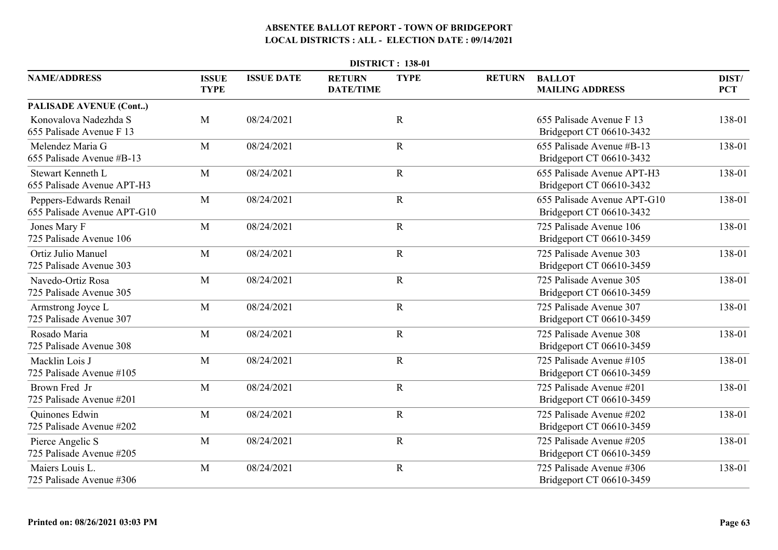|                                                       | <b>DISTRICT: 138-01</b>     |                   |                                   |             |               |                                                         |                     |  |  |  |  |
|-------------------------------------------------------|-----------------------------|-------------------|-----------------------------------|-------------|---------------|---------------------------------------------------------|---------------------|--|--|--|--|
| <b>NAME/ADDRESS</b>                                   | <b>ISSUE</b><br><b>TYPE</b> | <b>ISSUE DATE</b> | <b>RETURN</b><br><b>DATE/TIME</b> | <b>TYPE</b> | <b>RETURN</b> | <b>BALLOT</b><br><b>MAILING ADDRESS</b>                 | DIST/<br><b>PCT</b> |  |  |  |  |
| <b>PALISADE AVENUE (Cont)</b>                         |                             |                   |                                   |             |               |                                                         |                     |  |  |  |  |
| Konovalova Nadezhda S<br>655 Palisade Avenue F 13     | M                           | 08/24/2021        |                                   | $\mathbf R$ |               | 655 Palisade Avenue F 13<br>Bridgeport CT 06610-3432    | 138-01              |  |  |  |  |
| Melendez Maria G<br>655 Palisade Avenue #B-13         | M                           | 08/24/2021        |                                   | $\mathbf R$ |               | 655 Palisade Avenue #B-13<br>Bridgeport CT 06610-3432   | 138-01              |  |  |  |  |
| Stewart Kenneth L<br>655 Palisade Avenue APT-H3       | M                           | 08/24/2021        |                                   | $\mathbf R$ |               | 655 Palisade Avenue APT-H3<br>Bridgeport CT 06610-3432  | 138-01              |  |  |  |  |
| Peppers-Edwards Renail<br>655 Palisade Avenue APT-G10 | M                           | 08/24/2021        |                                   | $\mathbf R$ |               | 655 Palisade Avenue APT-G10<br>Bridgeport CT 06610-3432 | 138-01              |  |  |  |  |
| Jones Mary F<br>725 Palisade Avenue 106               | M                           | 08/24/2021        |                                   | $\mathbf R$ |               | 725 Palisade Avenue 106<br>Bridgeport CT 06610-3459     | 138-01              |  |  |  |  |
| Ortiz Julio Manuel<br>725 Palisade Avenue 303         | M                           | 08/24/2021        |                                   | $\mathbf R$ |               | 725 Palisade Avenue 303<br>Bridgeport CT 06610-3459     | 138-01              |  |  |  |  |
| Navedo-Ortiz Rosa<br>725 Palisade Avenue 305          | M                           | 08/24/2021        |                                   | $\mathbf R$ |               | 725 Palisade Avenue 305<br>Bridgeport CT 06610-3459     | 138-01              |  |  |  |  |
| Armstrong Joyce L<br>725 Palisade Avenue 307          | M                           | 08/24/2021        |                                   | $\mathbf R$ |               | 725 Palisade Avenue 307<br>Bridgeport CT 06610-3459     | 138-01              |  |  |  |  |
| Rosado Maria<br>725 Palisade Avenue 308               | M                           | 08/24/2021        |                                   | $\mathbf R$ |               | 725 Palisade Avenue 308<br>Bridgeport CT 06610-3459     | 138-01              |  |  |  |  |
| Macklin Lois J<br>725 Palisade Avenue #105            | M                           | 08/24/2021        |                                   | $\mathbf R$ |               | 725 Palisade Avenue #105<br>Bridgeport CT 06610-3459    | 138-01              |  |  |  |  |
| Brown Fred Jr<br>725 Palisade Avenue #201             | M                           | 08/24/2021        |                                   | $\mathbf R$ |               | 725 Palisade Avenue #201<br>Bridgeport CT 06610-3459    | 138-01              |  |  |  |  |
| <b>Ouinones Edwin</b><br>725 Palisade Avenue #202     | M                           | 08/24/2021        |                                   | $\mathbf R$ |               | 725 Palisade Avenue #202<br>Bridgeport CT 06610-3459    | 138-01              |  |  |  |  |
| Pierce Angelic S<br>725 Palisade Avenue #205          | M                           | 08/24/2021        |                                   | $\mathbf R$ |               | 725 Palisade Avenue #205<br>Bridgeport CT 06610-3459    | 138-01              |  |  |  |  |
| Maiers Louis L.<br>725 Palisade Avenue #306           | M                           | 08/24/2021        |                                   | $\mathbf R$ |               | 725 Palisade Avenue #306<br>Bridgeport CT 06610-3459    | 138-01              |  |  |  |  |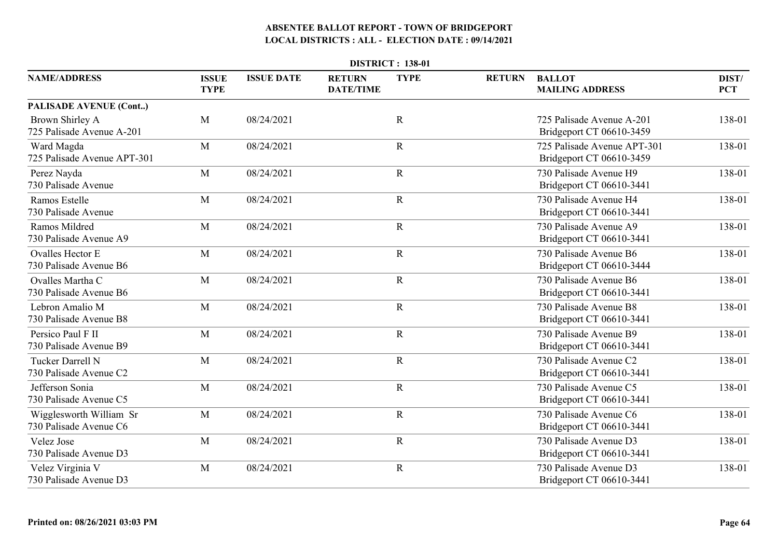|                                                   | <b>DISTRICT: 138-01</b>     |                   |                                   |             |               |                                                         |                     |  |  |  |  |
|---------------------------------------------------|-----------------------------|-------------------|-----------------------------------|-------------|---------------|---------------------------------------------------------|---------------------|--|--|--|--|
| <b>NAME/ADDRESS</b>                               | <b>ISSUE</b><br><b>TYPE</b> | <b>ISSUE DATE</b> | <b>RETURN</b><br><b>DATE/TIME</b> | <b>TYPE</b> | <b>RETURN</b> | <b>BALLOT</b><br><b>MAILING ADDRESS</b>                 | DIST/<br><b>PCT</b> |  |  |  |  |
| <b>PALISADE AVENUE (Cont)</b>                     |                             |                   |                                   |             |               |                                                         |                     |  |  |  |  |
| Brown Shirley A<br>725 Palisade Avenue A-201      | M                           | 08/24/2021        |                                   | $\mathbf R$ |               | 725 Palisade Avenue A-201<br>Bridgeport CT 06610-3459   | 138-01              |  |  |  |  |
| Ward Magda<br>725 Palisade Avenue APT-301         | M                           | 08/24/2021        |                                   | $\mathbf R$ |               | 725 Palisade Avenue APT-301<br>Bridgeport CT 06610-3459 | 138-01              |  |  |  |  |
| Perez Nayda<br>730 Palisade Avenue                | M                           | 08/24/2021        |                                   | $\mathbf R$ |               | 730 Palisade Avenue H9<br>Bridgeport CT 06610-3441      | 138-01              |  |  |  |  |
| Ramos Estelle<br>730 Palisade Avenue              | M                           | 08/24/2021        |                                   | $\mathbf R$ |               | 730 Palisade Avenue H4<br>Bridgeport CT 06610-3441      | 138-01              |  |  |  |  |
| Ramos Mildred<br>730 Palisade Avenue A9           | M                           | 08/24/2021        |                                   | $\mathbf R$ |               | 730 Palisade Avenue A9<br>Bridgeport CT 06610-3441      | 138-01              |  |  |  |  |
| <b>Ovalles Hector E</b><br>730 Palisade Avenue B6 | M                           | 08/24/2021        |                                   | $\mathbf R$ |               | 730 Palisade Avenue B6<br>Bridgeport CT 06610-3444      | 138-01              |  |  |  |  |
| Ovalles Martha C<br>730 Palisade Avenue B6        | M                           | 08/24/2021        |                                   | $\mathbf R$ |               | 730 Palisade Avenue B6<br>Bridgeport CT 06610-3441      | 138-01              |  |  |  |  |
| Lebron Amalio M<br>730 Palisade Avenue B8         | M                           | 08/24/2021        |                                   | ${\bf R}$   |               | 730 Palisade Avenue B8<br>Bridgeport CT 06610-3441      | 138-01              |  |  |  |  |
| Persico Paul F II<br>730 Palisade Avenue B9       | M                           | 08/24/2021        |                                   | ${\bf R}$   |               | 730 Palisade Avenue B9<br>Bridgeport CT 06610-3441      | 138-01              |  |  |  |  |
| Tucker Darrell N<br>730 Palisade Avenue C2        | M                           | 08/24/2021        |                                   | $\mathbf R$ |               | 730 Palisade Avenue C2<br>Bridgeport CT 06610-3441      | 138-01              |  |  |  |  |
| Jefferson Sonia<br>730 Palisade Avenue C5         | M                           | 08/24/2021        |                                   | $\mathbf R$ |               | 730 Palisade Avenue C5<br>Bridgeport CT 06610-3441      | 138-01              |  |  |  |  |
| Wigglesworth William Sr<br>730 Palisade Avenue C6 | M                           | 08/24/2021        |                                   | $\mathbf R$ |               | 730 Palisade Avenue C6<br>Bridgeport CT 06610-3441      | 138-01              |  |  |  |  |
| Velez Jose<br>730 Palisade Avenue D3              | M                           | 08/24/2021        |                                   | $\mathbf R$ |               | 730 Palisade Avenue D3<br>Bridgeport CT 06610-3441      | 138-01              |  |  |  |  |
| Velez Virginia V<br>730 Palisade Avenue D3        | M                           | 08/24/2021        |                                   | $\mathbf R$ |               | 730 Palisade Avenue D3<br>Bridgeport CT 06610-3441      | 138-01              |  |  |  |  |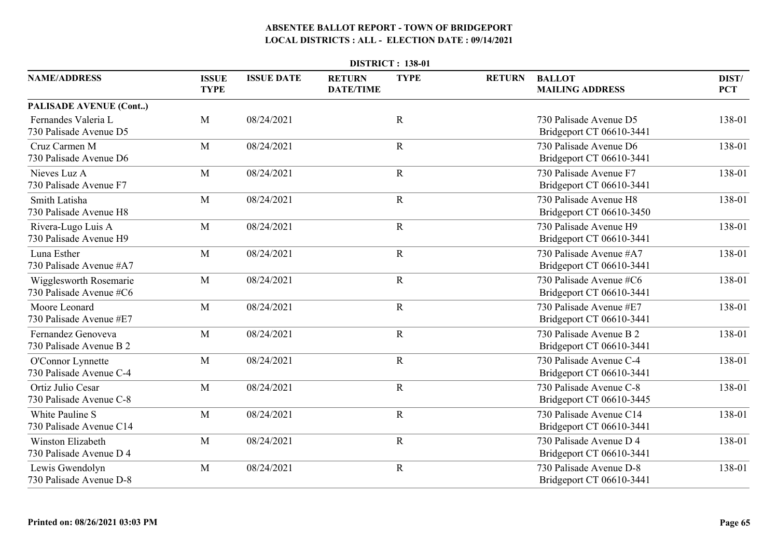|                                                     | <b>DISTRICT: 138-01</b>     |                   |                                   |             |               |                                                     |                     |  |  |  |  |
|-----------------------------------------------------|-----------------------------|-------------------|-----------------------------------|-------------|---------------|-----------------------------------------------------|---------------------|--|--|--|--|
| <b>NAME/ADDRESS</b>                                 | <b>ISSUE</b><br><b>TYPE</b> | <b>ISSUE DATE</b> | <b>RETURN</b><br><b>DATE/TIME</b> | <b>TYPE</b> | <b>RETURN</b> | <b>BALLOT</b><br><b>MAILING ADDRESS</b>             | DIST/<br><b>PCT</b> |  |  |  |  |
| PALISADE AVENUE (Cont)                              |                             |                   |                                   |             |               |                                                     |                     |  |  |  |  |
| Fernandes Valeria L<br>730 Palisade Avenue D5       | M                           | 08/24/2021        |                                   | $\mathbf R$ |               | 730 Palisade Avenue D5<br>Bridgeport CT 06610-3441  | 138-01              |  |  |  |  |
| Cruz Carmen M<br>730 Palisade Avenue D6             | M                           | 08/24/2021        |                                   | $\mathbf R$ |               | 730 Palisade Avenue D6<br>Bridgeport CT 06610-3441  | 138-01              |  |  |  |  |
| Nieves Luz A<br>730 Palisade Avenue F7              | M                           | 08/24/2021        |                                   | $\mathbf R$ |               | 730 Palisade Avenue F7<br>Bridgeport CT 06610-3441  | 138-01              |  |  |  |  |
| Smith Latisha<br>730 Palisade Avenue H8             | M                           | 08/24/2021        |                                   | $\mathbf R$ |               | 730 Palisade Avenue H8<br>Bridgeport CT 06610-3450  | 138-01              |  |  |  |  |
| Rivera-Lugo Luis A<br>730 Palisade Avenue H9        | M                           | 08/24/2021        |                                   | $\mathbf R$ |               | 730 Palisade Avenue H9<br>Bridgeport CT 06610-3441  | 138-01              |  |  |  |  |
| Luna Esther<br>730 Palisade Avenue #A7              | M                           | 08/24/2021        |                                   | $\mathbf R$ |               | 730 Palisade Avenue #A7<br>Bridgeport CT 06610-3441 | 138-01              |  |  |  |  |
| Wigglesworth Rosemarie<br>730 Palisade Avenue #C6   | M                           | 08/24/2021        |                                   | $\mathbf R$ |               | 730 Palisade Avenue #C6<br>Bridgeport CT 06610-3441 | 138-01              |  |  |  |  |
| Moore Leonard<br>730 Palisade Avenue #E7            | M                           | 08/24/2021        |                                   | ${\bf R}$   |               | 730 Palisade Avenue #E7<br>Bridgeport CT 06610-3441 | 138-01              |  |  |  |  |
| Fernandez Genoveva<br>730 Palisade Avenue B 2       | M                           | 08/24/2021        |                                   | $\mathbf R$ |               | 730 Palisade Avenue B 2<br>Bridgeport CT 06610-3441 | 138-01              |  |  |  |  |
| O'Connor Lynnette<br>730 Palisade Avenue C-4        | M                           | 08/24/2021        |                                   | $\mathbf R$ |               | 730 Palisade Avenue C-4<br>Bridgeport CT 06610-3441 | 138-01              |  |  |  |  |
| Ortiz Julio Cesar<br>730 Palisade Avenue C-8        | M                           | 08/24/2021        |                                   | $\mathbf R$ |               | 730 Palisade Avenue C-8<br>Bridgeport CT 06610-3445 | 138-01              |  |  |  |  |
| White Pauline S<br>730 Palisade Avenue C14          | M                           | 08/24/2021        |                                   | $\mathbf R$ |               | 730 Palisade Avenue C14<br>Bridgeport CT 06610-3441 | 138-01              |  |  |  |  |
| <b>Winston Elizabeth</b><br>730 Palisade Avenue D 4 | M                           | 08/24/2021        |                                   | $\mathbf R$ |               | 730 Palisade Avenue D 4<br>Bridgeport CT 06610-3441 | 138-01              |  |  |  |  |
| Lewis Gwendolyn<br>730 Palisade Avenue D-8          | M                           | 08/24/2021        |                                   | $\mathbf R$ |               | 730 Palisade Avenue D-8<br>Bridgeport CT 06610-3441 | 138-01              |  |  |  |  |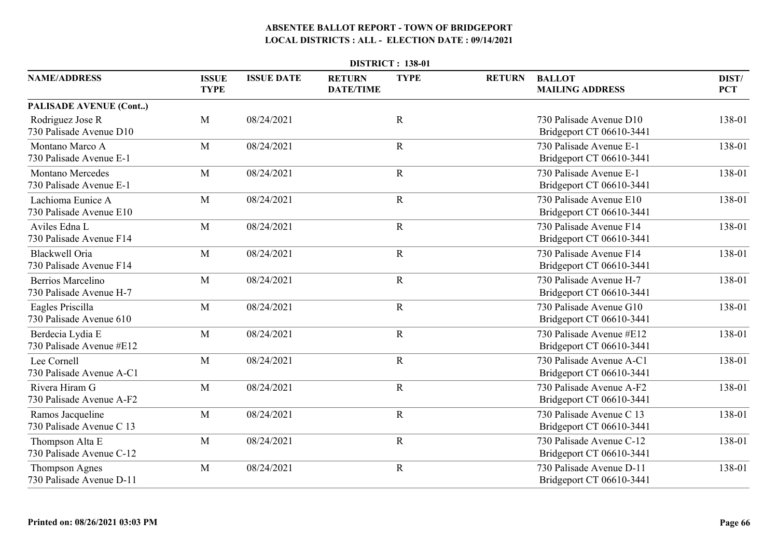|                                                     | <b>DISTRICT: 138-01</b>     |                   |                                   |             |               |                                                      |                     |  |  |  |  |
|-----------------------------------------------------|-----------------------------|-------------------|-----------------------------------|-------------|---------------|------------------------------------------------------|---------------------|--|--|--|--|
| <b>NAME/ADDRESS</b>                                 | <b>ISSUE</b><br><b>TYPE</b> | <b>ISSUE DATE</b> | <b>RETURN</b><br><b>DATE/TIME</b> | <b>TYPE</b> | <b>RETURN</b> | <b>BALLOT</b><br><b>MAILING ADDRESS</b>              | DIST/<br><b>PCT</b> |  |  |  |  |
| <b>PALISADE AVENUE (Cont)</b>                       |                             |                   |                                   |             |               |                                                      |                     |  |  |  |  |
| Rodriguez Jose R<br>730 Palisade Avenue D10         | M                           | 08/24/2021        |                                   | $\mathbf R$ |               | 730 Palisade Avenue D10<br>Bridgeport CT 06610-3441  | 138-01              |  |  |  |  |
| Montano Marco A<br>730 Palisade Avenue E-1          | M                           | 08/24/2021        |                                   | $\mathbf R$ |               | 730 Palisade Avenue E-1<br>Bridgeport CT 06610-3441  | 138-01              |  |  |  |  |
| <b>Montano Mercedes</b><br>730 Palisade Avenue E-1  | M                           | 08/24/2021        |                                   | $\mathbf R$ |               | 730 Palisade Avenue E-1<br>Bridgeport CT 06610-3441  | 138-01              |  |  |  |  |
| Lachioma Eunice A<br>730 Palisade Avenue E10        | M                           | 08/24/2021        |                                   | $\mathbf R$ |               | 730 Palisade Avenue E10<br>Bridgeport CT 06610-3441  | 138-01              |  |  |  |  |
| Aviles Edna L<br>730 Palisade Avenue F14            | M                           | 08/24/2021        |                                   | $\mathbf R$ |               | 730 Palisade Avenue F14<br>Bridgeport CT 06610-3441  | 138-01              |  |  |  |  |
| <b>Blackwell Oria</b><br>730 Palisade Avenue F14    | M                           | 08/24/2021        |                                   | $\mathbf R$ |               | 730 Palisade Avenue F14<br>Bridgeport CT 06610-3441  | 138-01              |  |  |  |  |
| <b>Berrios Marcelino</b><br>730 Palisade Avenue H-7 | M                           | 08/24/2021        |                                   | $\mathbf R$ |               | 730 Palisade Avenue H-7<br>Bridgeport CT 06610-3441  | 138-01              |  |  |  |  |
| Eagles Priscilla<br>730 Palisade Avenue 610         | M                           | 08/24/2021        |                                   | ${\bf R}$   |               | 730 Palisade Avenue G10<br>Bridgeport CT 06610-3441  | 138-01              |  |  |  |  |
| Berdecia Lydia E<br>730 Palisade Avenue #E12        | M                           | 08/24/2021        |                                   | $\mathbf R$ |               | 730 Palisade Avenue #E12<br>Bridgeport CT 06610-3441 | 138-01              |  |  |  |  |
| Lee Cornell<br>730 Palisade Avenue A-C1             | M                           | 08/24/2021        |                                   | $\mathbf R$ |               | 730 Palisade Avenue A-C1<br>Bridgeport CT 06610-3441 | 138-01              |  |  |  |  |
| Rivera Hiram G<br>730 Palisade Avenue A-F2          | M                           | 08/24/2021        |                                   | $\mathbf R$ |               | 730 Palisade Avenue A-F2<br>Bridgeport CT 06610-3441 | 138-01              |  |  |  |  |
| Ramos Jacqueline<br>730 Palisade Avenue C 13        | M                           | 08/24/2021        |                                   | $\mathbf R$ |               | 730 Palisade Avenue C 13<br>Bridgeport CT 06610-3441 | 138-01              |  |  |  |  |
| Thompson Alta E<br>730 Palisade Avenue C-12         | M                           | 08/24/2021        |                                   | $\mathbf R$ |               | 730 Palisade Avenue C-12<br>Bridgeport CT 06610-3441 | 138-01              |  |  |  |  |
| <b>Thompson Agnes</b><br>730 Palisade Avenue D-11   | M                           | 08/24/2021        |                                   | $\mathbf R$ |               | 730 Palisade Avenue D-11<br>Bridgeport CT 06610-3441 | 138-01              |  |  |  |  |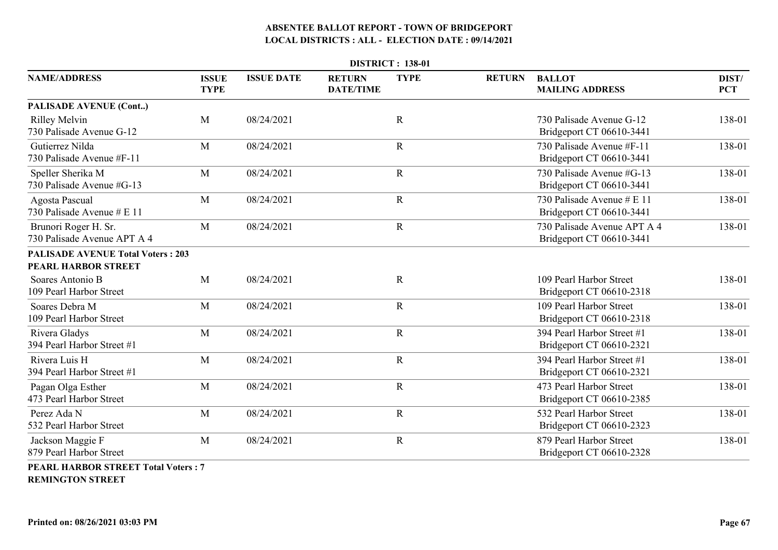| <b>DISTRICT: 138-01</b>                                         |                             |                   |                                   |             |               |                                                         |                     |  |  |  |
|-----------------------------------------------------------------|-----------------------------|-------------------|-----------------------------------|-------------|---------------|---------------------------------------------------------|---------------------|--|--|--|
| <b>NAME/ADDRESS</b>                                             | <b>ISSUE</b><br><b>TYPE</b> | <b>ISSUE DATE</b> | <b>RETURN</b><br><b>DATE/TIME</b> | <b>TYPE</b> | <b>RETURN</b> | <b>BALLOT</b><br><b>MAILING ADDRESS</b>                 | DIST/<br><b>PCT</b> |  |  |  |
| <b>PALISADE AVENUE (Cont)</b>                                   |                             |                   |                                   |             |               |                                                         |                     |  |  |  |
| <b>Rilley Melvin</b><br>730 Palisade Avenue G-12                | M                           | 08/24/2021        |                                   | $\mathbf R$ |               | 730 Palisade Avenue G-12<br>Bridgeport CT 06610-3441    | 138-01              |  |  |  |
| Gutierrez Nilda<br>730 Palisade Avenue #F-11                    | M                           | 08/24/2021        |                                   | $\mathbf R$ |               | 730 Palisade Avenue #F-11<br>Bridgeport CT 06610-3441   | 138-01              |  |  |  |
| Speller Sherika M<br>730 Palisade Avenue #G-13                  | M                           | 08/24/2021        |                                   | $\mathbf R$ |               | 730 Palisade Avenue #G-13<br>Bridgeport CT 06610-3441   | 138-01              |  |  |  |
| Agosta Pascual<br>730 Palisade Avenue # E 11                    | M                           | 08/24/2021        |                                   | $\mathbf R$ |               | 730 Palisade Avenue # E 11<br>Bridgeport CT 06610-3441  | 138-01              |  |  |  |
| Brunori Roger H. Sr.<br>730 Palisade Avenue APT A 4             | M                           | 08/24/2021        |                                   | $\mathbf R$ |               | 730 Palisade Avenue APT A 4<br>Bridgeport CT 06610-3441 | 138-01              |  |  |  |
| <b>PALISADE AVENUE Total Voters: 203</b><br>PEARL HARBOR STREET |                             |                   |                                   |             |               |                                                         |                     |  |  |  |
| Soares Antonio B<br>109 Pearl Harbor Street                     | M                           | 08/24/2021        |                                   | $\mathbf R$ |               | 109 Pearl Harbor Street<br>Bridgeport CT 06610-2318     | 138-01              |  |  |  |
| Soares Debra M<br>109 Pearl Harbor Street                       | M                           | 08/24/2021        |                                   | ${\bf R}$   |               | 109 Pearl Harbor Street<br>Bridgeport CT 06610-2318     | 138-01              |  |  |  |
| Rivera Gladys<br>394 Pearl Harbor Street #1                     | M                           | 08/24/2021        |                                   | $\mathbf R$ |               | 394 Pearl Harbor Street #1<br>Bridgeport CT 06610-2321  | 138-01              |  |  |  |
| Rivera Luis H<br>394 Pearl Harbor Street #1                     | M                           | 08/24/2021        |                                   | $\mathbf R$ |               | 394 Pearl Harbor Street #1<br>Bridgeport CT 06610-2321  | 138-01              |  |  |  |
| Pagan Olga Esther<br>473 Pearl Harbor Street                    | M                           | 08/24/2021        |                                   | $\mathbf R$ |               | 473 Pearl Harbor Street<br>Bridgeport CT 06610-2385     | 138-01              |  |  |  |
| Perez Ada N<br>532 Pearl Harbor Street                          | M                           | 08/24/2021        |                                   | $\mathbf R$ |               | 532 Pearl Harbor Street<br>Bridgeport CT 06610-2323     | 138-01              |  |  |  |
| Jackson Maggie F<br>879 Pearl Harbor Street                     | M                           | 08/24/2021        |                                   | $\mathbf R$ |               | 879 Pearl Harbor Street<br>Bridgeport CT 06610-2328     | 138-01              |  |  |  |
| <b>PEARL HARBOR STREET Total Voters: 7</b>                      |                             |                   |                                   |             |               |                                                         |                     |  |  |  |

**REMINGTON STREET**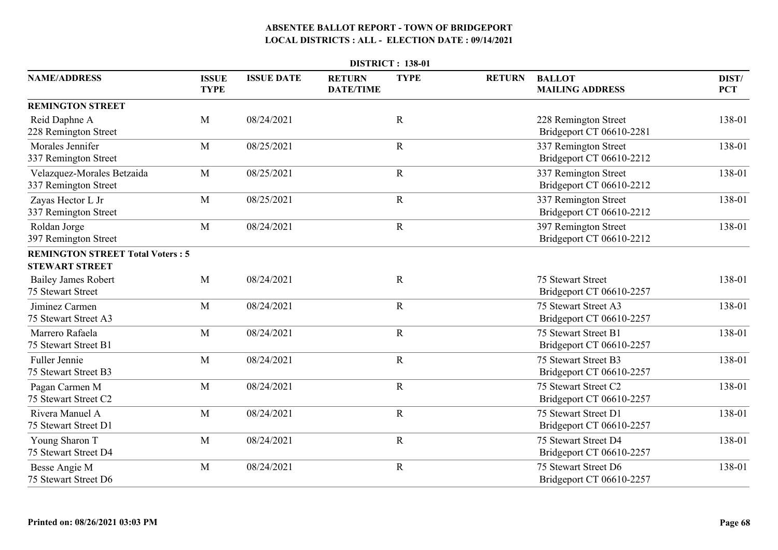|                                                    | <b>DISTRICT: 138-01</b>     |                   |                                   |             |               |                                                  |                     |  |  |  |  |
|----------------------------------------------------|-----------------------------|-------------------|-----------------------------------|-------------|---------------|--------------------------------------------------|---------------------|--|--|--|--|
| <b>NAME/ADDRESS</b>                                | <b>ISSUE</b><br><b>TYPE</b> | <b>ISSUE DATE</b> | <b>RETURN</b><br><b>DATE/TIME</b> | <b>TYPE</b> | <b>RETURN</b> | <b>BALLOT</b><br><b>MAILING ADDRESS</b>          | DIST/<br><b>PCT</b> |  |  |  |  |
| <b>REMINGTON STREET</b>                            |                             |                   |                                   |             |               |                                                  |                     |  |  |  |  |
| Reid Daphne A<br>228 Remington Street              | M                           | 08/24/2021        |                                   | $\mathbf R$ |               | 228 Remington Street<br>Bridgeport CT 06610-2281 | 138-01              |  |  |  |  |
| Morales Jennifer<br>337 Remington Street           | M                           | 08/25/2021        |                                   | $\mathbf R$ |               | 337 Remington Street<br>Bridgeport CT 06610-2212 | 138-01              |  |  |  |  |
| Velazquez-Morales Betzaida<br>337 Remington Street | M                           | 08/25/2021        |                                   | $\mathbf R$ |               | 337 Remington Street<br>Bridgeport CT 06610-2212 | 138-01              |  |  |  |  |
| Zayas Hector L Jr<br>337 Remington Street          | M                           | 08/25/2021        |                                   | $\mathbf R$ |               | 337 Remington Street<br>Bridgeport CT 06610-2212 | 138-01              |  |  |  |  |
| Roldan Jorge<br>397 Remington Street               | M                           | 08/24/2021        |                                   | $\mathbf R$ |               | 397 Remington Street<br>Bridgeport CT 06610-2212 | 138-01              |  |  |  |  |
| <b>REMINGTON STREET Total Voters: 5</b>            |                             |                   |                                   |             |               |                                                  |                     |  |  |  |  |
| <b>STEWART STREET</b>                              |                             |                   |                                   |             |               |                                                  |                     |  |  |  |  |
| <b>Bailey James Robert</b><br>75 Stewart Street    | M                           | 08/24/2021        |                                   | $\mathbf R$ |               | 75 Stewart Street<br>Bridgeport CT 06610-2257    | 138-01              |  |  |  |  |
| Jiminez Carmen<br>75 Stewart Street A3             | M                           | 08/24/2021        |                                   | $\mathbf R$ |               | 75 Stewart Street A3<br>Bridgeport CT 06610-2257 | 138-01              |  |  |  |  |
| Marrero Rafaela<br>75 Stewart Street B1            | M                           | 08/24/2021        |                                   | $\mathbf R$ |               | 75 Stewart Street B1<br>Bridgeport CT 06610-2257 | 138-01              |  |  |  |  |
| <b>Fuller Jennie</b><br>75 Stewart Street B3       | M                           | 08/24/2021        |                                   | $\mathbf R$ |               | 75 Stewart Street B3<br>Bridgeport CT 06610-2257 | 138-01              |  |  |  |  |
| Pagan Carmen M<br>75 Stewart Street C2             | M                           | 08/24/2021        |                                   | $\mathbf R$ |               | 75 Stewart Street C2<br>Bridgeport CT 06610-2257 | 138-01              |  |  |  |  |
| Rivera Manuel A<br>75 Stewart Street D1            | M                           | 08/24/2021        |                                   | $\mathbf R$ |               | 75 Stewart Street D1<br>Bridgeport CT 06610-2257 | 138-01              |  |  |  |  |
| Young Sharon T<br>75 Stewart Street D4             | M                           | 08/24/2021        |                                   | $\mathbf R$ |               | 75 Stewart Street D4<br>Bridgeport CT 06610-2257 | 138-01              |  |  |  |  |
| Besse Angie M<br>75 Stewart Street D6              | M                           | 08/24/2021        |                                   | $\mathbf R$ |               | 75 Stewart Street D6<br>Bridgeport CT 06610-2257 | 138-01              |  |  |  |  |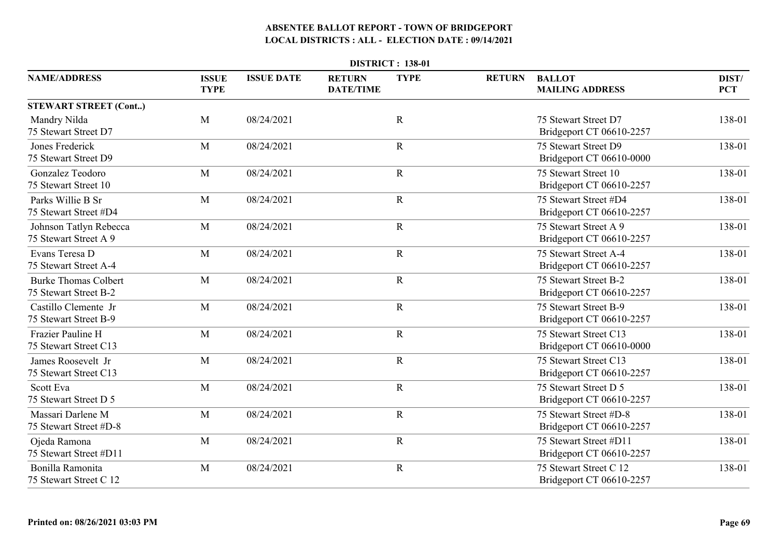|                                                      | <b>DISTRICT: 138-01</b>     |                   |                                   |             |               |                                                    |                     |  |  |  |  |
|------------------------------------------------------|-----------------------------|-------------------|-----------------------------------|-------------|---------------|----------------------------------------------------|---------------------|--|--|--|--|
| <b>NAME/ADDRESS</b>                                  | <b>ISSUE</b><br><b>TYPE</b> | <b>ISSUE DATE</b> | <b>RETURN</b><br><b>DATE/TIME</b> | <b>TYPE</b> | <b>RETURN</b> | <b>BALLOT</b><br><b>MAILING ADDRESS</b>            | DIST/<br><b>PCT</b> |  |  |  |  |
| <b>STEWART STREET (Cont)</b>                         |                             |                   |                                   |             |               |                                                    |                     |  |  |  |  |
| Mandry Nilda<br>75 Stewart Street D7                 | M                           | 08/24/2021        |                                   | $\mathbf R$ |               | 75 Stewart Street D7<br>Bridgeport CT 06610-2257   | 138-01              |  |  |  |  |
| Jones Frederick<br>75 Stewart Street D9              | M                           | 08/24/2021        |                                   | $\mathbf R$ |               | 75 Stewart Street D9<br>Bridgeport CT 06610-0000   | 138-01              |  |  |  |  |
| Gonzalez Teodoro<br>75 Stewart Street 10             | M                           | 08/24/2021        |                                   | $\mathbf R$ |               | 75 Stewart Street 10<br>Bridgeport CT 06610-2257   | 138-01              |  |  |  |  |
| Parks Willie B Sr<br>75 Stewart Street #D4           | M                           | 08/24/2021        |                                   | $\mathbf R$ |               | 75 Stewart Street #D4<br>Bridgeport CT 06610-2257  | 138-01              |  |  |  |  |
| Johnson Tatlyn Rebecca<br>75 Stewart Street A 9      | M                           | 08/24/2021        |                                   | $\mathbf R$ |               | 75 Stewart Street A 9<br>Bridgeport CT 06610-2257  | 138-01              |  |  |  |  |
| Evans Teresa D<br>75 Stewart Street A-4              | M                           | 08/24/2021        |                                   | $\mathbf R$ |               | 75 Stewart Street A-4<br>Bridgeport CT 06610-2257  | 138-01              |  |  |  |  |
| <b>Burke Thomas Colbert</b><br>75 Stewart Street B-2 | M                           | 08/24/2021        |                                   | $\mathbf R$ |               | 75 Stewart Street B-2<br>Bridgeport CT 06610-2257  | 138-01              |  |  |  |  |
| Castillo Clemente Jr<br>75 Stewart Street B-9        | M                           | 08/24/2021        |                                   | ${\bf R}$   |               | 75 Stewart Street B-9<br>Bridgeport CT 06610-2257  | 138-01              |  |  |  |  |
| Frazier Pauline H<br>75 Stewart Street C13           | M                           | 08/24/2021        |                                   | $\mathbf R$ |               | 75 Stewart Street C13<br>Bridgeport CT 06610-0000  | 138-01              |  |  |  |  |
| James Roosevelt Jr<br>75 Stewart Street C13          | M                           | 08/24/2021        |                                   | $\mathbf R$ |               | 75 Stewart Street C13<br>Bridgeport CT 06610-2257  | 138-01              |  |  |  |  |
| Scott Eva<br>75 Stewart Street D 5                   | M                           | 08/24/2021        |                                   | $\mathbf R$ |               | 75 Stewart Street D 5<br>Bridgeport CT 06610-2257  | 138-01              |  |  |  |  |
| Massari Darlene M<br>75 Stewart Street #D-8          | M                           | 08/24/2021        |                                   | $\mathbf R$ |               | 75 Stewart Street #D-8<br>Bridgeport CT 06610-2257 | 138-01              |  |  |  |  |
| Ojeda Ramona<br>75 Stewart Street #D11               | M                           | 08/24/2021        |                                   | $\mathbf R$ |               | 75 Stewart Street #D11<br>Bridgeport CT 06610-2257 | 138-01              |  |  |  |  |
| Bonilla Ramonita<br>75 Stewart Street C 12           | M                           | 08/24/2021        |                                   | $\mathbf R$ |               | 75 Stewart Street C 12<br>Bridgeport CT 06610-2257 | 138-01              |  |  |  |  |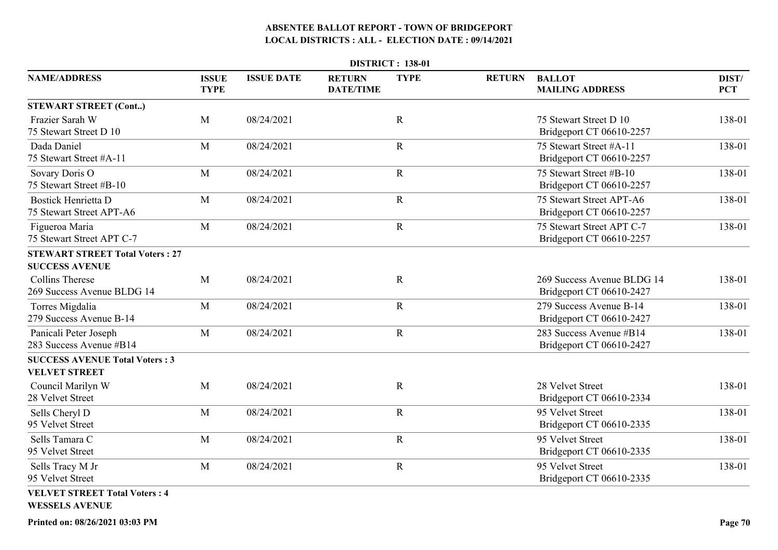| <b>DISTRICT: 138-01</b>                                         |                             |                   |                                   |             |               |                                                        |                     |  |  |
|-----------------------------------------------------------------|-----------------------------|-------------------|-----------------------------------|-------------|---------------|--------------------------------------------------------|---------------------|--|--|
| <b>NAME/ADDRESS</b>                                             | <b>ISSUE</b><br><b>TYPE</b> | <b>ISSUE DATE</b> | <b>RETURN</b><br><b>DATE/TIME</b> | <b>TYPE</b> | <b>RETURN</b> | <b>BALLOT</b><br><b>MAILING ADDRESS</b>                | DIST/<br><b>PCT</b> |  |  |
| <b>STEWART STREET (Cont)</b>                                    |                             |                   |                                   |             |               |                                                        |                     |  |  |
| Frazier Sarah W<br>75 Stewart Street D 10                       | M                           | 08/24/2021        |                                   | $\mathbf R$ |               | 75 Stewart Street D 10<br>Bridgeport CT 06610-2257     | 138-01              |  |  |
| Dada Daniel<br>75 Stewart Street #A-11                          | M                           | 08/24/2021        |                                   | $\mathbf R$ |               | 75 Stewart Street #A-11<br>Bridgeport CT 06610-2257    | 138-01              |  |  |
| Sovary Doris O<br>75 Stewart Street #B-10                       | M                           | 08/24/2021        |                                   | $\mathbf R$ |               | 75 Stewart Street #B-10<br>Bridgeport CT 06610-2257    | 138-01              |  |  |
| <b>Bostick Henrietta D</b><br>75 Stewart Street APT-A6          | M                           | 08/24/2021        |                                   | $\mathbf R$ |               | 75 Stewart Street APT-A6<br>Bridgeport CT 06610-2257   | 138-01              |  |  |
| Figueroa Maria<br>75 Stewart Street APT C-7                     | M                           | 08/24/2021        |                                   | ${\bf R}$   |               | 75 Stewart Street APT C-7<br>Bridgeport CT 06610-2257  | 138-01              |  |  |
| <b>STEWART STREET Total Voters: 27</b><br><b>SUCCESS AVENUE</b> |                             |                   |                                   |             |               |                                                        |                     |  |  |
| <b>Collins Therese</b><br>269 Success Avenue BLDG 14            | M                           | 08/24/2021        |                                   | $\mathbf R$ |               | 269 Success Avenue BLDG 14<br>Bridgeport CT 06610-2427 | 138-01              |  |  |
| Torres Migdalia<br>279 Success Avenue B-14                      | M                           | 08/24/2021        |                                   | $\mathbf R$ |               | 279 Success Avenue B-14<br>Bridgeport CT 06610-2427    | 138-01              |  |  |
| Panicali Peter Joseph<br>283 Success Avenue #B14                | M                           | 08/24/2021        |                                   | $\mathbf R$ |               | 283 Success Avenue #B14<br>Bridgeport CT 06610-2427    | 138-01              |  |  |
| <b>SUCCESS AVENUE Total Voters: 3</b><br><b>VELVET STREET</b>   |                             |                   |                                   |             |               |                                                        |                     |  |  |
| Council Marilyn W<br>28 Velvet Street                           | M                           | 08/24/2021        |                                   | $\mathbf R$ |               | 28 Velvet Street<br>Bridgeport CT 06610-2334           | 138-01              |  |  |
| Sells Cheryl D<br>95 Velvet Street                              | $\mathbf{M}$                | 08/24/2021        |                                   | $\mathbf R$ |               | 95 Velvet Street<br>Bridgeport CT 06610-2335           | 138-01              |  |  |
| Sells Tamara C<br>95 Velvet Street                              | M                           | 08/24/2021        |                                   | $\mathbf R$ |               | 95 Velvet Street<br>Bridgeport CT 06610-2335           | 138-01              |  |  |
| Sells Tracy M Jr<br>95 Velvet Street                            | M                           | 08/24/2021        |                                   | $\mathbf R$ |               | 95 Velvet Street<br>Bridgeport CT 06610-2335           | 138-01              |  |  |
| <b>VELVET STREET Total Voters: 4</b><br><b>WESSELS AVENUE</b>   |                             |                   |                                   |             |               |                                                        |                     |  |  |

**Printed on: 08/26/2021 03:03 PM**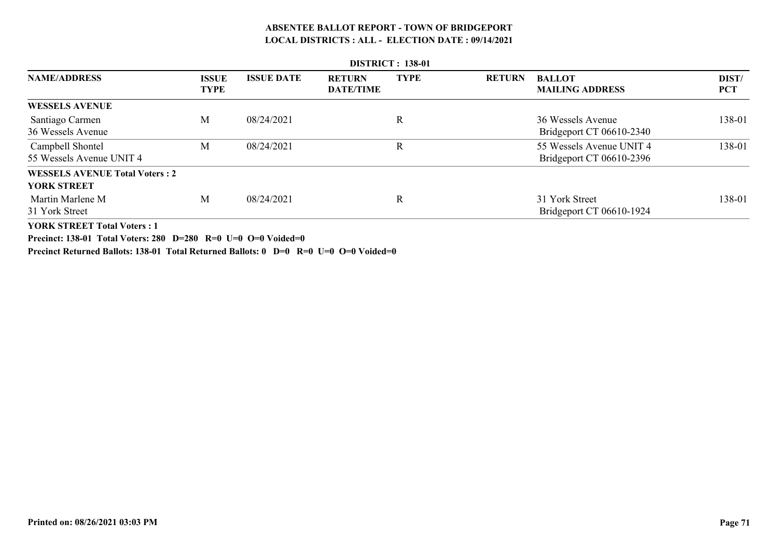| <b>DISTRICT: 138-01</b>                      |                             |                   |                                   |             |               |                                                      |                     |  |  |  |
|----------------------------------------------|-----------------------------|-------------------|-----------------------------------|-------------|---------------|------------------------------------------------------|---------------------|--|--|--|
| <b>NAME/ADDRESS</b>                          | <b>ISSUE</b><br><b>TYPE</b> | <b>ISSUE DATE</b> | <b>RETURN</b><br><b>DATE/TIME</b> | <b>TYPE</b> | <b>RETURN</b> | <b>BALLOT</b><br><b>MAILING ADDRESS</b>              | DIST/<br><b>PCT</b> |  |  |  |
| <b>WESSELS AVENUE</b>                        |                             |                   |                                   |             |               |                                                      |                     |  |  |  |
| Santiago Carmen<br>36 Wessels Avenue         | M                           | 08/24/2021        |                                   | R           |               | 36 Wessels Avenue<br>Bridgeport CT 06610-2340        | 138-01              |  |  |  |
| Campbell Shontel<br>55 Wessels Avenue UNIT 4 | M                           | 08/24/2021        |                                   | $\mathbf R$ |               | 55 Wessels Avenue UNIT 4<br>Bridgeport CT 06610-2396 | 138-01              |  |  |  |
| <b>WESSELS AVENUE Total Voters: 2</b>        |                             |                   |                                   |             |               |                                                      |                     |  |  |  |
| <b>YORK STREET</b>                           |                             |                   |                                   |             |               |                                                      |                     |  |  |  |
| Martin Marlene M<br>31 York Street           | M                           | 08/24/2021        |                                   | R           |               | 31 York Street<br>Bridgeport CT 06610-1924           | 138-01              |  |  |  |
| <b>YORK STREET Total Voters: 1</b>           |                             |                   |                                   |             |               |                                                      |                     |  |  |  |

**Precinct: 138-01 Total Voters: 280 D=280 R=0 U=0 O=0 Voided=0**

**Precinct Returned Ballots: 138-01 Total Returned Ballots: 0 D=0 R=0 U=0 O=0 Voided=0**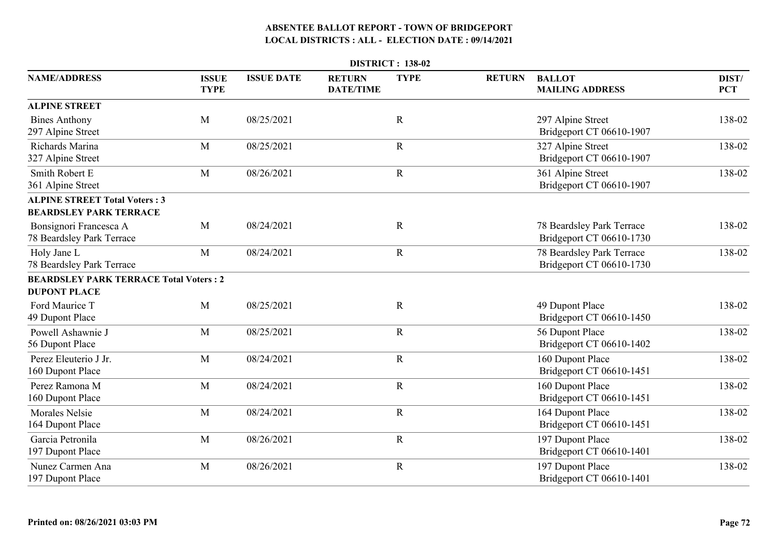| <b>DISTRICT: 138-02</b>                                               |                             |                   |                                   |             |               |                                                       |                     |  |  |
|-----------------------------------------------------------------------|-----------------------------|-------------------|-----------------------------------|-------------|---------------|-------------------------------------------------------|---------------------|--|--|
| <b>NAME/ADDRESS</b>                                                   | <b>ISSUE</b><br><b>TYPE</b> | <b>ISSUE DATE</b> | <b>RETURN</b><br><b>DATE/TIME</b> | <b>TYPE</b> | <b>RETURN</b> | <b>BALLOT</b><br><b>MAILING ADDRESS</b>               | DIST/<br><b>PCT</b> |  |  |
| <b>ALPINE STREET</b>                                                  |                             |                   |                                   |             |               |                                                       |                     |  |  |
| <b>Bines Anthony</b><br>297 Alpine Street                             | M                           | 08/25/2021        |                                   | $\mathbf R$ |               | 297 Alpine Street<br>Bridgeport CT 06610-1907         | 138-02              |  |  |
| Richards Marina<br>327 Alpine Street                                  | M                           | 08/25/2021        |                                   | ${\bf R}$   |               | 327 Alpine Street<br>Bridgeport CT 06610-1907         | 138-02              |  |  |
| Smith Robert E<br>361 Alpine Street                                   | M                           | 08/26/2021        |                                   | $\mathbf R$ |               | 361 Alpine Street<br>Bridgeport CT 06610-1907         | 138-02              |  |  |
| <b>ALPINE STREET Total Voters: 3</b><br><b>BEARDSLEY PARK TERRACE</b> |                             |                   |                                   |             |               |                                                       |                     |  |  |
| Bonsignori Francesca A<br>78 Beardsley Park Terrace                   | M                           | 08/24/2021        |                                   | $\mathbf R$ |               | 78 Beardsley Park Terrace<br>Bridgeport CT 06610-1730 | 138-02              |  |  |
| Holy Jane L<br>78 Beardsley Park Terrace                              | M                           | 08/24/2021        |                                   | ${\bf R}$   |               | 78 Beardsley Park Terrace<br>Bridgeport CT 06610-1730 | 138-02              |  |  |
| <b>BEARDSLEY PARK TERRACE Total Voters: 2</b>                         |                             |                   |                                   |             |               |                                                       |                     |  |  |
| <b>DUPONT PLACE</b>                                                   |                             |                   |                                   |             |               |                                                       |                     |  |  |
| Ford Maurice T<br>49 Dupont Place                                     | M                           | 08/25/2021        |                                   | $\mathbf R$ |               | 49 Dupont Place<br>Bridgeport CT 06610-1450           | 138-02              |  |  |
| Powell Ashawnie J<br>56 Dupont Place                                  | M                           | 08/25/2021        |                                   | $\mathbf R$ |               | 56 Dupont Place<br>Bridgeport CT 06610-1402           | 138-02              |  |  |
| Perez Eleuterio J Jr.<br>160 Dupont Place                             | M                           | 08/24/2021        |                                   | $\mathbf R$ |               | 160 Dupont Place<br>Bridgeport CT 06610-1451          | 138-02              |  |  |
| Perez Ramona M<br>160 Dupont Place                                    | M                           | 08/24/2021        |                                   | ${\bf R}$   |               | 160 Dupont Place<br>Bridgeport CT 06610-1451          | 138-02              |  |  |
| <b>Morales Nelsie</b><br>164 Dupont Place                             | M                           | 08/24/2021        |                                   | ${\bf R}$   |               | 164 Dupont Place<br>Bridgeport CT 06610-1451          | 138-02              |  |  |
| Garcia Petronila<br>197 Dupont Place                                  | M                           | 08/26/2021        |                                   | $\mathbf R$ |               | 197 Dupont Place<br>Bridgeport CT 06610-1401          | 138-02              |  |  |
| Nunez Carmen Ana<br>197 Dupont Place                                  | M                           | 08/26/2021        |                                   | $\mathbf R$ |               | 197 Dupont Place<br>Bridgeport CT 06610-1401          | 138-02              |  |  |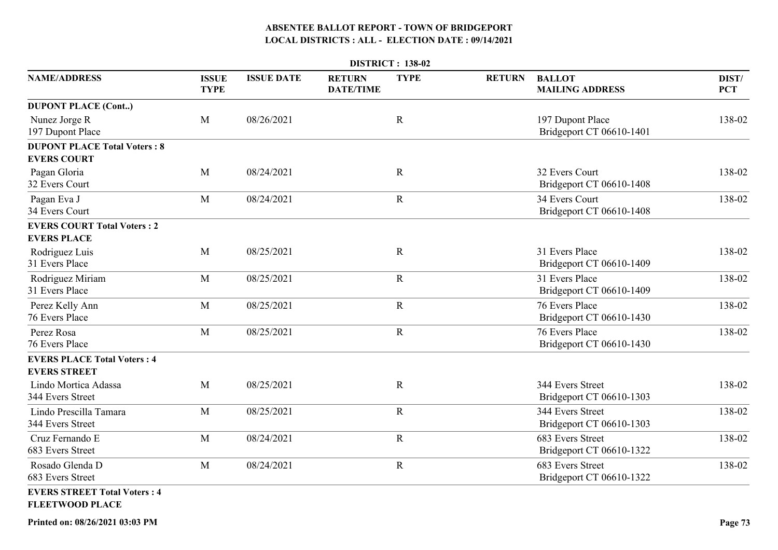| <b>DISTRICT: 138-02</b>                                         |                             |                   |                                   |             |               |                                              |                     |  |  |  |
|-----------------------------------------------------------------|-----------------------------|-------------------|-----------------------------------|-------------|---------------|----------------------------------------------|---------------------|--|--|--|
| <b>NAME/ADDRESS</b>                                             | <b>ISSUE</b><br><b>TYPE</b> | <b>ISSUE DATE</b> | <b>RETURN</b><br><b>DATE/TIME</b> | <b>TYPE</b> | <b>RETURN</b> | <b>BALLOT</b><br><b>MAILING ADDRESS</b>      | DIST/<br><b>PCT</b> |  |  |  |
| <b>DUPONT PLACE (Cont)</b><br>Nunez Jorge R<br>197 Dupont Place | M                           | 08/26/2021        |                                   | $\mathbf R$ |               | 197 Dupont Place<br>Bridgeport CT 06610-1401 | 138-02              |  |  |  |
| <b>DUPONT PLACE Total Voters: 8</b><br><b>EVERS COURT</b>       |                             |                   |                                   |             |               |                                              |                     |  |  |  |
| Pagan Gloria<br>32 Evers Court                                  | M                           | 08/24/2021        |                                   | $\mathbf R$ |               | 32 Evers Court<br>Bridgeport CT 06610-1408   | 138-02              |  |  |  |
| Pagan Eva J<br>34 Evers Court                                   | M                           | 08/24/2021        |                                   | $\mathbf R$ |               | 34 Evers Court<br>Bridgeport CT 06610-1408   | 138-02              |  |  |  |
| <b>EVERS COURT Total Voters: 2</b><br><b>EVERS PLACE</b>        |                             |                   |                                   |             |               |                                              |                     |  |  |  |
| Rodriguez Luis<br>31 Evers Place                                | M                           | 08/25/2021        |                                   | $\mathbf R$ |               | 31 Evers Place<br>Bridgeport CT 06610-1409   | 138-02              |  |  |  |
| Rodriguez Miriam<br>31 Evers Place                              | M                           | 08/25/2021        |                                   | $\mathbf R$ |               | 31 Evers Place<br>Bridgeport CT 06610-1409   | 138-02              |  |  |  |
| Perez Kelly Ann<br>76 Evers Place                               | M                           | 08/25/2021        |                                   | $\mathbf R$ |               | 76 Evers Place<br>Bridgeport CT 06610-1430   | 138-02              |  |  |  |
| Perez Rosa<br>76 Evers Place                                    | M                           | 08/25/2021        |                                   | $\mathbf R$ |               | 76 Evers Place<br>Bridgeport CT 06610-1430   | 138-02              |  |  |  |
| <b>EVERS PLACE Total Voters: 4</b><br><b>EVERS STREET</b>       |                             |                   |                                   |             |               |                                              |                     |  |  |  |
| Lindo Mortica Adassa<br>344 Evers Street                        | M                           | 08/25/2021        |                                   | $\mathbf R$ |               | 344 Evers Street<br>Bridgeport CT 06610-1303 | 138-02              |  |  |  |
| Lindo Prescilla Tamara<br>344 Evers Street                      | M                           | 08/25/2021        |                                   | $\mathbf R$ |               | 344 Evers Street<br>Bridgeport CT 06610-1303 | 138-02              |  |  |  |
| Cruz Fernando E<br>683 Evers Street                             | M                           | 08/24/2021        |                                   | $\mathbf R$ |               | 683 Evers Street<br>Bridgeport CT 06610-1322 | 138-02              |  |  |  |
| Rosado Glenda D<br>683 Evers Street                             | M                           | 08/24/2021        |                                   | $\mathbf R$ |               | 683 Evers Street<br>Bridgeport CT 06610-1322 | 138-02              |  |  |  |
| <b>EVERS STREET Total Voters: 4</b><br><b>FLEETWOOD PLACE</b>   |                             |                   |                                   |             |               |                                              |                     |  |  |  |

**Printed on: 08/26/2021 03:03 PM**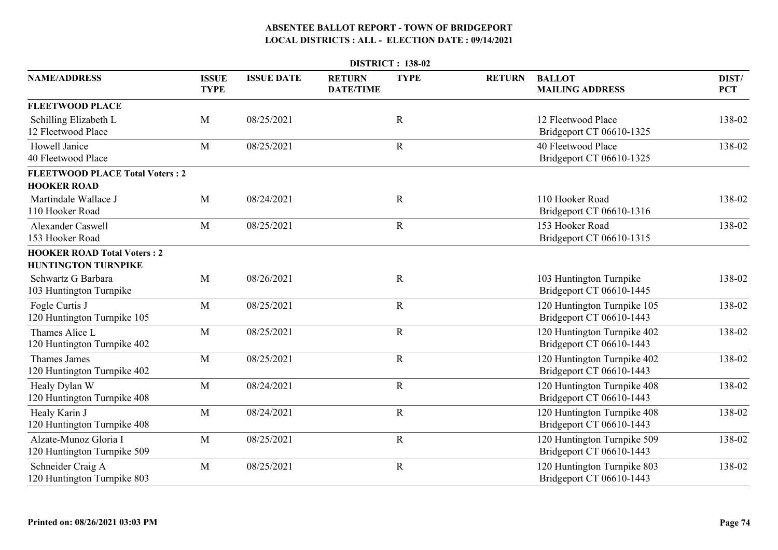|                                                      | <b>DISTRICT: 138-02</b>     |                   |                                   |             |               |                                                         |                     |  |  |  |  |
|------------------------------------------------------|-----------------------------|-------------------|-----------------------------------|-------------|---------------|---------------------------------------------------------|---------------------|--|--|--|--|
| <b>NAME/ADDRESS</b>                                  | <b>ISSUE</b><br><b>TYPE</b> | <b>ISSUE DATE</b> | <b>RETURN</b><br><b>DATE/TIME</b> | <b>TYPE</b> | <b>RETURN</b> | <b>BALLOT</b><br><b>MAILING ADDRESS</b>                 | DIST/<br><b>PCT</b> |  |  |  |  |
| <b>FLEETWOOD PLACE</b>                               |                             |                   |                                   |             |               |                                                         |                     |  |  |  |  |
| Schilling Elizabeth L<br>12 Fleetwood Place          | M                           | 08/25/2021        |                                   | $\mathbf R$ |               | 12 Fleetwood Place<br>Bridgeport CT 06610-1325          | 138-02              |  |  |  |  |
| Howell Janice<br>40 Fleetwood Place                  | M                           | 08/25/2021        |                                   | $\mathbf R$ |               | 40 Fleetwood Place<br>Bridgeport CT 06610-1325          | 138-02              |  |  |  |  |
| <b>FLEETWOOD PLACE Total Voters: 2</b>               |                             |                   |                                   |             |               |                                                         |                     |  |  |  |  |
| <b>HOOKER ROAD</b>                                   |                             |                   |                                   |             |               |                                                         |                     |  |  |  |  |
| Martindale Wallace J<br>110 Hooker Road              | M                           | 08/24/2021        |                                   | $\mathbf R$ |               | 110 Hooker Road<br>Bridgeport CT 06610-1316             | 138-02              |  |  |  |  |
| <b>Alexander Caswell</b><br>153 Hooker Road          | M                           | 08/25/2021        |                                   | $\mathbf R$ |               | 153 Hooker Road<br>Bridgeport CT 06610-1315             | 138-02              |  |  |  |  |
| <b>HOOKER ROAD Total Voters: 2</b>                   |                             |                   |                                   |             |               |                                                         |                     |  |  |  |  |
| <b>HUNTINGTON TURNPIKE</b>                           |                             |                   |                                   |             |               |                                                         |                     |  |  |  |  |
| Schwartz G Barbara<br>103 Huntington Turnpike        | M                           | 08/26/2021        |                                   | $\mathbf R$ |               | 103 Huntington Turnpike<br>Bridgeport CT 06610-1445     | 138-02              |  |  |  |  |
| Fogle Curtis J<br>120 Huntington Turnpike 105        | M                           | 08/25/2021        |                                   | $\mathbf R$ |               | 120 Huntington Turnpike 105<br>Bridgeport CT 06610-1443 | 138-02              |  |  |  |  |
| Thames Alice L<br>120 Huntington Turnpike 402        | M                           | 08/25/2021        |                                   | $\mathbf R$ |               | 120 Huntington Turnpike 402<br>Bridgeport CT 06610-1443 | 138-02              |  |  |  |  |
| <b>Thames James</b><br>120 Huntington Turnpike 402   | M                           | 08/25/2021        |                                   | $\mathbf R$ |               | 120 Huntington Turnpike 402<br>Bridgeport CT 06610-1443 | 138-02              |  |  |  |  |
| Healy Dylan W<br>120 Huntington Turnpike 408         | M                           | 08/24/2021        |                                   | $\mathbf R$ |               | 120 Huntington Turnpike 408<br>Bridgeport CT 06610-1443 | 138-02              |  |  |  |  |
| Healy Karin J<br>120 Huntington Turnpike 408         | M                           | 08/24/2021        |                                   | $\mathbf R$ |               | 120 Huntington Turnpike 408<br>Bridgeport CT 06610-1443 | 138-02              |  |  |  |  |
| Alzate-Munoz Gloria I<br>120 Huntington Turnpike 509 | M                           | 08/25/2021        |                                   | $\mathbf R$ |               | 120 Huntington Turnpike 509<br>Bridgeport CT 06610-1443 | 138-02              |  |  |  |  |
| Schneider Craig A<br>120 Huntington Turnpike 803     | M                           | 08/25/2021        |                                   | $\mathbf R$ |               | 120 Huntington Turnpike 803<br>Bridgeport CT 06610-1443 | 138-02              |  |  |  |  |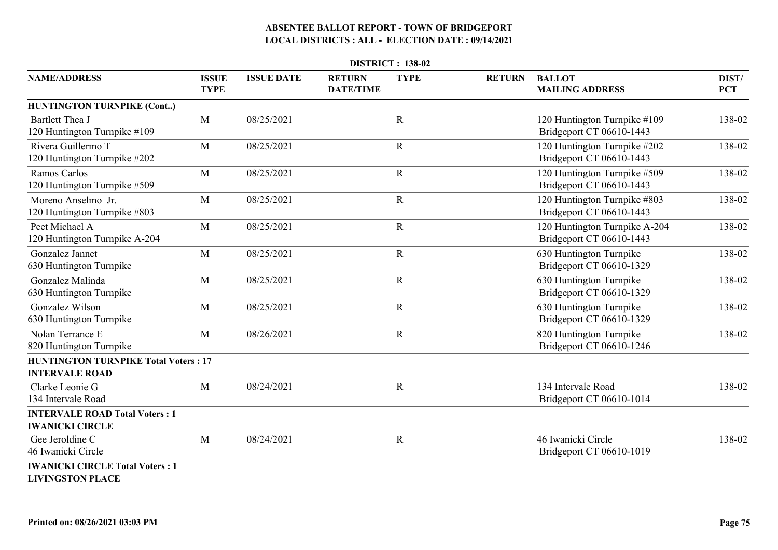| <b>DISTRICT: 138-02</b>                                              |                             |                   |                                   |             |               |                                                           |                     |  |  |
|----------------------------------------------------------------------|-----------------------------|-------------------|-----------------------------------|-------------|---------------|-----------------------------------------------------------|---------------------|--|--|
| <b>NAME/ADDRESS</b>                                                  | <b>ISSUE</b><br><b>TYPE</b> | <b>ISSUE DATE</b> | <b>RETURN</b><br><b>DATE/TIME</b> | <b>TYPE</b> | <b>RETURN</b> | <b>BALLOT</b><br><b>MAILING ADDRESS</b>                   | DIST/<br><b>PCT</b> |  |  |
| <b>HUNTINGTON TURNPIKE (Cont)</b>                                    |                             |                   |                                   |             |               |                                                           |                     |  |  |
| Bartlett Thea J<br>120 Huntington Turnpike #109                      | M                           | 08/25/2021        |                                   | $\mathbf R$ |               | 120 Huntington Turnpike #109<br>Bridgeport CT 06610-1443  | 138-02              |  |  |
| Rivera Guillermo T<br>120 Huntington Turnpike #202                   | M                           | 08/25/2021        |                                   | $\mathbf R$ |               | 120 Huntington Turnpike #202<br>Bridgeport CT 06610-1443  | 138-02              |  |  |
| Ramos Carlos<br>120 Huntington Turnpike #509                         | M                           | 08/25/2021        |                                   | $\mathbf R$ |               | 120 Huntington Turnpike #509<br>Bridgeport CT 06610-1443  | 138-02              |  |  |
| Moreno Anselmo Jr.<br>120 Huntington Turnpike #803                   | M                           | 08/25/2021        |                                   | $\mathbf R$ |               | 120 Huntington Turnpike #803<br>Bridgeport CT 06610-1443  | 138-02              |  |  |
| Peet Michael A<br>120 Huntington Turnpike A-204                      | M                           | 08/25/2021        |                                   | $\mathbf R$ |               | 120 Huntington Turnpike A-204<br>Bridgeport CT 06610-1443 | 138-02              |  |  |
| Gonzalez Jannet<br>630 Huntington Turnpike                           | M                           | 08/25/2021        |                                   | $\mathbf R$ |               | 630 Huntington Turnpike<br>Bridgeport CT 06610-1329       | 138-02              |  |  |
| Gonzalez Malinda<br>630 Huntington Turnpike                          | M                           | 08/25/2021        |                                   | $\mathbf R$ |               | 630 Huntington Turnpike<br>Bridgeport CT 06610-1329       | 138-02              |  |  |
| Gonzalez Wilson<br>630 Huntington Turnpike                           | M                           | 08/25/2021        |                                   | $\mathbf R$ |               | 630 Huntington Turnpike<br>Bridgeport CT 06610-1329       | 138-02              |  |  |
| Nolan Terrance E<br>820 Huntington Turnpike                          | M                           | 08/26/2021        |                                   | $\mathbf R$ |               | 820 Huntington Turnpike<br>Bridgeport CT 06610-1246       | 138-02              |  |  |
| <b>HUNTINGTON TURNPIKE Total Voters: 17</b><br><b>INTERVALE ROAD</b> |                             |                   |                                   |             |               |                                                           |                     |  |  |
| Clarke Leonie G<br>134 Intervale Road                                | M                           | 08/24/2021        |                                   | $\mathbf R$ |               | 134 Intervale Road<br>Bridgeport CT 06610-1014            | 138-02              |  |  |
| <b>INTERVALE ROAD Total Voters: 1</b><br><b>IWANICKI CIRCLE</b>      |                             |                   |                                   |             |               |                                                           |                     |  |  |
| Gee Jeroldine C<br>46 Iwanicki Circle                                | M                           | 08/24/2021        |                                   | $\mathbf R$ |               | 46 Iwanicki Circle<br>Bridgeport CT 06610-1019            | 138-02              |  |  |
| <b>IWANICKI CIRCLE Total Voters: 1</b>                               |                             |                   |                                   |             |               |                                                           |                     |  |  |

**LIVINGSTON PLACE**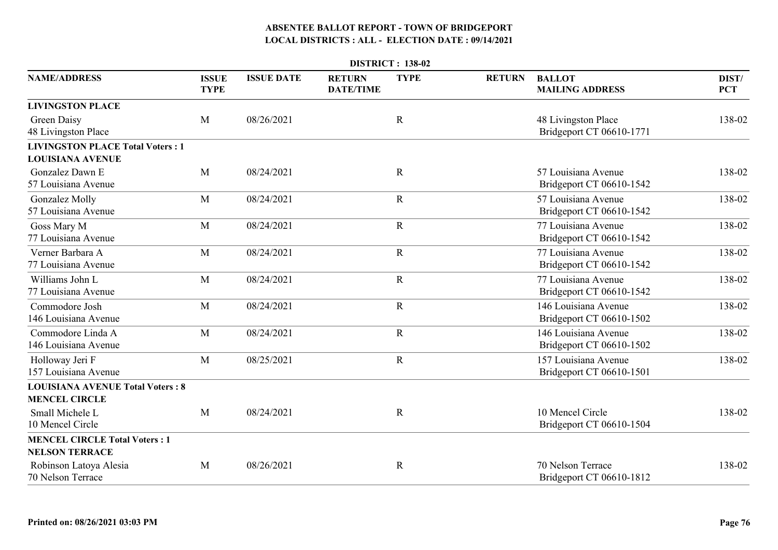|                                                                    | <b>DISTRICT: 138-02</b>     |                   |                                   |             |               |                                                  |                     |  |  |  |  |
|--------------------------------------------------------------------|-----------------------------|-------------------|-----------------------------------|-------------|---------------|--------------------------------------------------|---------------------|--|--|--|--|
| <b>NAME/ADDRESS</b>                                                | <b>ISSUE</b><br><b>TYPE</b> | <b>ISSUE DATE</b> | <b>RETURN</b><br><b>DATE/TIME</b> | <b>TYPE</b> | <b>RETURN</b> | <b>BALLOT</b><br><b>MAILING ADDRESS</b>          | DIST/<br><b>PCT</b> |  |  |  |  |
| <b>LIVINGSTON PLACE</b>                                            |                             |                   |                                   |             |               |                                                  |                     |  |  |  |  |
| <b>Green Daisy</b><br>48 Livingston Place                          | M                           | 08/26/2021        |                                   | $\mathbf R$ |               | 48 Livingston Place<br>Bridgeport CT 06610-1771  | 138-02              |  |  |  |  |
| <b>LIVINGSTON PLACE Total Voters: 1</b><br><b>LOUISIANA AVENUE</b> |                             |                   |                                   |             |               |                                                  |                     |  |  |  |  |
| Gonzalez Dawn E<br>57 Louisiana Avenue                             | M                           | 08/24/2021        |                                   | $\mathbf R$ |               | 57 Louisiana Avenue<br>Bridgeport CT 06610-1542  | 138-02              |  |  |  |  |
| Gonzalez Molly<br>57 Louisiana Avenue                              | M                           | 08/24/2021        |                                   | $\mathbf R$ |               | 57 Louisiana Avenue<br>Bridgeport CT 06610-1542  | 138-02              |  |  |  |  |
| Goss Mary M<br>77 Louisiana Avenue                                 | M                           | 08/24/2021        |                                   | $\mathbf R$ |               | 77 Louisiana Avenue<br>Bridgeport CT 06610-1542  | 138-02              |  |  |  |  |
| Verner Barbara A<br>77 Louisiana Avenue                            | M                           | 08/24/2021        |                                   | $\mathbf R$ |               | 77 Louisiana Avenue<br>Bridgeport CT 06610-1542  | 138-02              |  |  |  |  |
| Williams John L<br>77 Louisiana Avenue                             | M                           | 08/24/2021        |                                   | $\mathbf R$ |               | 77 Louisiana Avenue<br>Bridgeport CT 06610-1542  | 138-02              |  |  |  |  |
| Commodore Josh<br>146 Louisiana Avenue                             | M                           | 08/24/2021        |                                   | ${\bf R}$   |               | 146 Louisiana Avenue<br>Bridgeport CT 06610-1502 | 138-02              |  |  |  |  |
| Commodore Linda A<br>146 Louisiana Avenue                          | M                           | 08/24/2021        |                                   | $\mathbf R$ |               | 146 Louisiana Avenue<br>Bridgeport CT 06610-1502 | 138-02              |  |  |  |  |
| Holloway Jeri F<br>157 Louisiana Avenue                            | M                           | 08/25/2021        |                                   | $\mathbf R$ |               | 157 Louisiana Avenue<br>Bridgeport CT 06610-1501 | 138-02              |  |  |  |  |
| <b>LOUISIANA AVENUE Total Voters: 8</b>                            |                             |                   |                                   |             |               |                                                  |                     |  |  |  |  |
| <b>MENCEL CIRCLE</b>                                               |                             |                   |                                   |             |               |                                                  |                     |  |  |  |  |
| Small Michele L<br>10 Mencel Circle                                | M                           | 08/24/2021        |                                   | $\mathbf R$ |               | 10 Mencel Circle<br>Bridgeport CT 06610-1504     | 138-02              |  |  |  |  |
| <b>MENCEL CIRCLE Total Voters: 1</b><br><b>NELSON TERRACE</b>      |                             |                   |                                   |             |               |                                                  |                     |  |  |  |  |
| Robinson Latoya Alesia<br>70 Nelson Terrace                        | M                           | 08/26/2021        |                                   | $\mathbf R$ |               | 70 Nelson Terrace<br>Bridgeport CT 06610-1812    | 138-02              |  |  |  |  |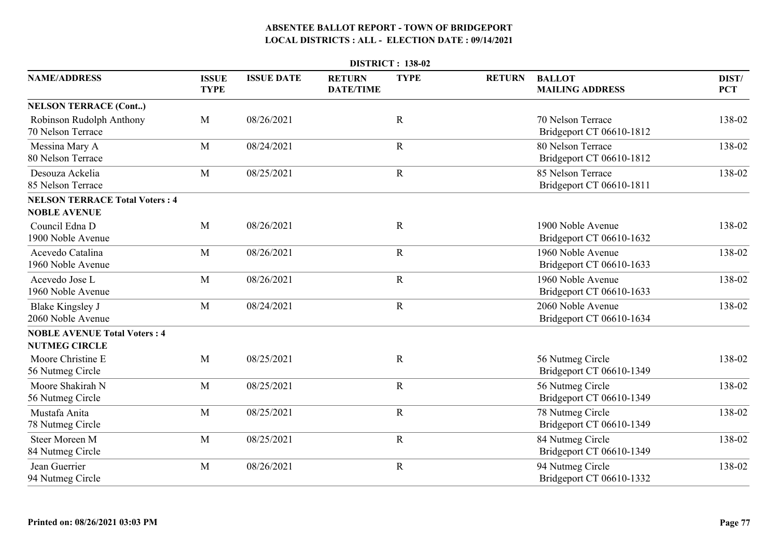| <b>DISTRICT: 138-02</b>                                      |                             |                   |                                   |             |               |                                               |                     |  |  |  |
|--------------------------------------------------------------|-----------------------------|-------------------|-----------------------------------|-------------|---------------|-----------------------------------------------|---------------------|--|--|--|
| <b>NAME/ADDRESS</b>                                          | <b>ISSUE</b><br><b>TYPE</b> | <b>ISSUE DATE</b> | <b>RETURN</b><br><b>DATE/TIME</b> | <b>TYPE</b> | <b>RETURN</b> | <b>BALLOT</b><br><b>MAILING ADDRESS</b>       | DIST/<br><b>PCT</b> |  |  |  |
| <b>NELSON TERRACE (Cont)</b>                                 |                             |                   |                                   |             |               |                                               |                     |  |  |  |
| Robinson Rudolph Anthony<br>70 Nelson Terrace                | M                           | 08/26/2021        |                                   | $\mathbf R$ |               | 70 Nelson Terrace<br>Bridgeport CT 06610-1812 | 138-02              |  |  |  |
| Messina Mary A<br>80 Nelson Terrace                          | M                           | 08/24/2021        |                                   | $\mathbf R$ |               | 80 Nelson Terrace<br>Bridgeport CT 06610-1812 | 138-02              |  |  |  |
| Desouza Ackelia<br>85 Nelson Terrace                         | M                           | 08/25/2021        |                                   | $\mathbf R$ |               | 85 Nelson Terrace<br>Bridgeport CT 06610-1811 | 138-02              |  |  |  |
| <b>NELSON TERRACE Total Voters: 4</b><br><b>NOBLE AVENUE</b> |                             |                   |                                   |             |               |                                               |                     |  |  |  |
| Council Edna D<br>1900 Noble Avenue                          | M                           | 08/26/2021        |                                   | $\mathbf R$ |               | 1900 Noble Avenue<br>Bridgeport CT 06610-1632 | 138-02              |  |  |  |
| Acevedo Catalina<br>1960 Noble Avenue                        | M                           | 08/26/2021        |                                   | $\mathbf R$ |               | 1960 Noble Avenue<br>Bridgeport CT 06610-1633 | 138-02              |  |  |  |
| Acevedo Jose L<br>1960 Noble Avenue                          | M                           | 08/26/2021        |                                   | $\mathbf R$ |               | 1960 Noble Avenue<br>Bridgeport CT 06610-1633 | 138-02              |  |  |  |
| <b>Blake Kingsley J</b><br>2060 Noble Avenue                 | M                           | 08/24/2021        |                                   | $\mathbf R$ |               | 2060 Noble Avenue<br>Bridgeport CT 06610-1634 | 138-02              |  |  |  |
| <b>NOBLE AVENUE Total Voters: 4</b><br><b>NUTMEG CIRCLE</b>  |                             |                   |                                   |             |               |                                               |                     |  |  |  |
| Moore Christine E<br>56 Nutmeg Circle                        | M                           | 08/25/2021        |                                   | $\mathbf R$ |               | 56 Nutmeg Circle<br>Bridgeport CT 06610-1349  | 138-02              |  |  |  |
| Moore Shakirah N<br>56 Nutmeg Circle                         | M                           | 08/25/2021        |                                   | $\mathbf R$ |               | 56 Nutmeg Circle<br>Bridgeport CT 06610-1349  | 138-02              |  |  |  |
| Mustafa Anita<br>78 Nutmeg Circle                            | M                           | 08/25/2021        |                                   | $\mathbf R$ |               | 78 Nutmeg Circle<br>Bridgeport CT 06610-1349  | 138-02              |  |  |  |
| <b>Steer Moreen M</b><br>84 Nutmeg Circle                    | M                           | 08/25/2021        |                                   | $\mathbf R$ |               | 84 Nutmeg Circle<br>Bridgeport CT 06610-1349  | 138-02              |  |  |  |
| Jean Guerrier<br>94 Nutmeg Circle                            | M                           | 08/26/2021        |                                   | $\mathbf R$ |               | 94 Nutmeg Circle<br>Bridgeport CT 06610-1332  | 138-02              |  |  |  |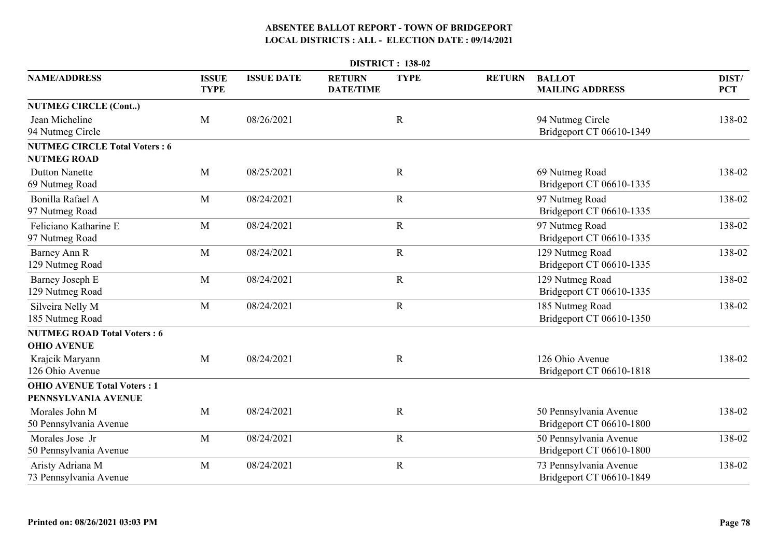| <b>DISTRICT: 138-02</b>                                    |                             |                   |                                   |             |               |                                                    |                     |  |  |  |
|------------------------------------------------------------|-----------------------------|-------------------|-----------------------------------|-------------|---------------|----------------------------------------------------|---------------------|--|--|--|
| <b>NAME/ADDRESS</b>                                        | <b>ISSUE</b><br><b>TYPE</b> | <b>ISSUE DATE</b> | <b>RETURN</b><br><b>DATE/TIME</b> | <b>TYPE</b> | <b>RETURN</b> | <b>BALLOT</b><br><b>MAILING ADDRESS</b>            | DIST/<br><b>PCT</b> |  |  |  |
| <b>NUTMEG CIRCLE (Cont)</b>                                |                             |                   |                                   |             |               |                                                    |                     |  |  |  |
| Jean Micheline<br>94 Nutmeg Circle                         | M                           | 08/26/2021        |                                   | $\mathbf R$ |               | 94 Nutmeg Circle<br>Bridgeport CT 06610-1349       | 138-02              |  |  |  |
| <b>NUTMEG CIRCLE Total Voters: 6</b><br><b>NUTMEG ROAD</b> |                             |                   |                                   |             |               |                                                    |                     |  |  |  |
| <b>Dutton Nanette</b><br>69 Nutmeg Road                    | M                           | 08/25/2021        |                                   | $\mathbf R$ |               | 69 Nutmeg Road<br>Bridgeport CT 06610-1335         | 138-02              |  |  |  |
| Bonilla Rafael A<br>97 Nutmeg Road                         | M                           | 08/24/2021        |                                   | $\mathbf R$ |               | 97 Nutmeg Road<br>Bridgeport CT 06610-1335         | 138-02              |  |  |  |
| Feliciano Katharine E<br>97 Nutmeg Road                    | M                           | 08/24/2021        |                                   | $\mathbf R$ |               | 97 Nutmeg Road<br>Bridgeport CT 06610-1335         | 138-02              |  |  |  |
| Barney Ann R<br>129 Nutmeg Road                            | M                           | 08/24/2021        |                                   | $\mathbf R$ |               | 129 Nutmeg Road<br>Bridgeport CT 06610-1335        | 138-02              |  |  |  |
| Barney Joseph E<br>129 Nutmeg Road                         | M                           | 08/24/2021        |                                   | $\mathbf R$ |               | 129 Nutmeg Road<br>Bridgeport CT 06610-1335        | 138-02              |  |  |  |
| Silveira Nelly M<br>185 Nutmeg Road                        | M                           | 08/24/2021        |                                   | $\mathbf R$ |               | 185 Nutmeg Road<br>Bridgeport CT 06610-1350        | 138-02              |  |  |  |
| <b>NUTMEG ROAD Total Voters: 6</b><br><b>OHIO AVENUE</b>   |                             |                   |                                   |             |               |                                                    |                     |  |  |  |
| Krajcik Maryann<br>126 Ohio Avenue                         | M                           | 08/24/2021        |                                   | $\mathbf R$ |               | 126 Ohio Avenue<br>Bridgeport CT 06610-1818        | 138-02              |  |  |  |
| <b>OHIO AVENUE Total Voters: 1</b>                         |                             |                   |                                   |             |               |                                                    |                     |  |  |  |
| PENNSYLVANIA AVENUE                                        |                             |                   |                                   |             |               |                                                    |                     |  |  |  |
| Morales John M<br>50 Pennsylvania Avenue                   | M                           | 08/24/2021        |                                   | $\mathbf R$ |               | 50 Pennsylvania Avenue<br>Bridgeport CT 06610-1800 | 138-02              |  |  |  |
| Morales Jose Jr<br>50 Pennsylvania Avenue                  | M                           | 08/24/2021        |                                   | ${\bf R}$   |               | 50 Pennsylvania Avenue<br>Bridgeport CT 06610-1800 | 138-02              |  |  |  |
| Aristy Adriana M<br>73 Pennsylvania Avenue                 | M                           | 08/24/2021        |                                   | $\mathbf R$ |               | 73 Pennsylvania Avenue<br>Bridgeport CT 06610-1849 | 138-02              |  |  |  |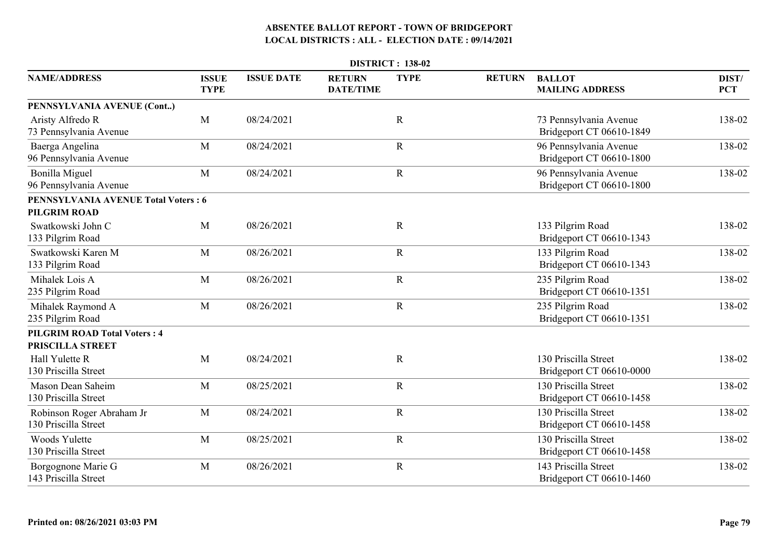| <b>DISTRICT: 138-02</b>                           |                             |                   |                                   |             |               |                                                    |                     |  |  |
|---------------------------------------------------|-----------------------------|-------------------|-----------------------------------|-------------|---------------|----------------------------------------------------|---------------------|--|--|
| <b>NAME/ADDRESS</b>                               | <b>ISSUE</b><br><b>TYPE</b> | <b>ISSUE DATE</b> | <b>RETURN</b><br><b>DATE/TIME</b> | <b>TYPE</b> | <b>RETURN</b> | <b>BALLOT</b><br><b>MAILING ADDRESS</b>            | DIST/<br><b>PCT</b> |  |  |
| PENNSYLVANIA AVENUE (Cont)                        |                             |                   |                                   |             |               |                                                    |                     |  |  |
| Aristy Alfredo R<br>73 Pennsylvania Avenue        | M                           | 08/24/2021        |                                   | $\mathbf R$ |               | 73 Pennsylvania Avenue<br>Bridgeport CT 06610-1849 | 138-02              |  |  |
| Baerga Angelina<br>96 Pennsylvania Avenue         | M                           | 08/24/2021        |                                   | $\mathbf R$ |               | 96 Pennsylvania Avenue<br>Bridgeport CT 06610-1800 | 138-02              |  |  |
| Bonilla Miguel<br>96 Pennsylvania Avenue          | M                           | 08/24/2021        |                                   | ${\bf R}$   |               | 96 Pennsylvania Avenue<br>Bridgeport CT 06610-1800 | 138-02              |  |  |
| <b>PENNSYLVANIA AVENUE Total Voters: 6</b>        |                             |                   |                                   |             |               |                                                    |                     |  |  |
| PILGRIM ROAD                                      |                             |                   |                                   |             |               |                                                    |                     |  |  |
| Swatkowski John C<br>133 Pilgrim Road             | M                           | 08/26/2021        |                                   | $\mathbf R$ |               | 133 Pilgrim Road<br>Bridgeport CT 06610-1343       | 138-02              |  |  |
| Swatkowski Karen M<br>133 Pilgrim Road            | M                           | 08/26/2021        |                                   | $\mathbf R$ |               | 133 Pilgrim Road<br>Bridgeport CT 06610-1343       | 138-02              |  |  |
| Mihalek Lois A<br>235 Pilgrim Road                | M                           | 08/26/2021        |                                   | $\mathbf R$ |               | 235 Pilgrim Road<br>Bridgeport CT 06610-1351       | 138-02              |  |  |
| Mihalek Raymond A<br>235 Pilgrim Road             | M                           | 08/26/2021        |                                   | $\mathbf R$ |               | 235 Pilgrim Road<br>Bridgeport CT 06610-1351       | 138-02              |  |  |
| <b>PILGRIM ROAD Total Voters: 4</b>               |                             |                   |                                   |             |               |                                                    |                     |  |  |
| PRISCILLA STREET                                  |                             |                   |                                   |             |               |                                                    |                     |  |  |
| Hall Yulette R<br>130 Priscilla Street            | M                           | 08/24/2021        |                                   | $\mathbf R$ |               | 130 Priscilla Street<br>Bridgeport CT 06610-0000   | 138-02              |  |  |
| Mason Dean Saheim<br>130 Priscilla Street         | M                           | 08/25/2021        |                                   | $\mathbf R$ |               | 130 Priscilla Street<br>Bridgeport CT 06610-1458   | 138-02              |  |  |
| Robinson Roger Abraham Jr<br>130 Priscilla Street | M                           | 08/24/2021        |                                   | $\mathbf R$ |               | 130 Priscilla Street<br>Bridgeport CT 06610-1458   | 138-02              |  |  |
| Woods Yulette<br>130 Priscilla Street             | M                           | 08/25/2021        |                                   | $\mathbf R$ |               | 130 Priscilla Street<br>Bridgeport CT 06610-1458   | 138-02              |  |  |
| Borgognone Marie G<br>143 Priscilla Street        | M                           | 08/26/2021        |                                   | $\mathbf R$ |               | 143 Priscilla Street<br>Bridgeport CT 06610-1460   | 138-02              |  |  |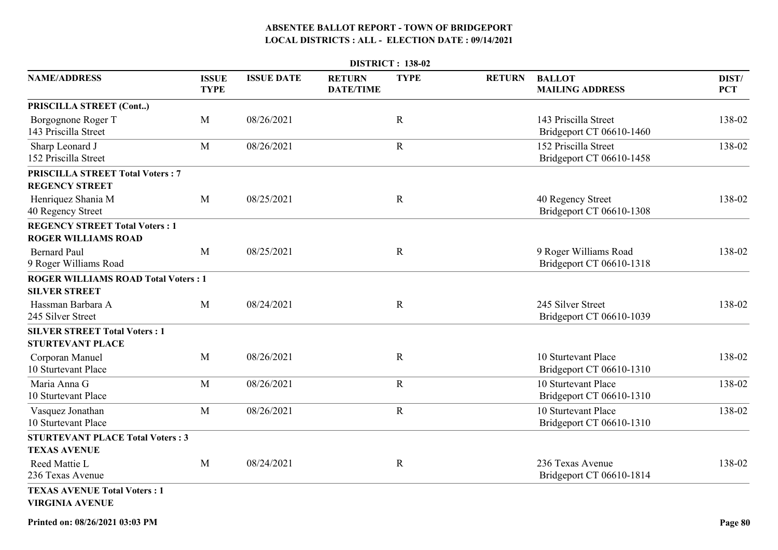|                                                                     |                             |                   |                                   | <b>DISTRICT: 138-02</b> |               |                                                   |                     |
|---------------------------------------------------------------------|-----------------------------|-------------------|-----------------------------------|-------------------------|---------------|---------------------------------------------------|---------------------|
| <b>NAME/ADDRESS</b>                                                 | <b>ISSUE</b><br><b>TYPE</b> | <b>ISSUE DATE</b> | <b>RETURN</b><br><b>DATE/TIME</b> | <b>TYPE</b>             | <b>RETURN</b> | <b>BALLOT</b><br><b>MAILING ADDRESS</b>           | DIST/<br><b>PCT</b> |
| PRISCILLA STREET (Cont)                                             |                             |                   |                                   |                         |               |                                                   |                     |
| Borgognone Roger T<br>143 Priscilla Street                          | M                           | 08/26/2021        |                                   | $\mathbb{R}$            |               | 143 Priscilla Street<br>Bridgeport CT 06610-1460  | 138-02              |
| Sharp Leonard J<br>152 Priscilla Street                             | M                           | 08/26/2021        |                                   | $\mathbf R$             |               | 152 Priscilla Street<br>Bridgeport CT 06610-1458  | 138-02              |
| <b>PRISCILLA STREET Total Voters: 7</b>                             |                             |                   |                                   |                         |               |                                                   |                     |
| <b>REGENCY STREET</b>                                               |                             |                   |                                   |                         |               |                                                   |                     |
| Henriquez Shania M<br>40 Regency Street                             | M                           | 08/25/2021        |                                   | $\mathbf R$             |               | 40 Regency Street<br>Bridgeport CT 06610-1308     | 138-02              |
| <b>REGENCY STREET Total Voters: 1</b><br><b>ROGER WILLIAMS ROAD</b> |                             |                   |                                   |                         |               |                                                   |                     |
| <b>Bernard Paul</b><br>9 Roger Williams Road                        | M                           | 08/25/2021        |                                   | $\mathbb{R}$            |               | 9 Roger Williams Road<br>Bridgeport CT 06610-1318 | 138-02              |
| <b>ROGER WILLIAMS ROAD Total Voters: 1</b><br><b>SILVER STREET</b>  |                             |                   |                                   |                         |               |                                                   |                     |
| Hassman Barbara A<br>245 Silver Street                              | M                           | 08/24/2021        |                                   | $\mathbf R$             |               | 245 Silver Street<br>Bridgeport CT 06610-1039     | 138-02              |
| <b>SILVER STREET Total Voters: 1</b>                                |                             |                   |                                   |                         |               |                                                   |                     |
| <b>STURTEVANT PLACE</b>                                             |                             |                   |                                   |                         |               |                                                   |                     |
| Corporan Manuel<br>10 Sturtevant Place                              | M                           | 08/26/2021        |                                   | $\mathbf R$             |               | 10 Sturtevant Place<br>Bridgeport CT 06610-1310   | 138-02              |
| Maria Anna G<br>10 Sturtevant Place                                 | M                           | 08/26/2021        |                                   | $\mathbf R$             |               | 10 Sturtevant Place<br>Bridgeport CT 06610-1310   | 138-02              |
| Vasquez Jonathan<br>10 Sturtevant Place                             | M                           | 08/26/2021        |                                   | $\mathbf R$             |               | 10 Sturtevant Place<br>Bridgeport CT 06610-1310   | 138-02              |
| <b>STURTEVANT PLACE Total Voters: 3</b>                             |                             |                   |                                   |                         |               |                                                   |                     |
| <b>TEXAS AVENUE</b>                                                 |                             |                   |                                   |                         |               |                                                   |                     |
| Reed Mattie L<br>236 Texas Avenue                                   | M                           | 08/24/2021        |                                   | $\mathbf R$             |               | 236 Texas Avenue<br>Bridgeport CT 06610-1814      | 138-02              |
| <b>TEXAS AVENUE Total Voters: 1</b><br><b>VIRGINIA AVENUE</b>       |                             |                   |                                   |                         |               |                                                   |                     |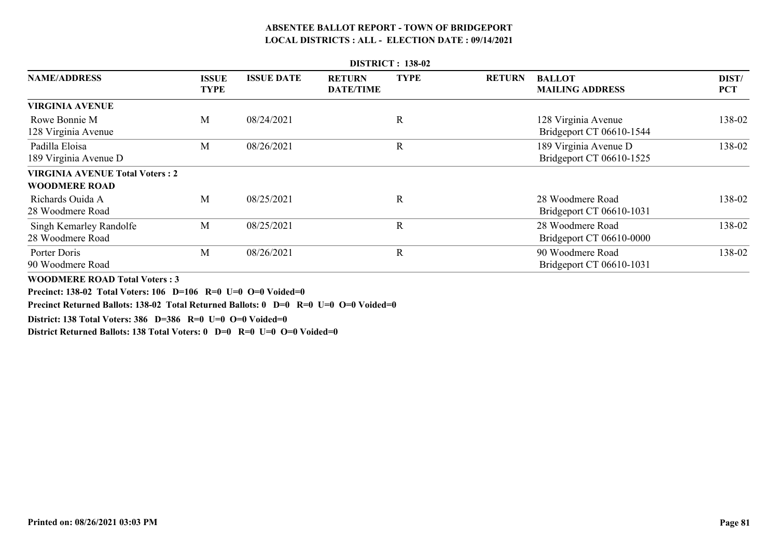|                                                                | <b>DISTRICT: 138-02</b> |                   |                                   |             |               |                                                   |                     |  |  |  |  |  |
|----------------------------------------------------------------|-------------------------|-------------------|-----------------------------------|-------------|---------------|---------------------------------------------------|---------------------|--|--|--|--|--|
| <b>NAME/ADDRESS</b>                                            | ISSUE<br><b>TYPE</b>    | <b>ISSUE DATE</b> | <b>RETURN</b><br><b>DATE/TIME</b> | <b>TYPE</b> | <b>RETURN</b> | <b>BALLOT</b><br><b>MAILING ADDRESS</b>           | DIST/<br><b>PCT</b> |  |  |  |  |  |
| <b>VIRGINIA AVENUE</b>                                         |                         |                   |                                   |             |               |                                                   |                     |  |  |  |  |  |
| Rowe Bonnie M<br>128 Virginia Avenue                           | M                       | 08/24/2021        |                                   | R           |               | 128 Virginia Avenue<br>Bridgeport CT 06610-1544   | 138-02              |  |  |  |  |  |
| Padilla Eloisa<br>189 Virginia Avenue D                        | M                       | 08/26/2021        |                                   | $\mathbf R$ |               | 189 Virginia Avenue D<br>Bridgeport CT 06610-1525 | 138-02              |  |  |  |  |  |
| <b>VIRGINIA AVENUE Total Voters: 2</b><br><b>WOODMERE ROAD</b> |                         |                   |                                   |             |               |                                                   |                     |  |  |  |  |  |
| Richards Ouida A<br>28 Woodmere Road                           | M                       | 08/25/2021        |                                   | R           |               | 28 Woodmere Road<br>Bridgeport CT 06610-1031      | 138-02              |  |  |  |  |  |
| Singh Kemarley Randolfe<br>28 Woodmere Road                    | M                       | 08/25/2021        |                                   | $\mathbf R$ |               | 28 Woodmere Road<br>Bridgeport CT 06610-0000      | 138-02              |  |  |  |  |  |
| Porter Doris<br>90 Woodmere Road                               | M                       | 08/26/2021        |                                   | R           |               | 90 Woodmere Road<br>Bridgeport CT 06610-1031      | 138-02              |  |  |  |  |  |

**WOODMERE ROAD Total Voters : 3**

**Precinct: 138-02 Total Voters: 106 D=106 R=0 U=0 O=0 Voided=0**

**Precinct Returned Ballots: 138-02 Total Returned Ballots: 0 D=0 R=0 U=0 O=0 Voided=0**

**District: 138 Total Voters: 386 D=386 R=0 U=0 O=0 Voided=0**

**District Returned Ballots: 138 Total Voters: 0 D=0 R=0 U=0 O=0 Voided=0**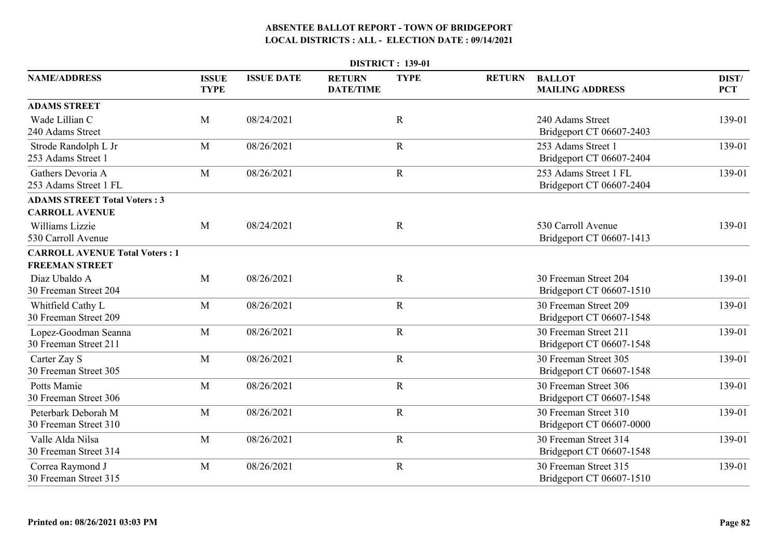| <b>DISTRICT: 139-01</b>                                        |                             |                   |                                   |             |               |                                                   |                     |  |  |
|----------------------------------------------------------------|-----------------------------|-------------------|-----------------------------------|-------------|---------------|---------------------------------------------------|---------------------|--|--|
| <b>NAME/ADDRESS</b>                                            | <b>ISSUE</b><br><b>TYPE</b> | <b>ISSUE DATE</b> | <b>RETURN</b><br><b>DATE/TIME</b> | <b>TYPE</b> | <b>RETURN</b> | <b>BALLOT</b><br><b>MAILING ADDRESS</b>           | DIST/<br><b>PCT</b> |  |  |
| <b>ADAMS STREET</b>                                            |                             |                   |                                   |             |               |                                                   |                     |  |  |
| Wade Lillian C<br>240 Adams Street                             | M                           | 08/24/2021        |                                   | $\mathbf R$ |               | 240 Adams Street<br>Bridgeport CT 06607-2403      | 139-01              |  |  |
| Strode Randolph L Jr<br>253 Adams Street 1                     | M                           | 08/26/2021        |                                   | $\mathbf R$ |               | 253 Adams Street 1<br>Bridgeport CT 06607-2404    | 139-01              |  |  |
| Gathers Devoria A<br>253 Adams Street 1 FL                     | M                           | 08/26/2021        |                                   | $\mathbf R$ |               | 253 Adams Street 1 FL<br>Bridgeport CT 06607-2404 | 139-01              |  |  |
| <b>ADAMS STREET Total Voters: 3</b><br><b>CARROLL AVENUE</b>   |                             |                   |                                   |             |               |                                                   |                     |  |  |
| Williams Lizzie<br>530 Carroll Avenue                          | M                           | 08/24/2021        |                                   | $\mathbf R$ |               | 530 Carroll Avenue<br>Bridgeport CT 06607-1413    | 139-01              |  |  |
| <b>CARROLL AVENUE Total Voters: 1</b><br><b>FREEMAN STREET</b> |                             |                   |                                   |             |               |                                                   |                     |  |  |
| Diaz Ubaldo A<br>30 Freeman Street 204                         | M                           | 08/26/2021        |                                   | $\mathbf R$ |               | 30 Freeman Street 204<br>Bridgeport CT 06607-1510 | 139-01              |  |  |
| Whitfield Cathy L<br>30 Freeman Street 209                     | M                           | 08/26/2021        |                                   | $\mathbf R$ |               | 30 Freeman Street 209<br>Bridgeport CT 06607-1548 | 139-01              |  |  |
| Lopez-Goodman Seanna<br>30 Freeman Street 211                  | M                           | 08/26/2021        |                                   | $\mathbf R$ |               | 30 Freeman Street 211<br>Bridgeport CT 06607-1548 | 139-01              |  |  |
| Carter Zay S<br>30 Freeman Street 305                          | M                           | 08/26/2021        |                                   | $\mathbf R$ |               | 30 Freeman Street 305<br>Bridgeport CT 06607-1548 | 139-01              |  |  |
| Potts Mamie<br>30 Freeman Street 306                           | M                           | 08/26/2021        |                                   | $\mathbf R$ |               | 30 Freeman Street 306<br>Bridgeport CT 06607-1548 | 139-01              |  |  |
| Peterbark Deborah M<br>30 Freeman Street 310                   | M                           | 08/26/2021        |                                   | $\mathbf R$ |               | 30 Freeman Street 310<br>Bridgeport CT 06607-0000 | 139-01              |  |  |
| Valle Alda Nilsa<br>30 Freeman Street 314                      | M                           | 08/26/2021        |                                   | $\mathbf R$ |               | 30 Freeman Street 314<br>Bridgeport CT 06607-1548 | 139-01              |  |  |
| Correa Raymond J<br>30 Freeman Street 315                      | M                           | 08/26/2021        |                                   | $\mathbf R$ |               | 30 Freeman Street 315<br>Bridgeport CT 06607-1510 | 139-01              |  |  |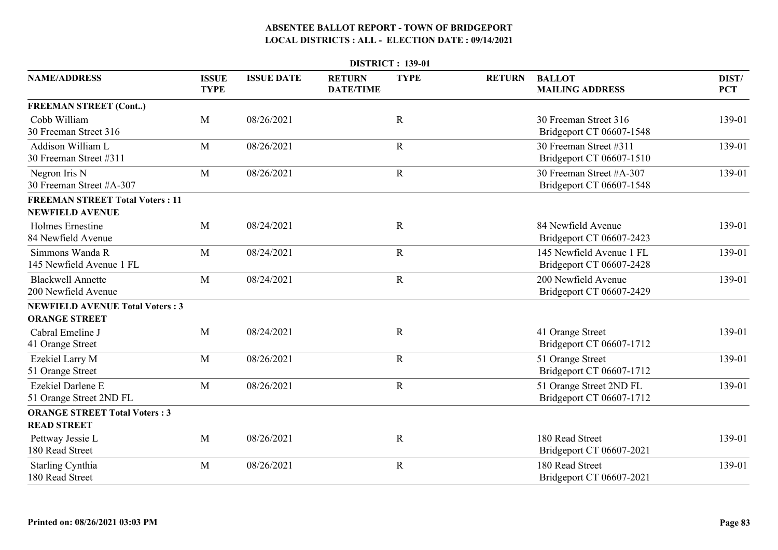| <b>DISTRICT: 139-01</b>                                          |                             |                   |                                   |             |               |                                                      |                     |  |  |  |
|------------------------------------------------------------------|-----------------------------|-------------------|-----------------------------------|-------------|---------------|------------------------------------------------------|---------------------|--|--|--|
| <b>NAME/ADDRESS</b>                                              | <b>ISSUE</b><br><b>TYPE</b> | <b>ISSUE DATE</b> | <b>RETURN</b><br><b>DATE/TIME</b> | <b>TYPE</b> | <b>RETURN</b> | <b>BALLOT</b><br><b>MAILING ADDRESS</b>              | DIST/<br><b>PCT</b> |  |  |  |
| <b>FREEMAN STREET (Cont)</b>                                     |                             |                   |                                   |             |               |                                                      |                     |  |  |  |
| Cobb William<br>30 Freeman Street 316                            | M                           | 08/26/2021        |                                   | $\mathbf R$ |               | 30 Freeman Street 316<br>Bridgeport CT 06607-1548    | 139-01              |  |  |  |
| Addison William L<br>30 Freeman Street #311                      | M                           | 08/26/2021        |                                   | $\mathbf R$ |               | 30 Freeman Street #311<br>Bridgeport CT 06607-1510   | 139-01              |  |  |  |
| Negron Iris N<br>30 Freeman Street #A-307                        | M                           | 08/26/2021        |                                   | ${\bf R}$   |               | 30 Freeman Street #A-307<br>Bridgeport CT 06607-1548 | 139-01              |  |  |  |
| <b>FREEMAN STREET Total Voters: 11</b><br><b>NEWFIELD AVENUE</b> |                             |                   |                                   |             |               |                                                      |                     |  |  |  |
| Holmes Ernestine<br>84 Newfield Avenue                           | M                           | 08/24/2021        |                                   | $\mathbf R$ |               | 84 Newfield Avenue<br>Bridgeport CT 06607-2423       | 139-01              |  |  |  |
| Simmons Wanda R<br>145 Newfield Avenue 1 FL                      | M                           | 08/24/2021        |                                   | $\mathbf R$ |               | 145 Newfield Avenue 1 FL<br>Bridgeport CT 06607-2428 | 139-01              |  |  |  |
| <b>Blackwell Annette</b><br>200 Newfield Avenue                  | M                           | 08/24/2021        |                                   | $\mathbf R$ |               | 200 Newfield Avenue<br>Bridgeport CT 06607-2429      | 139-01              |  |  |  |
| <b>NEWFIELD AVENUE Total Voters: 3</b><br><b>ORANGE STREET</b>   |                             |                   |                                   |             |               |                                                      |                     |  |  |  |
| Cabral Emeline J<br>41 Orange Street                             | M                           | 08/24/2021        |                                   | $\mathbf R$ |               | 41 Orange Street<br>Bridgeport CT 06607-1712         | 139-01              |  |  |  |
| Ezekiel Larry M<br>51 Orange Street                              | M                           | 08/26/2021        |                                   | $\mathbf R$ |               | 51 Orange Street<br>Bridgeport CT 06607-1712         | 139-01              |  |  |  |
| Ezekiel Darlene E<br>51 Orange Street 2ND FL                     | M                           | 08/26/2021        |                                   | $\mathbf R$ |               | 51 Orange Street 2ND FL<br>Bridgeport CT 06607-1712  | 139-01              |  |  |  |
| <b>ORANGE STREET Total Voters: 3</b><br><b>READ STREET</b>       |                             |                   |                                   |             |               |                                                      |                     |  |  |  |
| Pettway Jessie L<br>180 Read Street                              | M                           | 08/26/2021        |                                   | $\mathbf R$ |               | 180 Read Street<br>Bridgeport CT 06607-2021          | 139-01              |  |  |  |
| <b>Starling Cynthia</b><br>180 Read Street                       | M                           | 08/26/2021        |                                   | $\mathbf R$ |               | 180 Read Street<br>Bridgeport CT 06607-2021          | 139-01              |  |  |  |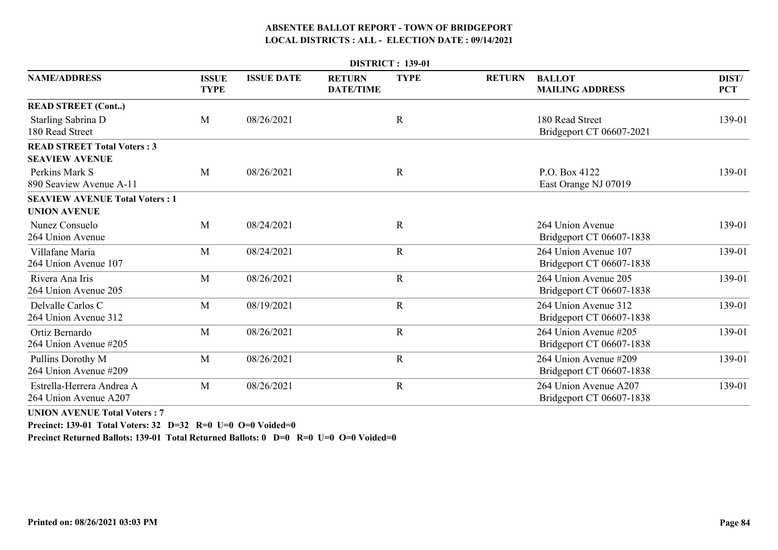|                                                             |                             |                   |                                   | <b>DISTRICT: 139-01</b> |               |                                                   |                     |
|-------------------------------------------------------------|-----------------------------|-------------------|-----------------------------------|-------------------------|---------------|---------------------------------------------------|---------------------|
| <b>NAME/ADDRESS</b>                                         | <b>ISSUE</b><br><b>TYPE</b> | <b>ISSUE DATE</b> | <b>RETURN</b><br><b>DATE/TIME</b> | <b>TYPE</b>             | <b>RETURN</b> | <b>BALLOT</b><br><b>MAILING ADDRESS</b>           | DIST/<br><b>PCT</b> |
| <b>READ STREET (Cont)</b>                                   |                             |                   |                                   |                         |               |                                                   |                     |
| Starling Sabrina D<br>180 Read Street                       | M                           | 08/26/2021        |                                   | $\mathbf R$             |               | 180 Read Street<br>Bridgeport CT 06607-2021       | 139-01              |
| <b>READ STREET Total Voters: 3</b><br><b>SEAVIEW AVENUE</b> |                             |                   |                                   |                         |               |                                                   |                     |
| Perkins Mark S<br>890 Seaview Avenue A-11                   | M                           | 08/26/2021        |                                   | $\mathbf R$             |               | P.O. Box 4122<br>East Orange NJ 07019             | 139-01              |
| <b>SEAVIEW AVENUE Total Voters: 1</b>                       |                             |                   |                                   |                         |               |                                                   |                     |
| <b>UNION AVENUE</b>                                         |                             |                   |                                   |                         |               |                                                   |                     |
| Nunez Consuelo<br>264 Union Avenue                          | M                           | 08/24/2021        |                                   | $\mathbf R$             |               | 264 Union Avenue<br>Bridgeport CT 06607-1838      | 139-01              |
| Villafane Maria<br>264 Union Avenue 107                     | M                           | 08/24/2021        |                                   | $\overline{R}$          |               | 264 Union Avenue 107<br>Bridgeport CT 06607-1838  | 139-01              |
| Rivera Ana Iris<br>264 Union Avenue 205                     | M                           | 08/26/2021        |                                   | $\mathbf R$             |               | 264 Union Avenue 205<br>Bridgeport CT 06607-1838  | 139-01              |
| Delvalle Carlos C<br>264 Union Avenue 312                   | M                           | 08/19/2021        |                                   | $\mathbf R$             |               | 264 Union Avenue 312<br>Bridgeport CT 06607-1838  | 139-01              |
| Ortiz Bernardo<br>264 Union Avenue #205                     | M                           | 08/26/2021        |                                   | $\mathbf R$             |               | 264 Union Avenue #205<br>Bridgeport CT 06607-1838 | 139-01              |
| Pullins Dorothy M<br>264 Union Avenue #209                  | M                           | 08/26/2021        |                                   | $\mathbf R$             |               | 264 Union Avenue #209<br>Bridgeport CT 06607-1838 | 139-01              |
| Estrella-Herrera Andrea A<br>264 Union Avenue A207          | M                           | 08/26/2021        |                                   | $\mathbf R$             |               | 264 Union Avenue A207<br>Bridgeport CT 06607-1838 | 139-01              |

**UNION AVENUE Total Voters : 7**

**Precinct: 139-01 Total Voters: 32 D=32 R=0 U=0 O=0 Voided=0**

**Precinct Returned Ballots: 139-01 Total Returned Ballots: 0 D=0 R=0 U=0 O=0 Voided=0**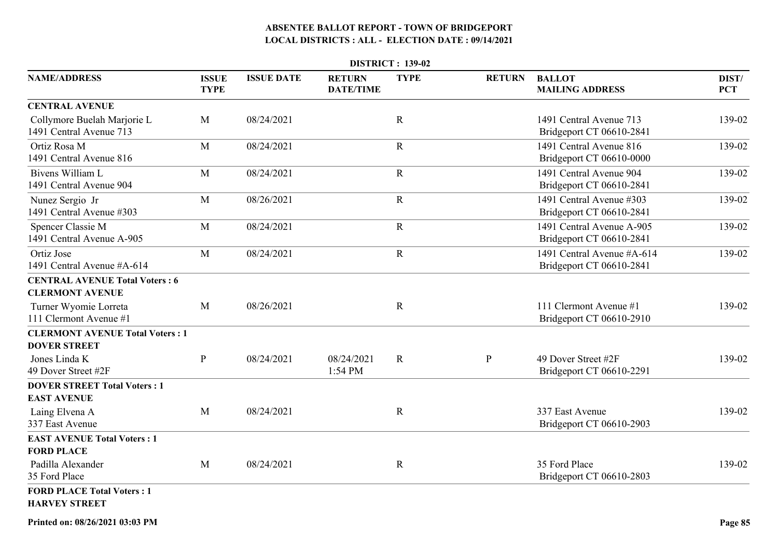|                                                                 |                             |                   |                                   | <b>DISTRICT: 139-02</b> |               |                                                        |                     |
|-----------------------------------------------------------------|-----------------------------|-------------------|-----------------------------------|-------------------------|---------------|--------------------------------------------------------|---------------------|
| <b>NAME/ADDRESS</b>                                             | <b>ISSUE</b><br><b>TYPE</b> | <b>ISSUE DATE</b> | <b>RETURN</b><br><b>DATE/TIME</b> | <b>TYPE</b>             | <b>RETURN</b> | <b>BALLOT</b><br><b>MAILING ADDRESS</b>                | DIST/<br><b>PCT</b> |
| <b>CENTRAL AVENUE</b>                                           |                             |                   |                                   |                         |               |                                                        |                     |
| Collymore Buelah Marjorie L<br>1491 Central Avenue 713          | M                           | 08/24/2021        |                                   | $\mathbf R$             |               | 1491 Central Avenue 713<br>Bridgeport CT 06610-2841    | 139-02              |
| Ortiz Rosa M<br>1491 Central Avenue 816                         | M                           | 08/24/2021        |                                   | $\mathbf R$             |               | 1491 Central Avenue 816<br>Bridgeport CT 06610-0000    | 139-02              |
| Bivens William L<br>1491 Central Avenue 904                     | M                           | 08/24/2021        |                                   | $\mathbf R$             |               | 1491 Central Avenue 904<br>Bridgeport CT 06610-2841    | 139-02              |
| Nunez Sergio Jr<br>1491 Central Avenue #303                     | M                           | 08/26/2021        |                                   | $\mathbf R$             |               | 1491 Central Avenue #303<br>Bridgeport CT 06610-2841   | 139-02              |
| Spencer Classie M<br>1491 Central Avenue A-905                  | M                           | 08/24/2021        |                                   | $\mathbf R$             |               | 1491 Central Avenue A-905<br>Bridgeport CT 06610-2841  | 139-02              |
| Ortiz Jose<br>1491 Central Avenue #A-614                        | M                           | 08/24/2021        |                                   | ${\bf R}$               |               | 1491 Central Avenue #A-614<br>Bridgeport CT 06610-2841 | 139-02              |
| <b>CENTRAL AVENUE Total Voters: 6</b><br><b>CLERMONT AVENUE</b> |                             |                   |                                   |                         |               |                                                        |                     |
| Turner Wyomie Lorreta<br>111 Clermont Avenue #1                 | M                           | 08/26/2021        |                                   | $\mathbf R$             |               | 111 Clermont Avenue #1<br>Bridgeport CT 06610-2910     | 139-02              |
| <b>CLERMONT AVENUE Total Voters: 1</b><br><b>DOVER STREET</b>   |                             |                   |                                   |                         |               |                                                        |                     |
| Jones Linda K<br>49 Dover Street #2F                            | $\mathbf{P}$                | 08/24/2021        | 08/24/2021<br>1:54 PM             | $\mathbf R$             | $\mathbf{P}$  | 49 Dover Street #2F<br>Bridgeport CT 06610-2291        | 139-02              |
| <b>DOVER STREET Total Voters: 1</b><br><b>EAST AVENUE</b>       |                             |                   |                                   |                         |               |                                                        |                     |
| Laing Elvena A<br>337 East Avenue                               | M                           | 08/24/2021        |                                   | $\mathbf R$             |               | 337 East Avenue<br>Bridgeport CT 06610-2903            | 139-02              |
| <b>EAST AVENUE Total Voters: 1</b><br><b>FORD PLACE</b>         |                             |                   |                                   |                         |               |                                                        |                     |
| Padilla Alexander<br>35 Ford Place                              | M                           | 08/24/2021        |                                   | $\mathbf R$             |               | 35 Ford Place<br>Bridgeport CT 06610-2803              | 139-02              |
| <b>FORD PLACE Total Voters: 1</b><br><b>HARVEY STREET</b>       |                             |                   |                                   |                         |               |                                                        |                     |

**Printed on: 08/26/2021 03:03 PM**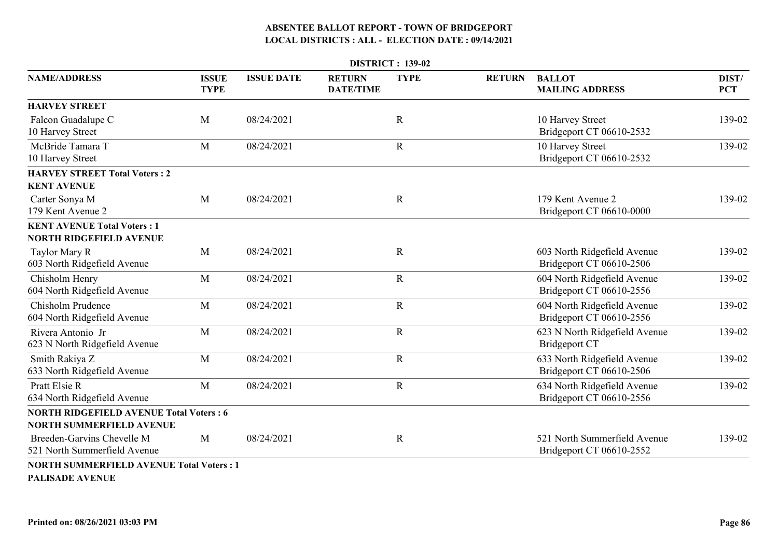|                                                                      |                             |                   |                                   | <b>DISTRICT: 139-02</b> |               |                                                          |                     |
|----------------------------------------------------------------------|-----------------------------|-------------------|-----------------------------------|-------------------------|---------------|----------------------------------------------------------|---------------------|
| <b>NAME/ADDRESS</b>                                                  | <b>ISSUE</b><br><b>TYPE</b> | <b>ISSUE DATE</b> | <b>RETURN</b><br><b>DATE/TIME</b> | <b>TYPE</b>             | <b>RETURN</b> | <b>BALLOT</b><br><b>MAILING ADDRESS</b>                  | DIST/<br><b>PCT</b> |
| <b>HARVEY STREET</b>                                                 |                             |                   |                                   |                         |               |                                                          |                     |
| Falcon Guadalupe C<br>10 Harvey Street                               | M                           | 08/24/2021        |                                   | $\mathbf R$             |               | 10 Harvey Street<br>Bridgeport CT 06610-2532             | 139-02              |
| McBride Tamara T<br>10 Harvey Street                                 | M                           | 08/24/2021        |                                   | $\mathbf R$             |               | 10 Harvey Street<br>Bridgeport CT 06610-2532             | 139-02              |
| <b>HARVEY STREET Total Voters: 2</b>                                 |                             |                   |                                   |                         |               |                                                          |                     |
| <b>KENT AVENUE</b>                                                   |                             |                   |                                   |                         |               |                                                          |                     |
| Carter Sonya M<br>179 Kent Avenue 2                                  | M                           | 08/24/2021        |                                   | $\mathbf R$             |               | 179 Kent Avenue 2<br>Bridgeport CT 06610-0000            | 139-02              |
| <b>KENT AVENUE Total Voters: 1</b><br><b>NORTH RIDGEFIELD AVENUE</b> |                             |                   |                                   |                         |               |                                                          |                     |
| Taylor Mary R<br>603 North Ridgefield Avenue                         | M                           | 08/24/2021        |                                   | $\mathbf R$             |               | 603 North Ridgefield Avenue<br>Bridgeport CT 06610-2506  | 139-02              |
| Chisholm Henry<br>604 North Ridgefield Avenue                        | M                           | 08/24/2021        |                                   | $\mathbf R$             |               | 604 North Ridgefield Avenue<br>Bridgeport CT 06610-2556  | 139-02              |
| Chisholm Prudence<br>604 North Ridgefield Avenue                     | M                           | 08/24/2021        |                                   | $\mathbf R$             |               | 604 North Ridgefield Avenue<br>Bridgeport CT 06610-2556  | 139-02              |
| Rivera Antonio Jr<br>623 N North Ridgefield Avenue                   | M                           | 08/24/2021        |                                   | $\mathbf R$             |               | 623 N North Ridgefield Avenue<br><b>Bridgeport CT</b>    | 139-02              |
| Smith Rakiya Z<br>633 North Ridgefield Avenue                        | M                           | 08/24/2021        |                                   | $\mathbf R$             |               | 633 North Ridgefield Avenue<br>Bridgeport CT 06610-2506  | 139-02              |
| <b>Pratt Elsie R</b><br>634 North Ridgefield Avenue                  | M                           | 08/24/2021        |                                   | $\mathbf R$             |               | 634 North Ridgefield Avenue<br>Bridgeport CT 06610-2556  | 139-02              |
| <b>NORTH RIDGEFIELD AVENUE Total Voters: 6</b>                       |                             |                   |                                   |                         |               |                                                          |                     |
| <b>NORTH SUMMERFIELD AVENUE</b>                                      |                             |                   |                                   |                         |               |                                                          |                     |
| Breeden-Garvins Chevelle M<br>521 North Summerfield Avenue           | M                           | 08/24/2021        |                                   | $\mathbf R$             |               | 521 North Summerfield Avenue<br>Bridgeport CT 06610-2552 | 139-02              |
| <b>NORTH SUMMERFIELD AVENUE Total Voters: 1</b>                      |                             |                   |                                   |                         |               |                                                          |                     |

**PALISADE AVENUE**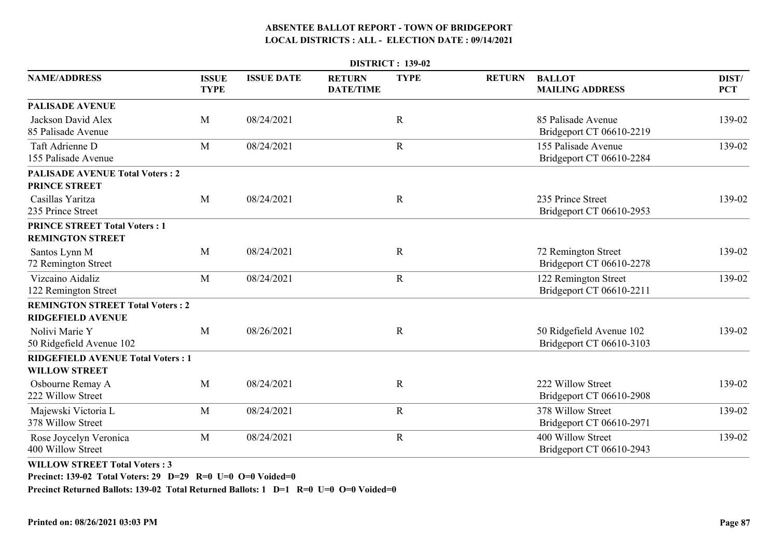| <b>DISTRICT: 139-02</b>                                             |                             |                   |                                   |             |               |                                                      |                     |  |
|---------------------------------------------------------------------|-----------------------------|-------------------|-----------------------------------|-------------|---------------|------------------------------------------------------|---------------------|--|
| <b>NAME/ADDRESS</b>                                                 | <b>ISSUE</b><br><b>TYPE</b> | <b>ISSUE DATE</b> | <b>RETURN</b><br><b>DATE/TIME</b> | <b>TYPE</b> | <b>RETURN</b> | <b>BALLOT</b><br><b>MAILING ADDRESS</b>              | DIST/<br><b>PCT</b> |  |
| <b>PALISADE AVENUE</b>                                              |                             |                   |                                   |             |               |                                                      |                     |  |
| Jackson David Alex<br>85 Palisade Avenue                            | M                           | 08/24/2021        |                                   | $\mathbf R$ |               | 85 Palisade Avenue<br>Bridgeport CT 06610-2219       | 139-02              |  |
| Taft Adrienne D<br>155 Palisade Avenue                              | M                           | 08/24/2021        |                                   | $\mathbf R$ |               | 155 Palisade Avenue<br>Bridgeport CT 06610-2284      | 139-02              |  |
| <b>PALISADE AVENUE Total Voters: 2</b><br><b>PRINCE STREET</b>      |                             |                   |                                   |             |               |                                                      |                     |  |
| Casillas Yaritza<br>235 Prince Street                               | M                           | 08/24/2021        |                                   | $\mathbf R$ |               | 235 Prince Street<br>Bridgeport CT 06610-2953        | 139-02              |  |
| <b>PRINCE STREET Total Voters: 1</b><br><b>REMINGTON STREET</b>     |                             |                   |                                   |             |               |                                                      |                     |  |
| Santos Lynn M<br>72 Remington Street                                | M                           | 08/24/2021        |                                   | $\mathbf R$ |               | 72 Remington Street<br>Bridgeport CT 06610-2278      | 139-02              |  |
| Vizcaino Aidaliz<br>122 Remington Street                            | M                           | 08/24/2021        |                                   | ${\bf R}$   |               | 122 Remington Street<br>Bridgeport CT 06610-2211     | 139-02              |  |
| <b>REMINGTON STREET Total Voters: 2</b><br><b>RIDGEFIELD AVENUE</b> |                             |                   |                                   |             |               |                                                      |                     |  |
| Nolivi Marie Y<br>50 Ridgefield Avenue 102                          | M                           | 08/26/2021        |                                   | $\mathbf R$ |               | 50 Ridgefield Avenue 102<br>Bridgeport CT 06610-3103 | 139-02              |  |
| <b>RIDGEFIELD AVENUE Total Voters: 1</b><br><b>WILLOW STREET</b>    |                             |                   |                                   |             |               |                                                      |                     |  |
| Osbourne Remay A<br>222 Willow Street                               | M                           | 08/24/2021        |                                   | $\mathbf R$ |               | 222 Willow Street<br>Bridgeport CT 06610-2908        | 139-02              |  |
| Majewski Victoria L<br>378 Willow Street                            | M                           | 08/24/2021        |                                   | $\mathbf R$ |               | 378 Willow Street<br>Bridgeport CT 06610-2971        | 139-02              |  |
| Rose Joycelyn Veronica<br>400 Willow Street                         | M                           | 08/24/2021        |                                   | $\mathbf R$ |               | 400 Willow Street<br>Bridgeport CT 06610-2943        | 139-02              |  |

**WILLOW STREET Total Voters : 3**

**Precinct: 139-02 Total Voters: 29 D=29 R=0 U=0 O=0 Voided=0**

**Precinct Returned Ballots: 139-02 Total Returned Ballots: 1 D=1 R=0 U=0 O=0 Voided=0**